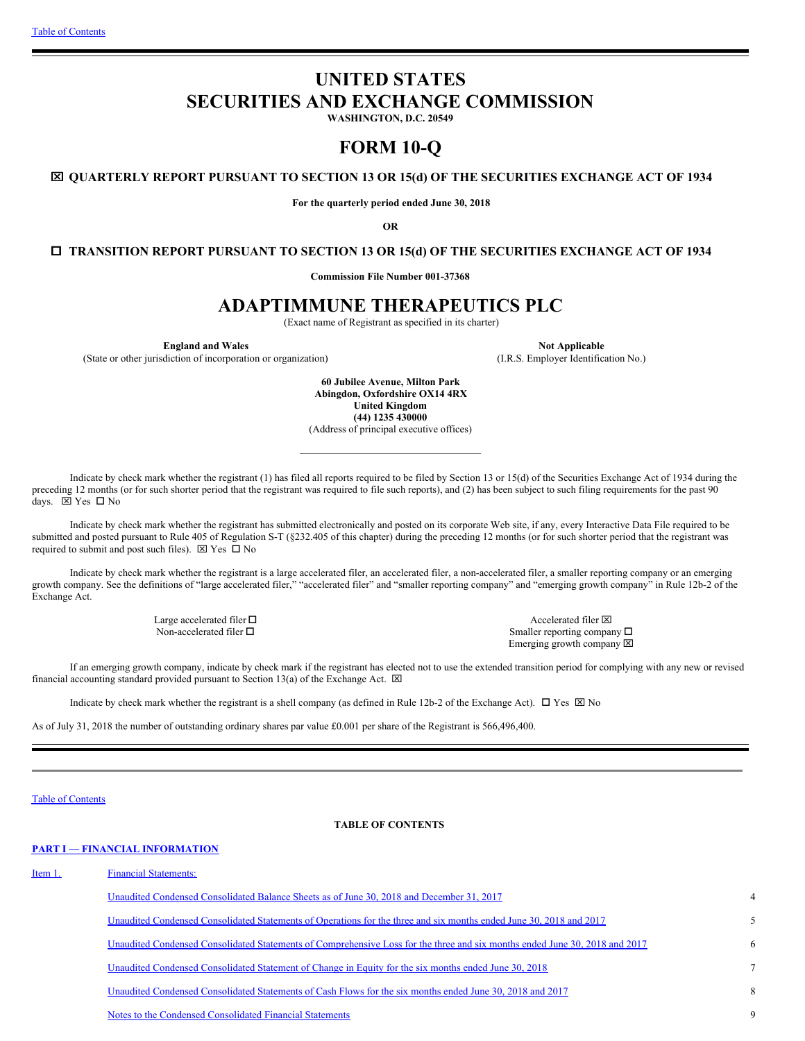# **UNITED STATES SECURITIES AND EXCHANGE COMMISSION**

**WASHINGTON, D.C. 20549**

# **FORM 10-Q**

x **QUARTERLY REPORT PURSUANT TO SECTION 13 OR 15(d) OF THE SECURITIES EXCHANGE ACT OF 1934**

**For the quarterly period ended June 30, 2018**

**OR**

o **TRANSITION REPORT PURSUANT TO SECTION 13 OR 15(d) OF THE SECURITIES EXCHANGE ACT OF 1934**

**Commission File Number 001-37368**

# **ADAPTIMMUNE THERAPEUTICS PLC**

(Exact name of Registrant as specified in its charter)

(State or other jurisdiction of incorporation or organization) (I.R.S. Employer Identification No.)

**England and Wales Not Applicable**

**60 Jubilee Avenue, Milton Park Abingdon, Oxfordshire OX14 4RX United Kingdom (44) 1235 430000**

(Address of principal executive offices)

Indicate by check mark whether the registrant (1) has filed all reports required to be filed by Section 13 or 15(d) of the Securities Exchange Act of 1934 during the preceding 12 months (or for such shorter period that the registrant was required to file such reports), and (2) has been subject to such filing requirements for the past 90 days.  $\overline{\boxtimes}$  Yes  $\Box$  No

Indicate by check mark whether the registrant has submitted electronically and posted on its corporate Web site, if any, every Interactive Data File required to be submitted and posted pursuant to Rule 405 of Regulation S-T (§232.405 of this chapter) during the preceding 12 months (or for such shorter period that the registrant was required to submit and post such files).  $\boxtimes$  Yes  $\Box$  No

Indicate by check mark whether the registrant is a large accelerated filer, an accelerated filer, a non-accelerated filer, a smaller reporting company or an emerging growth company. See the definitions of "large accelerated filer," "accelerated filer" and "smaller reporting company" and "emerging growth company" in Rule 12b-2 of the Exchange Act.

Large accelerated filer  $\square$ <br>
Non-accelerated filer  $\square$ <br>
Non-accelerated filer  $\square$ Smaller reporting company  $\Box$ Emerging growth company  $\boxtimes$ 

If an emerging growth company, indicate by check mark if the registrant has elected not to use the extended transition period for complying with any new or revised financial accounting standard provided pursuant to Section 13(a) of the Exchange Act.  $\boxtimes$ 

Indicate by check mark whether the registrant is a shell company (as defined in Rule 12b-2 of the Exchange Act).  $\Box$  Yes  $\boxtimes$  No

As of July 31, 2018 the number of outstanding ordinary shares par value £0.001 per share of the Registrant is 566,496,400.

Table of [Contents](#page-0-0)

## <span id="page-0-0"></span>**TABLE OF CONTENTS**

### **PART I — FINANCIAL [INFORMATION](#page-2-0)**

[Item](#page-2-1) 1. Financial [Statements:](#page-2-1)

| Unaudited Condensed Consolidated Statements of Operations for the three and six months ended June 30, 2018 and 2017         |  |
|-----------------------------------------------------------------------------------------------------------------------------|--|
| Unaudited Condensed Consolidated Statements of Comprehensive Loss for the three and six months ended June 30, 2018 and 2017 |  |
| Unaudited Condensed Consolidated Statement of Change in Equity for the six months ended June 30, 2018                       |  |
| Unaudited Condensed Consolidated Statements of Cash Flows for the six months ended June 30, 2018 and 2017                   |  |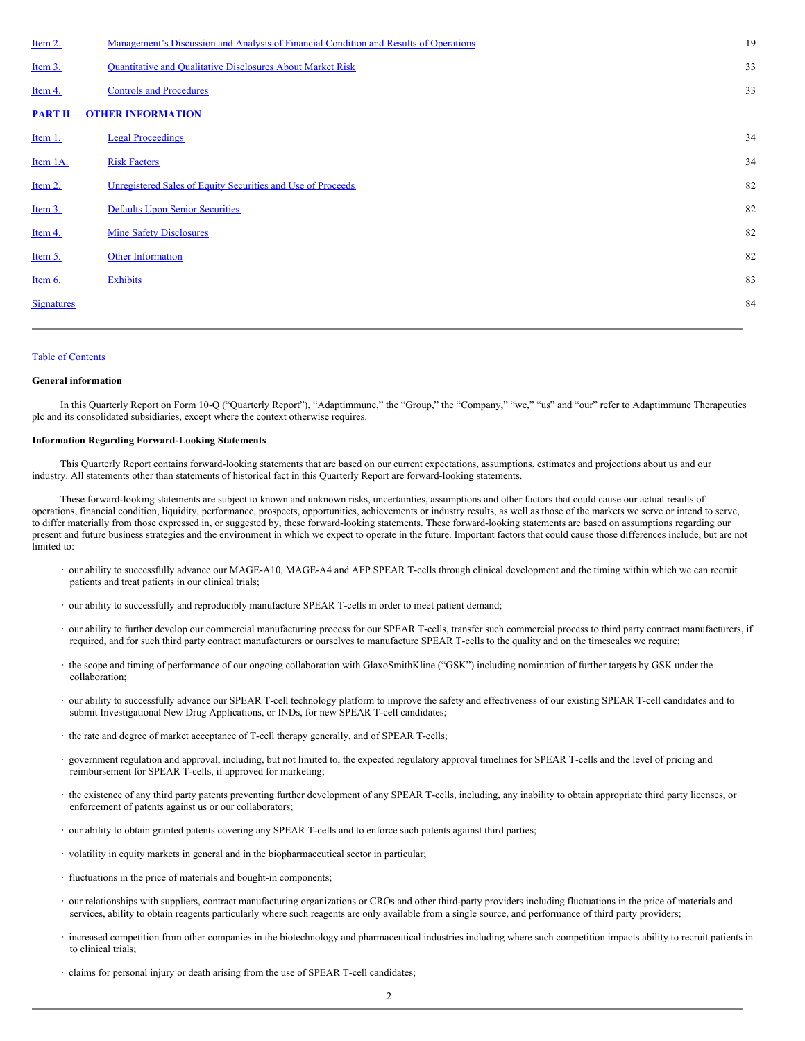| Item 2.           | Management's Discussion and Analysis of Financial Condition and Results of Operations | 19 |
|-------------------|---------------------------------------------------------------------------------------|----|
| Item 3.           | Quantitative and Qualitative Disclosures About Market Risk                            | 33 |
| Item 4.           | <b>Controls and Procedures</b>                                                        | 33 |
|                   | <b>PART II - OTHER INFORMATION</b>                                                    |    |
| Item $1$ .        | <b>Legal Proceedings</b>                                                              | 34 |
| Item 1A.          | <b>Risk Factors</b>                                                                   | 34 |
| Item 2.           | Unregistered Sales of Equity Securities and Use of Proceeds                           | 82 |
| Item $3.$         | <b>Defaults Upon Senior Securities</b>                                                | 82 |
| Item 4.           | <b>Mine Safety Disclosures</b>                                                        | 82 |
| Item 5.           | <b>Other Information</b>                                                              | 82 |
| Item 6.           | <b>Exhibits</b>                                                                       | 83 |
| <b>Signatures</b> |                                                                                       | 84 |

## Table of [Contents](#page-0-0)

## **General information**

In this Quarterly Report on Form 10-Q ("Quarterly Report"), "Adaptimmune," the "Group," the "Company," "we," "us" and "our" refer to Adaptimmune Therapeutics plc and its consolidated subsidiaries, except where the context otherwise requires.

## **Information Regarding Forward-Looking Statements**

This Quarterly Report contains forward-looking statements that are based on our current expectations, assumptions, estimates and projections about us and our industry. All statements other than statements of historical fact in this Quarterly Report are forward-looking statements.

These forward-looking statements are subject to known and unknown risks, uncertainties, assumptions and other factors that could cause our actual results of operations, financial condition, liquidity, performance, prospects, opportunities, achievements or industry results, as well as those of the markets we serve or intend to serve, to differ materially from those expressed in, or suggested by, these forward-looking statements. These forward-looking statements are based on assumptions regarding our present and future business strategies and the environment in which we expect to operate in the future. Important factors that could cause those differences include, but are not limited to:

- · our ability to successfully advance our MAGE-A10, MAGE-A4 and AFP SPEAR T-cells through clinical development and the timing within which we can recruit patients and treat patients in our clinical trials;
- · our ability to successfully and reproducibly manufacture SPEAR T-cells in order to meet patient demand;
- · our ability to further develop our commercial manufacturing process for our SPEAR T-cells, transfer such commercial process to third party contract manufacturers, if required, and for such third party contract manufacturers or ourselves to manufacture SPEAR T-cells to the quality and on the timescales we require;
- the scope and timing of performance of our ongoing collaboration with GlaxoSmithKline ("GSK") including nomination of further targets by GSK under the collaboration;
- · our ability to successfully advance our SPEAR T-cell technology platform to improve the safety and effectiveness of our existing SPEAR T-cell candidates and to submit Investigational New Drug Applications, or INDs, for new SPEAR T-cell candidates;
- the rate and degree of market acceptance of T-cell therapy generally, and of SPEAR T-cells;
- · government regulation and approval, including, but not limited to, the expected regulatory approval timelines for SPEAR T-cells and the level of pricing and reimbursement for SPEAR T-cells, if approved for marketing;
- the existence of any third party patents preventing further development of any SPEAR T-cells, including, any inability to obtain appropriate third party licenses, or enforcement of patents against us or our collaborators;
- our ability to obtain granted patents covering any SPEAR T-cells and to enforce such patents against third parties;
- · volatility in equity markets in general and in the biopharmaceutical sector in particular;
- · fluctuations in the price of materials and bought-in components;
- · our relationships with suppliers, contract manufacturing organizations or CROs and other third-party providers including fluctuations in the price of materials and services, ability to obtain reagents particularly where such reagents are only available from a single source, and performance of third party providers;
- increased competition from other companies in the biotechnology and pharmaceutical industries including where such competition impacts ability to recruit patients in to clinical trials;
- · claims for personal injury or death arising from the use of SPEAR T-cell candidates;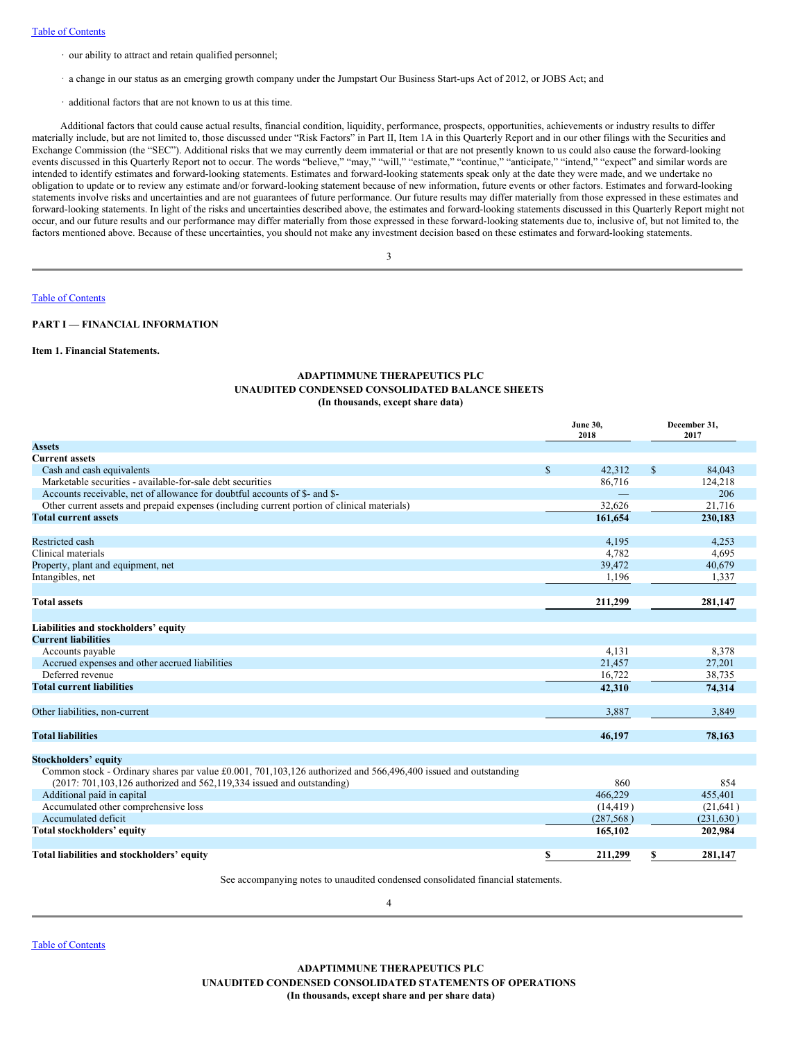- · our ability to attract and retain qualified personnel;
- · a change in our status as an emerging growth company under the Jumpstart Our Business Start-ups Act of 2012, or JOBS Act; and
- · additional factors that are not known to us at this time.

Additional factors that could cause actual results, financial condition, liquidity, performance, prospects, opportunities, achievements or industry results to differ materially include, but are not limited to, those discussed under "Risk Factors" in Part II, Item 1A in this Quarterly Report and in our other filings with the Securities and Exchange Commission (the "SEC"). Additional risks that we may currently deem immaterial or that are not presently known to us could also cause the forward-looking events discussed in this Quarterly Report not to occur. The words "believe," "may," "will," "estimate," "continue," "anticipate," "intend," "expect" and similar words are intended to identify estimates and forward-looking statements. Estimates and forward-looking statements speak only at the date they were made, and we undertake no obligation to update or to review any estimate and/or forward-looking statement because of new information, future events or other factors. Estimates and forward-looking statements involve risks and uncertainties and are not guarantees of future performance. Our future results may differ materially from those expressed in these estimates and forward-looking statements. In light of the risks and uncertainties described above, the estimates and forward-looking statements discussed in this Quarterly Report might not occur, and our future results and our performance may differ materially from those expressed in these forward-looking statements due to, inclusive of, but not limited to, the factors mentioned above. Because of these uncertainties, you should not make any investment decision based on these estimates and forward-looking statements.

<span id="page-2-2"></span>3

#### Table of [Contents](#page-0-0)

## **PART I — FINANCIAL INFORMATION**

#### **Item 1. Financial Statements.**

## <span id="page-2-1"></span><span id="page-2-0"></span>**ADAPTIMMUNE THERAPEUTICS PLC UNAUDITED CONDENSED CONSOLIDATED BALANCE SHEETS (In thousands, except share data)**

|                                                                                                                                                                                                   |              | <b>June 30,</b><br>2018 | December 31,<br>2017 |            |  |
|---------------------------------------------------------------------------------------------------------------------------------------------------------------------------------------------------|--------------|-------------------------|----------------------|------------|--|
| <b>Assets</b>                                                                                                                                                                                     |              |                         |                      |            |  |
| <b>Current assets</b>                                                                                                                                                                             |              |                         |                      |            |  |
| Cash and cash equivalents                                                                                                                                                                         | $\mathbb{S}$ | 42.312                  | $\mathbb{S}$         | 84,043     |  |
| Marketable securities - available-for-sale debt securities                                                                                                                                        |              | 86,716                  |                      | 124,218    |  |
| Accounts receivable, net of allowance for doubtful accounts of \$- and \$-                                                                                                                        |              |                         |                      | 206        |  |
| Other current assets and prepaid expenses (including current portion of clinical materials)                                                                                                       |              | 32,626                  |                      | 21,716     |  |
| <b>Total current assets</b>                                                                                                                                                                       |              | 161,654                 |                      | 230,183    |  |
| Restricted cash                                                                                                                                                                                   |              | 4,195                   |                      | 4,253      |  |
| Clinical materials                                                                                                                                                                                |              | 4,782                   |                      | 4,695      |  |
| Property, plant and equipment, net                                                                                                                                                                |              | 39,472                  |                      | 40,679     |  |
| Intangibles, net                                                                                                                                                                                  |              | 1,196                   |                      | 1,337      |  |
| <b>Total assets</b>                                                                                                                                                                               |              | 211,299                 |                      | 281,147    |  |
|                                                                                                                                                                                                   |              |                         |                      |            |  |
| Liabilities and stockholders' equity                                                                                                                                                              |              |                         |                      |            |  |
| <b>Current liabilities</b>                                                                                                                                                                        |              |                         |                      |            |  |
| Accounts payable                                                                                                                                                                                  |              | 4,131                   |                      | 8,378      |  |
| Accrued expenses and other accrued liabilities                                                                                                                                                    |              | 21,457                  |                      | 27,201     |  |
| Deferred revenue                                                                                                                                                                                  |              | 16,722                  |                      | 38,735     |  |
| <b>Total current liabilities</b>                                                                                                                                                                  |              | 42.310                  |                      | 74,314     |  |
| Other liabilities, non-current                                                                                                                                                                    |              | 3,887                   |                      | 3,849      |  |
| <b>Total liabilities</b>                                                                                                                                                                          |              | 46,197                  |                      | 78,163     |  |
| <b>Stockholders' equity</b>                                                                                                                                                                       |              |                         |                      |            |  |
| Common stock - Ordinary shares par value £0.001, 701, 103, 126 authorized and 566, 496, 400 issued and outstanding<br>$(2017: 701, 103, 126$ authorized and 562, 119, 334 issued and outstanding) |              | 860                     |                      | 854        |  |
| Additional paid in capital                                                                                                                                                                        |              | 466,229                 |                      | 455,401    |  |
| Accumulated other comprehensive loss                                                                                                                                                              |              | (14, 419)               |                      | (21, 641)  |  |
| Accumulated deficit                                                                                                                                                                               |              | (287, 568)              |                      | (231, 630) |  |
| <b>Total stockholders' equity</b>                                                                                                                                                                 |              | 165,102                 |                      | 202,984    |  |
|                                                                                                                                                                                                   |              |                         |                      |            |  |
| Total liabilities and stockholders' equity                                                                                                                                                        | \$           | 211,299                 | \$                   | 281,147    |  |

See accompanying notes to unaudited condensed consolidated financial statements.

<span id="page-2-3"></span>4

Table of [Contents](#page-0-0)

**ADAPTIMMUNE THERAPEUTICS PLC UNAUDITED CONDENSED CONSOLIDATED STATEMENTS OF OPERATIONS (In thousands, except share and per share data)**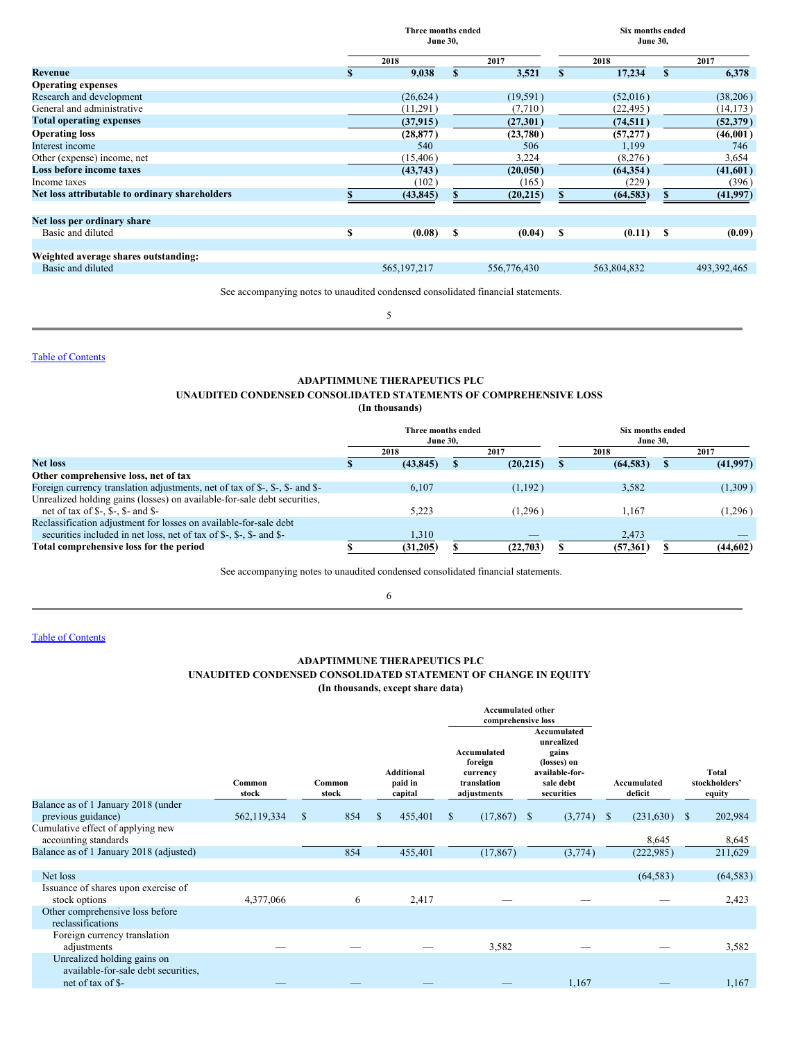|                                                |   | Three months ended<br><b>June 30,</b> |              |             | Six months ended<br><b>June 30,</b> |             |    |               |
|------------------------------------------------|---|---------------------------------------|--------------|-------------|-------------------------------------|-------------|----|---------------|
|                                                |   | 2018                                  |              | 2017        |                                     | 2018        |    | 2017          |
| Revenue                                        |   | 9,038                                 | $\mathbf{s}$ | 3,521       | $\mathbf{s}$                        | 17,234      | S  | 6,378         |
| <b>Operating expenses</b>                      |   |                                       |              |             |                                     |             |    |               |
| Research and development                       |   | (26, 624)                             |              | (19, 591)   |                                     | (52,016)    |    | (38,206)      |
| General and administrative                     |   | (11,291)                              |              | (7, 710)    |                                     | (22,495)    |    | (14, 173)     |
| <b>Total operating expenses</b>                |   | (37, 915)                             |              | (27, 301)   |                                     | (74, 511)   |    | (52, 379)     |
| <b>Operating loss</b>                          |   | (28, 877)                             |              | (23,780)    |                                     | (57, 277)   |    | (46,001)      |
| Interest income                                |   | 540                                   |              | 506         |                                     | 1,199       |    | 746           |
| Other (expense) income, net                    |   | (15, 406)                             |              | 3,224       |                                     | (8,276)     |    | 3,654         |
| Loss before income taxes                       |   | (43,743)                              |              | (20, 050)   |                                     | (64, 354)   |    | (41,601)      |
| Income taxes                                   |   | (102)                                 |              | (165)       |                                     | (229)       |    | (396)         |
| Net loss attributable to ordinary shareholders |   | (43, 845)                             |              | (20, 215)   |                                     | (64, 583)   |    | (41,997)      |
| Net loss per ordinary share                    |   |                                       |              |             |                                     |             |    |               |
| Basic and diluted                              | S | (0.08)                                | - \$         | $(0.04)$ \$ |                                     | (0.11)      | -S | (0.09)        |
| Weighted average shares outstanding:           |   |                                       |              |             |                                     |             |    |               |
| Basic and diluted                              |   | 565, 197, 217                         |              | 556,776,430 |                                     | 563,804,832 |    | 493, 392, 465 |
|                                                |   |                                       |              |             |                                     |             |    |               |

See accompanying notes to unaudited condensed consolidated financial statements.

<span id="page-3-0"></span>5

Table of [Contents](#page-0-0)

## **ADAPTIMMUNE THERAPEUTICS PLC UNAUDITED CONDENSED CONSOLIDATED STATEMENTS OF COMPREHENSIVE LOSS (In thousands)**

|                                                                               | Three months ended<br><b>June 30.</b> |           |  |           | Six months ended<br><b>June 30.</b> |           |          |           |
|-------------------------------------------------------------------------------|---------------------------------------|-----------|--|-----------|-------------------------------------|-----------|----------|-----------|
|                                                                               |                                       | 2018      |  | 2017      |                                     | 2018      |          | 2017      |
| <b>Net loss</b>                                                               |                                       | (43, 845) |  | (20, 215) |                                     | (64, 583) | <b>D</b> | (41,997)  |
| Other comprehensive loss, net of tax                                          |                                       |           |  |           |                                     |           |          |           |
| Foreign currency translation adjustments, net of tax of \$-, \$-, \$- and \$- |                                       | 6.107     |  | (1,192)   |                                     | 3,582     |          | (1,309)   |
| Unrealized holding gains (losses) on available-for-sale debt securities,      |                                       |           |  |           |                                     |           |          |           |
| net of tax of $\S$ -, $\S$ -, $\S$ - and $\S$ -                               |                                       | 5,223     |  | (1,296)   |                                     | 1,167     |          | (1,296)   |
| Reclassification adjustment for losses on available-for-sale debt             |                                       |           |  |           |                                     |           |          |           |
| securities included in net loss, net of tax of \$-, \$-, \$- and \$-          |                                       | 1,310     |  |           |                                     | 2,473     |          |           |
| Total comprehensive loss for the period                                       |                                       | (31,205)  |  | (22,703)  |                                     | (57, 361) |          | (44, 602) |

See accompanying notes to unaudited condensed consolidated financial statements.

<span id="page-3-1"></span>6

Table of [Contents](#page-0-0)

## **ADAPTIMMUNE THERAPEUTICS PLC UNAUDITED CONDENSED CONSOLIDATED STATEMENT OF CHANGE IN EQUITY (In thousands, except share data)**

|                                                                                         |                 |              |                 |    |                                         | <b>Accumulated other</b><br>comprehensive loss |                                                                  |    |                                                                                                |                        |            |               |                                         |
|-----------------------------------------------------------------------------------------|-----------------|--------------|-----------------|----|-----------------------------------------|------------------------------------------------|------------------------------------------------------------------|----|------------------------------------------------------------------------------------------------|------------------------|------------|---------------|-----------------------------------------|
|                                                                                         | Common<br>stock |              | Common<br>stock |    | <b>Additional</b><br>paid in<br>capital |                                                | Accumulated<br>foreign<br>currency<br>translation<br>adjustments |    | Accumulated<br>unrealized<br>gains<br>(losses) on<br>available-for-<br>sale debt<br>securities | Accumulated<br>deficit |            |               | <b>Total</b><br>stockholders'<br>equity |
| Balance as of 1 January 2018 (under<br>previous guidance)                               | 562,119,334     | $\mathbb{S}$ | 854             | S. | 455,401                                 | \$                                             | (17, 867)                                                        | -S | (3,774)                                                                                        | <sup>\$</sup>          | (231, 630) | <sup>\$</sup> | 202,984                                 |
| Cumulative effect of applying new<br>accounting standards                               |                 |              |                 |    |                                         |                                                |                                                                  |    |                                                                                                |                        | 8,645      |               | 8,645                                   |
| Balance as of 1 January 2018 (adjusted)                                                 |                 |              | 854             |    | 455,401                                 |                                                | (17, 867)                                                        |    | (3,774)                                                                                        |                        | (222, 985) |               | 211,629                                 |
| Net loss                                                                                |                 |              |                 |    |                                         |                                                |                                                                  |    |                                                                                                |                        | (64, 583)  |               | (64, 583)                               |
| Issuance of shares upon exercise of<br>stock options                                    | 4,377,066       |              | 6               |    | 2,417                                   |                                                |                                                                  |    |                                                                                                |                        |            |               | 2,423                                   |
| Other comprehensive loss before<br>reclassifications                                    |                 |              |                 |    |                                         |                                                |                                                                  |    |                                                                                                |                        |            |               |                                         |
| Foreign currency translation<br>adjustments                                             |                 |              |                 |    |                                         |                                                | 3,582                                                            |    |                                                                                                |                        |            |               | 3,582                                   |
| Unrealized holding gains on<br>available-for-sale debt securities,<br>net of tax of \$- |                 |              |                 |    |                                         |                                                |                                                                  |    | 1,167                                                                                          |                        |            |               | 1,167                                   |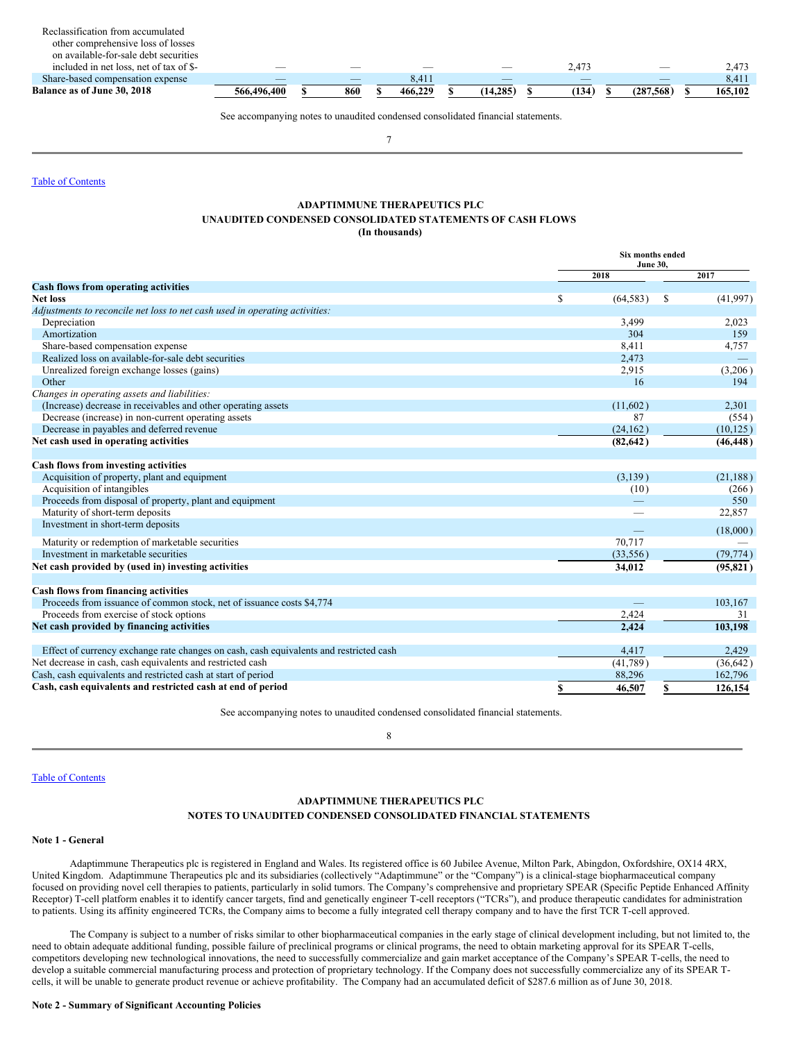| Reclassification from accumulated       |                          |                          |         |                          |       |            |         |
|-----------------------------------------|--------------------------|--------------------------|---------|--------------------------|-------|------------|---------|
| other comprehensive loss of losses      |                          |                          |         |                          |       |            |         |
| on available-for-sale debt securities   |                          |                          |         |                          |       |            |         |
| included in net loss, net of tax of \$- | $\overline{\phantom{a}}$ | $\sim$                   |         | $\overline{\phantom{a}}$ | 2.473 | _          | 2.473   |
| Share-based compensation expense        |                          | $\overline{\phantom{a}}$ | 8.411   | _                        |       |            | 8,411   |
| <b>Balance as of June 30, 2018</b>      | 566,496,400              | 860                      | 466.229 | (14, 285)                | (134) | (287, 568) | 165,102 |

See accompanying notes to unaudited condensed consolidated financial statements.

#### <span id="page-4-0"></span>7

## Table of [Contents](#page-0-0)

## **ADAPTIMMUNE THERAPEUTICS PLC UNAUDITED CONDENSED CONSOLIDATED STATEMENTS OF CASH FLOWS (In thousands)**

|                                                                                        |   | <b>Six months ended</b><br><b>June 30.</b> |               |           |  |  |
|----------------------------------------------------------------------------------------|---|--------------------------------------------|---------------|-----------|--|--|
|                                                                                        |   | 2018                                       |               | 2017      |  |  |
| <b>Cash flows from operating activities</b>                                            |   |                                            |               |           |  |  |
| <b>Net loss</b>                                                                        | S | (64, 583)                                  | <sup>\$</sup> | (41, 997) |  |  |
| Adjustments to reconcile net loss to net cash used in operating activities:            |   |                                            |               |           |  |  |
| Depreciation                                                                           |   | 3,499                                      |               | 2,023     |  |  |
| Amortization                                                                           |   | 304                                        |               | 159       |  |  |
| Share-based compensation expense                                                       |   | 8,411                                      |               | 4,757     |  |  |
| Realized loss on available-for-sale debt securities                                    |   | 2,473                                      |               |           |  |  |
| Unrealized foreign exchange losses (gains)                                             |   | 2,915                                      |               | (3,206)   |  |  |
| Other                                                                                  |   | 16                                         |               | 194       |  |  |
| Changes in operating assets and liabilities:                                           |   |                                            |               |           |  |  |
| (Increase) decrease in receivables and other operating assets                          |   | (11,602)                                   |               | 2,301     |  |  |
| Decrease (increase) in non-current operating assets                                    |   | 87                                         |               | (554)     |  |  |
| Decrease in payables and deferred revenue                                              |   | (24, 162)                                  |               | (10, 125) |  |  |
| Net cash used in operating activities                                                  |   | (82, 642)                                  |               | (46, 448) |  |  |
| Cash flows from investing activities                                                   |   |                                            |               |           |  |  |
| Acquisition of property, plant and equipment                                           |   | (3,139)                                    |               | (21, 188) |  |  |
| Acquisition of intangibles                                                             |   | (10)                                       |               | (266)     |  |  |
| Proceeds from disposal of property, plant and equipment                                |   |                                            |               | 550       |  |  |
| Maturity of short-term deposits                                                        |   | --                                         |               | 22,857    |  |  |
| Investment in short-term deposits                                                      |   |                                            |               |           |  |  |
|                                                                                        |   |                                            |               | (18,000)  |  |  |
| Maturity or redemption of marketable securities                                        |   | 70.717                                     |               |           |  |  |
| Investment in marketable securities                                                    |   | (33, 556)                                  |               | (79, 774) |  |  |
| Net cash provided by (used in) investing activities                                    |   | 34.012                                     |               | (95, 821) |  |  |
| Cash flows from financing activities                                                   |   |                                            |               |           |  |  |
| Proceeds from issuance of common stock, net of issuance costs \$4,774                  |   | $\overline{\phantom{a}}$                   |               | 103,167   |  |  |
| Proceeds from exercise of stock options                                                |   | 2,424                                      |               | 31        |  |  |
| Net cash provided by financing activities                                              |   | 2.424                                      |               | 103,198   |  |  |
|                                                                                        |   |                                            |               |           |  |  |
| Effect of currency exchange rate changes on cash, cash equivalents and restricted cash |   | 4,417                                      |               | 2,429     |  |  |
| Net decrease in cash, cash equivalents and restricted cash                             |   | (41,789)                                   |               | (36, 642) |  |  |
| Cash, cash equivalents and restricted cash at start of period                          |   | 88,296                                     |               | 162,796   |  |  |
| Cash, cash equivalents and restricted cash at end of period                            | S | 46.507                                     | S             | 126,154   |  |  |

See accompanying notes to unaudited condensed consolidated financial statements.

<span id="page-4-1"></span>8

Table of [Contents](#page-0-0)

# **ADAPTIMMUNE THERAPEUTICS PLC**

## **NOTES TO UNAUDITED CONDENSED CONSOLIDATED FINANCIAL STATEMENTS**

#### **Note 1 - General**

Adaptimmune Therapeutics plc is registered in England and Wales. Its registered office is 60 Jubilee Avenue, Milton Park, Abingdon, Oxfordshire, OX14 4RX, United Kingdom. Adaptimmune Therapeutics plc and its subsidiaries (collectively "Adaptimmune" or the "Company") is a clinical-stage biopharmaceutical company focused on providing novel cell therapies to patients, particularly in solid tumors. The Company's comprehensive and proprietary SPEAR (Specific Peptide Enhanced Affinity Receptor) T-cell platform enables it to identify cancer targets, find and genetically engineer T-cell receptors ("TCRs"), and produce therapeutic candidates for administration to patients. Using its affinity engineered TCRs, the Company aims to become a fully integrated cell therapy company and to have the first TCR T-cell approved.

The Company is subject to a number of risks similar to other biopharmaceutical companies in the early stage of clinical development including, but not limited to, the need to obtain adequate additional funding, possible failure of preclinical programs or clinical programs, the need to obtain marketing approval for its SPEAR T-cells, competitors developing new technological innovations, the need to successfully commercialize and gain market acceptance of the Company's SPEAR T-cells, the need to develop a suitable commercial manufacturing process and protection of proprietary technology. If the Company does not successfully commercialize any of its SPEAR Tcells, it will be unable to generate product revenue or achieve profitability. The Company had an accumulated deficit of \$287.6 million as of June 30, 2018.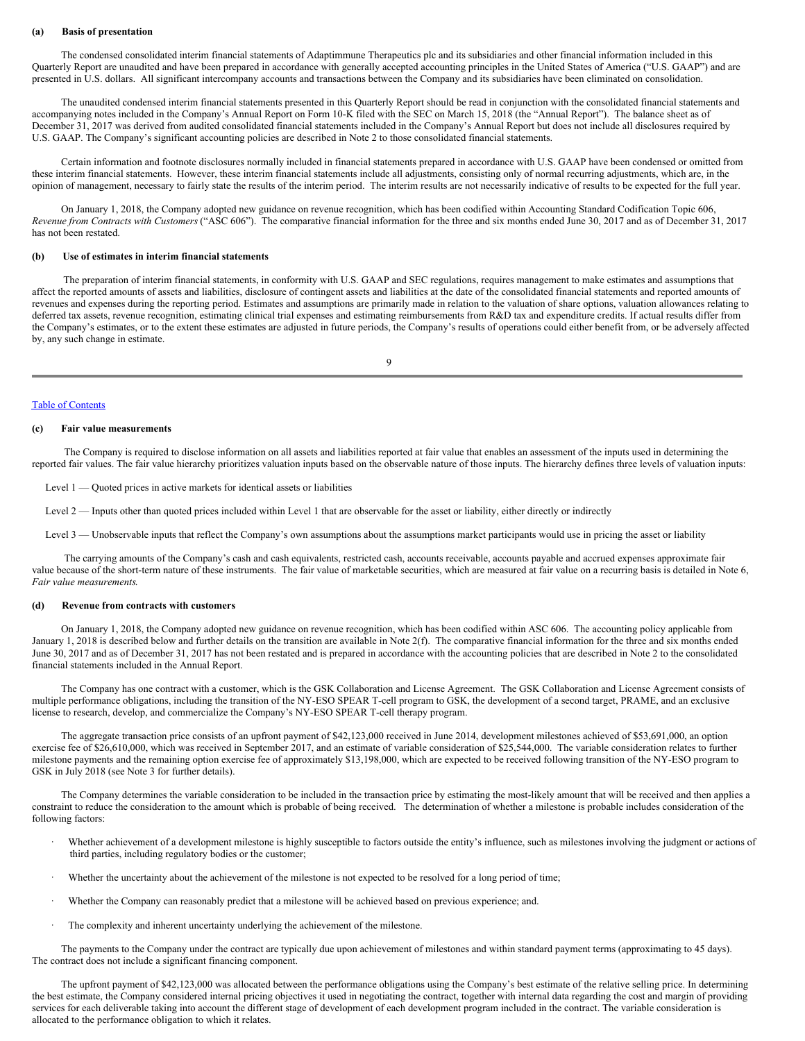#### **(a) Basis of presentation**

The condensed consolidated interim financial statements of Adaptimmune Therapeutics plc and its subsidiaries and other financial information included in this Quarterly Report are unaudited and have been prepared in accordance with generally accepted accounting principles in the United States of America ("U.S. GAAP") and are presented in U.S. dollars. All significant intercompany accounts and transactions between the Company and its subsidiaries have been eliminated on consolidation.

The unaudited condensed interim financial statements presented in this Quarterly Report should be read in conjunction with the consolidated financial statements and accompanying notes included in the Company's Annual Report on Form 10-K filed with the SEC on March 15, 2018 (the "Annual Report"). The balance sheet as of December 31, 2017 was derived from audited consolidated financial statements included in the Company's Annual Report but does not include all disclosures required by U.S. GAAP. The Company's significant accounting policies are described in Note 2 to those consolidated financial statements.

Certain information and footnote disclosures normally included in financial statements prepared in accordance with U.S. GAAP have been condensed or omitted from these interim financial statements. However, these interim financial statements include all adjustments, consisting only of normal recurring adjustments, which are, in the opinion of management, necessary to fairly state the results of the interim period. The interim results are not necessarily indicative of results to be expected for the full year.

On January 1, 2018, the Company adopted new guidance on revenue recognition, which has been codified within Accounting Standard Codification Topic 606, *Revenue from Contracts with Customers* ("ASC 606"). The comparative financial information for the three and six months ended June 30, 2017 and as of December 31, 2017 has not been restated.

## **(b) Use of estimates in interim financial statements**

The preparation of interim financial statements, in conformity with U.S. GAAP and SEC regulations, requires management to make estimates and assumptions that affect the reported amounts of assets and liabilities, disclosure of contingent assets and liabilities at the date of the consolidated financial statements and reported amounts of revenues and expenses during the reporting period. Estimates and assumptions are primarily made in relation to the valuation of share options, valuation allowances relating to deferred tax assets, revenue recognition, estimating clinical trial expenses and estimating reimbursements from R&D tax and expenditure credits. If actual results differ from the Company's estimates, or to the extent these estimates are adjusted in future periods, the Company's results of operations could either benefit from, or be adversely affected by, any such change in estimate.

9

#### Table of [Contents](#page-0-0)

#### **(c) Fair value measurements**

The Company is required to disclose information on all assets and liabilities reported at fair value that enables an assessment of the inputs used in determining the reported fair values. The fair value hierarchy prioritizes valuation inputs based on the observable nature of those inputs. The hierarchy defines three levels of valuation inputs:

Level 1 — Quoted prices in active markets for identical assets or liabilities

Level 2 — Inputs other than quoted prices included within Level 1 that are observable for the asset or liability, either directly or indirectly

Level 3 — Unobservable inputs that reflect the Company's own assumptions about the assumptions market participants would use in pricing the asset or liability

The carrying amounts of the Company's cash and cash equivalents, restricted cash, accounts receivable, accounts payable and accrued expenses approximate fair value because of the short-term nature of these instruments. The fair value of marketable securities, which are measured at fair value on a recurring basis is detailed in Note 6, *Fair value measurements*.

#### **(d) Revenue from contracts with customers**

On January 1, 2018, the Company adopted new guidance on revenue recognition, which has been codified within ASC 606. The accounting policy applicable from January 1, 2018 is described below and further details on the transition are available in Note 2(f). The comparative financial information for the three and six months ended June 30, 2017 and as of December 31, 2017 has not been restated and is prepared in accordance with the accounting policies that are described in Note 2 to the consolidated financial statements included in the Annual Report.

The Company has one contract with a customer, which is the GSK Collaboration and License Agreement. The GSK Collaboration and License Agreement consists of multiple performance obligations, including the transition of the NY-ESO SPEAR T-cell program to GSK, the development of a second target, PRAME, and an exclusive license to research, develop, and commercialize the Company's NY-ESO SPEAR T-cell therapy program.

The aggregate transaction price consists of an upfront payment of \$42,123,000 received in June 2014, development milestones achieved of \$53,691,000, an option exercise fee of \$26,610,000, which was received in September 2017, and an estimate of variable consideration of \$25,544,000. The variable consideration relates to further milestone payments and the remaining option exercise fee of approximately \$13,198,000, which are expected to be received following transition of the NY-ESO program to GSK in July 2018 (see Note 3 for further details).

The Company determines the variable consideration to be included in the transaction price by estimating the most-likely amount that will be received and then applies a constraint to reduce the consideration to the amount which is probable of being received. The determination of whether a milestone is probable includes consideration of the following factors:

- Whether achievement of a development milestone is highly susceptible to factors outside the entity's influence, such as milestones involving the judgment or actions of third parties, including regulatory bodies or the customer;
- Whether the uncertainty about the achievement of the milestone is not expected to be resolved for a long period of time;
- Whether the Company can reasonably predict that a milestone will be achieved based on previous experience; and.
- The complexity and inherent uncertainty underlying the achievement of the milestone.

The payments to the Company under the contract are typically due upon achievement of milestones and within standard payment terms (approximating to 45 days). The contract does not include a significant financing component.

The upfront payment of \$42,123,000 was allocated between the performance obligations using the Company's best estimate of the relative selling price. In determining the best estimate, the Company considered internal pricing objectives it used in negotiating the contract, together with internal data regarding the cost and margin of providing services for each deliverable taking into account the different stage of development of each development program included in the contract. The variable consideration is allocated to the performance obligation to which it relates.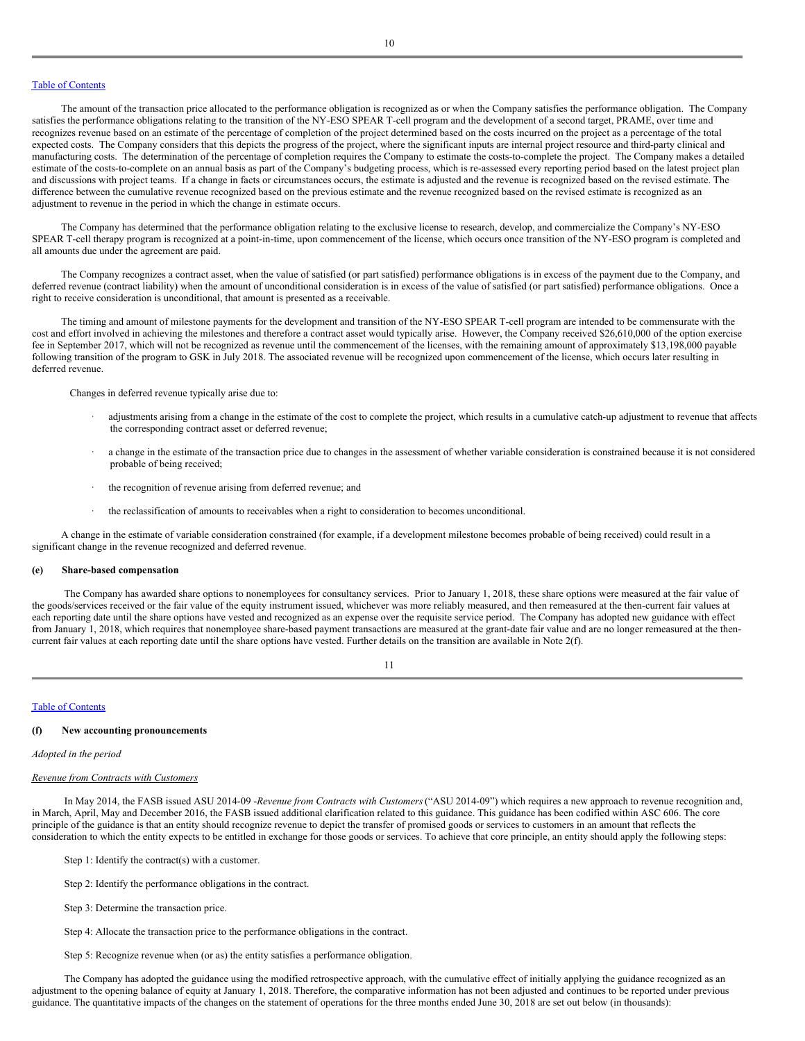### Table of [Contents](#page-0-0)

The amount of the transaction price allocated to the performance obligation is recognized as or when the Company satisfies the performance obligation. The Company satisfies the performance obligations relating to the transition of the NY-ESO SPEAR T-cell program and the development of a second target, PRAME, over time and recognizes revenue based on an estimate of the percentage of completion of the project determined based on the costs incurred on the project as a percentage of the total expected costs. The Company considers that this depicts the progress of the project, where the significant inputs are internal project resource and third-party clinical and manufacturing costs. The determination of the percentage of completion requires the Company to estimate the costs-to-complete the project. The Company makes a detailed estimate of the costs-to-complete on an annual basis as part of the Company's budgeting process, which is re-assessed every reporting period based on the latest project plan and discussions with project teams. If a change in facts or circumstances occurs, the estimate is adjusted and the revenue is recognized based on the revised estimate. The difference between the cumulative revenue recognized based on the previous estimate and the revenue recognized based on the revised estimate is recognized as an adjustment to revenue in the period in which the change in estimate occurs.

The Company has determined that the performance obligation relating to the exclusive license to research, develop, and commercialize the Company's NY-ESO SPEAR T-cell therapy program is recognized at a point-in-time, upon commencement of the license, which occurs once transition of the NY-ESO program is completed and all amounts due under the agreement are paid.

The Company recognizes a contract asset, when the value of satisfied (or part satisfied) performance obligations is in excess of the payment due to the Company, and deferred revenue (contract liability) when the amount of unconditional consideration is in excess of the value of satisfied (or part satisfied) performance obligations. Once a right to receive consideration is unconditional, that amount is presented as a receivable.

The timing and amount of milestone payments for the development and transition of the NY-ESO SPEAR T-cell program are intended to be commensurate with the cost and effort involved in achieving the milestones and therefore a contract asset would typically arise. However, the Company received \$26,610,000 of the option exercise fee in September 2017, which will not be recognized as revenue until the commencement of the licenses, with the remaining amount of approximately \$13,198,000 payable following transition of the program to GSK in July 2018. The associated revenue will be recognized upon commencement of the license, which occurs later resulting in deferred revenue.

Changes in deferred revenue typically arise due to:

- adjustments arising from a change in the estimate of the cost to complete the project, which results in a cumulative catch-up adjustment to revenue that affects the corresponding contract asset or deferred revenue;
- a change in the estimate of the transaction price due to changes in the assessment of whether variable consideration is constrained because it is not considered probable of being received;
- the recognition of revenue arising from deferred revenue; and
- the reclassification of amounts to receivables when a right to consideration to becomes unconditional.

A change in the estimate of variable consideration constrained (for example, if a development milestone becomes probable of being received) could result in a significant change in the revenue recognized and deferred revenue.

## **(e) Share-based compensation**

The Company has awarded share options to nonemployees for consultancy services. Prior to January 1, 2018, these share options were measured at the fair value of the goods/services received or the fair value of the equity instrument issued, whichever was more reliably measured, and then remeasured at the then-current fair values at each reporting date until the share options have vested and recognized as an expense over the requisite service period. The Company has adopted new guidance with effect from January 1, 2018, which requires that nonemployee share-based payment transactions are measured at the grant-date fair value and are no longer remeasured at the thencurrent fair values at each reporting date until the share options have vested. Further details on the transition are available in Note 2(f).

## 11

#### Table of [Contents](#page-0-0)

#### **(f) New accounting pronouncements**

### *Adopted in the period*

#### *Revenue from Contracts with Customers*

In May 2014, the FASB issued ASU 2014-09 -*Revenue from Contracts with Customers*("ASU 2014-09") which requires a new approach to revenue recognition and, in March, April, May and December 2016, the FASB issued additional clarification related to this guidance. This guidance has been codified within ASC 606. The core principle of the guidance is that an entity should recognize revenue to depict the transfer of promised goods or services to customers in an amount that reflects the consideration to which the entity expects to be entitled in exchange for those goods or services. To achieve that core principle, an entity should apply the following steps:

Step 1: Identify the contract(s) with a customer.

Step 2: Identify the performance obligations in the contract.

Step 3: Determine the transaction price.

Step 4: Allocate the transaction price to the performance obligations in the contract.

Step 5: Recognize revenue when (or as) the entity satisfies a performance obligation.

The Company has adopted the guidance using the modified retrospective approach, with the cumulative effect of initially applying the guidance recognized as an adjustment to the opening balance of equity at January 1, 2018. Therefore, the comparative information has not been adjusted and continues to be reported under previous guidance. The quantitative impacts of the changes on the statement of operations for the three months ended June 30, 2018 are set out below (in thousands):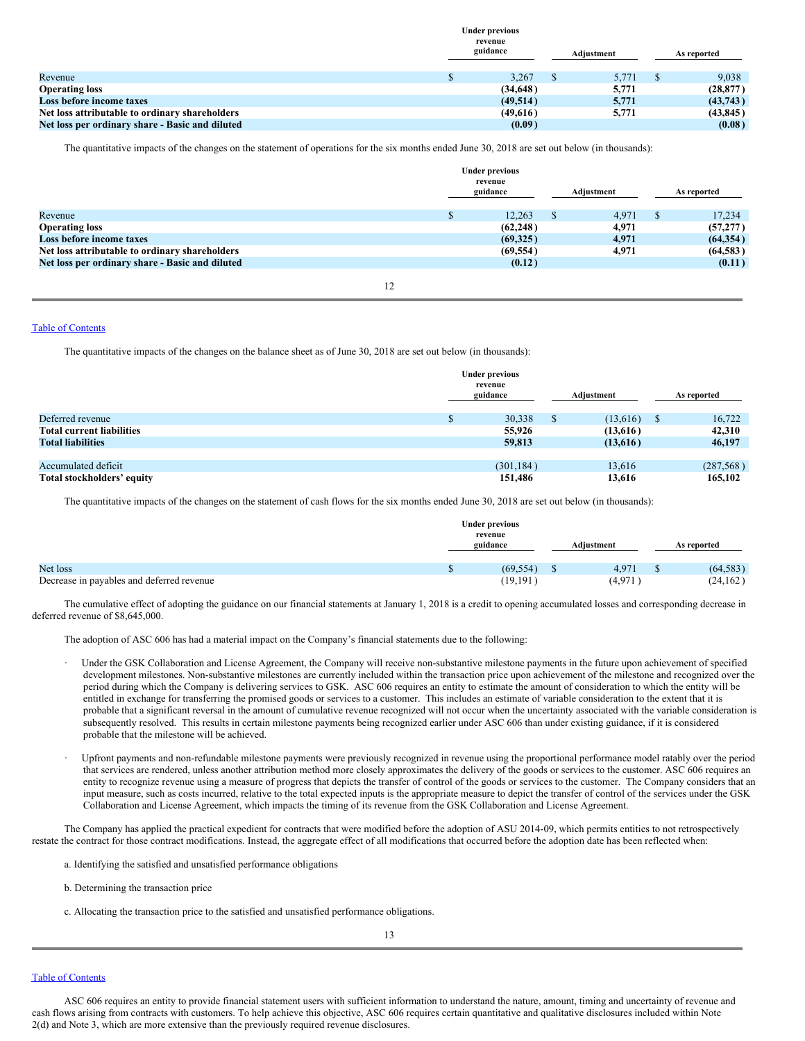|                                                 | <b>Under previous</b> |            |       |             |
|-------------------------------------------------|-----------------------|------------|-------|-------------|
|                                                 | revenue<br>guidance   | Adjustment |       | As reported |
| Revenue                                         | 3.267                 |            | 5.771 | 9,038       |
| <b>Operating loss</b>                           | (34, 648)             |            | 5,771 | (28, 877)   |
| Loss before income taxes                        | (49, 514)             |            | 5,771 | (43,743)    |
| Net loss attributable to ordinary shareholders  | (49,616)              |            | 5,771 | (43, 845)   |
| Net loss per ordinary share - Basic and diluted | (0.09)                |            |       | (0.08)      |

The quantitative impacts of the changes on the statement of operations for the six months ended June 30, 2018 are set out below (in thousands):

|                                                 |    | <b>Under previous</b><br>revenue<br>guidance |   | Adjustment |   | As reported |
|-------------------------------------------------|----|----------------------------------------------|---|------------|---|-------------|
| Revenue                                         |    | 12,263                                       | S | 4,971      | S | 17.234      |
| <b>Operating loss</b>                           |    | (62, 248)                                    |   | 4,971      |   | (57, 277)   |
| Loss before income taxes                        |    | (69, 325)                                    |   | 4,971      |   | (64, 354)   |
| Net loss attributable to ordinary shareholders  |    | (69, 554)                                    |   | 4,971      |   | (64, 583)   |
| Net loss per ordinary share - Basic and diluted |    | (0.12)                                       |   |            |   | (0.11)      |
|                                                 | 12 |                                              |   |            |   |             |

## Table of [Contents](#page-0-0)

The quantitative impacts of the changes on the balance sheet as of June 30, 2018 are set out below (in thousands):

|                                  |    | <b>Under previous</b><br>revenue<br>guidance |    | Adjustment | As reported   |            |  |
|----------------------------------|----|----------------------------------------------|----|------------|---------------|------------|--|
| Deferred revenue                 | ۰D | 30,338                                       | -S | (13,616)   | <sup>\$</sup> | 16.722     |  |
| <b>Total current liabilities</b> |    | 55,926                                       |    | (13,616)   |               | 42,310     |  |
| <b>Total liabilities</b>         |    | 59,813                                       |    | (13,616)   |               | 46,197     |  |
|                                  |    |                                              |    |            |               |            |  |
| Accumulated deficit              |    | (301, 184)                                   |    | 13.616     |               | (287, 568) |  |
| Total stockholders' equity       |    | 151,486                                      |    | 13,616     |               | 165,102    |  |

The quantitative impacts of the changes on the statement of cash flows for the six months ended June 30, 2018 are set out below (in thousands):

|                                           |    | Under previous<br>revenue |  |            |  |             |
|-------------------------------------------|----|---------------------------|--|------------|--|-------------|
|                                           |    | guidance                  |  | Adiustment |  | As reported |
| Net loss                                  | ٠п | (69, 554)                 |  | 4.971      |  | (64, 583)   |
| Decrease in payables and deferred revenue |    | (19, 191)                 |  | (4,971)    |  | (24, 162)   |

The cumulative effect of adopting the guidance on our financial statements at January 1, 2018 is a credit to opening accumulated losses and corresponding decrease in deferred revenue of \$8,645,000.

The adoption of ASC 606 has had a material impact on the Company's financial statements due to the following:

- Under the GSK Collaboration and License Agreement, the Company will receive non-substantive milestone payments in the future upon achievement of specified development milestones. Non-substantive milestones are currently included within the transaction price upon achievement of the milestone and recognized over the period during which the Company is delivering services to GSK. ASC 606 requires an entity to estimate the amount of consideration to which the entity will be entitled in exchange for transferring the promised goods or services to a customer. This includes an estimate of variable consideration to the extent that it is probable that a significant reversal in the amount of cumulative revenue recognized will not occur when the uncertainty associated with the variable consideration is subsequently resolved. This results in certain milestone payments being recognized earlier under ASC 606 than under existing guidance, if it is considered probable that the milestone will be achieved.
- · Upfront payments and non-refundable milestone payments were previously recognized in revenue using the proportional performance model ratably over the period that services are rendered, unless another attribution method more closely approximates the delivery of the goods or services to the customer. ASC 606 requires an entity to recognize revenue using a measure of progress that depicts the transfer of control of the goods or services to the customer. The Company considers that an input measure, such as costs incurred, relative to the total expected inputs is the appropriate measure to depict the transfer of control of the services under the GSK Collaboration and License Agreement, which impacts the timing of its revenue from the GSK Collaboration and License Agreement.

The Company has applied the practical expedient for contracts that were modified before the adoption of ASU 2014-09, which permits entities to not retrospectively restate the contract for those contract modifications. Instead, the aggregate effect of all modifications that occurred before the adoption date has been reflected when:

- a. Identifying the satisfied and unsatisfied performance obligations
- b. Determining the transaction price
- c. Allocating the transaction price to the satisfied and unsatisfied performance obligations.

## Table of [Contents](#page-0-0)

ASC 606 requires an entity to provide financial statement users with sufficient information to understand the nature, amount, timing and uncertainty of revenue and cash flows arising from contracts with customers. To help achieve this objective, ASC 606 requires certain quantitative and qualitative disclosures included within Note 2(d) and Note 3, which are more extensive than the previously required revenue disclosures.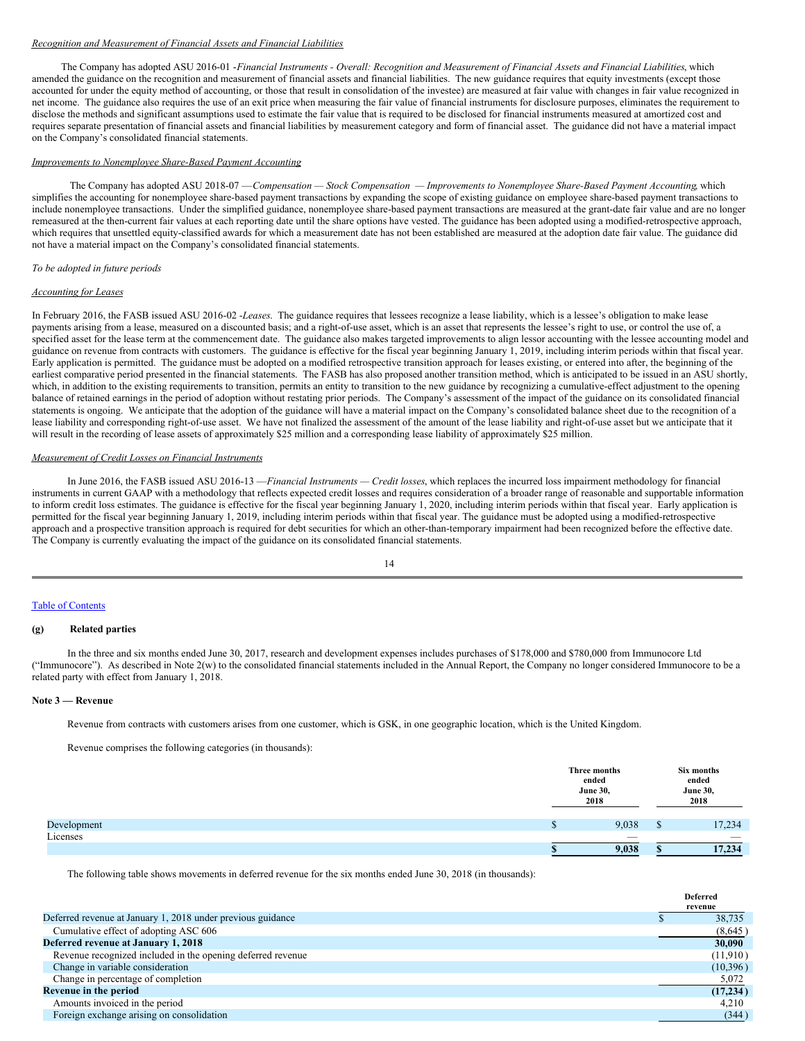#### *Recognition and Measurement of Financial Assets and Financial Liabilities*

The Company has adopted ASU 2016-01 -Financial Instruments - Overall: Recognition and Measurement of Financial Assets and Financial Liabilities, which amended the guidance on the recognition and measurement of financial assets and financial liabilities. The new guidance requires that equity investments (except those accounted for under the equity method of accounting, or those that result in consolidation of the investee) are measured at fair value with changes in fair value recognized in net income. The guidance also requires the use of an exit price when measuring the fair value of financial instruments for disclosure purposes, eliminates the requirement to disclose the methods and significant assumptions used to estimate the fair value that is required to be disclosed for financial instruments measured at amortized cost and requires separate presentation of financial assets and financial liabilities by measurement category and form of financial asset. The guidance did not have a material impact on the Company's consolidated financial statements.

#### *Improvements to Nonemployee Share-Based Payment Accounting*

The Company has adopted ASU 2018-07 —*Compensation — Stock Compensation — Improvements to Nonemployee Share-Based Payment Accounting*, which simplifies the accounting for nonemployee share-based payment transactions by expanding the scope of existing guidance on employee share-based payment transactions to include nonemployee transactions. Under the simplified guidance, nonemployee share-based payment transactions are measured at the grant-date fair value and are no longer remeasured at the then-current fair values at each reporting date until the share options have vested. The guidance has been adopted using a modified-retrospective approach, which requires that unsettled equity-classified awards for which a measurement date has not been established are measured at the adoption date fair value. The guidance did not have a material impact on the Company's consolidated financial statements.

#### *To be adopted in future periods*

#### *Accounting for Leases*

In February 2016, the FASB issued ASU 2016-02 -*Leases*. The guidance requires that lessees recognize a lease liability, which is a lessee's obligation to make lease payments arising from a lease, measured on a discounted basis; and a right-of-use asset, which is an asset that represents the lessee's right to use, or control the use of, a specified asset for the lease term at the commencement date. The guidance also makes targeted improvements to align lessor accounting with the lessee accounting model and guidance on revenue from contracts with customers. The guidance is effective for the fiscal year beginning January 1, 2019, including interim periods within that fiscal year. Early application is permitted. The guidance must be adopted on a modified retrospective transition approach for leases existing, or entered into after, the beginning of the earliest comparative period presented in the financial statements. The FASB has also proposed another transition method, which is anticipated to be issued in an ASU shortly, which, in addition to the existing requirements to transition, permits an entity to transition to the new guidance by recognizing a cumulative-effect adjustment to the opening balance of retained earnings in the period of adoption without restating prior periods. The Company's assessment of the impact of the guidance on its consolidated financial statements is ongoing. We anticipate that the adoption of the guidance will have a material impact on the Company's consolidated balance sheet due to the recognition of a lease liability and corresponding right-of-use asset. We have not finalized the assessment of the amount of the lease liability and right-of-use asset but we anticipate that it will result in the recording of lease assets of approximately \$25 million and a corresponding lease liability of approximately \$25 million.

#### *Measurement of Credit Losses on Financial Instruments*

In June 2016, the FASB issued ASU 2016-13 —*Financial Instruments — Credit losses*, which replaces the incurred loss impairment methodology for financial instruments in current GAAP with a methodology that reflects expected credit losses and requires consideration of a broader range of reasonable and supportable information to inform credit loss estimates. The guidance is effective for the fiscal year beginning January 1, 2020, including interim periods within that fiscal year. Early application is permitted for the fiscal year beginning January 1, 2019, including interim periods within that fiscal year. The guidance must be adopted using a modified-retrospective approach and a prospective transition approach is required for debt securities for which an other-than-temporary impairment had been recognized before the effective date. The Company is currently evaluating the impact of the guidance on its consolidated financial statements.

#### Table of [Contents](#page-0-0)

#### **(g) Related parties**

In the three and six months ended June 30, 2017, research and development expenses includes purchases of \$178,000 and \$780,000 from Immunocore Ltd ("Immunocore"). As described in Note 2(w) to the consolidated financial statements included in the Annual Report, the Company no longer considered Immunocore to be a related party with effect from January 1, 2018.

## **Note 3 — Revenue**

Revenue from contracts with customers arises from one customer, which is GSK, in one geographic location, which is the United Kingdom.

Revenue comprises the following categories (in thousands):

|             |   | Three months<br>ended<br><b>June 30,</b><br>2018 |   | Six months<br>ended<br><b>June 30,</b><br>2018 |
|-------------|---|--------------------------------------------------|---|------------------------------------------------|
| Development | ъ | 9,038                                            | S | 17,234                                         |
| Licenses    |   | $\hspace{0.1mm}-\hspace{0.1mm}$                  |   | $\overline{\phantom{a}}$                       |
|             |   | 9,038                                            |   | 17,234                                         |

The following table shows movements in deferred revenue for the six months ended June 30, 2018 (in thousands):

|                                                             | <b>Deferred</b> |
|-------------------------------------------------------------|-----------------|
|                                                             | revenue         |
| Deferred revenue at January 1, 2018 under previous guidance | 38,735          |
| Cumulative effect of adopting ASC 606                       | (8,645)         |
| Deferred revenue at January 1, 2018                         | 30,090          |
| Revenue recognized included in the opening deferred revenue | (11,910)        |
| Change in variable consideration                            | (10,396)        |
| Change in percentage of completion                          | 5,072           |
| Revenue in the period                                       | (17, 234)       |
| Amounts invoiced in the period                              | 4,210           |
| Foreign exchange arising on consolidation                   | (344)           |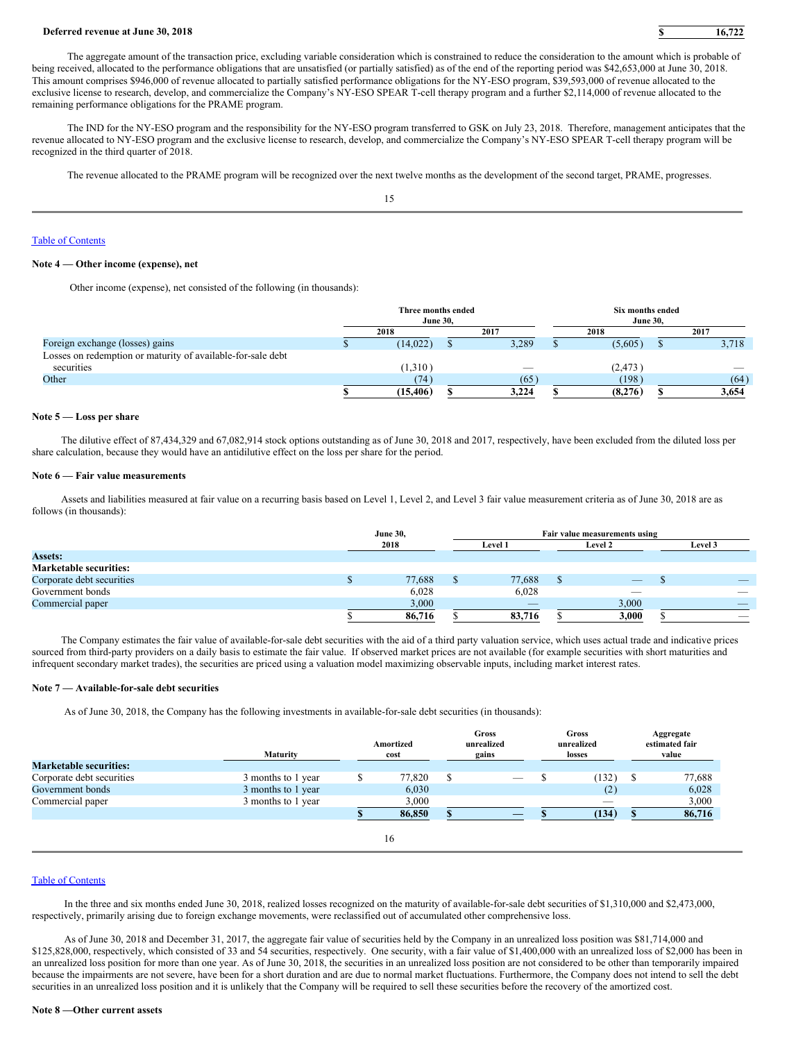#### **Deferred revenue at June 30, 2018 \$ 16,722**

The aggregate amount of the transaction price, excluding variable consideration which is constrained to reduce the consideration to the amount which is probable of being received, allocated to the performance obligations that are unsatisfied (or partially satisfied) as of the end of the reporting period was \$42,653,000 at June 30, 2018. This amount comprises \$946,000 of revenue allocated to partially satisfied performance obligations for the NY-ESO program, \$39,593,000 of revenue allocated to the exclusive license to research, develop, and commercialize the Company's NY-ESO SPEAR T-cell therapy program and a further \$2,114,000 of revenue allocated to the remaining performance obligations for the PRAME program.

The IND for the NY-ESO program and the responsibility for the NY-ESO program transferred to GSK on July 23, 2018. Therefore, management anticipates that the revenue allocated to NY-ESO program and the exclusive license to research, develop, and commercialize the Company's NY-ESO SPEAR T-cell therapy program will be recognized in the third quarter of 2018.

The revenue allocated to the PRAME program will be recognized over the next twelve months as the development of the second target, PRAME, progresses.

15

#### Table of [Contents](#page-0-0)

## **Note 4 — Other income (expense), net**

Other income (expense), net consisted of the following (in thousands):

|                                                             | Three months ended<br><b>June 30.</b> |           |  |       |  | Six months ended<br><b>June 30.</b> |      |       |
|-------------------------------------------------------------|---------------------------------------|-----------|--|-------|--|-------------------------------------|------|-------|
|                                                             |                                       | 2018      |  | 2017  |  | 2018                                | 2017 |       |
| Foreign exchange (losses) gains                             |                                       | (14, 022) |  | 3,289 |  | (5,605)                             |      | 3,718 |
| Losses on redemption or maturity of available-for-sale debt |                                       |           |  |       |  |                                     |      |       |
| securities                                                  |                                       | (1,310)   |  | __    |  | (2, 473)                            |      |       |
| Other                                                       |                                       | (74)      |  | (65)  |  | (198)                               |      | (64)  |
|                                                             |                                       | (15, 406) |  | 3,224 |  | (8,276)                             |      | 3,654 |

#### **Note 5 — Loss per share**

The dilutive effect of 87,434,329 and 67,082,914 stock options outstanding as of June 30, 2018 and 2017, respectively, have been excluded from the diluted loss per share calculation, because they would have an antidilutive effect on the loss per share for the period.

## **Note 6 — Fair value measurements**

Assets and liabilities measured at fair value on a recurring basis based on Level 1, Level 2, and Level 3 fair value measurement criteria as of June 30, 2018 are as follows (in thousands):

|                               | <b>June 30,</b> |        |         | Fair value measurements using |         |       |         |  |                          |  |
|-------------------------------|-----------------|--------|---------|-------------------------------|---------|-------|---------|--|--------------------------|--|
|                               | 2018            |        | Level 1 |                               | Level 2 |       | Level 3 |  |                          |  |
| <b>Assets:</b>                |                 |        |         |                               |         |       |         |  |                          |  |
| <b>Marketable securities:</b> |                 |        |         |                               |         |       |         |  |                          |  |
| Corporate debt securities     |                 | 77,688 |         | 77,688                        |         |       |         |  |                          |  |
| Government bonds              |                 | 6,028  |         | 6,028                         |         | $-$   |         |  | $\overline{\phantom{a}}$ |  |
| Commercial paper              |                 | 3,000  |         | $\overline{\phantom{a}}$      |         | 3,000 |         |  |                          |  |
|                               |                 | 86,716 |         | 83,716                        |         | 3,000 |         |  |                          |  |

The Company estimates the fair value of available-for-sale debt securities with the aid of a third party valuation service, which uses actual trade and indicative prices sourced from third-party providers on a daily basis to estimate the fair value. If observed market prices are not available (for example securities with short maturities and infrequent secondary market trades), the securities are priced using a valuation model maximizing observable inputs, including market interest rates.

## **Note 7 — Available-for-sale debt securities**

As of June 30, 2018, the Company has the following investments in available-for-sale debt securities (in thousands):

|                               | Maturity           | Amortized<br>cost |   | <b>Gross</b><br>unrealized<br>gains | Gross<br>unrealized<br>losses |      | Aggregate<br>estimated fair<br>value |
|-------------------------------|--------------------|-------------------|---|-------------------------------------|-------------------------------|------|--------------------------------------|
| <b>Marketable securities:</b> |                    |                   |   |                                     |                               |      |                                      |
| Corporate debt securities     | 3 months to 1 year | 77,820            | S |                                     | (132)                         | - \$ | 77,688                               |
| Government bonds              | 3 months to 1 year | 6,030             |   |                                     | (2)                           |      | 6,028                                |
| Commercial paper              | 3 months to 1 year | 3,000             |   |                                     | $\overline{\phantom{a}}$      |      | 3,000                                |
|                               |                    | 86,850            |   |                                     | (134)                         |      | 86,716                               |
|                               |                    | 16                |   |                                     |                               |      |                                      |

## Table of [Contents](#page-0-0)

In the three and six months ended June 30, 2018, realized losses recognized on the maturity of available-for-sale debt securities of \$1,310,000 and \$2,473,000, respectively, primarily arising due to foreign exchange movements, were reclassified out of accumulated other comprehensive loss.

As of June 30, 2018 and December 31, 2017, the aggregate fair value of securities held by the Company in an unrealized loss position was \$81,714,000 and \$125,828,000, respectively, which consisted of 33 and 54 securities, respectively. One security, with a fair value of \$1,400,000 with an unrealized loss of \$2,000 has been in an unrealized loss position for more than one year. As of June 30, 2018, the securities in an unrealized loss position are not considered to be other than temporarily impaired because the impairments are not severe, have been for a short duration and are due to normal market fluctuations. Furthermore, the Company does not intend to sell the debt securities in an unrealized loss position and it is unlikely that the Company will be required to sell these securities before the recovery of the amortized cost.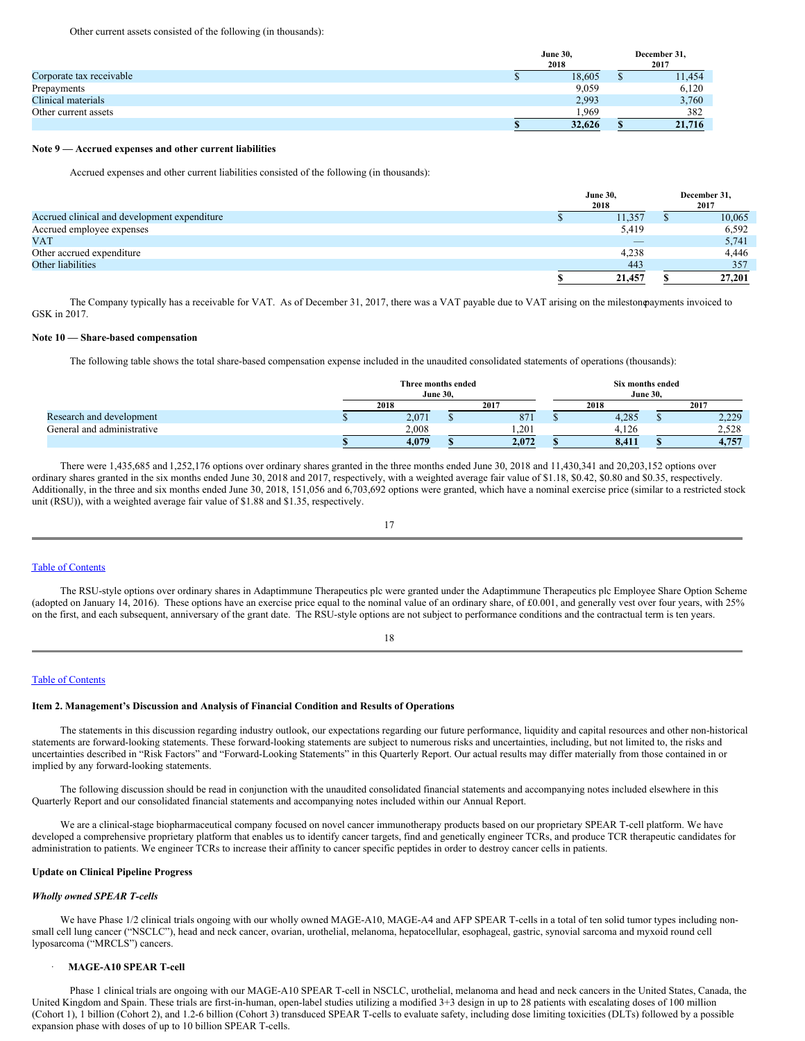|                          | <b>June 30,</b><br>2018 | December 31,<br>2017 |
|--------------------------|-------------------------|----------------------|
| Corporate tax receivable | 18,605                  | 11,454               |
| Prepayments              | 9,059                   | 6.120                |
| Clinical materials       | 2,993                   | 3,760                |
| Other current assets     | .969                    | 382                  |
|                          | 32,626                  | 21,716               |

## **Note 9 — Accrued expenses and other current liabilities**

Accrued expenses and other current liabilities consisted of the following (in thousands):

|                                              | <b>June 30,</b><br>2018 | December 31,<br>2017 |
|----------------------------------------------|-------------------------|----------------------|
| Accrued clinical and development expenditure | 11,357                  | 10,065               |
| Accrued employee expenses                    | 5,419                   | 6,592                |
| <b>VAT</b>                                   |                         | 5,741                |
| Other accrued expenditure                    | 4,238                   | 4,446                |
| Other liabilities                            | 443                     | 357                  |
|                                              | 21,457                  | 27,201               |

The Company typically has a receivable for VAT. As of December 31, 2017, there was a VAT payable due to VAT arising on the mileston payments invoiced to GSK in 2017.

#### **Note 10 — Share-based compensation**

The following table shows the total share-based compensation expense included in the unaudited consolidated statements of operations (thousands):

|                            |      | Three months ended<br><b>June 30.</b> |      | Six months ended<br><b>June 30.</b> |      |       |      |       |
|----------------------------|------|---------------------------------------|------|-------------------------------------|------|-------|------|-------|
|                            | 2018 |                                       | 2017 |                                     | 2018 |       | 2017 |       |
| Research and development   |      | 2.071                                 |      | 871                                 |      | 4,285 |      | 2,229 |
| General and administrative |      | 2,008                                 |      | 1.201                               |      | 4.126 |      | 2.528 |
|                            |      | 4,079                                 |      | 2.072                               |      | 8.411 |      | 4,757 |

There were 1,435,685 and 1,252,176 options over ordinary shares granted in the three months ended June 30, 2018 and 11,430,341 and 20,203,152 options over ordinary shares granted in the six months ended June 30, 2018 and 2017, respectively, with a weighted average fair value of \$1.18, \$0.42, \$0.80 and \$0.35, respectively. Additionally, in the three and six months ended June 30, 2018, 151,056 and 6,703,692 options were granted, which have a nominal exercise price (similar to a restricted stock unit (RSU)), with a weighted average fair value of \$1.88 and \$1.35, respectively.

17

#### Table of [Contents](#page-0-0)

The RSU-style options over ordinary shares in Adaptimmune Therapeutics plc were granted under the Adaptimmune Therapeutics plc Employee Share Option Scheme (adopted on January 14, 2016). These options have an exercise price equal to the nominal value of an ordinary share, of £0.001, and generally vest over four years, with 25% on the first, and each subsequent, anniversary of the grant date. The RSU-style options are not subject to performance conditions and the contractual term is ten years.

<span id="page-10-0"></span>18

Table of [Contents](#page-0-0)

#### **Item 2. Management's Discussion and Analysis of Financial Condition and Results of Operations**

The statements in this discussion regarding industry outlook, our expectations regarding our future performance, liquidity and capital resources and other non-historical statements are forward-looking statements. These forward-looking statements are subject to numerous risks and uncertainties, including, but not limited to, the risks and uncertainties described in "Risk Factors" and "Forward-Looking Statements" in this Quarterly Report. Our actual results may differ materially from those contained in or implied by any forward-looking statements.

The following discussion should be read in conjunction with the unaudited consolidated financial statements and accompanying notes included elsewhere in this Quarterly Report and our consolidated financial statements and accompanying notes included within our Annual Report.

We are a clinical-stage biopharmaceutical company focused on novel cancer immunotherapy products based on our proprietary SPEAR T-cell platform. We have developed a comprehensive proprietary platform that enables us to identify cancer targets, find and genetically engineer TCRs, and produce TCR therapeutic candidates for administration to patients. We engineer TCRs to increase their affinity to cancer specific peptides in order to destroy cancer cells in patients.

#### **Update on Clinical Pipeline Progress**

#### *Wholly owned SPEAR T-cells*

We have Phase 1/2 clinical trials ongoing with our wholly owned MAGE-A10, MAGE-A4 and AFP SPEAR T-cells in a total of ten solid tumor types including nonsmall cell lung cancer ("NSCLC"), head and neck cancer, ovarian, urothelial, melanoma, hepatocellular, esophageal, gastric, synovial sarcoma and myxoid round cell lyposarcoma ("MRCLS") cancers.

#### · **MAGE-A10 SPEAR T-cell**

Phase 1 clinical trials are ongoing with our MAGE-A10 SPEAR T-cell in NSCLC, urothelial, melanoma and head and neck cancers in the United States, Canada, the United Kingdom and Spain. These trials are first-in-human, open-label studies utilizing a modified 3+3 design in up to 28 patients with escalating doses of 100 million (Cohort 1), 1 billion (Cohort 2), and 1.2-6 billion (Cohort 3) transduced SPEAR T-cells to evaluate safety, including dose limiting toxicities (DLTs) followed by a possible expansion phase with doses of up to 10 billion SPEAR T-cells.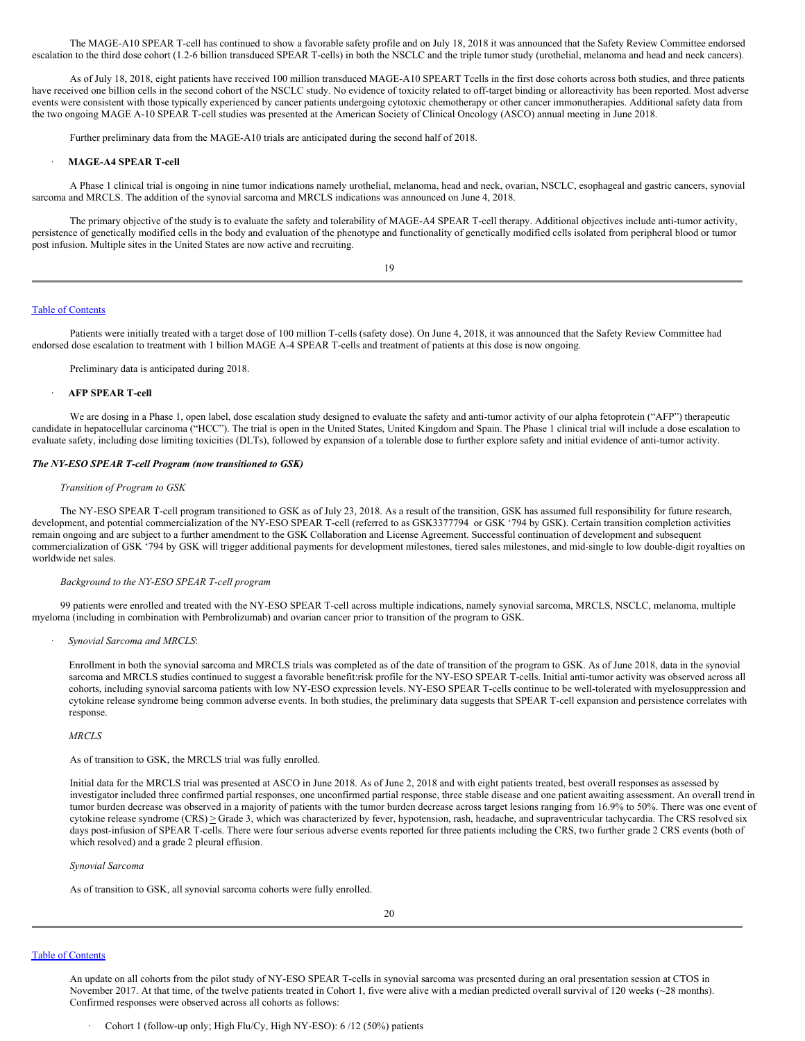The MAGE-A10 SPEAR T-cell has continued to show a favorable safety profile and on July 18, 2018 it was announced that the Safety Review Committee endorsed escalation to the third dose cohort (1.2-6 billion transduced SPEAR T-cells) in both the NSCLC and the triple tumor study (urothelial, melanoma and head and neck cancers).

As of July 18, 2018, eight patients have received 100 million transduced MAGE-A10 SPEART Tcells in the first dose cohorts across both studies, and three patients have received one billion cells in the second cohort of the NSCLC study. No evidence of toxicity related to off-target binding or alloreactivity has been reported. Most adverse events were consistent with those typically experienced by cancer patients undergoing cytotoxic chemotherapy or other cancer immonutherapies. Additional safety data from the two ongoing MAGE A-10 SPEAR T-cell studies was presented at the American Society of Clinical Oncology (ASCO) annual meeting in June 2018.

Further preliminary data from the MAGE-A10 trials are anticipated during the second half of 2018.

#### · **MAGE-A4 SPEAR T-cell**

A Phase 1 clinical trial is ongoing in nine tumor indications namely urothelial, melanoma, head and neck, ovarian, NSCLC, esophageal and gastric cancers, synovial sarcoma and MRCLS. The addition of the synovial sarcoma and MRCLS indications was announced on June 4, 2018.

The primary objective of the study is to evaluate the safety and tolerability of MAGE-A4 SPEAR T-cell therapy. Additional objectives include anti-tumor activity, persistence of genetically modified cells in the body and evaluation of the phenotype and functionality of genetically modified cells isolated from peripheral blood or tumor post infusion. Multiple sites in the United States are now active and recruiting.

19

### Table of [Contents](#page-0-0)

Patients were initially treated with a target dose of 100 million T-cells (safety dose). On June 4, 2018, it was announced that the Safety Review Committee had endorsed dose escalation to treatment with 1 billion MAGE A-4 SPEAR T-cells and treatment of patients at this dose is now ongoing.

Preliminary data is anticipated during 2018.

#### · **AFP SPEAR T-cell**

We are dosing in a Phase 1, open label, dose escalation study designed to evaluate the safety and anti-tumor activity of our alpha fetoprotein ("AFP") therapeutic candidate in hepatocellular carcinoma ("HCC"). The trial is open in the United States, United Kingdom and Spain. The Phase 1 clinical trial will include a dose escalation to evaluate safety, including dose limiting toxicities (DLTs), followed by expansion of a tolerable dose to further explore safety and initial evidence of anti-tumor activity.

#### *The NY-ESO SPEAR T-cell Program (now transitioned to GSK)*

#### *Transition of Program to GSK*

The NY-ESO SPEAR T-cell program transitioned to GSK as of July 23, 2018. As a result of the transition, GSK has assumed full responsibility for future research, development, and potential commercialization of the NY-ESO SPEAR T-cell (referred to as GSK3377794 or GSK '794 by GSK). Certain transition completion activities remain ongoing and are subject to a further amendment to the GSK Collaboration and License Agreement. Successful continuation of development and subsequent commercialization of GSK '794 by GSK will trigger additional payments for development milestones, tiered sales milestones, and mid-single to low double-digit royalties on worldwide net sales.

#### *Background to the NY-ESO SPEAR T-cell program*

99 patients were enrolled and treated with the NY-ESO SPEAR T-cell across multiple indications, namely synovial sarcoma, MRCLS, NSCLC, melanoma, multiple myeloma (including in combination with Pembrolizumab) and ovarian cancer prior to transition of the program to GSK.

· *Synovial Sarcoma and MRCLS*:

Enrollment in both the synovial sarcoma and MRCLS trials was completed as of the date of transition of the program to GSK. As of June 2018, data in the synovial sarcoma and MRCLS studies continued to suggest a favorable benefit:risk profile for the NY-ESO SPEAR T-cells. Initial anti-tumor activity was observed across all cohorts, including synovial sarcoma patients with low NY-ESO expression levels. NY-ESO SPEAR T-cells continue to be well-tolerated with myelosuppression and cytokine release syndrome being common adverse events. In both studies, the preliminary data suggests that SPEAR T-cell expansion and persistence correlates with response.

## *MRCLS*

As of transition to GSK, the MRCLS trial was fully enrolled.

Initial data for the MRCLS trial was presented at ASCO in June 2018. As of June 2, 2018 and with eight patients treated, best overall responses as assessed by investigator included three confirmed partial responses, one unconfirmed partial response, three stable disease and one patient awaiting assessment. An overall trend in tumor burden decrease was observed in a majority of patients with the tumor burden decrease across target lesions ranging from 16.9% to 50%. There was one event of cytokine release syndrome (CRS)  $\geq$  Grade 3, which was characterized by fever, hypotension, rash, headache, and supraventricular tachycardia. The CRS resolved six days post-infusion of SPEAR T-cells. There were four serious adverse events reported for three patients including the CRS, two further grade 2 CRS events (both of which resolved) and a grade 2 pleural effusion.

### *Synovial Sarcoma*

As of transition to GSK, all synovial sarcoma cohorts were fully enrolled.

## Table of [Contents](#page-0-0)

An update on all cohorts from the pilot study of NY-ESO SPEAR T-cells in synovial sarcoma was presented during an oral presentation session at CTOS in November 2017. At that time, of the twelve patients treated in Cohort 1, five were alive with a median predicted overall survival of 120 weeks (~28 months). Confirmed responses were observed across all cohorts as follows:

Cohort 1 (follow-up only; High Flu/Cy, High NY-ESO): 6/12 (50%) patients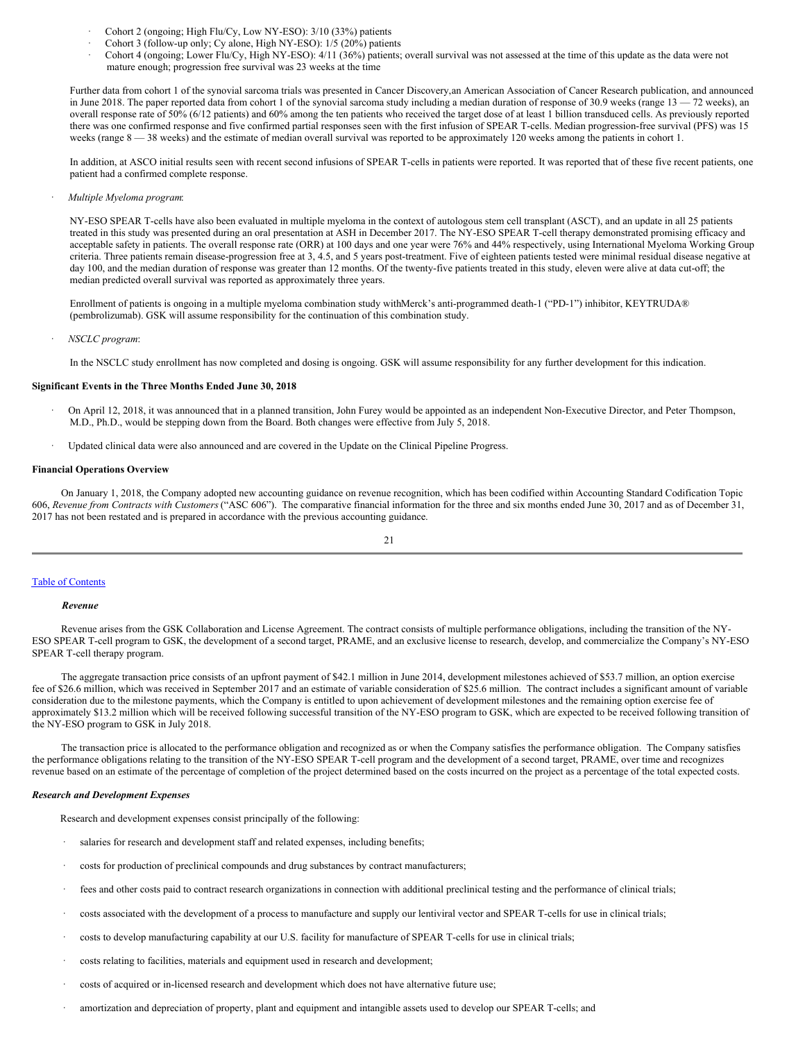- · Cohort 2 (ongoing; High Flu/Cy, Low NY-ESO): 3/10 (33%) patients
- · Cohort 3 (follow-up only; Cy alone, High NY-ESO): 1/5 (20%) patients
- · Cohort 4 (ongoing; Lower Flu/Cy, High NY-ESO): 4/11 (36%) patients; overall survival was not assessed at the time of this update as the data were not mature enough; progression free survival was 23 weeks at the time

Further data from cohort 1 of the synovial sarcoma trials was presented in Cancer Discovery,an American Association of Cancer Research publication, and announced in June 2018. The paper reported data from cohort 1 of the synovial sarcoma study including a median duration of response of 30.9 weeks (range  $13 - 72$  weeks), an overall response rate of 50% (6/12 patients) and 60% among the ten patients who received the target dose of at least 1 billion transduced cells. As previously reported there was one confirmed response and five confirmed partial responses seen with the first infusion of SPEAR T-cells. Median progression-free survival (PFS) was 15 weeks (range 8 — 38 weeks) and the estimate of median overall survival was reported to be approximately 120 weeks among the patients in cohort 1.

In addition, at ASCO initial results seen with recent second infusions of SPEAR T-cells in patients were reported. It was reported that of these five recent patients, one patient had a confirmed complete response.

· *Multiple Myeloma program*:

NY-ESO SPEAR T-cells have also been evaluated in multiple myeloma in the context of autologous stem cell transplant (ASCT), and an update in all 25 patients treated in this study was presented during an oral presentation at ASH in December 2017. The NY-ESO SPEAR T-cell therapy demonstrated promising efficacy and acceptable safety in patients. The overall response rate (ORR) at 100 days and one year were 76% and 44% respectively, using International Myeloma Working Group criteria. Three patients remain disease-progression free at 3, 4.5, and 5 years post-treatment. Five of eighteen patients tested were minimal residual disease negative at day 100, and the median duration of response was greater than 12 months. Of the twenty-five patients treated in this study, eleven were alive at data cut-off; the median predicted overall survival was reported as approximately three years.

Enrollment of patients is ongoing in a multiple myeloma combination study withMerck's anti-programmed death-1 ("PD-1") inhibitor, KEYTRUDA® (pembrolizumab). GSK will assume responsibility for the continuation of this combination study.

· *NSCLC program*:

In the NSCLC study enrollment has now completed and dosing is ongoing. GSK will assume responsibility for any further development for this indication.

#### **Significant Events in the Three Months Ended June 30, 2018**

- · On April 12, 2018, it was announced that in a planned transition, John Furey would be appointed as an independent Non-Executive Director, and Peter Thompson, M.D., Ph.D., would be stepping down from the Board. Both changes were effective from July 5, 2018.
- · Updated clinical data were also announced and are covered in the Update on the Clinical Pipeline Progress.

## **Financial Operations Overview**

On January 1, 2018, the Company adopted new accounting guidance on revenue recognition, which has been codified within Accounting Standard Codification Topic 606, *Revenue from Contracts with Customers* ("ASC 606"). The comparative financial information for the three and six months ended June 30, 2017 and as of December 31, 2017 has not been restated and is prepared in accordance with the previous accounting guidance.

#### Table of [Contents](#page-0-0)

#### *Revenue*

Revenue arises from the GSK Collaboration and License Agreement. The contract consists of multiple performance obligations, including the transition of the NY-ESO SPEAR T-cell program to GSK, the development of a second target, PRAME, and an exclusive license to research, develop, and commercialize the Company's NY-ESO SPEAR T-cell therapy program.

The aggregate transaction price consists of an upfront payment of \$42.1 million in June 2014, development milestones achieved of \$53.7 million, an option exercise fee of \$26.6 million, which was received in September 2017 and an estimate of variable consideration of \$25.6 million. The contract includes a significant amount of variable consideration due to the milestone payments, which the Company is entitled to upon achievement of development milestones and the remaining option exercise fee of approximately \$13.2 million which will be received following successful transition of the NY-ESO program to GSK, which are expected to be received following transition of the NY-ESO program to GSK in July 2018.

The transaction price is allocated to the performance obligation and recognized as or when the Company satisfies the performance obligation. The Company satisfies the performance obligations relating to the transition of the NY-ESO SPEAR T-cell program and the development of a second target, PRAME, over time and recognizes revenue based on an estimate of the percentage of completion of the project determined based on the costs incurred on the project as a percentage of the total expected costs.

## *Research and Development Expenses*

Research and development expenses consist principally of the following:

- salaries for research and development staff and related expenses, including benefits;
- costs for production of preclinical compounds and drug substances by contract manufacturers;
- fees and other costs paid to contract research organizations in connection with additional preclinical testing and the performance of clinical trials;
- · costs associated with the development of a process to manufacture and supply our lentiviral vector and SPEAR T-cells for use in clinical trials;
- · costs to develop manufacturing capability at our U.S. facility for manufacture of SPEAR T-cells for use in clinical trials;
- costs relating to facilities, materials and equipment used in research and development;
- · costs of acquired or in-licensed research and development which does not have alternative future use;
- amortization and depreciation of property, plant and equipment and intangible assets used to develop our SPEAR T-cells; and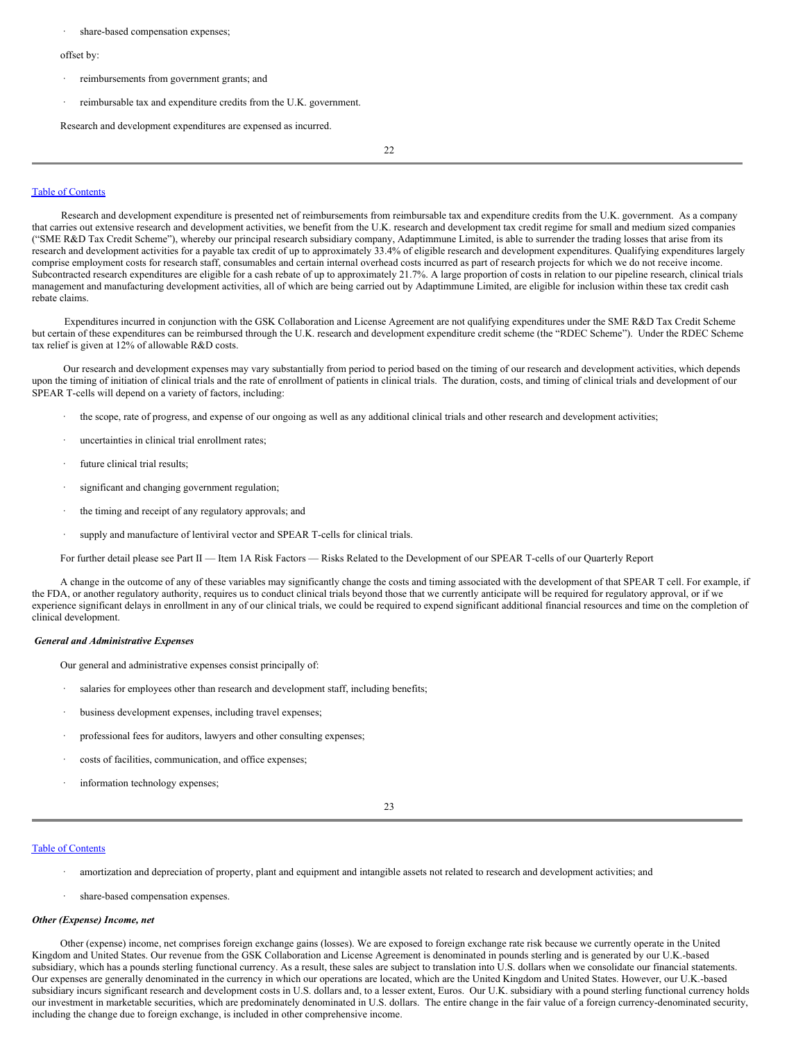share-based compensation expenses;

## offset by:

- reimbursements from government grants; and
- reimbursable tax and expenditure credits from the U.K. government.

Research and development expenditures are expensed as incurred.

22

### Table of [Contents](#page-0-0)

Research and development expenditure is presented net of reimbursements from reimbursable tax and expenditure credits from the U.K. government. As a company that carries out extensive research and development activities, we benefit from the U.K. research and development tax credit regime for small and medium sized companies ("SME R&D Tax Credit Scheme"), whereby our principal research subsidiary company, Adaptimmune Limited, is able to surrender the trading losses that arise from its research and development activities for a payable tax credit of up to approximately 33.4% of eligible research and development expenditures. Qualifying expenditures largely comprise employment costs for research staff, consumables and certain internal overhead costs incurred as part of research projects for which we do not receive income. Subcontracted research expenditures are eligible for a cash rebate of up to approximately 21.7%. A large proportion of costs in relation to our pipeline research, clinical trials management and manufacturing development activities, all of which are being carried out by Adaptimmune Limited, are eligible for inclusion within these tax credit cash rebate claims.

Expenditures incurred in conjunction with the GSK Collaboration and License Agreement are not qualifying expenditures under the SME R&D Tax Credit Scheme but certain of these expenditures can be reimbursed through the U.K. research and development expenditure credit scheme (the "RDEC Scheme"). Under the RDEC Scheme tax relief is given at 12% of allowable R&D costs.

Our research and development expenses may vary substantially from period to period based on the timing of our research and development activities, which depends upon the timing of initiation of clinical trials and the rate of enrollment of patients in clinical trials. The duration, costs, and timing of clinical trials and development of our SPEAR T-cells will depend on a variety of factors, including:

- · the scope, rate of progress, and expense of our ongoing as well as any additional clinical trials and other research and development activities;
- uncertainties in clinical trial enrollment rates;
- future clinical trial results;
- significant and changing government regulation;
- the timing and receipt of any regulatory approvals; and
- supply and manufacture of lentiviral vector and SPEAR T-cells for clinical trials.

For further detail please see Part II — Item 1A Risk Factors — Risks Related to the Development of our SPEAR T-cells of our Quarterly Report

A change in the outcome of any of these variables may significantly change the costs and timing associated with the development of that SPEAR T cell. For example, if the FDA, or another regulatory authority, requires us to conduct clinical trials beyond those that we currently anticipate will be required for regulatory approval, or if we experience significant delays in enrollment in any of our clinical trials, we could be required to expend significant additional financial resources and time on the completion of clinical development.

### *General and Administrative Expenses*

Our general and administrative expenses consist principally of:

- salaries for employees other than research and development staff, including benefits;
- business development expenses, including travel expenses;
- professional fees for auditors, lawyers and other consulting expenses;
- costs of facilities, communication, and office expenses;
- information technology expenses;

23

#### Table of [Contents](#page-0-0)

- · amortization and depreciation of property, plant and equipment and intangible assets not related to research and development activities; and
- share-based compensation expenses.

## *Other (Expense) Income, net*

Other (expense) income, net comprises foreign exchange gains (losses). We are exposed to foreign exchange rate risk because we currently operate in the United Kingdom and United States. Our revenue from the GSK Collaboration and License Agreement is denominated in pounds sterling and is generated by our U.K.-based subsidiary, which has a pounds sterling functional currency. As a result, these sales are subject to translation into U.S. dollars when we consolidate our financial statements. Our expenses are generally denominated in the currency in which our operations are located, which are the United Kingdom and United States. However, our U.K.-based subsidiary incurs significant research and development costs in U.S. dollars and, to a lesser extent, Euros. Our U.K. subsidiary with a pound sterling functional currency holds our investment in marketable securities, which are predominately denominated in U.S. dollars. The entire change in the fair value of a foreign currency-denominated security, including the change due to foreign exchange, is included in other comprehensive income.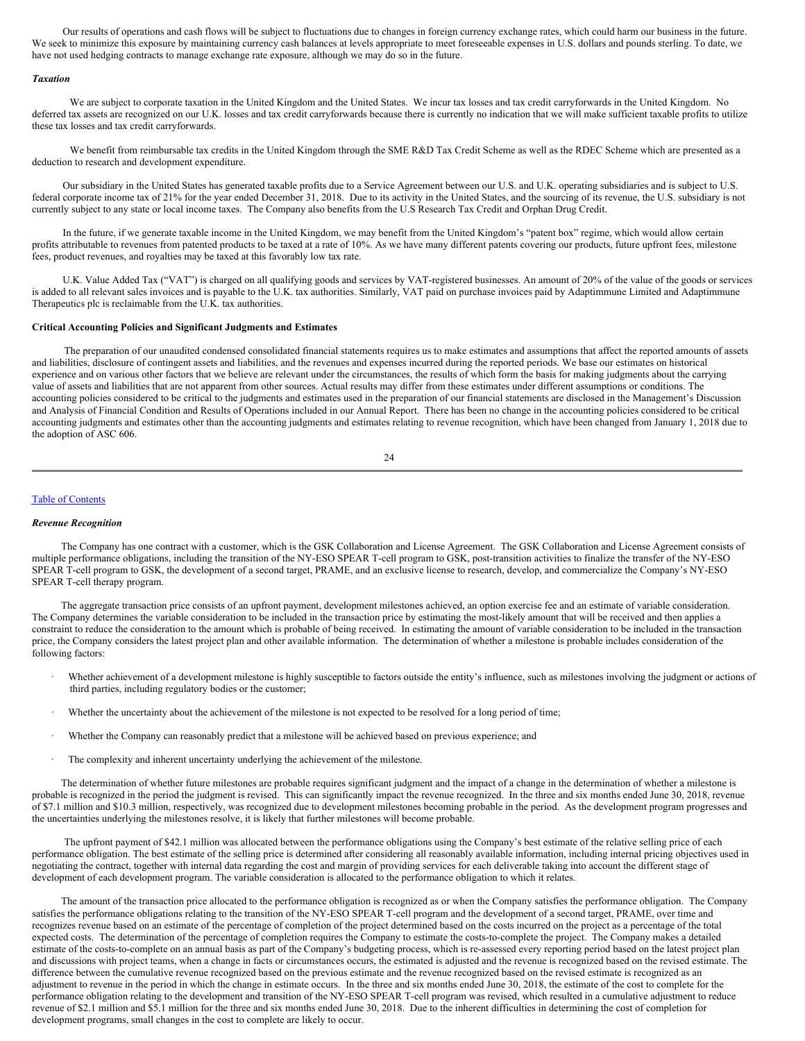Our results of operations and cash flows will be subject to fluctuations due to changes in foreign currency exchange rates, which could harm our business in the future. We seek to minimize this exposure by maintaining currency cash balances at levels appropriate to meet foreseeable expenses in U.S. dollars and pounds sterling. To date, we have not used hedging contracts to manage exchange rate exposure, although we may do so in the future.

#### *Taxation*

We are subject to corporate taxation in the United Kingdom and the United States. We incur tax losses and tax credit carryforwards in the United Kingdom. No deferred tax assets are recognized on our U.K. losses and tax credit carryforwards because there is currently no indication that we will make sufficient taxable profits to utilize these tax losses and tax credit carryforwards.

We benefit from reimbursable tax credits in the United Kingdom through the SME R&D Tax Credit Scheme as well as the RDEC Scheme which are presented as a deduction to research and development expenditure.

Our subsidiary in the United States has generated taxable profits due to a Service Agreement between our U.S. and U.K. operating subsidiaries and is subject to U.S. federal corporate income tax of 21% for the year ended December 31, 2018. Due to its activity in the United States, and the sourcing of its revenue, the U.S. subsidiary is not currently subject to any state or local income taxes. The Company also benefits from the U.S Research Tax Credit and Orphan Drug Credit.

In the future, if we generate taxable income in the United Kingdom, we may benefit from the United Kingdom's "patent box" regime, which would allow certain profits attributable to revenues from patented products to be taxed at a rate of 10%. As we have many different patents covering our products, future upfront fees, milestone fees, product revenues, and royalties may be taxed at this favorably low tax rate.

U.K. Value Added Tax ("VAT") is charged on all qualifying goods and services by VAT-registered businesses. An amount of 20% of the value of the goods or services is added to all relevant sales invoices and is payable to the U.K. tax authorities. Similarly, VAT paid on purchase invoices paid by Adaptimmune Limited and Adaptimmune Therapeutics plc is reclaimable from the U.K. tax authorities.

### **Critical Accounting Policies and Significant Judgments and Estimates**

The preparation of our unaudited condensed consolidated financial statements requires us to make estimates and assumptions that affect the reported amounts of assets and liabilities, disclosure of contingent assets and liabilities, and the revenues and expenses incurred during the reported periods. We base our estimates on historical experience and on various other factors that we believe are relevant under the circumstances, the results of which form the basis for making judgments about the carrying value of assets and liabilities that are not apparent from other sources. Actual results may differ from these estimates under different assumptions or conditions. The accounting policies considered to be critical to the judgments and estimates used in the preparation of our financial statements are disclosed in the Management's Discussion and Analysis of Financial Condition and Results of Operations included in our Annual Report. There has been no change in the accounting policies considered to be critical accounting judgments and estimates other than the accounting judgments and estimates relating to revenue recognition, which have been changed from January 1, 2018 due to the adoption of ASC 606.

24

#### Table of [Contents](#page-0-0)

#### *Revenue Recognition*

The Company has one contract with a customer, which is the GSK Collaboration and License Agreement. The GSK Collaboration and License Agreement consists of multiple performance obligations, including the transition of the NY-ESO SPEAR T-cell program to GSK, post-transition activities to finalize the transfer of the NY-ESO SPEAR T-cell program to GSK, the development of a second target, PRAME, and an exclusive license to research, develop, and commercialize the Company's NY-ESO SPEAR T-cell therapy program.

The aggregate transaction price consists of an upfront payment, development milestones achieved, an option exercise fee and an estimate of variable consideration. The Company determines the variable consideration to be included in the transaction price by estimating the most-likely amount that will be received and then applies a constraint to reduce the consideration to the amount which is probable of being received. In estimating the amount of variable consideration to be included in the transaction price, the Company considers the latest project plan and other available information. The determination of whether a milestone is probable includes consideration of the following factors:

- Whether achievement of a development milestone is highly susceptible to factors outside the entity's influence, such as milestones involving the judgment or actions of third parties, including regulatory bodies or the customer;
- Whether the uncertainty about the achievement of the milestone is not expected to be resolved for a long period of time;
- Whether the Company can reasonably predict that a milestone will be achieved based on previous experience; and
- The complexity and inherent uncertainty underlying the achievement of the milestone.

The determination of whether future milestones are probable requires significant judgment and the impact of a change in the determination of whether a milestone is probable is recognized in the period the judgment is revised. This can significantly impact the revenue recognized. In the three and six months ended June 30, 2018, revenue of \$7.1 million and \$10.3 million, respectively, was recognized due to development milestones becoming probable in the period. As the development program progresses and the uncertainties underlying the milestones resolve, it is likely that further milestones will become probable.

The upfront payment of \$42.1 million was allocated between the performance obligations using the Company's best estimate of the relative selling price of each performance obligation. The best estimate of the selling price is determined after considering all reasonably available information, including internal pricing objectives used in negotiating the contract, together with internal data regarding the cost and margin of providing services for each deliverable taking into account the different stage of development of each development program. The variable consideration is allocated to the performance obligation to which it relates.

The amount of the transaction price allocated to the performance obligation is recognized as or when the Company satisfies the performance obligation. The Company satisfies the performance obligations relating to the transition of the NY-ESO SPEAR T-cell program and the development of a second target, PRAME, over time and recognizes revenue based on an estimate of the percentage of completion of the project determined based on the costs incurred on the project as a percentage of the total expected costs. The determination of the percentage of completion requires the Company to estimate the costs-to-complete the project. The Company makes a detailed estimate of the costs-to-complete on an annual basis as part of the Company's budgeting process, which is re-assessed every reporting period based on the latest project plan and discussions with project teams, when a change in facts or circumstances occurs, the estimated is adjusted and the revenue is recognized based on the revised estimate. The difference between the cumulative revenue recognized based on the previous estimate and the revenue recognized based on the revised estimate is recognized as an adjustment to revenue in the period in which the change in estimate occurs. In the three and six months ended June 30, 2018, the estimate of the cost to complete for the performance obligation relating to the development and transition of the NY-ESO SPEAR T-cell program was revised, which resulted in a cumulative adjustment to reduce revenue of \$2.1 million and \$5.1 million for the three and six months ended June 30, 2018. Due to the inherent difficulties in determining the cost of completion for development programs, small changes in the cost to complete are likely to occur.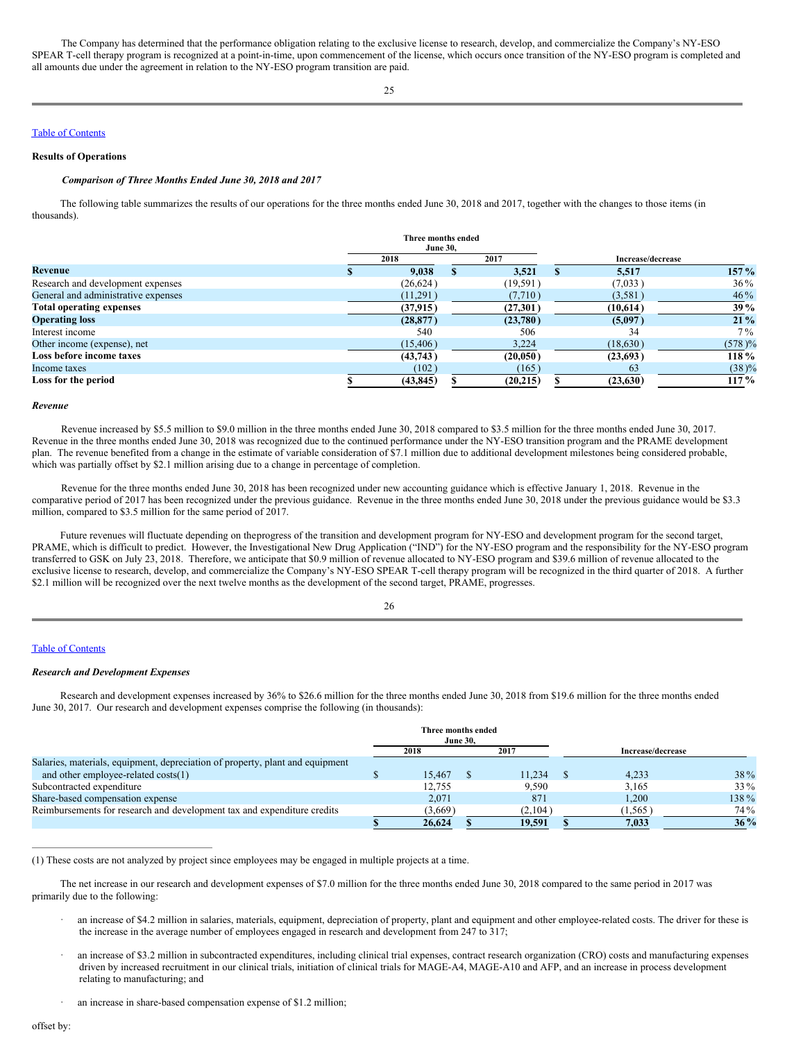The Company has determined that the performance obligation relating to the exclusive license to research, develop, and commercialize the Company's NY-ESO SPEAR T-cell therapy program is recognized at a point-in-time, upon commencement of the license, which occurs once transition of the NY-ESO program is completed and all amounts due under the agreement in relation to the NY-ESO program transition are paid.

## Table of [Contents](#page-0-0)

## **Results of Operations**

## *Comparison of Three Months Ended June 30, 2018 and 2017*

The following table summarizes the results of our operations for the three months ended June 30, 2018 and 2017, together with the changes to those items (in thousands).

|                                     | Three months ended<br><b>June 30.</b> |    |           |      |                   |           |
|-------------------------------------|---------------------------------------|----|-----------|------|-------------------|-----------|
|                                     | 2018                                  |    | 2017      |      | Increase/decrease |           |
| <b>Revenue</b>                      | 9.038                                 | X. | 3,521     | - 55 | 5,517             | 157%      |
| Research and development expenses   | (26, 624)                             |    | (19, 591) |      | (7,033)           | $36\%$    |
| General and administrative expenses | (11,291)                              |    | (7,710)   |      | (3,581)           | $46\%$    |
| <b>Total operating expenses</b>     | (37, 915)                             |    | (27,301)  |      | (10,614)          | $39\%$    |
| <b>Operating loss</b>               | (28, 877)                             |    | (23,780)  |      | (5,097)           | $21\%$    |
| Interest income                     | 540                                   |    | 506       |      | 34                | $7\%$     |
| Other income (expense), net         | (15, 406)                             |    | 3,224     |      | (18, 630)         | $(578)\%$ |
| Loss before income taxes            | (43,743)                              |    | (20,050)  |      | (23, 693)         | 118 %     |
| Income taxes                        | (102)                                 |    | (165)     |      | 63                | $(38)\%$  |
| Loss for the period                 | (43, 845)                             |    | (20, 215) |      | (23, 630)         | $117\%$   |

#### *Revenue*

Revenue increased by \$5.5 million to \$9.0 million in the three months ended June 30, 2018 compared to \$3.5 million for the three months ended June 30, 2017. Revenue in the three months ended June 30, 2018 was recognized due to the continued performance under the NY-ESO transition program and the PRAME development plan. The revenue benefited from a change in the estimate of variable consideration of \$7.1 million due to additional development milestones being considered probable, which was partially offset by \$2.1 million arising due to a change in percentage of completion.

Revenue for the three months ended June 30, 2018 has been recognized under new accounting guidance which is effective January 1, 2018. Revenue in the comparative period of 2017 has been recognized under the previous guidance. Revenue in the three months ended June 30, 2018 under the previous guidance would be \$3.3 million, compared to \$3.5 million for the same period of 2017.

Future revenues will fluctuate depending on theprogress of the transition and development program for NY-ESO and development program for the second target, PRAME, which is difficult to predict. However, the Investigational New Drug Application ("IND") for the NY-ESO program and the responsibility for the NY-ESO program transferred to GSK on July 23, 2018. Therefore, we anticipate that \$0.9 million of revenue allocated to NY-ESO program and \$39.6 million of revenue allocated to the exclusive license to research, develop, and commercialize the Company's NY-ESO SPEAR T-cell therapy program will be recognized in the third quarter of 2018. A further \$2.1 million will be recognized over the next twelve months as the development of the second target, PRAME, progresses.

26

## Table of [Contents](#page-0-0)

## *Research and Development Expenses*

Research and development expenses increased by 36% to \$26.6 million for the three months ended June 30, 2018 from \$19.6 million for the three months ended June 30, 2017. Our research and development expenses comprise the following (in thousands):

|                                                                               | Three months ended<br><b>June 30.</b> |         |                   |        |
|-------------------------------------------------------------------------------|---------------------------------------|---------|-------------------|--------|
|                                                                               | 2018                                  | 2017    | Increase/decrease |        |
| Salaries, materials, equipment, depreciation of property, plant and equipment |                                       |         |                   |        |
| and other employee-related costs(1)                                           | 15,467                                | 11.234  | 4.233             | 38%    |
| Subcontracted expenditure                                                     | 12.755                                | 9.590   | 3.165             | $33\%$ |
| Share-based compensation expense                                              | 2,071                                 | 871     | 1.200             | 138 %  |
| Reimbursements for research and development tax and expenditure credits       | (3,669)                               | (2,104) | (1.565)           | 74 %   |
|                                                                               | 26.624                                | 19.591  | 7.033             | $36\%$ |

(1) These costs are not analyzed by project since employees may be engaged in multiple projects at a time.

The net increase in our research and development expenses of \$7.0 million for the three months ended June 30, 2018 compared to the same period in 2017 was primarily due to the following:

- an increase of \$4.2 million in salaries, materials, equipment, depreciation of property, plant and equipment and other employee-related costs. The driver for these is the increase in the average number of employees engaged in research and development from 247 to 317;
- an increase of \$3.2 million in subcontracted expenditures, including clinical trial expenses, contract research organization (CRO) costs and manufacturing expenses driven by increased recruitment in our clinical trials, initiation of clinical trials for MAGE-A4, MAGE-A10 and AFP, and an increase in process development relating to manufacturing; and

an increase in share-based compensation expense of \$1.2 million;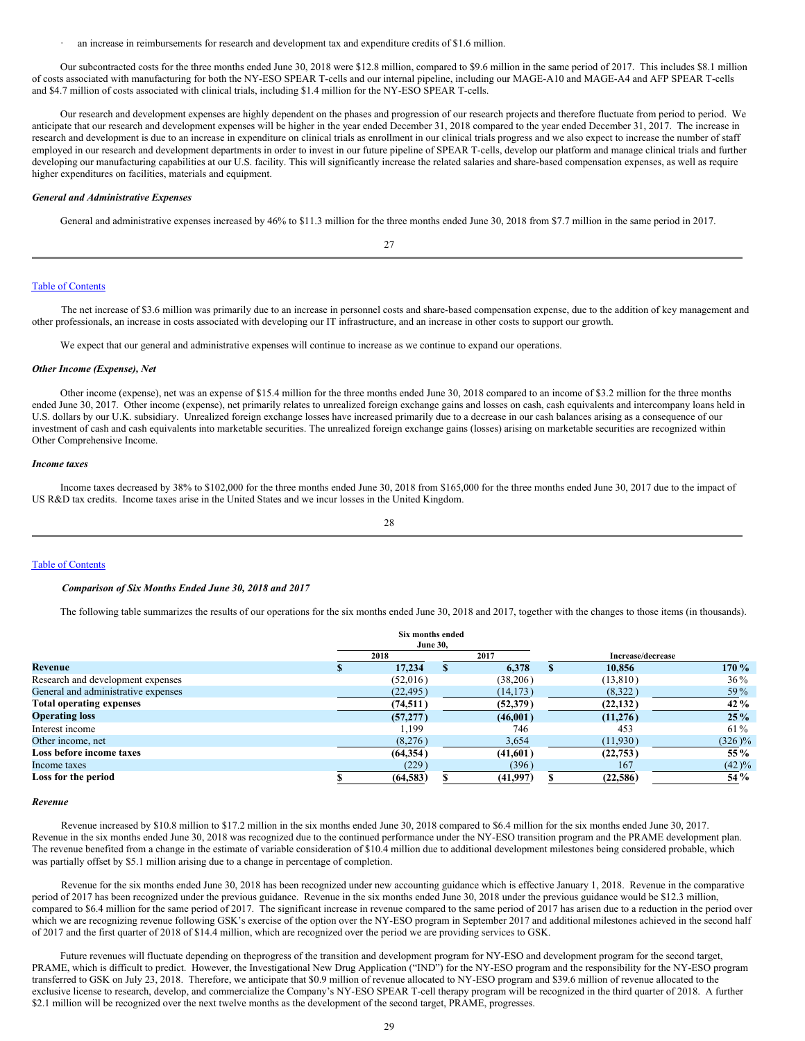an increase in reimbursements for research and development tax and expenditure credits of \$1.6 million.

Our subcontracted costs for the three months ended June 30, 2018 were \$12.8 million, compared to \$9.6 million in the same period of 2017. This includes \$8.1 million of costs associated with manufacturing for both the NY-ESO SPEAR T-cells and our internal pipeline, including our MAGE-A10 and MAGE-A4 and AFP SPEAR T-cells and \$4.7 million of costs associated with clinical trials, including \$1.4 million for the NY-ESO SPEAR T-cells.

Our research and development expenses are highly dependent on the phases and progression of our research projects and therefore fluctuate from period to period. We anticipate that our research and development expenses will be higher in the year ended December 31, 2018 compared to the year ended December 31, 2017. The increase in research and development is due to an increase in expenditure on clinical trials as enrollment in our clinical trials progress and we also expect to increase the number of staff employed in our research and development departments in order to invest in our future pipeline of SPEAR T-cells, develop our platform and manage clinical trials and further developing our manufacturing capabilities at our U.S. facility. This will significantly increase the related salaries and share-based compensation expenses, as well as require higher expenditures on facilities, materials and equipment.

### *General and Administrative Expenses*

General and administrative expenses increased by 46% to \$11.3 million for the three months ended June 30, 2018 from \$7.7 million in the same period in 2017.

27

#### Table of [Contents](#page-0-0)

The net increase of \$3.6 million was primarily due to an increase in personnel costs and share-based compensation expense, due to the addition of key management and other professionals, an increase in costs associated with developing our IT infrastructure, and an increase in other costs to support our growth.

We expect that our general and administrative expenses will continue to increase as we continue to expand our operations.

#### *Other Income (Expense), Net*

Other income (expense), net was an expense of \$15.4 million for the three months ended June 30, 2018 compared to an income of \$3.2 million for the three months ended June 30, 2017. Other income (expense), net primarily relates to unrealized foreign exchange gains and losses on cash, cash equivalents and intercompany loans held in U.S. dollars by our U.K. subsidiary. Unrealized foreign exchange losses have increased primarily due to a decrease in our cash balances arising as a consequence of our investment of cash and cash equivalents into marketable securities. The unrealized foreign exchange gains (losses) arising on marketable securities are recognized within Other Comprehensive Income.

#### *Income taxes*

Income taxes decreased by 38% to \$102,000 for the three months ended June 30, 2018 from \$165,000 for the three months ended June 30, 2017 due to the impact of US R&D tax credits. Income taxes arise in the United States and we incur losses in the United Kingdom.

| v |              |  |
|---|--------------|--|
|   | ï<br>×<br>۰, |  |
|   |              |  |

#### Table of [Contents](#page-0-0)

#### *Comparison of Six Months Ended June 30, 2018 and 2017*

The following table summarizes the results of our operations for the six months ended June 30, 2018 and 2017, together with the changes to those items (in thousands).

|                                     |                 | Six months ended |   |                   |  |           |           |
|-------------------------------------|-----------------|------------------|---|-------------------|--|-----------|-----------|
|                                     | <b>June 30.</b> |                  |   |                   |  |           |           |
|                                     | 2017<br>2018    |                  |   | Increase/decrease |  |           |           |
| Revenue                             |                 | 17.234           | Ж | 6.378             |  | 10.856    | 170%      |
| Research and development expenses   |                 | (52,016)         |   | (38,206)          |  | (13, 810) | $36\%$    |
| General and administrative expenses |                 | (22, 495)        |   | (14, 173)         |  | (8,322)   | 59%       |
| <b>Total operating expenses</b>     |                 | (74, 511)        |   | (52, 379)         |  | (22, 132) | $42\%$    |
| <b>Operating loss</b>               |                 | (57, 277)        |   | (46,001)          |  | (11,276)  | $25\%$    |
| Interest income                     |                 | 1,199            |   | 746               |  | 453       | 61%       |
| Other income, net                   |                 | (8,276)          |   | 3,654             |  | (11,930)  | $(326)\%$ |
| Loss before income taxes            |                 | (64, 354)        |   | (41,601)          |  | (22, 753) | 55 %      |
| Income taxes                        |                 | (229)            |   | (396)             |  | 167       | $(42)\%$  |
| Loss for the period                 |                 | (64, 583)        |   | (41,997)          |  | (22, 586) | $54\%$    |

## *Revenue*

Revenue increased by \$10.8 million to \$17.2 million in the six months ended June 30, 2018 compared to \$6.4 million for the six months ended June 30, 2017. Revenue in the six months ended June 30, 2018 was recognized due to the continued performance under the NY-ESO transition program and the PRAME development plan. The revenue benefited from a change in the estimate of variable consideration of \$10.4 million due to additional development milestones being considered probable, which was partially offset by \$5.1 million arising due to a change in percentage of completion.

Revenue for the six months ended June 30, 2018 has been recognized under new accounting guidance which is effective January 1, 2018. Revenue in the comparative period of 2017 has been recognized under the previous guidance. Revenue in the six months ended June 30, 2018 under the previous guidance would be \$12.3 million, compared to \$6.4 million for the same period of 2017. The significant increase in revenue compared to the same period of 2017 has arisen due to a reduction in the period over which we are recognizing revenue following GSK's exercise of the option over the NY-ESO program in September 2017 and additional milestones achieved in the second half of 2017 and the first quarter of 2018 of \$14.4 million, which are recognized over the period we are providing services to GSK.

Future revenues will fluctuate depending on theprogress of the transition and development program for NY-ESO and development program for the second target, PRAME, which is difficult to predict. However, the Investigational New Drug Application ("IND") for the NY-ESO program and the responsibility for the NY-ESO program transferred to GSK on July 23, 2018. Therefore, we anticipate that \$0.9 million of revenue allocated to NY-ESO program and \$39.6 million of revenue allocated to the exclusive license to research, develop, and commercialize the Company's NY-ESO SPEAR T-cell therapy program will be recognized in the third quarter of 2018. A further \$2.1 million will be recognized over the next twelve months as the development of the second target, PRAME, progresses.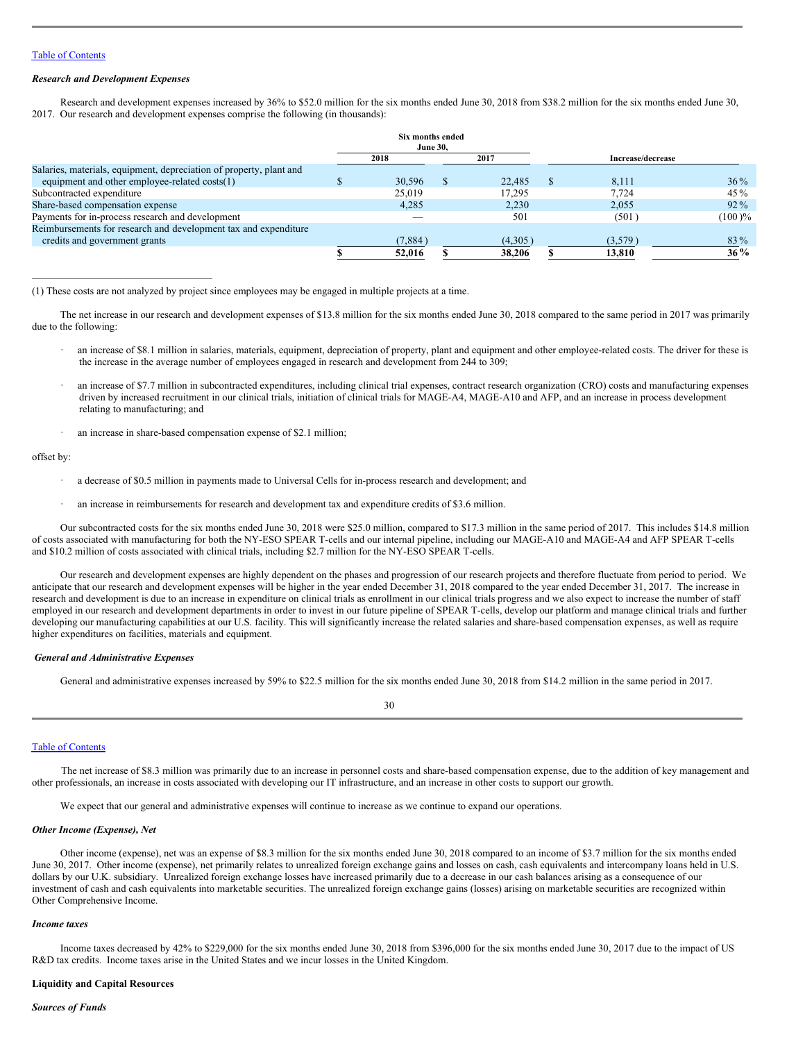## *Research and Development Expenses*

Research and development expenses increased by 36% to \$52.0 million for the six months ended June 30, 2018 from \$38.2 million for the six months ended June 30, 2017. Our research and development expenses comprise the following (in thousands):

|                                                                     | Six months ended<br><b>June 30.</b> |         |  |         |  |                   |           |
|---------------------------------------------------------------------|-------------------------------------|---------|--|---------|--|-------------------|-----------|
|                                                                     |                                     | 2018    |  | 2017    |  | Increase/decrease |           |
| Salaries, materials, equipment, depreciation of property, plant and |                                     |         |  |         |  |                   |           |
| equipment and other employee-related costs(1)                       |                                     | 30,596  |  | 22,485  |  | 8.111             | $36\%$    |
| Subcontracted expenditure                                           |                                     | 25,019  |  | 17.295  |  | 7.724             | $45\%$    |
| Share-based compensation expense                                    |                                     | 4,285   |  | 2,230   |  | 2,055             | $92\%$    |
| Payments for in-process research and development                    |                                     |         |  | 501     |  | (501)             | $(100)\%$ |
| Reimbursements for research and development tax and expenditure     |                                     |         |  |         |  |                   |           |
| credits and government grants                                       |                                     | (7,884) |  | (4,305) |  | (3,579)           | 83%       |
|                                                                     |                                     | 52,016  |  | 38,206  |  | 13.810            | $36\%$    |

(1) These costs are not analyzed by project since employees may be engaged in multiple projects at a time.

The net increase in our research and development expenses of \$13.8 million for the six months ended June 30, 2018 compared to the same period in 2017 was primarily due to the following:

- an increase of \$8.1 million in salaries, materials, equipment, depreciation of property, plant and equipment and other employee-related costs. The driver for these is the increase in the average number of employees engaged in research and development from 244 to 309;
- an increase of \$7.7 million in subcontracted expenditures, including clinical trial expenses, contract research organization (CRO) costs and manufacturing expenses driven by increased recruitment in our clinical trials, initiation of clinical trials for MAGE-A4, MAGE-A10 and AFP, and an increase in process development relating to manufacturing; and
- an increase in share-based compensation expense of \$2.1 million;

offset by:

- a decrease of \$0.5 million in payments made to Universal Cells for in-process research and development; and
- an increase in reimbursements for research and development tax and expenditure credits of \$3.6 million.

Our subcontracted costs for the six months ended June 30, 2018 were \$25.0 million, compared to \$17.3 million in the same period of 2017. This includes \$14.8 million of costs associated with manufacturing for both the NY-ESO SPEAR T-cells and our internal pipeline, including our MAGE-A10 and MAGE-A4 and AFP SPEAR T-cells and \$10.2 million of costs associated with clinical trials, including \$2.7 million for the NY-ESO SPEAR T-cells.

Our research and development expenses are highly dependent on the phases and progression of our research projects and therefore fluctuate from period to period. We anticipate that our research and development expenses will be higher in the year ended December 31, 2018 compared to the year ended December 31, 2017. The increase in research and development is due to an increase in expenditure on clinical trials as enrollment in our clinical trials progress and we also expect to increase the number of staff employed in our research and development departments in order to invest in our future pipeline of SPEAR T-cells, develop our platform and manage clinical trials and further developing our manufacturing capabilities at our U.S. facility. This will significantly increase the related salaries and share-based compensation expenses, as well as require higher expenditures on facilities, materials and equipment.

#### *General and Administrative Expenses*

General and administrative expenses increased by 59% to \$22.5 million for the six months ended June 30, 2018 from \$14.2 million in the same period in 2017.

| ٠                | ۰.               |
|------------------|------------------|
| ٠<br>I<br>$\sim$ | i<br>I<br>$\sim$ |

## Table of [Contents](#page-0-0)

The net increase of \$8.3 million was primarily due to an increase in personnel costs and share-based compensation expense, due to the addition of key management and other professionals, an increase in costs associated with developing our IT infrastructure, and an increase in other costs to support our growth.

We expect that our general and administrative expenses will continue to increase as we continue to expand our operations.

## *Other Income (Expense), Net*

Other income (expense), net was an expense of \$8.3 million for the six months ended June 30, 2018 compared to an income of \$3.7 million for the six months ended June 30, 2017. Other income (expense), net primarily relates to unrealized foreign exchange gains and losses on cash, cash equivalents and intercompany loans held in U.S. dollars by our U.K. subsidiary. Unrealized foreign exchange losses have increased primarily due to a decrease in our cash balances arising as a consequence of our investment of cash and cash equivalents into marketable securities. The unrealized foreign exchange gains (losses) arising on marketable securities are recognized within Other Comprehensive Income.

#### *Income taxes*

Income taxes decreased by 42% to \$229,000 for the six months ended June 30, 2018 from \$396,000 for the six months ended June 30, 2017 due to the impact of US R&D tax credits. Income taxes arise in the United States and we incur losses in the United Kingdom.

#### **Liquidity and Capital Resources**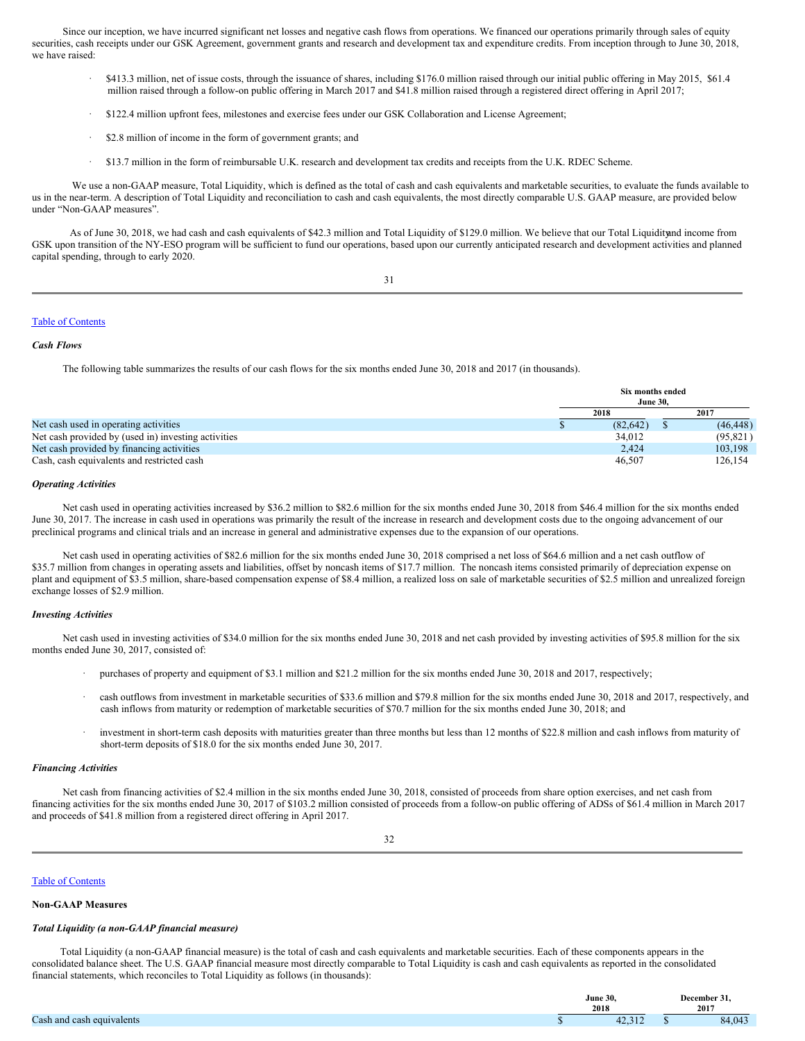Since our inception, we have incurred significant net losses and negative cash flows from operations. We financed our operations primarily through sales of equity securities, cash receipts under our GSK Agreement, government grants and research and development tax and expenditure credits. From inception through to June 30, 2018, we have raised:

- · \$413.3 million, net of issue costs, through the issuance of shares, including \$176.0 million raised through our initial public offering in May 2015, \$61.4 million raised through a follow-on public offering in March 2017 and \$41.8 million raised through a registered direct offering in April 2017;
- · \$122.4 million upfront fees, milestones and exercise fees under our GSK Collaboration and License Agreement;
- \$2.8 million of income in the form of government grants; and
- · \$13.7 million in the form of reimbursable U.K. research and development tax credits and receipts from the U.K. RDEC Scheme.

We use a non-GAAP measure, Total Liquidity, which is defined as the total of cash and cash equivalents and marketable securities, to evaluate the funds available to us in the near-term. A description of Total Liquidity and reconciliation to cash and cash equivalents, the most directly comparable U.S. GAAP measure, are provided below under "Non-GAAP measures".

As of June 30, 2018, we had cash and cash equivalents of \$42.3 million and Total Liquidity of \$129.0 million. We believe that our Total Liquidityand income from GSK upon transition of the NY-ESO program will be sufficient to fund our operations, based upon our currently anticipated research and development activities and planned capital spending, through to early 2020.

## 31

#### Table of [Contents](#page-0-0)

## *Cash Flows*

The following table summarizes the results of our cash flows for the six months ended June 30, 2018 and 2017 (in thousands).

|                                                     | Six months ended<br><b>June 30.</b> |           |  |           |
|-----------------------------------------------------|-------------------------------------|-----------|--|-----------|
|                                                     |                                     | 2018      |  | 2017      |
| Net cash used in operating activities               |                                     | (82, 642) |  | (46, 448) |
| Net cash provided by (used in) investing activities |                                     | 34.012    |  | (95, 821) |
| Net cash provided by financing activities           |                                     | 2.424     |  | 103,198   |
| Cash, cash equivalents and restricted cash          |                                     | 46,507    |  | 126.154   |

## *Operating Activities*

Net cash used in operating activities increased by \$36.2 million to \$82.6 million for the six months ended June 30, 2018 from \$46.4 million for the six months ended June 30, 2017. The increase in cash used in operations was primarily the result of the increase in research and development costs due to the ongoing advancement of our preclinical programs and clinical trials and an increase in general and administrative expenses due to the expansion of our operations.

Net cash used in operating activities of \$82.6 million for the six months ended June 30, 2018 comprised a net loss of \$64.6 million and a net cash outflow of \$35.7 million from changes in operating assets and liabilities, offset by noncash items of \$17.7 million. The noncash items consisted primarily of depreciation expense on plant and equipment of \$3.5 million, share-based compensation expense of \$8.4 million, a realized loss on sale of marketable securities of \$2.5 million and unrealized foreign exchange losses of \$2.9 million.

### *Investing Activities*

Net cash used in investing activities of \$34.0 million for the six months ended June 30, 2018 and net cash provided by investing activities of \$95.8 million for the six months ended June 30, 2017, consisted of:

- purchases of property and equipment of \$3.1 million and \$21.2 million for the six months ended June 30, 2018 and 2017, respectively;
- · cash outflows from investment in marketable securities of \$33.6 million and \$79.8 million for the six months ended June 30, 2018 and 2017, respectively, and cash inflows from maturity or redemption of marketable securities of \$70.7 million for the six months ended June 30, 2018; and
- investment in short-term cash deposits with maturities greater than three months but less than 12 months of \$22.8 million and cash inflows from maturity of short-term deposits of \$18.0 for the six months ended June 30, 2017.

#### *Financing Activities*

Net cash from financing activities of \$2.4 million in the six months ended June 30, 2018, consisted of proceeds from share option exercises, and net cash from financing activities for the six months ended June 30, 2017 of \$103.2 million consisted of proceeds from a follow-on public offering of ADSs of \$61.4 million in March 2017 and proceeds of \$41.8 million from a registered direct offering in April 2017.

#### Table of [Contents](#page-0-0)

#### **Non-GAAP Measures**

#### *Total Liquidity (a non-GAAP financial measure)*

Total Liquidity (a non-GAAP financial measure) is the total of cash and cash equivalents and marketable securities. Each of these components appears in the consolidated balance sheet. The U.S. GAAP financial measure most directly comparable to Total Liquidity is cash and cash equivalents as reported in the consolidated financial statements, which reconciles to Total Liquidity as follows (in thousands):

|                           | June 30.<br>2018 | December 31.<br>2017 |
|---------------------------|------------------|----------------------|
| Cash and cash equivalents | 212<br>42.312    | 84,043               |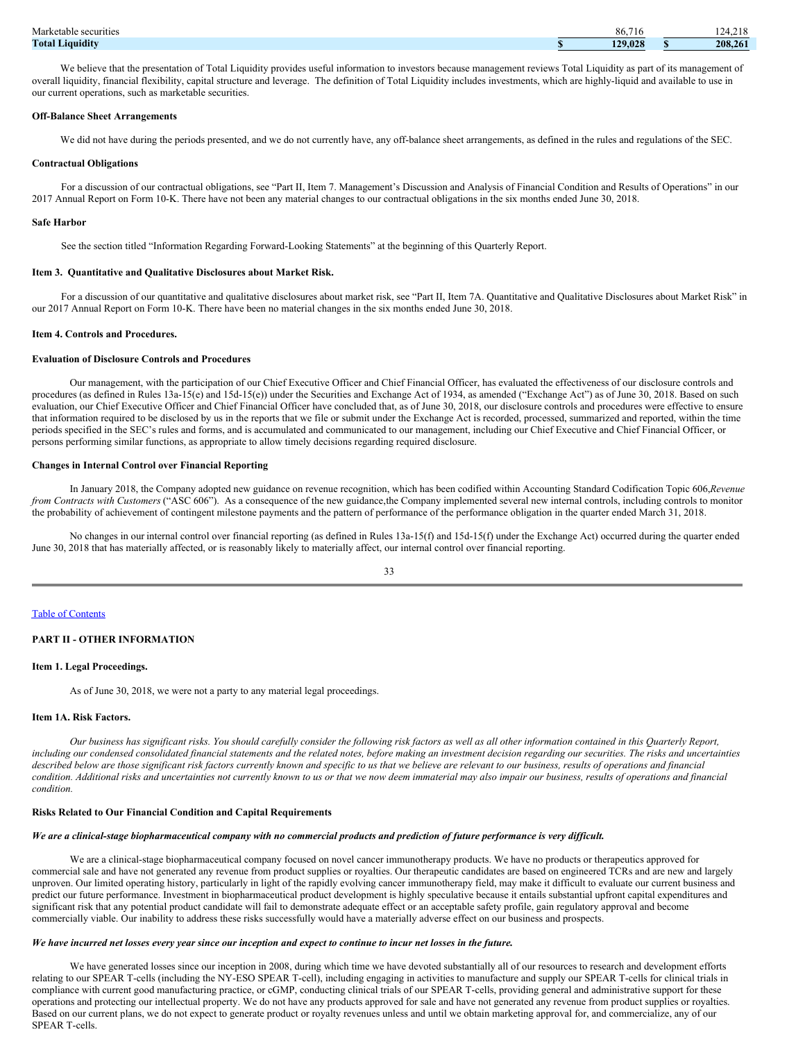| Marketable<br>securities | 86            | 124.2   |
|--------------------------|---------------|---------|
| Total L<br>aquidit       | 130.030<br>WZ | 208.261 |

We believe that the presentation of Total Liquidity provides useful information to investors because management reviews Total Liquidity as part of its management of overall liquidity, financial flexibility, capital structure and leverage. The definition of Total Liquidity includes investments, which are highly-liquid and available to use in our current operations, such as marketable securities.

#### **Off-Balance Sheet Arrangements**

We did not have during the periods presented, and we do not currently have, any off-balance sheet arrangements, as defined in the rules and regulations of the SEC.

#### **Contractual Obligations**

For a discussion of our contractual obligations, see "Part II, Item 7. Management's Discussion and Analysis of Financial Condition and Results of Operations" in our 2017 Annual Report on Form 10-K. There have not been any material changes to our contractual obligations in the six months ended June 30, 2018.

#### **Safe Harbor**

<span id="page-19-0"></span>See the section titled "Information Regarding Forward-Looking Statements" at the beginning of this Quarterly Report.

### **Item 3. Quantitative and Qualitative Disclosures about Market Risk.**

For a discussion of our quantitative and qualitative disclosures about market risk, see "Part II, Item 7A. Quantitative and Qualitative Disclosures about Market Risk" in our 2017 Annual Report on Form 10-K. There have been no material changes in the six months ended June 30, 2018.

#### <span id="page-19-1"></span>**Item 4. Controls and Procedures.**

### **Evaluation of Disclosure Controls and Procedures**

Our management, with the participation of our Chief Executive Officer and Chief Financial Officer, has evaluated the effectiveness of our disclosure controls and procedures (as defined in Rules 13a-15(e) and 15d-15(e)) under the Securities and Exchange Act of 1934, as amended ("Exchange Act") as of June 30, 2018. Based on such evaluation, our Chief Executive Officer and Chief Financial Officer have concluded that, as of June 30, 2018, our disclosure controls and procedures were effective to ensure that information required to be disclosed by us in the reports that we file or submit under the Exchange Act is recorded, processed, summarized and reported, within the time periods specified in the SEC's rules and forms, and is accumulated and communicated to our management, including our Chief Executive and Chief Financial Officer, or persons performing similar functions, as appropriate to allow timely decisions regarding required disclosure.

## **Changes in Internal Control over Financial Reporting**

In January 2018, the Company adopted new guidance on revenue recognition, which has been codified within Accounting Standard Codification Topic 606,*Revenue from Contracts with Customers* ("ASC 606"). As a consequence of the new guidance,the Company implemented several new internal controls, including controls to monitor the probability of achievement of contingent milestone payments and the pattern of performance of the performance obligation in the quarter ended March 31, 2018.

No changes in our internal control over financial reporting (as defined in Rules 13a-15(f) and 15d-15(f) under the Exchange Act) occurred during the quarter ended June 30, 2018 that has materially affected, or is reasonably likely to materially affect, our internal control over financial reporting.

33

#### Table of [Contents](#page-0-0)

## **PART II - OTHER INFORMATION**

#### **Item 1. Legal Proceedings.**

<span id="page-19-4"></span><span id="page-19-3"></span><span id="page-19-2"></span>As of June 30, 2018, we were not a party to any material legal proceedings.

#### **Item 1A. Risk Factors.**

Our business has significant risks. You should carefully consider the following risk factors as well as all other information contained in this Quarterly Report, including our condensed consolidated financial statements and the related notes, before making an investment decision regarding our securities. The risks and uncertainties described below are those significant risk factors currently known and specific to us that we believe are relevant to our business, results of operations and financial condition. Additional risks and uncertainties not currently known to us or that we now deem immaterial may also impair our business, results of operations and financial *condition.*

#### **Risks Related to Our Financial Condition and Capital Requirements**

### We are a clinical-stage biopharmaceutical company with no commercial products and prediction of future performance is very difficult.

We are a clinical-stage biopharmaceutical company focused on novel cancer immunotherapy products. We have no products or therapeutics approved for commercial sale and have not generated any revenue from product supplies or royalties. Our therapeutic candidates are based on engineered TCRs and are new and largely unproven. Our limited operating history, particularly in light of the rapidly evolving cancer immunotherapy field, may make it difficult to evaluate our current business and predict our future performance. Investment in biopharmaceutical product development is highly speculative because it entails substantial upfront capital expenditures and significant risk that any potential product candidate will fail to demonstrate adequate effect or an acceptable safety profile, gain regulatory approval and become commercially viable. Our inability to address these risks successfully would have a materially adverse effect on our business and prospects.

#### We have incurred net losses every year since our inception and expect to continue to incur net losses in the future.

We have generated losses since our inception in 2008, during which time we have devoted substantially all of our resources to research and development efforts relating to our SPEAR T-cells (including the NY-ESO SPEAR T-cell), including engaging in activities to manufacture and supply our SPEAR T-cells for clinical trials in compliance with current good manufacturing practice, or cGMP, conducting clinical trials of our SPEAR T-cells, providing general and administrative support for these operations and protecting our intellectual property. We do not have any products approved for sale and have not generated any revenue from product supplies or royalties. Based on our current plans, we do not expect to generate product or royalty revenues unless and until we obtain marketing approval for, and commercialize, any of our SPEAR T-cells.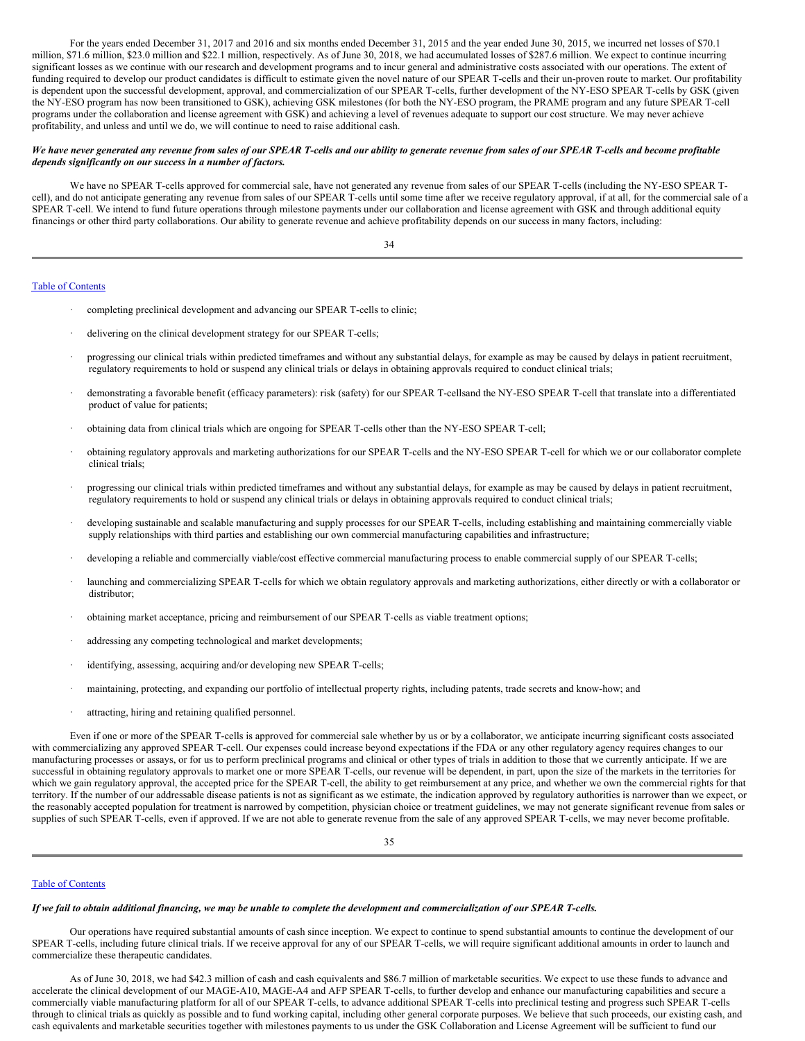For the years ended December 31, 2017 and 2016 and six months ended December 31, 2015 and the year ended June 30, 2015, we incurred net losses of \$70.1 million, \$71.6 million, \$23.0 million and \$22.1 million, respectively. As of June 30, 2018, we had accumulated losses of \$287.6 million. We expect to continue incurring significant losses as we continue with our research and development programs and to incur general and administrative costs associated with our operations. The extent of funding required to develop our product candidates is difficult to estimate given the novel nature of our SPEAR T-cells and their un-proven route to market. Our profitability is dependent upon the successful development, approval, and commercialization of our SPEAR T-cells, further development of the NY-ESO SPEAR T-cells by GSK (given the NY-ESO program has now been transitioned to GSK), achieving GSK milestones (for both the NY-ESO program, the PRAME program and any future SPEAR T-cell programs under the collaboration and license agreement with GSK) and achieving a level of revenues adequate to support our cost structure. We may never achieve profitability, and unless and until we do, we will continue to need to raise additional cash.

## We have never generated any revenue from sales of our SPEAR T-cells and our ability to generate revenue from sales of our SPEAR T-cells and become profitable *depends significantly on our success in a number of factors.*

We have no SPEAR T-cells approved for commercial sale, have not generated any revenue from sales of our SPEAR T-cells (including the NY-ESO SPEAR Tcell), and do not anticipate generating any revenue from sales of our SPEAR T-cells until some time after we receive regulatory approval, if at all, for the commercial sale of a SPEAR T-cell. We intend to fund future operations through milestone payments under our collaboration and license agreement with GSK and through additional equity financings or other third party collaborations. Our ability to generate revenue and achieve profitability depends on our success in many factors, including:

34

## Table of [Contents](#page-0-0)

- completing preclinical development and advancing our SPEAR T-cells to clinic;
- delivering on the clinical development strategy for our SPEAR T-cells;
- · progressing our clinical trials within predicted timeframes and without any substantial delays, for example as may be caused by delays in patient recruitment, regulatory requirements to hold or suspend any clinical trials or delays in obtaining approvals required to conduct clinical trials;
- · demonstrating a favorable benefit (efficacy parameters): risk (safety) for our SPEAR T-cellsand the NY-ESO SPEAR T-cell that translate into a differentiated product of value for patients;
- · obtaining data from clinical trials which are ongoing for SPEAR T-cells other than the NY-ESO SPEAR T-cell;
- · obtaining regulatory approvals and marketing authorizations for our SPEAR T-cells and the NY-ESO SPEAR T-cell for which we or our collaborator complete clinical trials;
- · progressing our clinical trials within predicted timeframes and without any substantial delays, for example as may be caused by delays in patient recruitment, regulatory requirements to hold or suspend any clinical trials or delays in obtaining approvals required to conduct clinical trials;
- developing sustainable and scalable manufacturing and supply processes for our SPEAR T-cells, including establishing and maintaining commercially viable supply relationships with third parties and establishing our own commercial manufacturing capabilities and infrastructure;
- · developing a reliable and commercially viable/cost effective commercial manufacturing process to enable commercial supply of our SPEAR T-cells;
- launching and commercializing SPEAR T-cells for which we obtain regulatory approvals and marketing authorizations, either directly or with a collaborator or distributor;
- · obtaining market acceptance, pricing and reimbursement of our SPEAR T-cells as viable treatment options;
- addressing any competing technological and market developments;
- identifying, assessing, acquiring and/or developing new SPEAR T-cells;
- · maintaining, protecting, and expanding our portfolio of intellectual property rights, including patents, trade secrets and know-how; and
- attracting, hiring and retaining qualified personnel.

Even if one or more of the SPEAR T-cells is approved for commercial sale whether by us or by a collaborator, we anticipate incurring significant costs associated with commercializing any approved SPEAR T-cell. Our expenses could increase beyond expectations if the FDA or any other regulatory agency requires changes to our manufacturing processes or assays, or for us to perform preclinical programs and clinical or other types of trials in addition to those that we currently anticipate. If we are successful in obtaining regulatory approvals to market one or more SPEAR T-cells, our revenue will be dependent, in part, upon the size of the markets in the territories for which we gain regulatory approval, the accepted price for the SPEAR T-cell, the ability to get reimbursement at any price, and whether we own the commercial rights for that territory. If the number of our addressable disease patients is not as significant as we estimate, the indication approved by regulatory authorities is narrower than we expect, or the reasonably accepted population for treatment is narrowed by competition, physician choice or treatment guidelines, we may not generate significant revenue from sales or supplies of such SPEAR T-cells, even if approved. If we are not able to generate revenue from the sale of any approved SPEAR T-cells, we may never become profitable.

### Table of [Contents](#page-0-0)

#### If we fail to obtain additional financing, we may be unable to complete the development and commercialization of our SPEAR T-cells.

Our operations have required substantial amounts of cash since inception. We expect to continue to spend substantial amounts to continue the development of our SPEAR T-cells, including future clinical trials. If we receive approval for any of our SPEAR T-cells, we will require significant additional amounts in order to launch and commercialize these therapeutic candidates.

As of June 30, 2018, we had \$42.3 million of cash and cash equivalents and \$86.7 million of marketable securities. We expect to use these funds to advance and accelerate the clinical development of our MAGE-A10, MAGE-A4 and AFP SPEAR T-cells, to further develop and enhance our manufacturing capabilities and secure a commercially viable manufacturing platform for all of our SPEAR T-cells, to advance additional SPEAR T-cells into preclinical testing and progress such SPEAR T-cells through to clinical trials as quickly as possible and to fund working capital, including other general corporate purposes. We believe that such proceeds, our existing cash, and cash equivalents and marketable securities together with milestones payments to us under the GSK Collaboration and License Agreement will be sufficient to fund our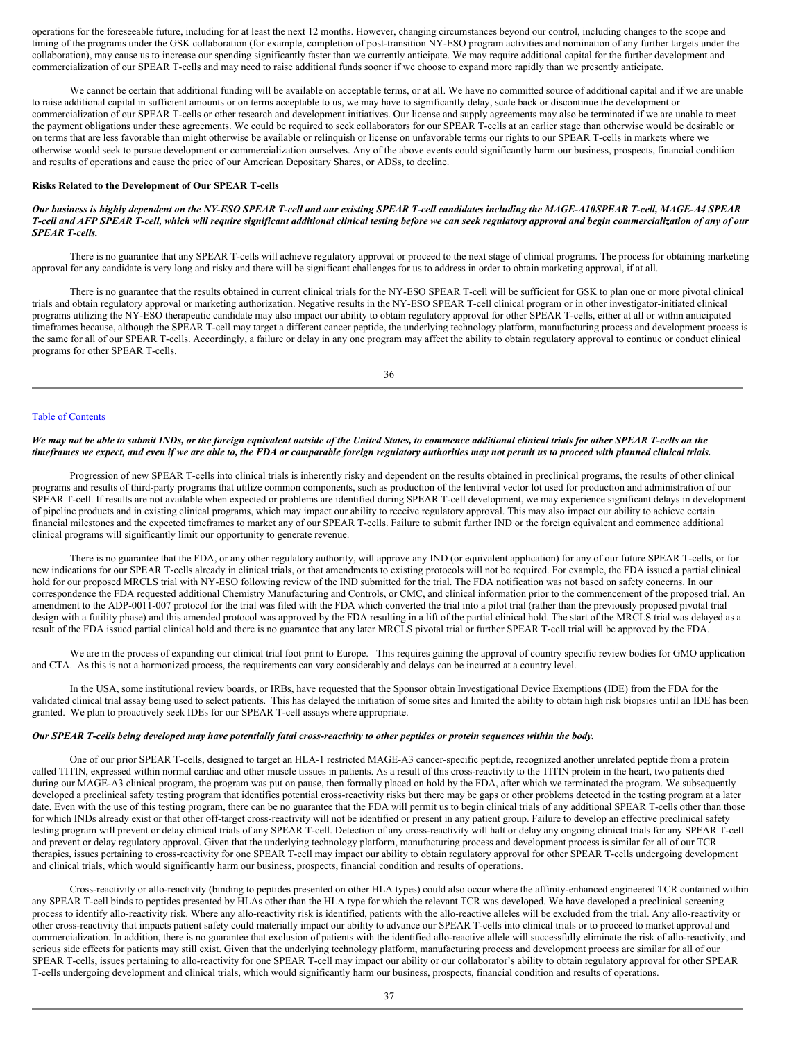operations for the foreseeable future, including for at least the next 12 months. However, changing circumstances beyond our control, including changes to the scope and timing of the programs under the GSK collaboration (for example, completion of post-transition NY-ESO program activities and nomination of any further targets under the collaboration), may cause us to increase our spending significantly faster than we currently anticipate. We may require additional capital for the further development and commercialization of our SPEAR T-cells and may need to raise additional funds sooner if we choose to expand more rapidly than we presently anticipate.

We cannot be certain that additional funding will be available on acceptable terms, or at all. We have no committed source of additional capital and if we are unable to raise additional capital in sufficient amounts or on terms acceptable to us, we may have to significantly delay, scale back or discontinue the development or commercialization of our SPEAR T-cells or other research and development initiatives. Our license and supply agreements may also be terminated if we are unable to meet the payment obligations under these agreements. We could be required to seek collaborators for our SPEAR T-cells at an earlier stage than otherwise would be desirable or on terms that are less favorable than might otherwise be available or relinquish or license on unfavorable terms our rights to our SPEAR T-cells in markets where we otherwise would seek to pursue development or commercialization ourselves. Any of the above events could significantly harm our business, prospects, financial condition and results of operations and cause the price of our American Depositary Shares, or ADSs, to decline.

### **Risks Related to the Development of Our SPEAR T-cells**

## Our business is highly dependent on the NY-ESO SPEAR T-cell and our existing SPEAR T-cell candidates including the MAGE-A10SPEAR T-cell, MAGE-A4 SPEAR T-cell and AFP SPEAR T-cell, which will require significant additional clinical testing before we can seek regulatory approval and begin commercialization of any of our *SPEAR T-cells.*

There is no guarantee that any SPEAR T-cells will achieve regulatory approval or proceed to the next stage of clinical programs. The process for obtaining marketing approval for any candidate is very long and risky and there will be significant challenges for us to address in order to obtain marketing approval, if at all.

There is no guarantee that the results obtained in current clinical trials for the NY-ESO SPEAR T-cell will be sufficient for GSK to plan one or more pivotal clinical trials and obtain regulatory approval or marketing authorization. Negative results in the NY-ESO SPEAR T-cell clinical program or in other investigator-initiated clinical programs utilizing the NY-ESO therapeutic candidate may also impact our ability to obtain regulatory approval for other SPEAR T-cells, either at all or within anticipated timeframes because, although the SPEAR T-cell may target a different cancer peptide, the underlying technology platform, manufacturing process and development process is the same for all of our SPEAR T-cells. Accordingly, a failure or delay in any one program may affect the ability to obtain regulatory approval to continue or conduct clinical programs for other SPEAR T-cells.

#### Table of [Contents](#page-0-0)

## We may not be able to submit INDs, or the foreign equivalent outside of the United States, to commence additional clinical trials for other SPEAR T-cells on the timeframes we expect, and even if we are able to, the FDA or comparable foreign regulatory authorities may not permit us to proceed with planned clinical trials.

Progression of new SPEAR T-cells into clinical trials is inherently risky and dependent on the results obtained in preclinical programs, the results of other clinical programs and results of third-party programs that utilize common components, such as production of the lentiviral vector lot used for production and administration of our SPEAR T-cell. If results are not available when expected or problems are identified during SPEAR T-cell development, we may experience significant delays in development of pipeline products and in existing clinical programs, which may impact our ability to receive regulatory approval. This may also impact our ability to achieve certain financial milestones and the expected timeframes to market any of our SPEAR T-cells. Failure to submit further IND or the foreign equivalent and commence additional clinical programs will significantly limit our opportunity to generate revenue.

There is no guarantee that the FDA, or any other regulatory authority, will approve any IND (or equivalent application) for any of our future SPEAR T-cells, or for new indications for our SPEAR T-cells already in clinical trials, or that amendments to existing protocols will not be required. For example, the FDA issued a partial clinical hold for our proposed MRCLS trial with NY-ESO following review of the IND submitted for the trial. The FDA notification was not based on safety concerns. In our correspondence the FDA requested additional Chemistry Manufacturing and Controls, or CMC, and clinical information prior to the commencement of the proposed trial. An amendment to the ADP-0011-007 protocol for the trial was filed with the FDA which converted the trial into a pilot trial (rather than the previously proposed pivotal trial design with a futility phase) and this amended protocol was approved by the FDA resulting in a lift of the partial clinical hold. The start of the MRCLS trial was delayed as a result of the FDA issued partial clinical hold and there is no guarantee that any later MRCLS pivotal trial or further SPEAR T-cell trial will be approved by the FDA.

We are in the process of expanding our clinical trial foot print to Europe. This requires gaining the approval of country specific review bodies for GMO application and CTA. As this is not a harmonized process, the requirements can vary considerably and delays can be incurred at a country level.

In the USA, some institutional review boards, or IRBs, have requested that the Sponsor obtain Investigational Device Exemptions (IDE) from the FDA for the validated clinical trial assay being used to select patients. This has delayed the initiation of some sites and limited the ability to obtain high risk biopsies until an IDE has been granted. We plan to proactively seek IDEs for our SPEAR T-cell assays where appropriate.

## Our SPEAR T-cells being developed may have potentially fatal cross-reactivity to other peptides or protein sequences within the body.

One of our prior SPEAR T-cells, designed to target an HLA-1 restricted MAGE-A3 cancer-specific peptide, recognized another unrelated peptide from a protein called TITIN, expressed within normal cardiac and other muscle tissues in patients. As a result of this cross-reactivity to the TITIN protein in the heart, two patients died during our MAGE-A3 clinical program, the program was put on pause, then formally placed on hold by the FDA, after which we terminated the program. We subsequently developed a preclinical safety testing program that identifies potential cross-reactivity risks but there may be gaps or other problems detected in the testing program at a later date. Even with the use of this testing program, there can be no guarantee that the FDA will permit us to begin clinical trials of any additional SPEAR T-cells other than those for which INDs already exist or that other off-target cross-reactivity will not be identified or present in any patient group. Failure to develop an effective preclinical safety testing program will prevent or delay clinical trials of any SPEAR T-cell. Detection of any cross-reactivity will halt or delay any ongoing clinical trials for any SPEAR T-cell and prevent or delay regulatory approval. Given that the underlying technology platform, manufacturing process and development process is similar for all of our TCR therapies, issues pertaining to cross-reactivity for one SPEAR T-cell may impact our ability to obtain regulatory approval for other SPEAR T-cells undergoing development and clinical trials, which would significantly harm our business, prospects, financial condition and results of operations.

Cross-reactivity or allo-reactivity (binding to peptides presented on other HLA types) could also occur where the affinity-enhanced engineered TCR contained within any SPEAR T-cell binds to peptides presented by HLAs other than the HLA type for which the relevant TCR was developed. We have developed a preclinical screening process to identify allo-reactivity risk. Where any allo-reactivity risk is identified, patients with the allo-reactive alleles will be excluded from the trial. Any allo-reactivity or other cross-reactivity that impacts patient safety could materially impact our ability to advance our SPEAR T-cells into clinical trials or to proceed to market approval and commercialization. In addition, there is no guarantee that exclusion of patients with the identified allo-reactive allele will successfully eliminate the risk of allo-reactivity, and serious side effects for patients may still exist. Given that the underlying technology platform, manufacturing process and development process are similar for all of our SPEAR T-cells, issues pertaining to allo-reactivity for one SPEAR T-cell may impact our ability or our collaborator's ability to obtain regulatory approval for other SPEAR T-cells undergoing development and clinical trials, which would significantly harm our business, prospects, financial condition and results of operations.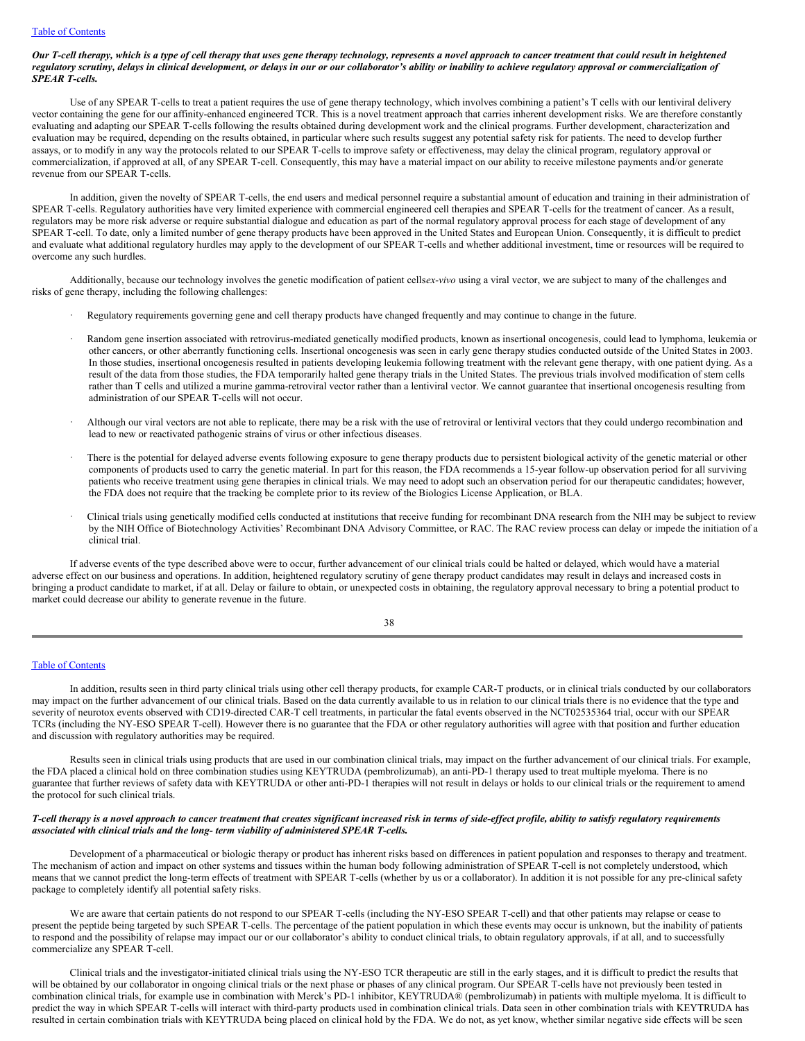## Our T-cell therapy, which is a type of cell therapy that uses gene therapy technology, represents a novel approach to cancer treatment that could result in heightened regulatory scrutiny, delays in clinical development, or delays in our or our collaborator's ability or inability to achieve regulatory approval or commercialization of *SPEAR T-cells.*

Use of any SPEAR T-cells to treat a patient requires the use of gene therapy technology, which involves combining a patient's T cells with our lentiviral delivery vector containing the gene for our affinity-enhanced engineered TCR. This is a novel treatment approach that carries inherent development risks. We are therefore constantly evaluating and adapting our SPEAR T-cells following the results obtained during development work and the clinical programs. Further development, characterization and evaluation may be required, depending on the results obtained, in particular where such results suggest any potential safety risk for patients. The need to develop further assays, or to modify in any way the protocols related to our SPEAR T-cells to improve safety or effectiveness, may delay the clinical program, regulatory approval or commercialization, if approved at all, of any SPEAR T-cell. Consequently, this may have a material impact on our ability to receive milestone payments and/or generate revenue from our SPEAR T-cells.

In addition, given the novelty of SPEAR T-cells, the end users and medical personnel require a substantial amount of education and training in their administration of SPEAR T-cells. Regulatory authorities have very limited experience with commercial engineered cell therapies and SPEAR T-cells for the treatment of cancer. As a result, regulators may be more risk adverse or require substantial dialogue and education as part of the normal regulatory approval process for each stage of development of any SPEAR T-cell. To date, only a limited number of gene therapy products have been approved in the United States and European Union. Consequently, it is difficult to predict and evaluate what additional regulatory hurdles may apply to the development of our SPEAR T-cells and whether additional investment, time or resources will be required to overcome any such hurdles.

Additionally, because our technology involves the genetic modification of patient cells*ex-vivo* using a viral vector, we are subject to many of the challenges and risks of gene therapy, including the following challenges:

- · Regulatory requirements governing gene and cell therapy products have changed frequently and may continue to change in the future.
- · Random gene insertion associated with retrovirus-mediated genetically modified products, known as insertional oncogenesis, could lead to lymphoma, leukemia or other cancers, or other aberrantly functioning cells. Insertional oncogenesis was seen in early gene therapy studies conducted outside of the United States in 2003. In those studies, insertional oncogenesis resulted in patients developing leukemia following treatment with the relevant gene therapy, with one patient dying. As a result of the data from those studies, the FDA temporarily halted gene therapy trials in the United States. The previous trials involved modification of stem cells rather than T cells and utilized a murine gamma-retroviral vector rather than a lentiviral vector. We cannot guarantee that insertional oncogenesis resulting from administration of our SPEAR T-cells will not occur.
- · Although our viral vectors are not able to replicate, there may be a risk with the use of retroviral or lentiviral vectors that they could undergo recombination and lead to new or reactivated pathogenic strains of virus or other infectious diseases.
- There is the potential for delayed adverse events following exposure to gene therapy products due to persistent biological activity of the genetic material or other components of products used to carry the genetic material. In part for this reason, the FDA recommends a 15-year follow-up observation period for all surviving patients who receive treatment using gene therapies in clinical trials. We may need to adopt such an observation period for our therapeutic candidates; however, the FDA does not require that the tracking be complete prior to its review of the Biologics License Application, or BLA.
- · Clinical trials using genetically modified cells conducted at institutions that receive funding for recombinant DNA research from the NIH may be subject to review by the NIH Office of Biotechnology Activities' Recombinant DNA Advisory Committee, or RAC. The RAC review process can delay or impede the initiation of a clinical trial.

If adverse events of the type described above were to occur, further advancement of our clinical trials could be halted or delayed, which would have a material adverse effect on our business and operations. In addition, heightened regulatory scrutiny of gene therapy product candidates may result in delays and increased costs in bringing a product candidate to market, if at all. Delay or failure to obtain, or unexpected costs in obtaining, the regulatory approval necessary to bring a potential product to market could decrease our ability to generate revenue in the future.

$$
^{38}
$$

## Table of [Contents](#page-0-0)

In addition, results seen in third party clinical trials using other cell therapy products, for example CAR-T products, or in clinical trials conducted by our collaborators may impact on the further advancement of our clinical trials. Based on the data currently available to us in relation to our clinical trials there is no evidence that the type and severity of neurotox events observed with CD19-directed CAR-T cell treatments, in particular the fatal events observed in the NCT02535364 trial, occur with our SPEAR TCRs (including the NY-ESO SPEAR T-cell). However there is no guarantee that the FDA or other regulatory authorities will agree with that position and further education and discussion with regulatory authorities may be required.

Results seen in clinical trials using products that are used in our combination clinical trials, may impact on the further advancement of our clinical trials. For example, the FDA placed a clinical hold on three combination studies using KEYTRUDA (pembrolizumab), an anti-PD-1 therapy used to treat multiple myeloma. There is no guarantee that further reviews of safety data with KEYTRUDA or other anti-PD-1 therapies will not result in delays or holds to our clinical trials or the requirement to amend the protocol for such clinical trials.

## T-cell therapy is a novel approach to cancer treatment that creates significant increased risk in terms of side-effect profile, ability to satisfy regulatory requirements *associated with clinical trials and the long- term viability of administered SPEAR T-cells.*

Development of a pharmaceutical or biologic therapy or product has inherent risks based on differences in patient population and responses to therapy and treatment. The mechanism of action and impact on other systems and tissues within the human body following administration of SPEAR T-cell is not completely understood, which means that we cannot predict the long-term effects of treatment with SPEAR T-cells (whether by us or a collaborator). In addition it is not possible for any pre-clinical safety package to completely identify all potential safety risks.

We are aware that certain patients do not respond to our SPEAR T-cells (including the NY-ESO SPEAR T-cell) and that other patients may relapse or cease to present the peptide being targeted by such SPEAR T-cells. The percentage of the patient population in which these events may occur is unknown, but the inability of patients to respond and the possibility of relapse may impact our or our collaborator's ability to conduct clinical trials, to obtain regulatory approvals, if at all, and to successfully commercialize any SPEAR T-cell.

Clinical trials and the investigator-initiated clinical trials using the NY-ESO TCR therapeutic are still in the early stages, and it is difficult to predict the results that will be obtained by our collaborator in ongoing clinical trials or the next phase or phases of any clinical program. Our SPEAR T-cells have not previously been tested in combination clinical trials, for example use in combination with Merck's PD-1 inhibitor, KEYTRUDA® (pembrolizumab) in patients with multiple myeloma. It is difficult to predict the way in which SPEAR T-cells will interact with third-party products used in combination clinical trials. Data seen in other combination trials with KEYTRUDA has resulted in certain combination trials with KEYTRUDA being placed on clinical hold by the FDA. We do not, as yet know, whether similar negative side effects will be seen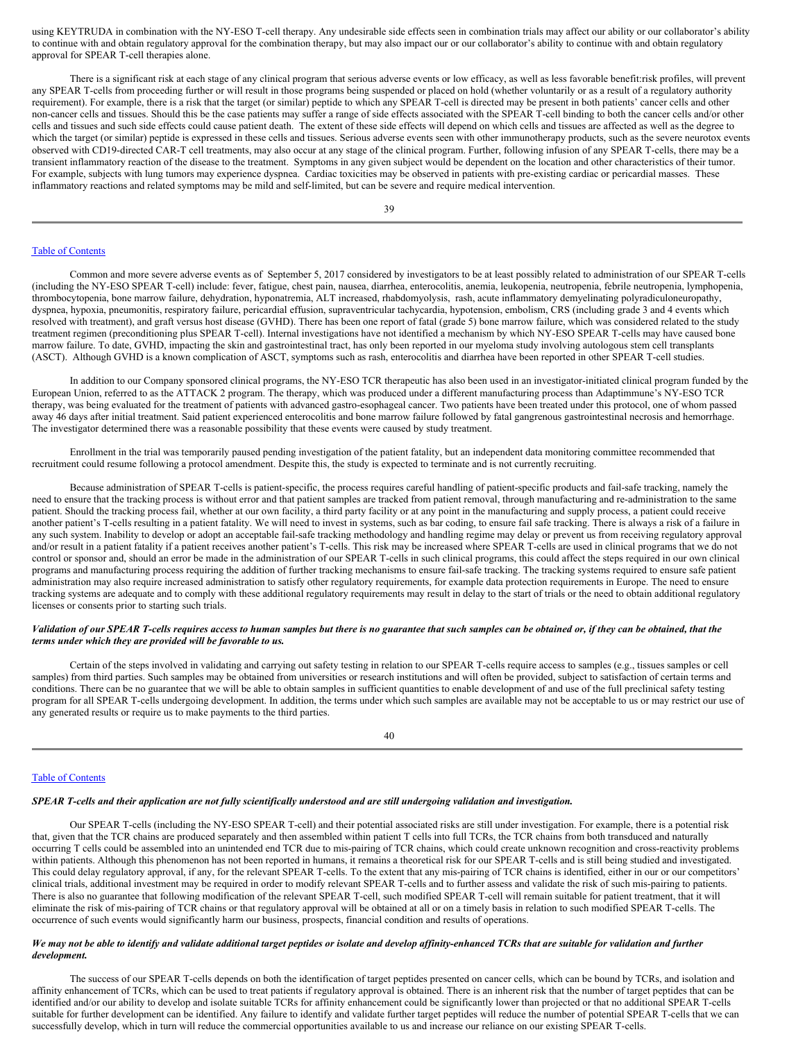using KEYTRUDA in combination with the NY-ESO T-cell therapy. Any undesirable side effects seen in combination trials may affect our ability or our collaborator's ability to continue with and obtain regulatory approval for the combination therapy, but may also impact our or our collaborator's ability to continue with and obtain regulatory approval for SPEAR T-cell therapies alone.

There is a significant risk at each stage of any clinical program that serious adverse events or low efficacy, as well as less favorable benefit:risk profiles, will prevent any SPEAR T-cells from proceeding further or will result in those programs being suspended or placed on hold (whether voluntarily or as a result of a regulatory authority requirement). For example, there is a risk that the target (or similar) peptide to which any SPEAR T-cell is directed may be present in both patients' cancer cells and other non-cancer cells and tissues. Should this be the case patients may suffer a range of side effects associated with the SPEAR T-cell binding to both the cancer cells and/or other cells and tissues and such side effects could cause patient death. The extent of these side effects will depend on which cells and tissues are affected as well as the degree to which the target (or similar) peptide is expressed in these cells and tissues. Serious adverse events seen with other immunotherapy products, such as the severe neurotox events observed with CD19-directed CAR-T cell treatments, may also occur at any stage of the clinical program. Further, following infusion of any SPEAR T-cells, there may be a transient inflammatory reaction of the disease to the treatment. Symptoms in any given subject would be dependent on the location and other characteristics of their tumor. For example, subjects with lung tumors may experience dyspnea. Cardiac toxicities may be observed in patients with pre-existing cardiac or pericardial masses. These inflammatory reactions and related symptoms may be mild and self-limited, but can be severe and require medical intervention.

39

#### Table of [Contents](#page-0-0)

Common and more severe adverse events as of September 5, 2017 considered by investigators to be at least possibly related to administration of our SPEAR T-cells (including the NY-ESO SPEAR T-cell) include: fever, fatigue, chest pain, nausea, diarrhea, enterocolitis, anemia, leukopenia, neutropenia, febrile neutropenia, lymphopenia, thrombocytopenia, bone marrow failure, dehydration, hyponatremia, ALT increased, rhabdomyolysis, rash, acute inflammatory demyelinating polyradiculoneuropathy, dyspnea, hypoxia, pneumonitis, respiratory failure, pericardial effusion, supraventricular tachycardia, hypotension, embolism, CRS (including grade 3 and 4 events which resolved with treatment), and graft versus host disease (GVHD). There has been one report of fatal (grade 5) bone marrow failure, which was considered related to the study treatment regimen (preconditioning plus SPEAR T-cell). Internal investigations have not identified a mechanism by which NY-ESO SPEAR T-cells may have caused bone marrow failure. To date, GVHD, impacting the skin and gastrointestinal tract, has only been reported in our myeloma study involving autologous stem cell transplants (ASCT). Although GVHD is a known complication of ASCT, symptoms such as rash, enterocolitis and diarrhea have been reported in other SPEAR T-cell studies.

In addition to our Company sponsored clinical programs, the NY-ESO TCR therapeutic has also been used in an investigator-initiated clinical program funded by the European Union, referred to as the ATTACK 2 program. The therapy, which was produced under a different manufacturing process than Adaptimmune's NY-ESO TCR therapy, was being evaluated for the treatment of patients with advanced gastro-esophageal cancer. Two patients have been treated under this protocol, one of whom passed away 46 days after initial treatment. Said patient experienced enterocolitis and bone marrow failure followed by fatal gangrenous gastrointestinal necrosis and hemorrhage. The investigator determined there was a reasonable possibility that these events were caused by study treatment.

Enrollment in the trial was temporarily paused pending investigation of the patient fatality, but an independent data monitoring committee recommended that recruitment could resume following a protocol amendment. Despite this, the study is expected to terminate and is not currently recruiting.

Because administration of SPEAR T-cells is patient-specific, the process requires careful handling of patient-specific products and fail-safe tracking, namely the need to ensure that the tracking process is without error and that patient samples are tracked from patient removal, through manufacturing and re-administration to the same patient. Should the tracking process fail, whether at our own facility, a third party facility or at any point in the manufacturing and supply process, a patient could receive another patient's T-cells resulting in a patient fatality. We will need to invest in systems, such as bar coding, to ensure fail safe tracking. There is always a risk of a failure in any such system. Inability to develop or adopt an acceptable fail-safe tracking methodology and handling regime may delay or prevent us from receiving regulatory approval and/or result in a patient fatality if a patient receives another patient's T-cells. This risk may be increased where SPEAR T-cells are used in clinical programs that we do not control or sponsor and, should an error be made in the administration of our SPEAR T-cells in such clinical programs, this could affect the steps required in our own clinical programs and manufacturing process requiring the addition of further tracking mechanisms to ensure fail-safe tracking. The tracking systems required to ensure safe patient administration may also require increased administration to satisfy other regulatory requirements, for example data protection requirements in Europe. The need to ensure tracking systems are adequate and to comply with these additional regulatory requirements may result in delay to the start of trials or the need to obtain additional regulatory licenses or consents prior to starting such trials.

## Validation of our SPEAR T-cells requires access to human samples but there is no guarantee that such samples can be obtained or, if they can be obtained, that the *terms under which they are provided will be favorable to us.*

Certain of the steps involved in validating and carrying out safety testing in relation to our SPEAR T-cells require access to samples (e.g., tissues samples or cell samples) from third parties. Such samples may be obtained from universities or research institutions and will often be provided, subject to satisfaction of certain terms and conditions. There can be no guarantee that we will be able to obtain samples in sufficient quantities to enable development of and use of the full preclinical safety testing program for all SPEAR T-cells undergoing development. In addition, the terms under which such samples are available may not be acceptable to us or may restrict our use of any generated results or require us to make payments to the third parties.

40

#### Table of [Contents](#page-0-0)

## SPEAR T-cells and their application are not fully scientifically understood and are still undergoing validation and investigation.

Our SPEAR T-cells (including the NY-ESO SPEAR T-cell) and their potential associated risks are still under investigation. For example, there is a potential risk that, given that the TCR chains are produced separately and then assembled within patient T cells into full TCRs, the TCR chains from both transduced and naturally occurring T cells could be assembled into an unintended end TCR due to mis-pairing of TCR chains, which could create unknown recognition and cross-reactivity problems within patients. Although this phenomenon has not been reported in humans, it remains a theoretical risk for our SPEAR T-cells and is still being studied and investigated. This could delay regulatory approval, if any, for the relevant SPEAR T-cells. To the extent that any mis-pairing of TCR chains is identified, either in our or our competitors' clinical trials, additional investment may be required in order to modify relevant SPEAR T-cells and to further assess and validate the risk of such mis-pairing to patients. There is also no guarantee that following modification of the relevant SPEAR T-cell, such modified SPEAR T-cell will remain suitable for patient treatment, that it will eliminate the risk of mis-pairing of TCR chains or that regulatory approval will be obtained at all or on a timely basis in relation to such modified SPEAR T-cells. The occurrence of such events would significantly harm our business, prospects, financial condition and results of operations.

## We may not be able to identify and validate additional target peptides or isolate and develop affinity-enhanced TCRs that are suitable for validation and further *development.*

The success of our SPEAR T-cells depends on both the identification of target peptides presented on cancer cells, which can be bound by TCRs, and isolation and affinity enhancement of TCRs, which can be used to treat patients if regulatory approval is obtained. There is an inherent risk that the number of target peptides that can be identified and/or our ability to develop and isolate suitable TCRs for affinity enhancement could be significantly lower than projected or that no additional SPEAR T-cells suitable for further development can be identified. Any failure to identify and validate further target peptides will reduce the number of potential SPEAR T-cells that we can successfully develop, which in turn will reduce the commercial opportunities available to us and increase our reliance on our existing SPEAR T-cells.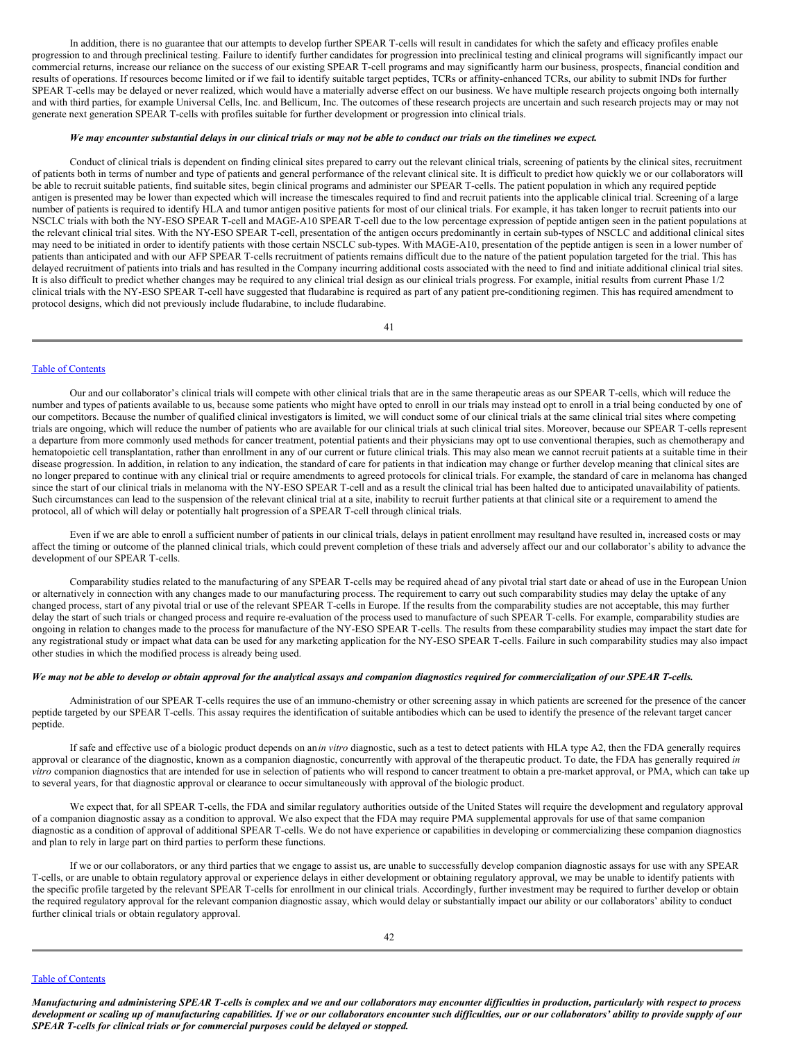In addition, there is no guarantee that our attempts to develop further SPEAR T-cells will result in candidates for which the safety and efficacy profiles enable progression to and through preclinical testing. Failure to identify further candidates for progression into preclinical testing and clinical programs will significantly impact our commercial returns, increase our reliance on the success of our existing SPEAR T-cell programs and may significantly harm our business, prospects, financial condition and results of operations. If resources become limited or if we fail to identify suitable target peptides, TCRs or affinity-enhanced TCRs, our ability to submit INDs for further SPEAR T-cells may be delayed or never realized, which would have a materially adverse effect on our business. We have multiple research projects ongoing both internally and with third parties, for example Universal Cells, Inc. and Bellicum, Inc. The outcomes of these research projects are uncertain and such research projects may or may not generate next generation SPEAR T-cells with profiles suitable for further development or progression into clinical trials.

## We may encounter substantial delays in our clinical trials or may not be able to conduct our trials on the timelines we expect.

Conduct of clinical trials is dependent on finding clinical sites prepared to carry out the relevant clinical trials, screening of patients by the clinical sites, recruitment of patients both in terms of number and type of patients and general performance of the relevant clinical site. It is difficult to predict how quickly we or our collaborators will be able to recruit suitable patients, find suitable sites, begin clinical programs and administer our SPEAR T-cells. The patient population in which any required peptide antigen is presented may be lower than expected which will increase the timescales required to find and recruit patients into the applicable clinical trial. Screening of a large number of patients is required to identify HLA and tumor antigen positive patients for most of our clinical trials. For example, it has taken longer to recruit patients into our NSCLC trials with both the NY-ESO SPEAR T-cell and MAGE-A10 SPEAR T-cell due to the low percentage expression of peptide antigen seen in the patient populations at the relevant clinical trial sites. With the NY-ESO SPEAR T-cell, presentation of the antigen occurs predominantly in certain sub-types of NSCLC and additional clinical sites may need to be initiated in order to identify patients with those certain NSCLC sub-types. With MAGE-A10, presentation of the peptide antigen is seen in a lower number of patients than anticipated and with our AFP SPEAR T-cells recruitment of patients remains difficult due to the nature of the patient population targeted for the trial. This has delayed recruitment of patients into trials and has resulted in the Company incurring additional costs associated with the need to find and initiate additional clinical trial sites. It is also difficult to predict whether changes may be required to any clinical trial design as our clinical trials progress. For example, initial results from current Phase 1/2 clinical trials with the NY-ESO SPEAR T-cell have suggested that fludarabine is required as part of any patient pre-conditioning regimen. This has required amendment to protocol designs, which did not previously include fludarabine, to include fludarabine.

41

### Table of [Contents](#page-0-0)

Our and our collaborator's clinical trials will compete with other clinical trials that are in the same therapeutic areas as our SPEAR T-cells, which will reduce the number and types of patients available to us, because some patients who might have opted to enroll in our trials may instead opt to enroll in a trial being conducted by one of our competitors. Because the number of qualified clinical investigators is limited, we will conduct some of our clinical trials at the same clinical trial sites where competing trials are ongoing, which will reduce the number of patients who are available for our clinical trials at such clinical trial sites. Moreover, because our SPEAR T-cells represent a departure from more commonly used methods for cancer treatment, potential patients and their physicians may opt to use conventional therapies, such as chemotherapy and hematopoietic cell transplantation, rather than enrollment in any of our current or future clinical trials. This may also mean we cannot recruit patients at a suitable time in their disease progression. In addition, in relation to any indication, the standard of care for patients in that indication may change or further develop meaning that clinical sites are no longer prepared to continue with any clinical trial or require amendments to agreed protocols for clinical trials. For example, the standard of care in melanoma has changed since the start of our clinical trials in melanoma with the NY-ESO SPEAR T-cell and as a result the clinical trial has been halted due to anticipated unavailability of patients. Such circumstances can lead to the suspension of the relevant clinical trial at a site, inability to recruit further patients at that clinical site or a requirement to amend the protocol, all of which will delay or potentially halt progression of a SPEAR T-cell through clinical trials.

Even if we are able to enroll a sufficient number of patients in our clinical trials, delays in patient enrollment may resultand have resulted in, increased costs or may affect the timing or outcome of the planned clinical trials, which could prevent completion of these trials and adversely affect our and our collaborator's ability to advance the development of our SPEAR T-cells.

Comparability studies related to the manufacturing of any SPEAR T-cells may be required ahead of any pivotal trial start date or ahead of use in the European Union or alternatively in connection with any changes made to our manufacturing process. The requirement to carry out such comparability studies may delay the uptake of any changed process, start of any pivotal trial or use of the relevant SPEAR T-cells in Europe. If the results from the comparability studies are not acceptable, this may further delay the start of such trials or changed process and require re-evaluation of the process used to manufacture of such SPEAR T-cells. For example, comparability studies are ongoing in relation to changes made to the process for manufacture of the NY-ESO SPEAR T-cells. The results from these comparability studies may impact the start date for any registrational study or impact what data can be used for any marketing application for the NY-ESO SPEAR T-cells. Failure in such comparability studies may also impact other studies in which the modified process is already being used.

## We may not be able to develop or obtain approval for the analytical assays and companion diagnostics required for commercialization of our SPEAR T-cells.

Administration of our SPEAR T-cells requires the use of an immuno-chemistry or other screening assay in which patients are screened for the presence of the cancer peptide targeted by our SPEAR T-cells. This assay requires the identification of suitable antibodies which can be used to identify the presence of the relevant target cancer peptide.

If safe and effective use of a biologic product depends on an*in vitro* diagnostic, such as a test to detect patients with HLA type A2, then the FDA generally requires approval or clearance of the diagnostic, known as a companion diagnostic, concurrently with approval of the therapeutic product. To date, the FDA has generally required *in vitro* companion diagnostics that are intended for use in selection of patients who will respond to cancer treatment to obtain a pre-market approval, or PMA, which can take up to several years, for that diagnostic approval or clearance to occur simultaneously with approval of the biologic product.

We expect that, for all SPEAR T-cells, the FDA and similar regulatory authorities outside of the United States will require the development and regulatory approval of a companion diagnostic assay as a condition to approval. We also expect that the FDA may require PMA supplemental approvals for use of that same companion diagnostic as a condition of approval of additional SPEAR T-cells. We do not have experience or capabilities in developing or commercializing these companion diagnostics and plan to rely in large part on third parties to perform these functions.

If we or our collaborators, or any third parties that we engage to assist us, are unable to successfully develop companion diagnostic assays for use with any SPEAR T-cells, or are unable to obtain regulatory approval or experience delays in either development or obtaining regulatory approval, we may be unable to identify patients with the specific profile targeted by the relevant SPEAR T-cells for enrollment in our clinical trials. Accordingly, further investment may be required to further develop or obtain the required regulatory approval for the relevant companion diagnostic assay, which would delay or substantially impact our ability or our collaborators' ability to conduct further clinical trials or obtain regulatory approval.

### Table of [Contents](#page-0-0)

Manufacturing and administering SPEAR T-cells is complex and we and our collaborators may encounter difficulties in production, particularly with respect to process development or scaling up of manufacturing capabilities. If we or our collaborators encounter such difficulties, our or our collaborators' ability to provide supply of our *SPEAR T-cells for clinical trials or for commercial purposes could be delayed or stopped.*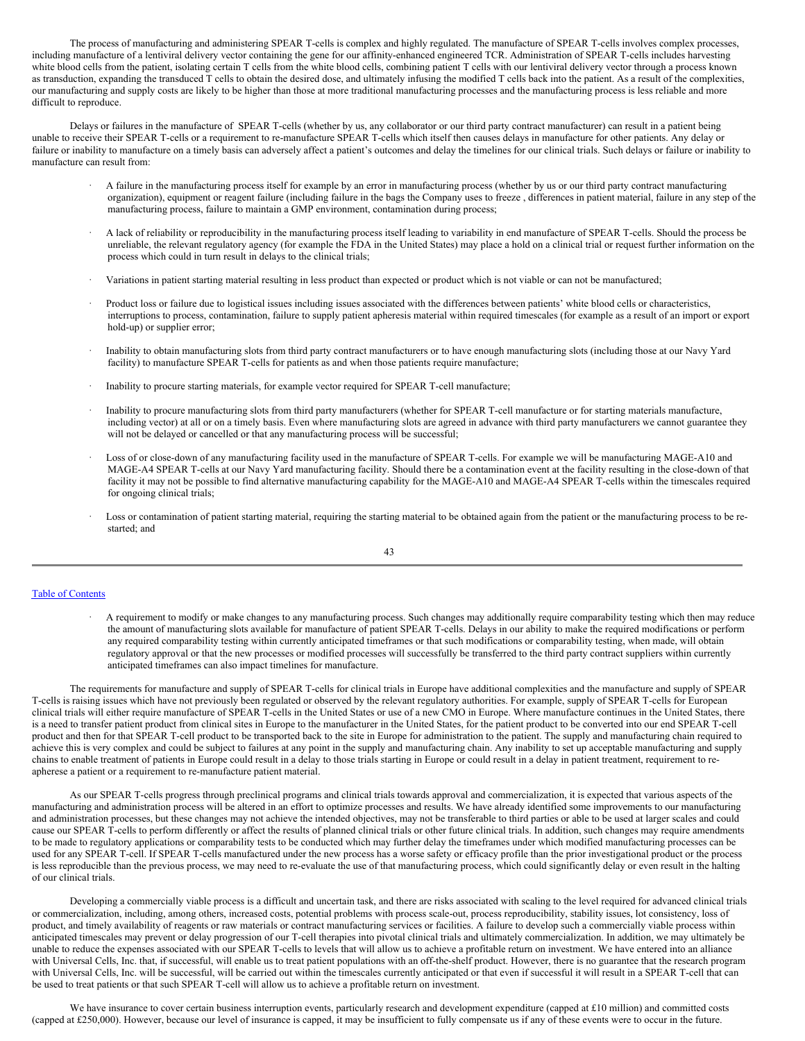The process of manufacturing and administering SPEAR T-cells is complex and highly regulated. The manufacture of SPEAR T-cells involves complex processes, including manufacture of a lentiviral delivery vector containing the gene for our affinity-enhanced engineered TCR. Administration of SPEAR T-cells includes harvesting white blood cells from the patient, isolating certain T cells from the white blood cells, combining patient T cells with our lentiviral delivery vector through a process known as transduction, expanding the transduced T cells to obtain the desired dose, and ultimately infusing the modified T cells back into the patient. As a result of the complexities, our manufacturing and supply costs are likely to be higher than those at more traditional manufacturing processes and the manufacturing process is less reliable and more difficult to reproduce.

Delays or failures in the manufacture of SPEAR T-cells (whether by us, any collaborator or our third party contract manufacturer) can result in a patient being unable to receive their SPEAR T-cells or a requirement to re-manufacture SPEAR T-cells which itself then causes delays in manufacture for other patients. Any delay or failure or inability to manufacture on a timely basis can adversely affect a patient's outcomes and delay the timelines for our clinical trials. Such delays or failure or inability to manufacture can result from:

- · A failure in the manufacturing process itself for example by an error in manufacturing process (whether by us or our third party contract manufacturing organization), equipment or reagent failure (including failure in the bags the Company uses to freeze , differences in patient material, failure in any step of the manufacturing process, failure to maintain a GMP environment, contamination during process;
- · A lack of reliability or reproducibility in the manufacturing process itself leading to variability in end manufacture of SPEAR T-cells. Should the process be unreliable, the relevant regulatory agency (for example the FDA in the United States) may place a hold on a clinical trial or request further information on the process which could in turn result in delays to the clinical trials;
- · Variations in patient starting material resulting in less product than expected or product which is not viable or can not be manufactured;
- Product loss or failure due to logistical issues including issues associated with the differences between patients' white blood cells or characteristics, interruptions to process, contamination, failure to supply patient apheresis material within required timescales (for example as a result of an import or export hold-up) or supplier error;
- · Inability to obtain manufacturing slots from third party contract manufacturers or to have enough manufacturing slots (including those at our Navy Yard facility) to manufacture SPEAR T-cells for patients as and when those patients require manufacture;
- Inability to procure starting materials, for example vector required for SPEAR T-cell manufacture;
- · Inability to procure manufacturing slots from third party manufacturers (whether for SPEAR T-cell manufacture or for starting materials manufacture, including vector) at all or on a timely basis. Even where manufacturing slots are agreed in advance with third party manufacturers we cannot guarantee they will not be delayed or cancelled or that any manufacturing process will be successful;
- Loss of or close-down of any manufacturing facility used in the manufacture of SPEAR T-cells. For example we will be manufacturing MAGE-A10 and MAGE-A4 SPEAR T-cells at our Navy Yard manufacturing facility. Should there be a contamination event at the facility resulting in the close-down of that facility it may not be possible to find alternative manufacturing capability for the MAGE-A10 and MAGE-A4 SPEAR T-cells within the timescales required for ongoing clinical trials;
- Loss or contamination of patient starting material, requiring the starting material to be obtained again from the patient or the manufacturing process to be restarted; and

## Table of [Contents](#page-0-0)

· A requirement to modify or make changes to any manufacturing process. Such changes may additionally require comparability testing which then may reduce the amount of manufacturing slots available for manufacture of patient SPEAR T-cells. Delays in our ability to make the required modifications or perform any required comparability testing within currently anticipated timeframes or that such modifications or comparability testing, when made, will obtain regulatory approval or that the new processes or modified processes will successfully be transferred to the third party contract suppliers within currently anticipated timeframes can also impact timelines for manufacture.

The requirements for manufacture and supply of SPEAR T-cells for clinical trials in Europe have additional complexities and the manufacture and supply of SPEAR T-cells is raising issues which have not previously been regulated or observed by the relevant regulatory authorities. For example, supply of SPEAR T-cells for European clinical trials will either require manufacture of SPEAR T-cells in the United States or use of a new CMO in Europe. Where manufacture continues in the United States, there is a need to transfer patient product from clinical sites in Europe to the manufacturer in the United States, for the patient product to be converted into our end SPEAR T-cell product and then for that SPEAR T-cell product to be transported back to the site in Europe for administration to the patient. The supply and manufacturing chain required to achieve this is very complex and could be subject to failures at any point in the supply and manufacturing chain. Any inability to set up acceptable manufacturing and supply chains to enable treatment of patients in Europe could result in a delay to those trials starting in Europe or could result in a delay in patient treatment, requirement to reapherese a patient or a requirement to re-manufacture patient material.

As our SPEAR T-cells progress through preclinical programs and clinical trials towards approval and commercialization, it is expected that various aspects of the manufacturing and administration process will be altered in an effort to optimize processes and results. We have already identified some improvements to our manufacturing and administration processes, but these changes may not achieve the intended objectives, may not be transferable to third parties or able to be used at larger scales and could cause our SPEAR T-cells to perform differently or affect the results of planned clinical trials or other future clinical trials. In addition, such changes may require amendments to be made to regulatory applications or comparability tests to be conducted which may further delay the timeframes under which modified manufacturing processes can be used for any SPEAR T-cell. If SPEAR T-cells manufactured under the new process has a worse safety or efficacy profile than the prior investigational product or the process is less reproducible than the previous process, we may need to re-evaluate the use of that manufacturing process, which could significantly delay or even result in the halting of our clinical trials.

Developing a commercially viable process is a difficult and uncertain task, and there are risks associated with scaling to the level required for advanced clinical trials or commercialization, including, among others, increased costs, potential problems with process scale-out, process reproducibility, stability issues, lot consistency, loss of product, and timely availability of reagents or raw materials or contract manufacturing services or facilities. A failure to develop such a commercially viable process within anticipated timescales may prevent or delay progression of our T-cell therapies into pivotal clinical trials and ultimately commercialization. In addition, we may ultimately be unable to reduce the expenses associated with our SPEAR T-cells to levels that will allow us to achieve a profitable return on investment. We have entered into an alliance with Universal Cells, Inc. that, if successful, will enable us to treat patient populations with an off-the-shelf product. However, there is no guarantee that the research program with Universal Cells, Inc. will be successful, will be carried out within the timescales currently anticipated or that even if successful it will result in a SPEAR T-cell that can be used to treat patients or that such SPEAR T-cell will allow us to achieve a profitable return on investment.

We have insurance to cover certain business interruption events, particularly research and development expenditure (capped at  $£10$  million) and committed costs (capped at £250,000). However, because our level of insurance is capped, it may be insufficient to fully compensate us if any of these events were to occur in the future.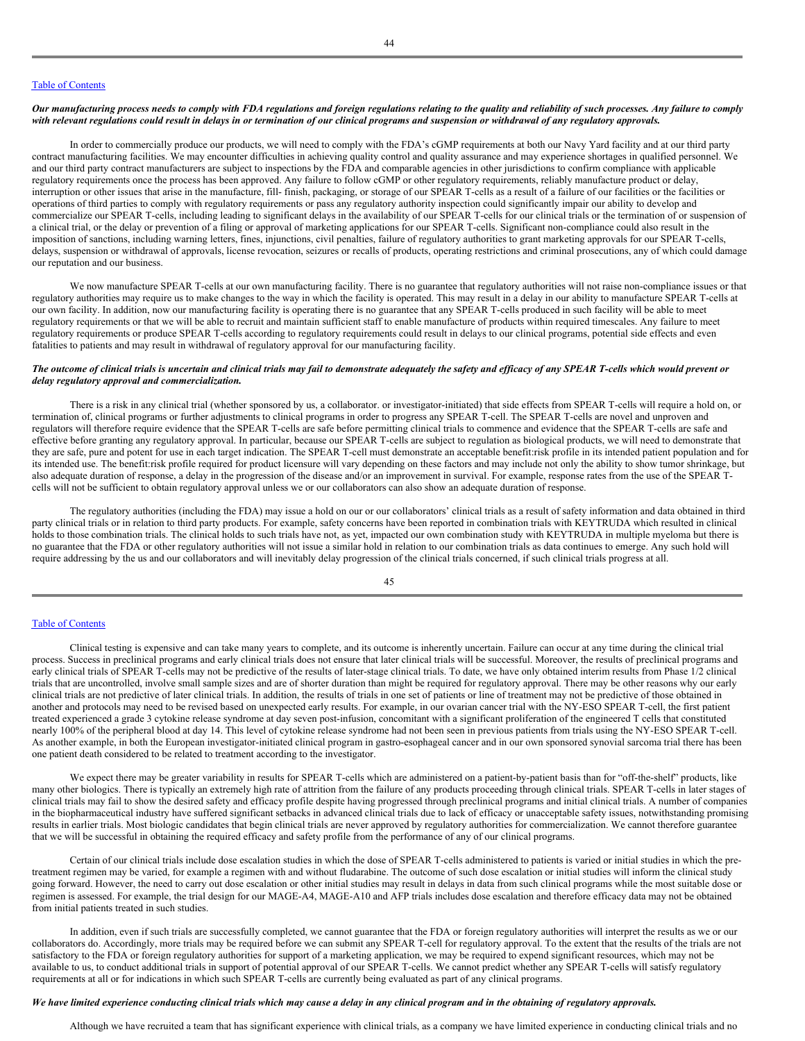## Our manufacturing process needs to comply with FDA regulations and foreign regulations relating to the quality and reliability of such processes. Any failure to comply with relevant regulations could result in delays in or termination of our clinical programs and suspension or withdrawal of any regulatory approvals.

In order to commercially produce our products, we will need to comply with the FDA's cGMP requirements at both our Navy Yard facility and at our third party contract manufacturing facilities. We may encounter difficulties in achieving quality control and quality assurance and may experience shortages in qualified personnel. We and our third party contract manufacturers are subject to inspections by the FDA and comparable agencies in other jurisdictions to confirm compliance with applicable regulatory requirements once the process has been approved. Any failure to follow cGMP or other regulatory requirements, reliably manufacture product or delay, interruption or other issues that arise in the manufacture, fill- finish, packaging, or storage of our SPEAR T-cells as a result of a failure of our facilities or the facilities or operations of third parties to comply with regulatory requirements or pass any regulatory authority inspection could significantly impair our ability to develop and commercialize our SPEAR T-cells, including leading to significant delays in the availability of our SPEAR T-cells for our clinical trials or the termination of or suspension of a clinical trial, or the delay or prevention of a filing or approval of marketing applications for our SPEAR T-cells. Significant non-compliance could also result in the imposition of sanctions, including warning letters, fines, injunctions, civil penalties, failure of regulatory authorities to grant marketing approvals for our SPEAR T-cells, delays, suspension or withdrawal of approvals, license revocation, seizures or recalls of products, operating restrictions and criminal prosecutions, any of which could damage our reputation and our business.

We now manufacture SPEAR T-cells at our own manufacturing facility. There is no guarantee that regulatory authorities will not raise non-compliance issues or that regulatory authorities may require us to make changes to the way in which the facility is operated. This may result in a delay in our ability to manufacture SPEAR T-cells at our own facility. In addition, now our manufacturing facility is operating there is no guarantee that any SPEAR T-cells produced in such facility will be able to meet regulatory requirements or that we will be able to recruit and maintain sufficient staff to enable manufacture of products within required timescales. Any failure to meet regulatory requirements or produce SPEAR T-cells according to regulatory requirements could result in delays to our clinical programs, potential side effects and even fatalities to patients and may result in withdrawal of regulatory approval for our manufacturing facility.

## The outcome of clinical trials is uncertain and clinical trials may fail to demonstrate adequately the safety and efficacy of any SPEAR T-cells which would prevent or *delay regulatory approval and commercialization.*

There is a risk in any clinical trial (whether sponsored by us, a collaborator. or investigator-initiated) that side effects from SPEAR T-cells will require a hold on, or termination of, clinical programs or further adjustments to clinical programs in order to progress any SPEAR T-cell. The SPEAR T-cells are novel and unproven and regulators will therefore require evidence that the SPEAR T-cells are safe before permitting clinical trials to commence and evidence that the SPEAR T-cells are safe and effective before granting any regulatory approval. In particular, because our SPEAR T-cells are subject to regulation as biological products, we will need to demonstrate that they are safe, pure and potent for use in each target indication. The SPEAR T-cell must demonstrate an acceptable benefit:risk profile in its intended patient population and for its intended use. The benefit:risk profile required for product licensure will vary depending on these factors and may include not only the ability to show tumor shrinkage, but also adequate duration of response, a delay in the progression of the disease and/or an improvement in survival. For example, response rates from the use of the SPEAR Tcells will not be sufficient to obtain regulatory approval unless we or our collaborators can also show an adequate duration of response.

The regulatory authorities (including the FDA) may issue a hold on our or our collaborators' clinical trials as a result of safety information and data obtained in third party clinical trials or in relation to third party products. For example, safety concerns have been reported in combination trials with KEYTRUDA which resulted in clinical holds to those combination trials. The clinical holds to such trials have not, as yet, impacted our own combination study with KEYTRUDA in multiple myeloma but there is no guarantee that the FDA or other regulatory authorities will not issue a similar hold in relation to our combination trials as data continues to emerge. Any such hold will require addressing by the us and our collaborators and will inevitably delay progression of the clinical trials concerned, if such clinical trials progress at all.

45

#### Table of [Contents](#page-0-0)

Clinical testing is expensive and can take many years to complete, and its outcome is inherently uncertain. Failure can occur at any time during the clinical trial process. Success in preclinical programs and early clinical trials does not ensure that later clinical trials will be successful. Moreover, the results of preclinical programs and early clinical trials of SPEAR T-cells may not be predictive of the results of later-stage clinical trials. To date, we have only obtained interim results from Phase 1/2 clinical trials that are uncontrolled, involve small sample sizes and are of shorter duration than might be required for regulatory approval. There may be other reasons why our early clinical trials are not predictive of later clinical trials. In addition, the results of trials in one set of patients or line of treatment may not be predictive of those obtained in another and protocols may need to be revised based on unexpected early results. For example, in our ovarian cancer trial with the NY-ESO SPEAR T-cell, the first patient treated experienced a grade 3 cytokine release syndrome at day seven post-infusion, concomitant with a significant proliferation of the engineered T cells that constituted nearly 100% of the peripheral blood at day 14. This level of cytokine release syndrome had not been seen in previous patients from trials using the NY-ESO SPEAR T-cell. As another example, in both the European investigator-initiated clinical program in gastro-esophageal cancer and in our own sponsored synovial sarcoma trial there has been one patient death considered to be related to treatment according to the investigator.

We expect there may be greater variability in results for SPEAR T-cells which are administered on a patient-by-patient basis than for "off-the-shelf" products, like many other biologics. There is typically an extremely high rate of attrition from the failure of any products proceeding through clinical trials. SPEAR T-cells in later stages of clinical trials may fail to show the desired safety and efficacy profile despite having progressed through preclinical programs and initial clinical trials. A number of companies in the biopharmaceutical industry have suffered significant setbacks in advanced clinical trials due to lack of efficacy or unacceptable safety issues, notwithstanding promising results in earlier trials. Most biologic candidates that begin clinical trials are never approved by regulatory authorities for commercialization. We cannot therefore guarantee that we will be successful in obtaining the required efficacy and safety profile from the performance of any of our clinical programs.

Certain of our clinical trials include dose escalation studies in which the dose of SPEAR T-cells administered to patients is varied or initial studies in which the pretreatment regimen may be varied, for example a regimen with and without fludarabine. The outcome of such dose escalation or initial studies will inform the clinical study going forward. However, the need to carry out dose escalation or other initial studies may result in delays in data from such clinical programs while the most suitable dose or regimen is assessed. For example, the trial design for our MAGE-A4, MAGE-A10 and AFP trials includes dose escalation and therefore efficacy data may not be obtained from initial patients treated in such studies.

In addition, even if such trials are successfully completed, we cannot guarantee that the FDA or foreign regulatory authorities will interpret the results as we or our collaborators do. Accordingly, more trials may be required before we can submit any SPEAR T-cell for regulatory approval. To the extent that the results of the trials are not satisfactory to the FDA or foreign regulatory authorities for support of a marketing application, we may be required to expend significant resources, which may not be available to us, to conduct additional trials in support of potential approval of our SPEAR T-cells. We cannot predict whether any SPEAR T-cells will satisfy regulatory requirements at all or for indications in which such SPEAR T-cells are currently being evaluated as part of any clinical programs.

### We have limited experience conducting clinical trials which may cause a delay in any clinical program and in the obtaining of regulatory approvals.

Although we have recruited a team that has significant experience with clinical trials, as a company we have limited experience in conducting clinical trials and no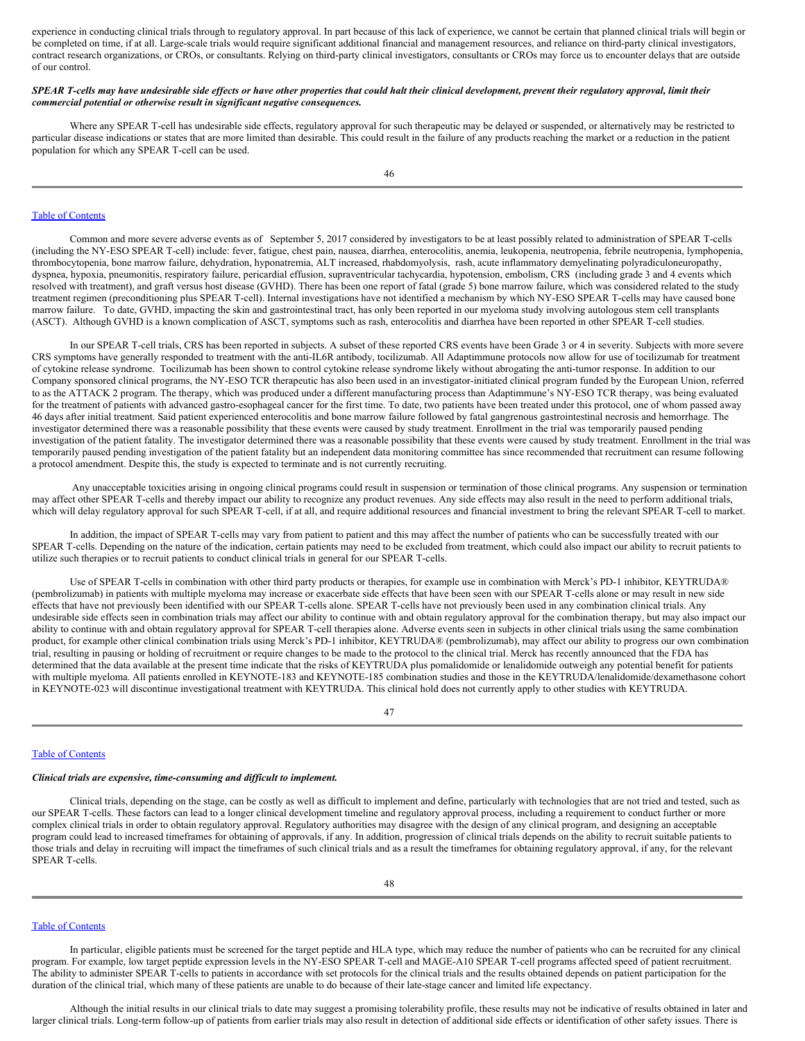experience in conducting clinical trials through to regulatory approval. In part because of this lack of experience, we cannot be certain that planned clinical trials will begin or be completed on time, if at all. Large-scale trials would require significant additional financial and management resources, and reliance on third-party clinical investigators, contract research organizations, or CROs, or consultants. Relying on third-party clinical investigators, consultants or CROs may force us to encounter delays that are outside of our control.

## SPEAR T-cells may have undesirable side effects or have other properties that could halt their clinical development, prevent their regulatory approval, limit their *commercial potential or otherwise result in significant negative consequences.*

Where any SPEAR T-cell has undesirable side effects, regulatory approval for such therapeutic may be delayed or suspended, or alternatively may be restricted to particular disease indications or states that are more limited than desirable. This could result in the failure of any products reaching the market or a reduction in the patient population for which any SPEAR T-cell can be used.

## Table of [Contents](#page-0-0)

Common and more severe adverse events as of September 5, 2017 considered by investigators to be at least possibly related to administration of SPEAR T-cells (including the NY-ESO SPEAR T-cell) include: fever, fatigue, chest pain, nausea, diarrhea, enterocolitis, anemia, leukopenia, neutropenia, febrile neutropenia, lymphopenia, thrombocytopenia, bone marrow failure, dehydration, hyponatremia, ALT increased, rhabdomyolysis, rash, acute inflammatory demyelinating polyradiculoneuropathy, dyspnea, hypoxia, pneumonitis, respiratory failure, pericardial effusion, supraventricular tachycardia, hypotension, embolism, CRS (including grade 3 and 4 events which resolved with treatment), and graft versus host disease (GVHD). There has been one report of fatal (grade 5) bone marrow failure, which was considered related to the study treatment regimen (preconditioning plus SPEAR T-cell). Internal investigations have not identified a mechanism by which NY-ESO SPEAR T-cells may have caused bone marrow failure. To date, GVHD, impacting the skin and gastrointestinal tract, has only been reported in our myeloma study involving autologous stem cell transplants (ASCT). Although GVHD is a known complication of ASCT, symptoms such as rash, enterocolitis and diarrhea have been reported in other SPEAR T-cell studies.

In our SPEAR T-cell trials, CRS has been reported in subjects. A subset of these reported CRS events have been Grade 3 or 4 in severity. Subjects with more severe CRS symptoms have generally responded to treatment with the anti-IL6R antibody, tocilizumab. All Adaptimmune protocols now allow for use of tocilizumab for treatment of cytokine release syndrome. Tocilizumab has been shown to control cytokine release syndrome likely without abrogating the anti-tumor response. In addition to our Company sponsored clinical programs, the NY-ESO TCR therapeutic has also been used in an investigator-initiated clinical program funded by the European Union, referred to as the ATTACK 2 program. The therapy, which was produced under a different manufacturing process than Adaptimmune's NY-ESO TCR therapy, was being evaluated for the treatment of patients with advanced gastro-esophageal cancer for the first time. To date, two patients have been treated under this protocol, one of whom passed away 46 days after initial treatment. Said patient experienced enterocolitis and bone marrow failure followed by fatal gangrenous gastrointestinal necrosis and hemorrhage. The investigator determined there was a reasonable possibility that these events were caused by study treatment. Enrollment in the trial was temporarily paused pending investigation of the patient fatality. The investigator determined there was a reasonable possibility that these events were caused by study treatment. Enrollment in the trial was temporarily paused pending investigation of the patient fatality but an independent data monitoring committee has since recommended that recruitment can resume following a protocol amendment. Despite this, the study is expected to terminate and is not currently recruiting.

Any unacceptable toxicities arising in ongoing clinical programs could result in suspension or termination of those clinical programs. Any suspension or termination may affect other SPEAR T-cells and thereby impact our ability to recognize any product revenues. Any side effects may also result in the need to perform additional trials, which will delay regulatory approval for such SPEAR T-cell, if at all, and require additional resources and financial investment to bring the relevant SPEAR T-cell to market.

In addition, the impact of SPEAR T-cells may vary from patient to patient and this may affect the number of patients who can be successfully treated with our SPEAR T-cells. Depending on the nature of the indication, certain patients may need to be excluded from treatment, which could also impact our ability to recruit patients to utilize such therapies or to recruit patients to conduct clinical trials in general for our SPEAR T-cells.

Use of SPEAR T-cells in combination with other third party products or therapies, for example use in combination with Merck's PD-1 inhibitor, KEYTRUDA® (pembrolizumab) in patients with multiple myeloma may increase or exacerbate side effects that have been seen with our SPEAR T-cells alone or may result in new side effects that have not previously been identified with our SPEAR T-cells alone. SPEAR T-cells have not previously been used in any combination clinical trials. Any undesirable side effects seen in combination trials may affect our ability to continue with and obtain regulatory approval for the combination therapy, but may also impact our ability to continue with and obtain regulatory approval for SPEAR T-cell therapies alone. Adverse events seen in subjects in other clinical trials using the same combination product, for example other clinical combination trials using Merck's PD-1 inhibitor, KEYTRUDA® (pembrolizumab), may affect our ability to progress our own combination trial, resulting in pausing or holding of recruitment or require changes to be made to the protocol to the clinical trial. Merck has recently announced that the FDA has determined that the data available at the present time indicate that the risks of KEYTRUDA plus pomalidomide or lenalidomide outweigh any potential benefit for patients with multiple myeloma. All patients enrolled in KEYNOTE-183 and KEYNOTE-185 combination studies and those in the KEYTRUDA/lenalidomide/dexamethasone cohort in KEYNOTE-023 will discontinue investigational treatment with KEYTRUDA. This clinical hold does not currently apply to other studies with KEYTRUDA.

## Table of [Contents](#page-0-0)

## *Clinical trials are expensive, time-consuming and dif icult to implement.*

Clinical trials, depending on the stage, can be costly as well as difficult to implement and define, particularly with technologies that are not tried and tested, such as our SPEAR T-cells. These factors can lead to a longer clinical development timeline and regulatory approval process, including a requirement to conduct further or more complex clinical trials in order to obtain regulatory approval. Regulatory authorities may disagree with the design of any clinical program, and designing an acceptable program could lead to increased timeframes for obtaining of approvals, if any. In addition, progression of clinical trials depends on the ability to recruit suitable patients to those trials and delay in recruiting will impact the timeframes of such clinical trials and as a result the timeframes for obtaining regulatory approval, if any, for the relevant SPEAR T-cells.

#### Table of [Contents](#page-0-0)

In particular, eligible patients must be screened for the target peptide and HLA type, which may reduce the number of patients who can be recruited for any clinical program. For example, low target peptide expression levels in the NY-ESO SPEAR T-cell and MAGE-A10 SPEAR T-cell programs affected speed of patient recruitment. The ability to administer SPEAR T-cells to patients in accordance with set protocols for the clinical trials and the results obtained depends on patient participation for the duration of the clinical trial, which many of these patients are unable to do because of their late-stage cancer and limited life expectancy.

Although the initial results in our clinical trials to date may suggest a promising tolerability profile, these results may not be indicative of results obtained in later and larger clinical trials. Long-term follow-up of patients from earlier trials may also result in detection of additional side effects or identification of other safety issues. There is

<sup>47</sup>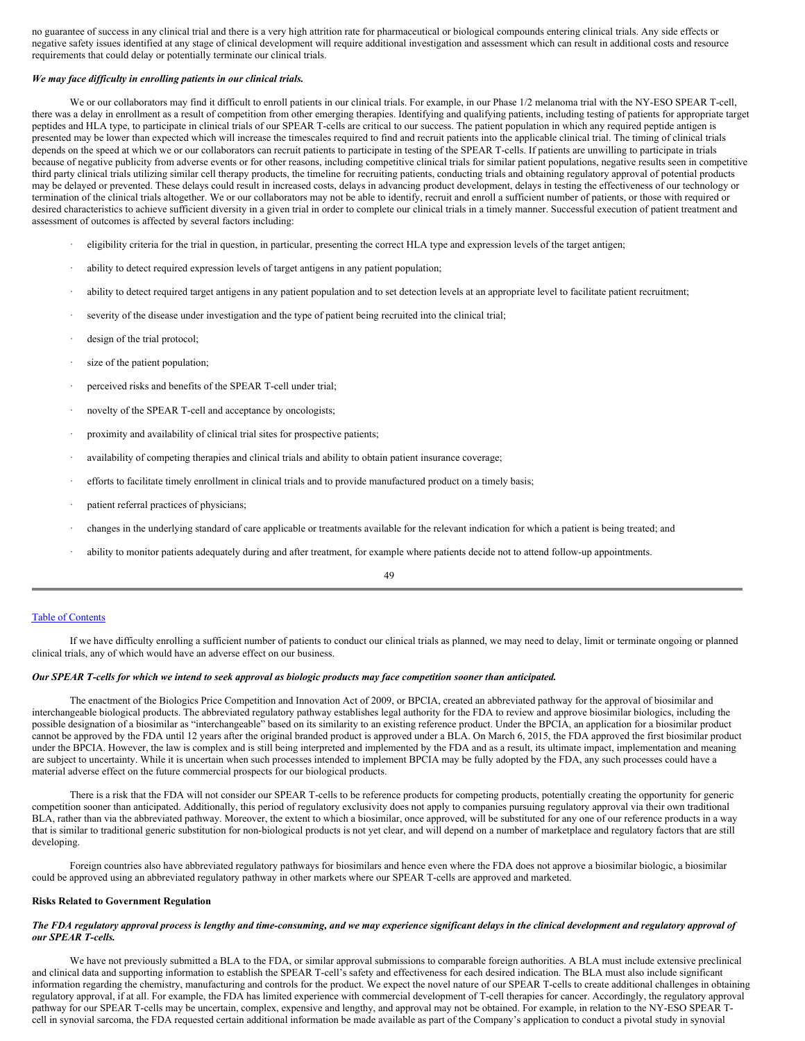no guarantee of success in any clinical trial and there is a very high attrition rate for pharmaceutical or biological compounds entering clinical trials. Any side effects or negative safety issues identified at any stage of clinical development will require additional investigation and assessment which can result in additional costs and resource requirements that could delay or potentially terminate our clinical trials.

## *We may face dif iculty in enrolling patients in our clinical trials.*

We or our collaborators may find it difficult to enroll patients in our clinical trials. For example, in our Phase 1/2 melanoma trial with the NY-ESO SPEAR T-cell, there was a delay in enrollment as a result of competition from other emerging therapies. Identifying and qualifying patients, including testing of patients for appropriate target peptides and HLA type, to participate in clinical trials of our SPEAR T-cells are critical to our success. The patient population in which any required peptide antigen is presented may be lower than expected which will increase the timescales required to find and recruit patients into the applicable clinical trial. The timing of clinical trials depends on the speed at which we or our collaborators can recruit patients to participate in testing of the SPEAR T-cells. If patients are unwilling to participate in trials because of negative publicity from adverse events or for other reasons, including competitive clinical trials for similar patient populations, negative results seen in competitive third party clinical trials utilizing similar cell therapy products, the timeline for recruiting patients, conducting trials and obtaining regulatory approval of potential products may be delayed or prevented. These delays could result in increased costs, delays in advancing product development, delays in testing the effectiveness of our technology or termination of the clinical trials altogether. We or our collaborators may not be able to identify, recruit and enroll a sufficient number of patients, or those with required or desired characteristics to achieve sufficient diversity in a given trial in order to complete our clinical trials in a timely manner. Successful execution of patient treatment and assessment of outcomes is affected by several factors including:

- · eligibility criteria for the trial in question, in particular, presenting the correct HLA type and expression levels of the target antigen;
- ability to detect required expression levels of target antigens in any patient population;
- ability to detect required target antigens in any patient population and to set detection levels at an appropriate level to facilitate patient recruitment;
- severity of the disease under investigation and the type of patient being recruited into the clinical trial;
- design of the trial protocol;
- size of the patient population;
- perceived risks and benefits of the SPEAR T-cell under trial;
- novelty of the SPEAR T-cell and acceptance by oncologists;
- proximity and availability of clinical trial sites for prospective patients;
- availability of competing therapies and clinical trials and ability to obtain patient insurance coverage;
- efforts to facilitate timely enrollment in clinical trials and to provide manufactured product on a timely basis;
- patient referral practices of physicians;
- · changes in the underlying standard of care applicable or treatments available for the relevant indication for which a patient is being treated; and
- · ability to monitor patients adequately during and after treatment, for example where patients decide not to attend follow-up appointments.

#### 49

#### Table of [Contents](#page-0-0)

If we have difficulty enrolling a sufficient number of patients to conduct our clinical trials as planned, we may need to delay, limit or terminate ongoing or planned clinical trials, any of which would have an adverse effect on our business.

### Our SPEAR T-cells for which we intend to seek approval as biologic products may face competition sooner than anticipated.

The enactment of the Biologics Price Competition and Innovation Act of 2009, or BPCIA, created an abbreviated pathway for the approval of biosimilar and interchangeable biological products. The abbreviated regulatory pathway establishes legal authority for the FDA to review and approve biosimilar biologics, including the possible designation of a biosimilar as "interchangeable" based on its similarity to an existing reference product. Under the BPCIA, an application for a biosimilar product cannot be approved by the FDA until 12 years after the original branded product is approved under a BLA. On March 6, 2015, the FDA approved the first biosimilar product under the BPCIA. However, the law is complex and is still being interpreted and implemented by the FDA and as a result, its ultimate impact, implementation and meaning are subject to uncertainty. While it is uncertain when such processes intended to implement BPCIA may be fully adopted by the FDA, any such processes could have a material adverse effect on the future commercial prospects for our biological products.

There is a risk that the FDA will not consider our SPEAR T-cells to be reference products for competing products, potentially creating the opportunity for generic competition sooner than anticipated. Additionally, this period of regulatory exclusivity does not apply to companies pursuing regulatory approval via their own traditional BLA, rather than via the abbreviated pathway. Moreover, the extent to which a biosimilar, once approved, will be substituted for any one of our reference products in a way that is similar to traditional generic substitution for non-biological products is not yet clear, and will depend on a number of marketplace and regulatory factors that are still developing.

Foreign countries also have abbreviated regulatory pathways for biosimilars and hence even where the FDA does not approve a biosimilar biologic, a biosimilar could be approved using an abbreviated regulatory pathway in other markets where our SPEAR T-cells are approved and marketed.

### **Risks Related to Government Regulation**

#### The FDA regulatory approval process is lengthy and time-consuming, and we may experience significant delays in the clinical development and regulatory approval of *our SPEAR T-cells.*

We have not previously submitted a BLA to the FDA, or similar approval submissions to comparable foreign authorities. A BLA must include extensive preclinical and clinical data and supporting information to establish the SPEAR T-cell's safety and effectiveness for each desired indication. The BLA must also include significant information regarding the chemistry, manufacturing and controls for the product. We expect the novel nature of our SPEAR T-cells to create additional challenges in obtaining regulatory approval, if at all. For example, the FDA has limited experience with commercial development of T-cell therapies for cancer. Accordingly, the regulatory approval pathway for our SPEAR T-cells may be uncertain, complex, expensive and lengthy, and approval may not be obtained. For example, in relation to the NY-ESO SPEAR Tcell in synovial sarcoma, the FDA requested certain additional information be made available as part of the Company's application to conduct a pivotal study in synovial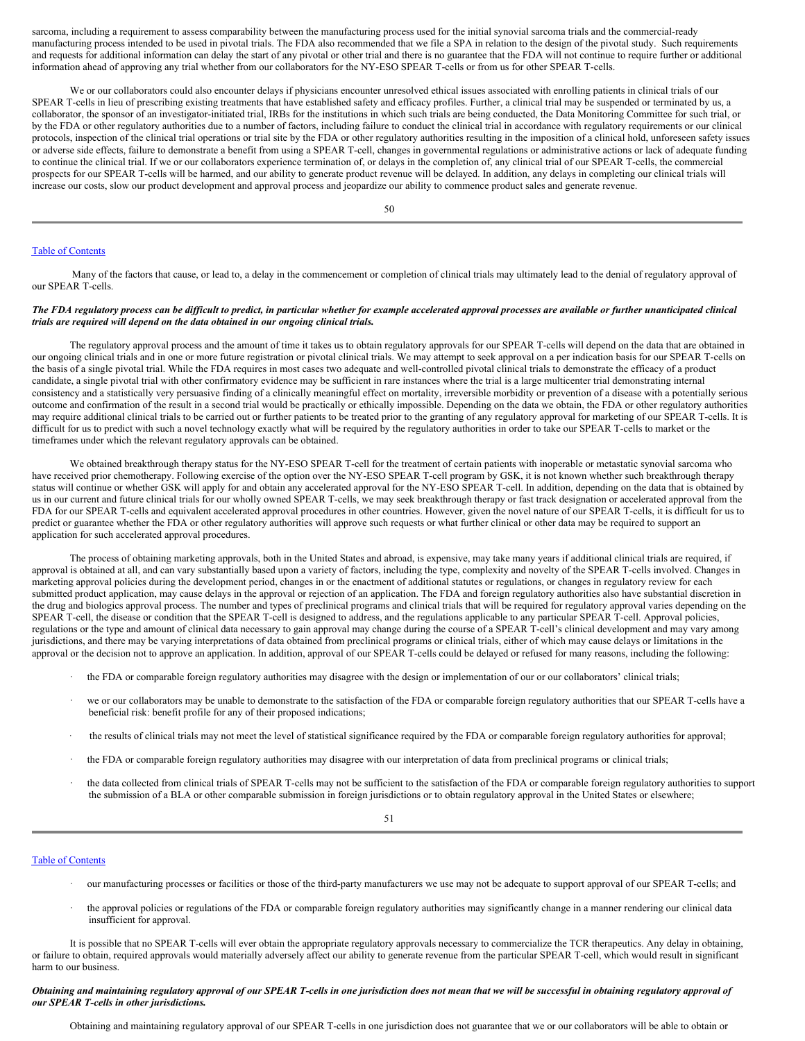sarcoma, including a requirement to assess comparability between the manufacturing process used for the initial synovial sarcoma trials and the commercial-ready manufacturing process intended to be used in pivotal trials. The FDA also recommended that we file a SPA in relation to the design of the pivotal study. Such requirements and requests for additional information can delay the start of any pivotal or other trial and there is no guarantee that the FDA will not continue to require further or additional information ahead of approving any trial whether from our collaborators for the NY-ESO SPEAR T-cells or from us for other SPEAR T-cells.

We or our collaborators could also encounter delays if physicians encounter unresolved ethical issues associated with enrolling patients in clinical trials of our SPEAR T-cells in lieu of prescribing existing treatments that have established safety and efficacy profiles. Further, a clinical trial may be suspended or terminated by us, a collaborator, the sponsor of an investigator-initiated trial, IRBs for the institutions in which such trials are being conducted, the Data Monitoring Committee for such trial, or by the FDA or other regulatory authorities due to a number of factors, including failure to conduct the clinical trial in accordance with regulatory requirements or our clinical protocols, inspection of the clinical trial operations or trial site by the FDA or other regulatory authorities resulting in the imposition of a clinical hold, unforeseen safety issues or adverse side effects, failure to demonstrate a benefit from using a SPEAR T-cell, changes in governmental regulations or administrative actions or lack of adequate funding to continue the clinical trial. If we or our collaborators experience termination of, or delays in the completion of, any clinical trial of our SPEAR T-cells, the commercial prospects for our SPEAR T-cells will be harmed, and our ability to generate product revenue will be delayed. In addition, any delays in completing our clinical trials will increase our costs, slow our product development and approval process and jeopardize our ability to commence product sales and generate revenue.

50

#### Table of [Contents](#page-0-0)

Many of the factors that cause, or lead to, a delay in the commencement or completion of clinical trials may ultimately lead to the denial of regulatory approval of our SPEAR T-cells.

## The FDA regulatory process can be difficult to predict, in particular whether for example accelerated approval processes are available or further unanticipated clinical *trials are required will depend on the data obtained in our ongoing clinical trials.*

The regulatory approval process and the amount of time it takes us to obtain regulatory approvals for our SPEAR T-cells will depend on the data that are obtained in our ongoing clinical trials and in one or more future registration or pivotal clinical trials. We may attempt to seek approval on a per indication basis for our SPEAR T-cells on the basis of a single pivotal trial. While the FDA requires in most cases two adequate and well-controlled pivotal clinical trials to demonstrate the efficacy of a product candidate, a single pivotal trial with other confirmatory evidence may be sufficient in rare instances where the trial is a large multicenter trial demonstrating internal consistency and a statistically very persuasive finding of a clinically meaningful effect on mortality, irreversible morbidity or prevention of a disease with a potentially serious outcome and confirmation of the result in a second trial would be practically or ethically impossible. Depending on the data we obtain, the FDA or other regulatory authorities may require additional clinical trials to be carried out or further patients to be treated prior to the granting of any regulatory approval for marketing of our SPEAR T-cells. It is difficult for us to predict with such a novel technology exactly what will be required by the regulatory authorities in order to take our SPEAR T-cells to market or the timeframes under which the relevant regulatory approvals can be obtained.

We obtained breakthrough therapy status for the NY-ESO SPEAR T-cell for the treatment of certain patients with inoperable or metastatic synovial sarcoma who have received prior chemotherapy. Following exercise of the option over the NY-ESO SPEAR T-cell program by GSK, it is not known whether such breakthrough therapy status will continue or whether GSK will apply for and obtain any accelerated approval for the NY-ESO SPEAR T-cell. In addition, depending on the data that is obtained by us in our current and future clinical trials for our wholly owned SPEAR T-cells, we may seek breakthrough therapy or fast track designation or accelerated approval from the FDA for our SPEAR T-cells and equivalent accelerated approval procedures in other countries. However, given the novel nature of our SPEAR T-cells, it is difficult for us to predict or guarantee whether the FDA or other regulatory authorities will approve such requests or what further clinical or other data may be required to support an application for such accelerated approval procedures.

The process of obtaining marketing approvals, both in the United States and abroad, is expensive, may take many years if additional clinical trials are required, if approval is obtained at all, and can vary substantially based upon a variety of factors, including the type, complexity and novelty of the SPEAR T-cells involved. Changes in marketing approval policies during the development period, changes in or the enactment of additional statutes or regulations, or changes in regulatory review for each submitted product application, may cause delays in the approval or rejection of an application. The FDA and foreign regulatory authorities also have substantial discretion in the drug and biologics approval process. The number and types of preclinical programs and clinical trials that will be required for regulatory approval varies depending on the SPEAR T-cell, the disease or condition that the SPEAR T-cell is designed to address, and the regulations applicable to any particular SPEAR T-cell. Approval policies, regulations or the type and amount of clinical data necessary to gain approval may change during the course of a SPEAR T-cell's clinical development and may vary among jurisdictions, and there may be varying interpretations of data obtained from preclinical programs or clinical trials, either of which may cause delays or limitations in the approval or the decision not to approve an application. In addition, approval of our SPEAR T-cells could be delayed or refused for many reasons, including the following:

- · the FDA or comparable foreign regulatory authorities may disagree with the design or implementation of our or our collaborators' clinical trials;
- we or our collaborators may be unable to demonstrate to the satisfaction of the FDA or comparable foreign regulatory authorities that our SPEAR T-cells have a beneficial risk: benefit profile for any of their proposed indications;
- · the results of clinical trials may not meet the level of statistical significance required by the FDA or comparable foreign regulatory authorities for approval;
- the FDA or comparable foreign regulatory authorities may disagree with our interpretation of data from preclinical programs or clinical trials;
- · the data collected from clinical trials of SPEAR T-cells may not be sufficient to the satisfaction of the FDA or comparable foreign regulatory authorities to support the submission of a BLA or other comparable submission in foreign jurisdictions or to obtain regulatory approval in the United States or elsewhere;

51

#### Table of [Contents](#page-0-0)

- · our manufacturing processes or facilities or those of the third-party manufacturers we use may not be adequate to support approval of our SPEAR T-cells; and
- · the approval policies or regulations of the FDA or comparable foreign regulatory authorities may significantly change in a manner rendering our clinical data insufficient for approval.

It is possible that no SPEAR T-cells will ever obtain the appropriate regulatory approvals necessary to commercialize the TCR therapeutics. Any delay in obtaining, or failure to obtain, required approvals would materially adversely affect our ability to generate revenue from the particular SPEAR T-cell, which would result in significant harm to our business.

## Obtaining and maintaining regulatory approval of our SPEAR T-cells in one jurisdiction does not mean that we will be successful in obtaining regulatory approval of *our SPEAR T-cells in other jurisdictions.*

Obtaining and maintaining regulatory approval of our SPEAR T-cells in one jurisdiction does not guarantee that we or our collaborators will be able to obtain or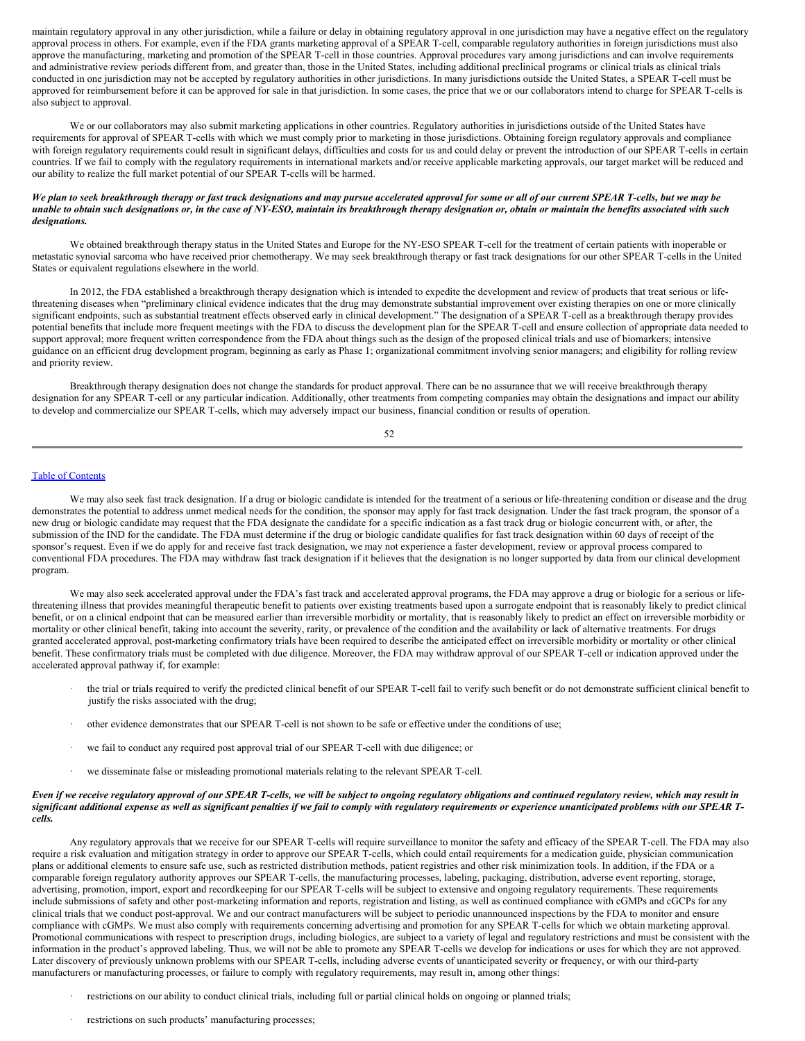maintain regulatory approval in any other jurisdiction, while a failure or delay in obtaining regulatory approval in one jurisdiction may have a negative effect on the regulatory approval process in others. For example, even if the FDA grants marketing approval of a SPEAR T-cell, comparable regulatory authorities in foreign jurisdictions must also approve the manufacturing, marketing and promotion of the SPEAR T-cell in those countries. Approval procedures vary among jurisdictions and can involve requirements and administrative review periods different from, and greater than, those in the United States, including additional preclinical programs or clinical trials as clinical trials conducted in one jurisdiction may not be accepted by regulatory authorities in other jurisdictions. In many jurisdictions outside the United States, a SPEAR T-cell must be approved for reimbursement before it can be approved for sale in that jurisdiction. In some cases, the price that we or our collaborators intend to charge for SPEAR T-cells is also subject to approval.

We or our collaborators may also submit marketing applications in other countries. Regulatory authorities in jurisdictions outside of the United States have requirements for approval of SPEAR T-cells with which we must comply prior to marketing in those jurisdictions. Obtaining foreign regulatory approvals and compliance with foreign regulatory requirements could result in significant delays, difficulties and costs for us and could delay or prevent the introduction of our SPEAR T-cells in certain countries. If we fail to comply with the regulatory requirements in international markets and/or receive applicable marketing approvals, our target market will be reduced and our ability to realize the full market potential of our SPEAR T-cells will be harmed.

### We plan to seek breakthrough therapy or fast track designations and may pursue accelerated approval for some or all of our current SPEAR T-cells, but we may be unable to obtain such designations or, in the case of NY-ESO, maintain its breakthrough therapy designation or, obtain or maintain the benefits associated with such *designations.*

We obtained breakthrough therapy status in the United States and Europe for the NY-ESO SPEAR T-cell for the treatment of certain patients with inoperable or metastatic synovial sarcoma who have received prior chemotherapy. We may seek breakthrough therapy or fast track designations for our other SPEAR T-cells in the United States or equivalent regulations elsewhere in the world.

In 2012, the FDA established a breakthrough therapy designation which is intended to expedite the development and review of products that treat serious or lifethreatening diseases when "preliminary clinical evidence indicates that the drug may demonstrate substantial improvement over existing therapies on one or more clinically significant endpoints, such as substantial treatment effects observed early in clinical development." The designation of a SPEAR T-cell as a breakthrough therapy provides potential benefits that include more frequent meetings with the FDA to discuss the development plan for the SPEAR T-cell and ensure collection of appropriate data needed to support approval; more frequent written correspondence from the FDA about things such as the design of the proposed clinical trials and use of biomarkers; intensive guidance on an efficient drug development program, beginning as early as Phase 1; organizational commitment involving senior managers; and eligibility for rolling review and priority review.

Breakthrough therapy designation does not change the standards for product approval. There can be no assurance that we will receive breakthrough therapy designation for any SPEAR T-cell or any particular indication. Additionally, other treatments from competing companies may obtain the designations and impact our ability to develop and commercialize our SPEAR T-cells, which may adversely impact our business, financial condition or results of operation.

| ×,<br>I<br>۰.<br>$\sim$ |  |
|-------------------------|--|
|                         |  |

## Table of [Contents](#page-0-0)

We may also seek fast track designation. If a drug or biologic candidate is intended for the treatment of a serious or life-threatening condition or disease and the drug demonstrates the potential to address unmet medical needs for the condition, the sponsor may apply for fast track designation. Under the fast track program, the sponsor of a new drug or biologic candidate may request that the FDA designate the candidate for a specific indication as a fast track drug or biologic concurrent with, or after, the submission of the IND for the candidate. The FDA must determine if the drug or biologic candidate qualifies for fast track designation within 60 days of receipt of the sponsor's request. Even if we do apply for and receive fast track designation, we may not experience a faster development, review or approval process compared to conventional FDA procedures. The FDA may withdraw fast track designation if it believes that the designation is no longer supported by data from our clinical development program.

We may also seek accelerated approval under the FDA's fast track and accelerated approval programs, the FDA may approve a drug or biologic for a serious or lifethreatening illness that provides meaningful therapeutic benefit to patients over existing treatments based upon a surrogate endpoint that is reasonably likely to predict clinical benefit, or on a clinical endpoint that can be measured earlier than irreversible morbidity or mortality, that is reasonably likely to predict an effect on irreversible morbidity or mortality or other clinical benefit, taking into account the severity, rarity, or prevalence of the condition and the availability or lack of alternative treatments. For drugs granted accelerated approval, post-marketing confirmatory trials have been required to describe the anticipated effect on irreversible morbidity or mortality or other clinical benefit. These confirmatory trials must be completed with due diligence. Moreover, the FDA may withdraw approval of our SPEAR T-cell or indication approved under the accelerated approval pathway if, for example:

- the trial or trials required to verify the predicted clinical benefit of our SPEAR T-cell fail to verify such benefit or do not demonstrate sufficient clinical benefit to justify the risks associated with the drug;
- · other evidence demonstrates that our SPEAR T-cell is not shown to be safe or effective under the conditions of use;
- we fail to conduct any required post approval trial of our SPEAR T-cell with due diligence; or
- we disseminate false or misleading promotional materials relating to the relevant SPEAR T-cell.

## Even if we receive regulatory approval of our SPEAR T-cells, we will be subject to ongoing regulatory obligations and continued regulatory review, which may result in significant additional expense as well as significant penalties if we fail to comply with regulatory requirements or experience unanticipated problems with our SPEAR T*cells.*

Any regulatory approvals that we receive for our SPEAR T-cells will require surveillance to monitor the safety and efficacy of the SPEAR T-cell. The FDA may also require a risk evaluation and mitigation strategy in order to approve our SPEAR T-cells, which could entail requirements for a medication guide, physician communication plans or additional elements to ensure safe use, such as restricted distribution methods, patient registries and other risk minimization tools. In addition, if the FDA or a comparable foreign regulatory authority approves our SPEAR T-cells, the manufacturing processes, labeling, packaging, distribution, adverse event reporting, storage, advertising, promotion, import, export and recordkeeping for our SPEAR T-cells will be subject to extensive and ongoing regulatory requirements. These requirements include submissions of safety and other post-marketing information and reports, registration and listing, as well as continued compliance with cGMPs and cGCPs for any clinical trials that we conduct post-approval. We and our contract manufacturers will be subject to periodic unannounced inspections by the FDA to monitor and ensure compliance with cGMPs. We must also comply with requirements concerning advertising and promotion for any SPEAR T-cells for which we obtain marketing approval. Promotional communications with respect to prescription drugs, including biologics, are subject to a variety of legal and regulatory restrictions and must be consistent with the information in the product's approved labeling. Thus, we will not be able to promote any SPEAR T-cells we develop for indications or uses for which they are not approved. Later discovery of previously unknown problems with our SPEAR T-cells, including adverse events of unanticipated severity or frequency, or with our third-party manufacturers or manufacturing processes, or failure to comply with regulatory requirements, may result in, among other things:

- restrictions on our ability to conduct clinical trials, including full or partial clinical holds on ongoing or planned trials;
- restrictions on such products' manufacturing processes;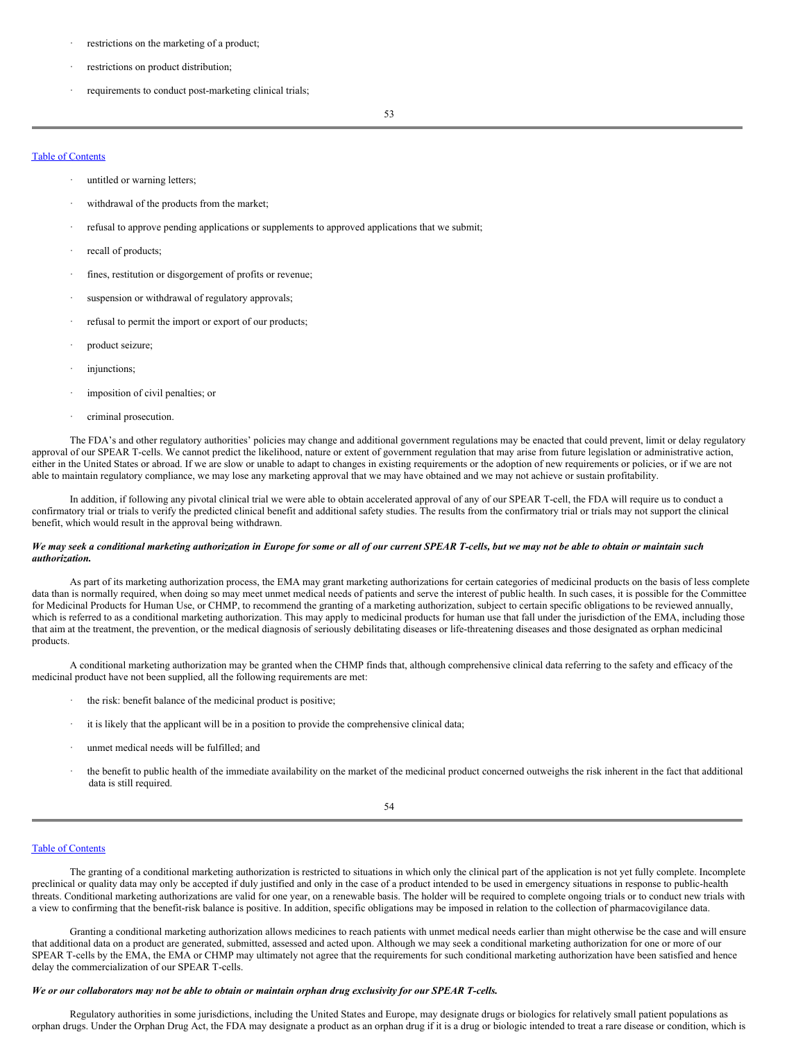- restrictions on the marketing of a product;
- restrictions on product distribution;
- requirements to conduct post-marketing clinical trials;

53

### Table of [Contents](#page-0-0)

- untitled or warning letters;
- withdrawal of the products from the market;
- · refusal to approve pending applications or supplements to approved applications that we submit;
- recall of products:
- fines, restitution or disgorgement of profits or revenue;
- suspension or withdrawal of regulatory approvals;
- refusal to permit the import or export of our products;
- product seizure;
- injunctions;
- imposition of civil penalties; or
- criminal prosecution.

The FDA's and other regulatory authorities' policies may change and additional government regulations may be enacted that could prevent, limit or delay regulatory approval of our SPEAR T-cells. We cannot predict the likelihood, nature or extent of government regulation that may arise from future legislation or administrative action, either in the United States or abroad. If we are slow or unable to adapt to changes in existing requirements or the adoption of new requirements or policies, or if we are not able to maintain regulatory compliance, we may lose any marketing approval that we may have obtained and we may not achieve or sustain profitability.

In addition, if following any pivotal clinical trial we were able to obtain accelerated approval of any of our SPEAR T-cell, the FDA will require us to conduct a confirmatory trial or trials to verify the predicted clinical benefit and additional safety studies. The results from the confirmatory trial or trials may not support the clinical benefit, which would result in the approval being withdrawn.

### We may seek a conditional marketing authorization in Europe for some or all of our current SPEAR T-cells, but we may not be able to obtain or maintain such *authorization.*

As part of its marketing authorization process, the EMA may grant marketing authorizations for certain categories of medicinal products on the basis of less complete data than is normally required, when doing so may meet unmet medical needs of patients and serve the interest of public health. In such cases, it is possible for the Committee for Medicinal Products for Human Use, or CHMP, to recommend the granting of a marketing authorization, subject to certain specific obligations to be reviewed annually, which is referred to as a conditional marketing authorization. This may apply to medicinal products for human use that fall under the jurisdiction of the EMA, including those that aim at the treatment, the prevention, or the medical diagnosis of seriously debilitating diseases or life-threatening diseases and those designated as orphan medicinal products.

A conditional marketing authorization may be granted when the CHMP finds that, although comprehensive clinical data referring to the safety and efficacy of the medicinal product have not been supplied, all the following requirements are met:

- the risk: benefit balance of the medicinal product is positive;
- it is likely that the applicant will be in a position to provide the comprehensive clinical data;
- unmet medical needs will be fulfilled; and
- the benefit to public health of the immediate availability on the market of the medicinal product concerned outweighs the risk inherent in the fact that additional data is still required.

### 54

#### Table of [Contents](#page-0-0)

The granting of a conditional marketing authorization is restricted to situations in which only the clinical part of the application is not yet fully complete. Incomplete preclinical or quality data may only be accepted if duly justified and only in the case of a product intended to be used in emergency situations in response to public-health threats. Conditional marketing authorizations are valid for one year, on a renewable basis. The holder will be required to complete ongoing trials or to conduct new trials with a view to confirming that the benefit-risk balance is positive. In addition, specific obligations may be imposed in relation to the collection of pharmacovigilance data.

Granting a conditional marketing authorization allows medicines to reach patients with unmet medical needs earlier than might otherwise be the case and will ensure that additional data on a product are generated, submitted, assessed and acted upon. Although we may seek a conditional marketing authorization for one or more of our SPEAR T-cells by the EMA, the EMA or CHMP may ultimately not agree that the requirements for such conditional marketing authorization have been satisfied and hence delay the commercialization of our SPEAR T-cells.

### We or our collaborators may not be able to obtain or maintain orphan drug exclusivity for our SPEAR T-cells.

Regulatory authorities in some jurisdictions, including the United States and Europe, may designate drugs or biologics for relatively small patient populations as orphan drugs. Under the Orphan Drug Act, the FDA may designate a product as an orphan drug if it is a drug or biologic intended to treat a rare disease or condition, which is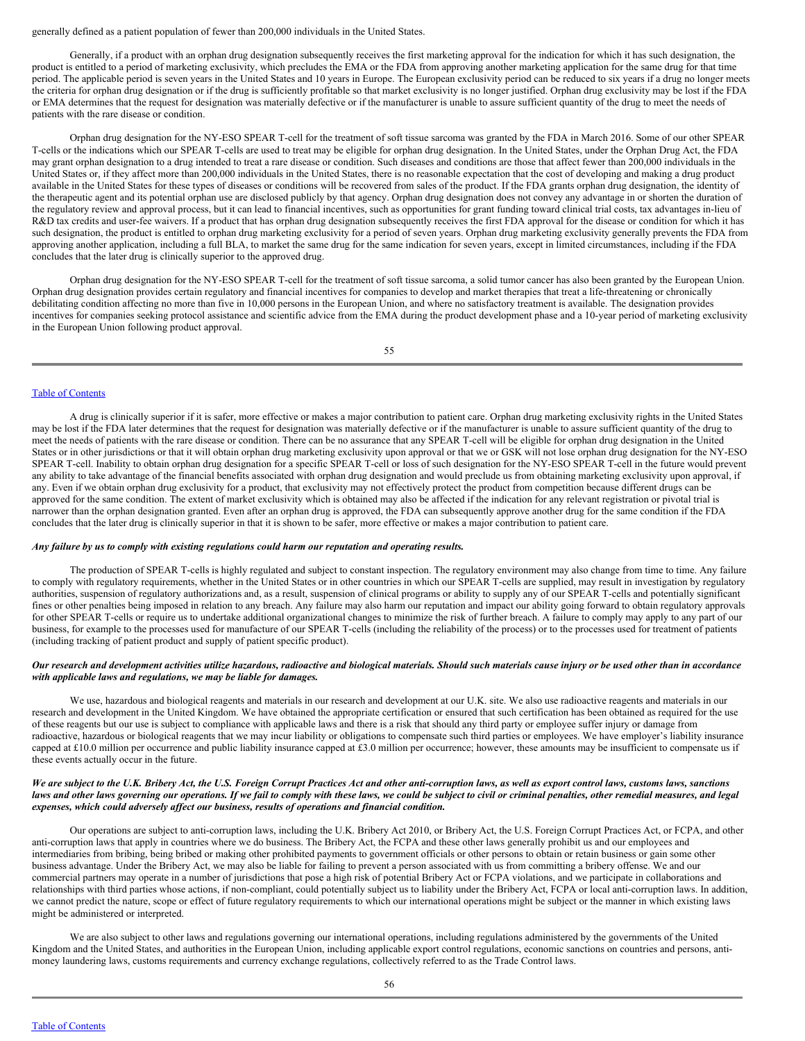### generally defined as a patient population of fewer than 200,000 individuals in the United States.

Generally, if a product with an orphan drug designation subsequently receives the first marketing approval for the indication for which it has such designation, the product is entitled to a period of marketing exclusivity, which precludes the EMA or the FDA from approving another marketing application for the same drug for that time period. The applicable period is seven years in the United States and 10 years in Europe. The European exclusivity period can be reduced to six years if a drug no longer meets the criteria for orphan drug designation or if the drug is sufficiently profitable so that market exclusivity is no longer justified. Orphan drug exclusivity may be lost if the FDA or EMA determines that the request for designation was materially defective or if the manufacturer is unable to assure sufficient quantity of the drug to meet the needs of patients with the rare disease or condition.

Orphan drug designation for the NY-ESO SPEAR T-cell for the treatment of soft tissue sarcoma was granted by the FDA in March 2016. Some of our other SPEAR T-cells or the indications which our SPEAR T-cells are used to treat may be eligible for orphan drug designation. In the United States, under the Orphan Drug Act, the FDA may grant orphan designation to a drug intended to treat a rare disease or condition. Such diseases and conditions are those that affect fewer than 200,000 individuals in the United States or, if they affect more than 200,000 individuals in the United States, there is no reasonable expectation that the cost of developing and making a drug product available in the United States for these types of diseases or conditions will be recovered from sales of the product. If the FDA grants orphan drug designation, the identity of the therapeutic agent and its potential orphan use are disclosed publicly by that agency. Orphan drug designation does not convey any advantage in or shorten the duration of the regulatory review and approval process, but it can lead to financial incentives, such as opportunities for grant funding toward clinical trial costs, tax advantages in-lieu of R&D tax credits and user-fee waivers. If a product that has orphan drug designation subsequently receives the first FDA approval for the disease or condition for which it has such designation, the product is entitled to orphan drug marketing exclusivity for a period of seven years. Orphan drug marketing exclusivity generally prevents the FDA from approving another application, including a full BLA, to market the same drug for the same indication for seven years, except in limited circumstances, including if the FDA concludes that the later drug is clinically superior to the approved drug.

Orphan drug designation for the NY-ESO SPEAR T-cell for the treatment of soft tissue sarcoma, a solid tumor cancer has also been granted by the European Union. Orphan drug designation provides certain regulatory and financial incentives for companies to develop and market therapies that treat a life-threatening or chronically debilitating condition affecting no more than five in 10,000 persons in the European Union, and where no satisfactory treatment is available. The designation provides incentives for companies seeking protocol assistance and scientific advice from the EMA during the product development phase and a 10-year period of marketing exclusivity in the European Union following product approval.

55

### Table of [Contents](#page-0-0)

A drug is clinically superior if it is safer, more effective or makes a major contribution to patient care. Orphan drug marketing exclusivity rights in the United States may be lost if the FDA later determines that the request for designation was materially defective or if the manufacturer is unable to assure sufficient quantity of the drug to meet the needs of patients with the rare disease or condition. There can be no assurance that any SPEAR T-cell will be eligible for orphan drug designation in the United States or in other jurisdictions or that it will obtain orphan drug marketing exclusivity upon approval or that we or GSK will not lose orphan drug designation for the NY-ESO SPEAR T-cell. Inability to obtain orphan drug designation for a specific SPEAR T-cell or loss of such designation for the NY-ESO SPEAR T-cell in the future would prevent any ability to take advantage of the financial benefits associated with orphan drug designation and would preclude us from obtaining marketing exclusivity upon approval, if any. Even if we obtain orphan drug exclusivity for a product, that exclusivity may not effectively protect the product from competition because different drugs can be approved for the same condition. The extent of market exclusivity which is obtained may also be affected if the indication for any relevant registration or pivotal trial is narrower than the orphan designation granted. Even after an orphan drug is approved, the FDA can subsequently approve another drug for the same condition if the FDA concludes that the later drug is clinically superior in that it is shown to be safer, more effective or makes a major contribution to patient care.

#### *Any failure by us to comply with existing regulations could harm our reputation and operating results.*

The production of SPEAR T-cells is highly regulated and subject to constant inspection. The regulatory environment may also change from time to time. Any failure to comply with regulatory requirements, whether in the United States or in other countries in which our SPEAR T-cells are supplied, may result in investigation by regulatory authorities, suspension of regulatory authorizations and, as a result, suspension of clinical programs or ability to supply any of our SPEAR T-cells and potentially significant fines or other penalties being imposed in relation to any breach. Any failure may also harm our reputation and impact our ability going forward to obtain regulatory approvals for other SPEAR T-cells or require us to undertake additional organizational changes to minimize the risk of further breach. A failure to comply may apply to any part of our business, for example to the processes used for manufacture of our SPEAR T-cells (including the reliability of the process) or to the processes used for treatment of patients (including tracking of patient product and supply of patient specific product).

#### Our research and development activities utilize hazardous, radioactive and biological materials. Should such materials cause injury or be used other than in accordance *with applicable laws and regulations, we may be liable for damages.*

We use, hazardous and biological reagents and materials in our research and development at our U.K. site. We also use radioactive reagents and materials in our research and development in the United Kingdom. We have obtained the appropriate certification or ensured that such certification has been obtained as required for the use of these reagents but our use is subject to compliance with applicable laws and there is a risk that should any third party or employee suffer injury or damage from radioactive, hazardous or biological reagents that we may incur liability or obligations to compensate such third parties or employees. We have employer's liability insurance capped at £10.0 million per occurrence and public liability insurance capped at £3.0 million per occurrence; however, these amounts may be insufficient to compensate us if these events actually occur in the future.

#### We are subject to the U.K. Bribery Act, the U.S. Foreign Corrupt Practices Act and other anti-corruption laws, as well as export control laws, customs laws, sanctions laws and other laws governing our operations. If we fail to comply with these laws, we could be subject to civil or criminal penalties, other remedial measures, and legal *expenses, which could adversely af ect our business, results of operations and financial condition.*

Our operations are subject to anti-corruption laws, including the U.K. Bribery Act 2010, or Bribery Act, the U.S. Foreign Corrupt Practices Act, or FCPA, and other anti-corruption laws that apply in countries where we do business. The Bribery Act, the FCPA and these other laws generally prohibit us and our employees and intermediaries from bribing, being bribed or making other prohibited payments to government officials or other persons to obtain or retain business or gain some other business advantage. Under the Bribery Act, we may also be liable for failing to prevent a person associated with us from committing a bribery offense. We and our commercial partners may operate in a number of jurisdictions that pose a high risk of potential Bribery Act or FCPA violations, and we participate in collaborations and relationships with third parties whose actions, if non-compliant, could potentially subject us to liability under the Bribery Act, FCPA or local anti-corruption laws. In addition, we cannot predict the nature, scope or effect of future regulatory requirements to which our international operations might be subject or the manner in which existing laws might be administered or interpreted.

We are also subject to other laws and regulations governing our international operations, including regulations administered by the governments of the United Kingdom and the United States, and authorities in the European Union, including applicable export control regulations, economic sanctions on countries and persons, antimoney laundering laws, customs requirements and currency exchange regulations, collectively referred to as the Trade Control laws.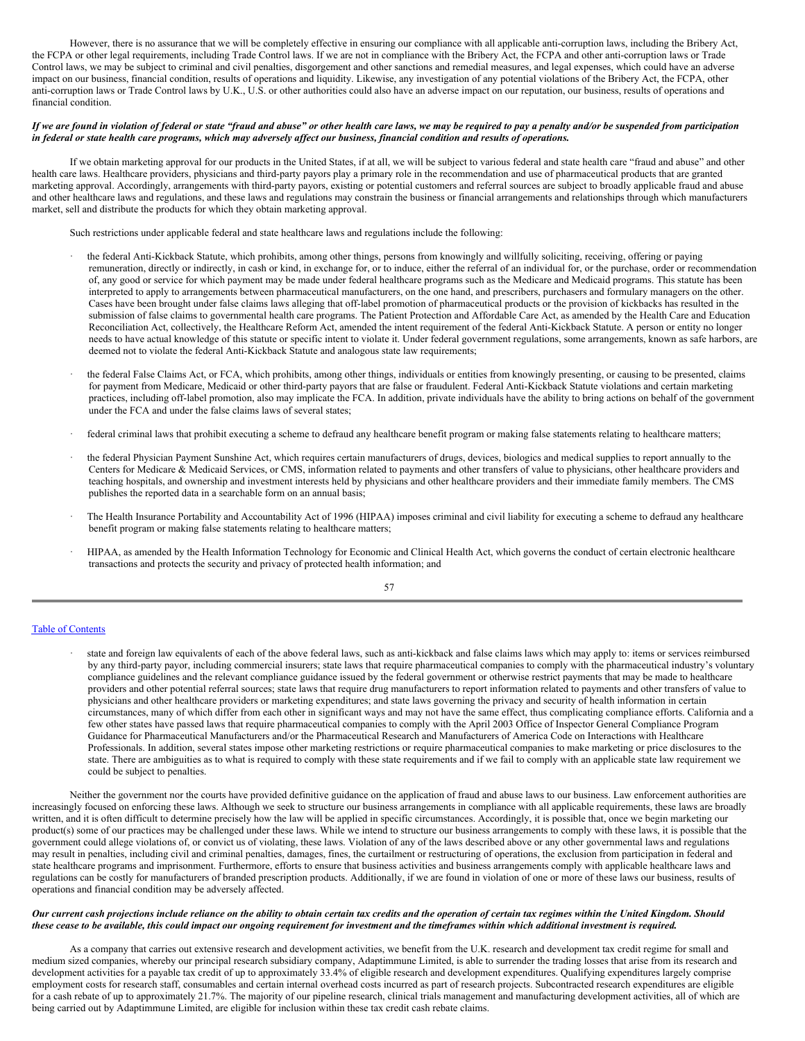However, there is no assurance that we will be completely effective in ensuring our compliance with all applicable anti-corruption laws, including the Bribery Act, the FCPA or other legal requirements, including Trade Control laws. If we are not in compliance with the Bribery Act, the FCPA and other anti-corruption laws or Trade Control laws, we may be subject to criminal and civil penalties, disgorgement and other sanctions and remedial measures, and legal expenses, which could have an adverse impact on our business, financial condition, results of operations and liquidity. Likewise, any investigation of any potential violations of the Bribery Act, the FCPA, other anti-corruption laws or Trade Control laws by U.K., U.S. or other authorities could also have an adverse impact on our reputation, our business, results of operations and financial condition.

## If we are found in violation of federal or state "fraud and abuse" or other health care laws, we may be required to pay a penalty and/or be suspended from participation in federal or state health care programs, which may adversely affect our business, financial condition and results of operations.

If we obtain marketing approval for our products in the United States, if at all, we will be subject to various federal and state health care "fraud and abuse" and other health care laws. Healthcare providers, physicians and third-party payors play a primary role in the recommendation and use of pharmaceutical products that are granted marketing approval. Accordingly, arrangements with third-party payors, existing or potential customers and referral sources are subject to broadly applicable fraud and abuse and other healthcare laws and regulations, and these laws and regulations may constrain the business or financial arrangements and relationships through which manufacturers market, sell and distribute the products for which they obtain marketing approval.

Such restrictions under applicable federal and state healthcare laws and regulations include the following:

- · the federal Anti-Kickback Statute, which prohibits, among other things, persons from knowingly and willfully soliciting, receiving, offering or paying remuneration, directly or indirectly, in cash or kind, in exchange for, or to induce, either the referral of an individual for, or the purchase, order or recommendation of, any good or service for which payment may be made under federal healthcare programs such as the Medicare and Medicaid programs. This statute has been interpreted to apply to arrangements between pharmaceutical manufacturers, on the one hand, and prescribers, purchasers and formulary managers on the other. Cases have been brought under false claims laws alleging that off-label promotion of pharmaceutical products or the provision of kickbacks has resulted in the submission of false claims to governmental health care programs. The Patient Protection and Affordable Care Act, as amended by the Health Care and Education Reconciliation Act, collectively, the Healthcare Reform Act, amended the intent requirement of the federal Anti-Kickback Statute. A person or entity no longer needs to have actual knowledge of this statute or specific intent to violate it. Under federal government regulations, some arrangements, known as safe harbors, are deemed not to violate the federal Anti-Kickback Statute and analogous state law requirements;
- the federal False Claims Act, or FCA, which prohibits, among other things, individuals or entities from knowingly presenting, or causing to be presented, claims for payment from Medicare, Medicaid or other third-party payors that are false or fraudulent. Federal Anti-Kickback Statute violations and certain marketing practices, including off-label promotion, also may implicate the FCA. In addition, private individuals have the ability to bring actions on behalf of the government under the FCA and under the false claims laws of several states;
- federal criminal laws that prohibit executing a scheme to defraud any healthcare benefit program or making false statements relating to healthcare matters;
- the federal Physician Payment Sunshine Act, which requires certain manufacturers of drugs, devices, biologics and medical supplies to report annually to the Centers for Medicare & Medicaid Services, or CMS, information related to payments and other transfers of value to physicians, other healthcare providers and teaching hospitals, and ownership and investment interests held by physicians and other healthcare providers and their immediate family members. The CMS publishes the reported data in a searchable form on an annual basis;
- The Health Insurance Portability and Accountability Act of 1996 (HIPAA) imposes criminal and civil liability for executing a scheme to defraud any healthcare benefit program or making false statements relating to healthcare matters;
- · HIPAA, as amended by the Health Information Technology for Economic and Clinical Health Act, which governs the conduct of certain electronic healthcare transactions and protects the security and privacy of protected health information; and

## 57

#### Table of [Contents](#page-0-0)

state and foreign law equivalents of each of the above federal laws, such as anti-kickback and false claims laws which may apply to: items or services reimbursed by any third-party payor, including commercial insurers; state laws that require pharmaceutical companies to comply with the pharmaceutical industry's voluntary compliance guidelines and the relevant compliance guidance issued by the federal government or otherwise restrict payments that may be made to healthcare providers and other potential referral sources; state laws that require drug manufacturers to report information related to payments and other transfers of value to physicians and other healthcare providers or marketing expenditures; and state laws governing the privacy and security of health information in certain circumstances, many of which differ from each other in significant ways and may not have the same effect, thus complicating compliance efforts. California and a few other states have passed laws that require pharmaceutical companies to comply with the April 2003 Office of Inspector General Compliance Program Guidance for Pharmaceutical Manufacturers and/or the Pharmaceutical Research and Manufacturers of America Code on Interactions with Healthcare Professionals. In addition, several states impose other marketing restrictions or require pharmaceutical companies to make marketing or price disclosures to the state. There are ambiguities as to what is required to comply with these state requirements and if we fail to comply with an applicable state law requirement we could be subject to penalties.

Neither the government nor the courts have provided definitive guidance on the application of fraud and abuse laws to our business. Law enforcement authorities are increasingly focused on enforcing these laws. Although we seek to structure our business arrangements in compliance with all applicable requirements, these laws are broadly written, and it is often difficult to determine precisely how the law will be applied in specific circumstances. Accordingly, it is possible that, once we begin marketing our product(s) some of our practices may be challenged under these laws. While we intend to structure our business arrangements to comply with these laws, it is possible that the government could allege violations of, or convict us of violating, these laws. Violation of any of the laws described above or any other governmental laws and regulations may result in penalties, including civil and criminal penalties, damages, fines, the curtailment or restructuring of operations, the exclusion from participation in federal and state healthcare programs and imprisonment. Furthermore, efforts to ensure that business activities and business arrangements comply with applicable healthcare laws and regulations can be costly for manufacturers of branded prescription products. Additionally, if we are found in violation of one or more of these laws our business, results of operations and financial condition may be adversely affected.

## Our current cash projections include reliance on the ability to obtain certain tax credits and the operation of certain tax regimes within the United Kingdom. Should these cease to be available, this could impact our ongoing requirement for investment and the timeframes within which additional investment is required.

As a company that carries out extensive research and development activities, we benefit from the U.K. research and development tax credit regime for small and medium sized companies, whereby our principal research subsidiary company, Adaptimmune Limited, is able to surrender the trading losses that arise from its research and development activities for a payable tax credit of up to approximately 33.4% of eligible research and development expenditures. Qualifying expenditures largely comprise employment costs for research staff, consumables and certain internal overhead costs incurred as part of research projects. Subcontracted research expenditures are eligible for a cash rebate of up to approximately 21.7%. The majority of our pipeline research, clinical trials management and manufacturing development activities, all of which are being carried out by Adaptimmune Limited, are eligible for inclusion within these tax credit cash rebate claims.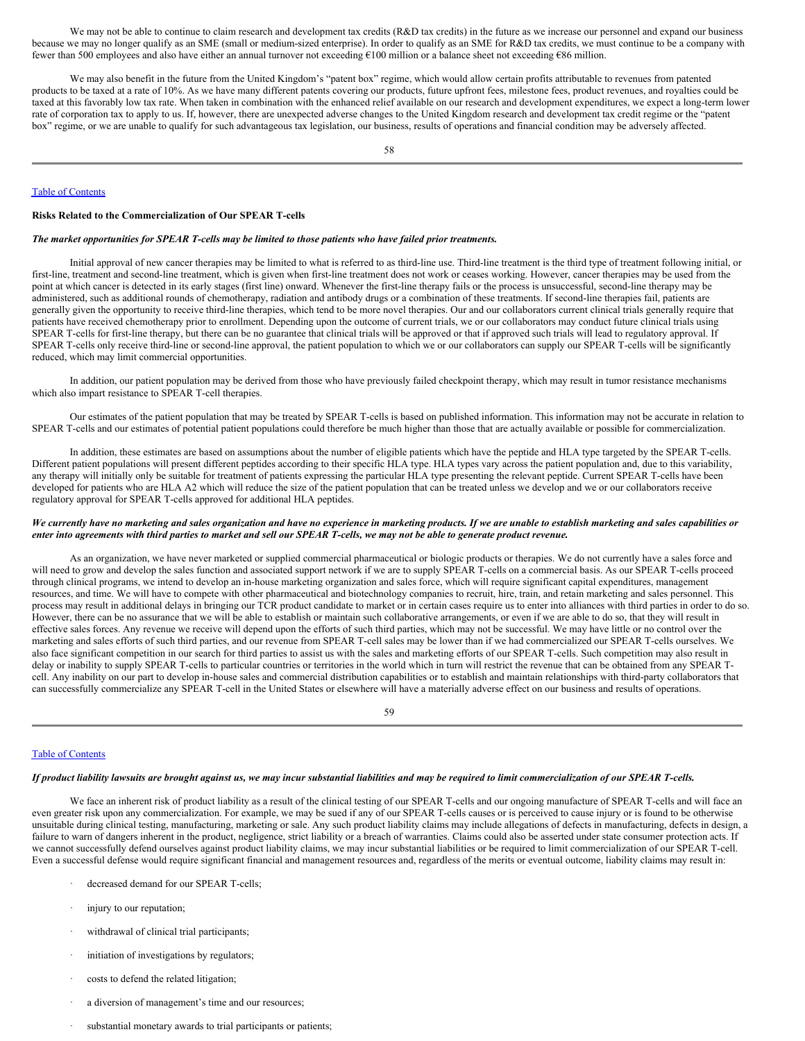We may not be able to continue to claim research and development tax credits (R&D tax credits) in the future as we increase our personnel and expand our business because we may no longer qualify as an SME (small or medium-sized enterprise). In order to qualify as an SME for R&D tax credits, we must continue to be a company with fewer than 500 employees and also have either an annual turnover not exceeding €100 million or a balance sheet not exceeding €86 million.

We may also benefit in the future from the United Kingdom's "patent box" regime, which would allow certain profits attributable to revenues from patented products to be taxed at a rate of 10%. As we have many different patents covering our products, future upfront fees, milestone fees, product revenues, and royalties could be taxed at this favorably low tax rate. When taken in combination with the enhanced relief available on our research and development expenditures, we expect a long-term lower rate of corporation tax to apply to us. If, however, there are unexpected adverse changes to the United Kingdom research and development tax credit regime or the "patent box" regime, or we are unable to qualify for such advantageous tax legislation, our business, results of operations and financial condition may be adversely affected.

#### Table of [Contents](#page-0-0)

## **Risks Related to the Commercialization of Our SPEAR T-cells**

## The market opportunities for SPEAR T-cells may be limited to those patients who have failed prior treatments.

Initial approval of new cancer therapies may be limited to what is referred to as third-line use. Third-line treatment is the third type of treatment following initial, or first-line, treatment and second-line treatment, which is given when first-line treatment does not work or ceases working. However, cancer therapies may be used from the point at which cancer is detected in its early stages (first line) onward. Whenever the first-line therapy fails or the process is unsuccessful, second-line therapy may be administered, such as additional rounds of chemotherapy, radiation and antibody drugs or a combination of these treatments. If second-line therapies fail, patients are generally given the opportunity to receive third-line therapies, which tend to be more novel therapies. Our and our collaborators current clinical trials generally require that patients have received chemotherapy prior to enrollment. Depending upon the outcome of current trials, we or our collaborators may conduct future clinical trials using SPEAR T-cells for first-line therapy, but there can be no guarantee that clinical trials will be approved or that if approved such trials will lead to regulatory approval. If SPEAR T-cells only receive third-line or second-line approval, the patient population to which we or our collaborators can supply our SPEAR T-cells will be significantly reduced, which may limit commercial opportunities.

In addition, our patient population may be derived from those who have previously failed checkpoint therapy, which may result in tumor resistance mechanisms which also impart resistance to SPEAR T-cell therapies.

Our estimates of the patient population that may be treated by SPEAR T-cells is based on published information. This information may not be accurate in relation to SPEAR T-cells and our estimates of potential patient populations could therefore be much higher than those that are actually available or possible for commercialization.

In addition, these estimates are based on assumptions about the number of eligible patients which have the peptide and HLA type targeted by the SPEAR T-cells. Different patient populations will present different peptides according to their specific HLA type. HLA types vary across the patient population and, due to this variability, any therapy will initially only be suitable for treatment of patients expressing the particular HLA type presenting the relevant peptide. Current SPEAR T-cells have been developed for patients who are HLA A2 which will reduce the size of the patient population that can be treated unless we develop and we or our collaborators receive regulatory approval for SPEAR T-cells approved for additional HLA peptides.

### We currently have no marketing and sales organization and have no experience in marketing products. If we are unable to establish marketing and sales capabilities or enter into agreements with third parties to market and sell our SPEAR T-cells, we may not be able to generate product revenue.

As an organization, we have never marketed or supplied commercial pharmaceutical or biologic products or therapies. We do not currently have a sales force and will need to grow and develop the sales function and associated support network if we are to supply SPEAR T-cells on a commercial basis. As our SPEAR T-cells proceed through clinical programs, we intend to develop an in-house marketing organization and sales force, which will require significant capital expenditures, management resources, and time. We will have to compete with other pharmaceutical and biotechnology companies to recruit, hire, train, and retain marketing and sales personnel. This process may result in additional delays in bringing our TCR product candidate to market or in certain cases require us to enter into alliances with third parties in order to do so. However, there can be no assurance that we will be able to establish or maintain such collaborative arrangements, or even if we are able to do so, that they will result in effective sales forces. Any revenue we receive will depend upon the efforts of such third parties, which may not be successful. We may have little or no control over the marketing and sales efforts of such third parties, and our revenue from SPEAR T-cell sales may be lower than if we had commercialized our SPEAR T-cells ourselves. We also face significant competition in our search for third parties to assist us with the sales and marketing efforts of our SPEAR T-cells. Such competition may also result in delay or inability to supply SPEAR T-cells to particular countries or territories in the world which in turn will restrict the revenue that can be obtained from any SPEAR Tcell. Any inability on our part to develop in-house sales and commercial distribution capabilities or to establish and maintain relationships with third-party collaborators that can successfully commercialize any SPEAR T-cell in the United States or elsewhere will have a materially adverse effect on our business and results of operations.

## Table of [Contents](#page-0-0)

#### If product liability lawsuits are brought against us, we may incur substantial liabilities and may be required to limit commercialization of our SPEAR T-cells.

We face an inherent risk of product liability as a result of the clinical testing of our SPEAR T-cells and our ongoing manufacture of SPEAR T-cells and will face an even greater risk upon any commercialization. For example, we may be sued if any of our SPEAR T-cells causes or is perceived to cause injury or is found to be otherwise unsuitable during clinical testing, manufacturing, marketing or sale. Any such product liability claims may include allegations of defects in manufacturing, defects in design, a failure to warn of dangers inherent in the product, negligence, strict liability or a breach of warranties. Claims could also be asserted under state consumer protection acts. If we cannot successfully defend ourselves against product liability claims, we may incur substantial liabilities or be required to limit commercialization of our SPEAR T-cell. Even a successful defense would require significant financial and management resources and, regardless of the merits or eventual outcome, liability claims may result in:

- decreased demand for our SPEAR T-cells;
- injury to our reputation;
- withdrawal of clinical trial participants;
- initiation of investigations by regulators;
- costs to defend the related litigation;
- a diversion of management's time and our resources;
- substantial monetary awards to trial participants or patients;

<sup>59</sup>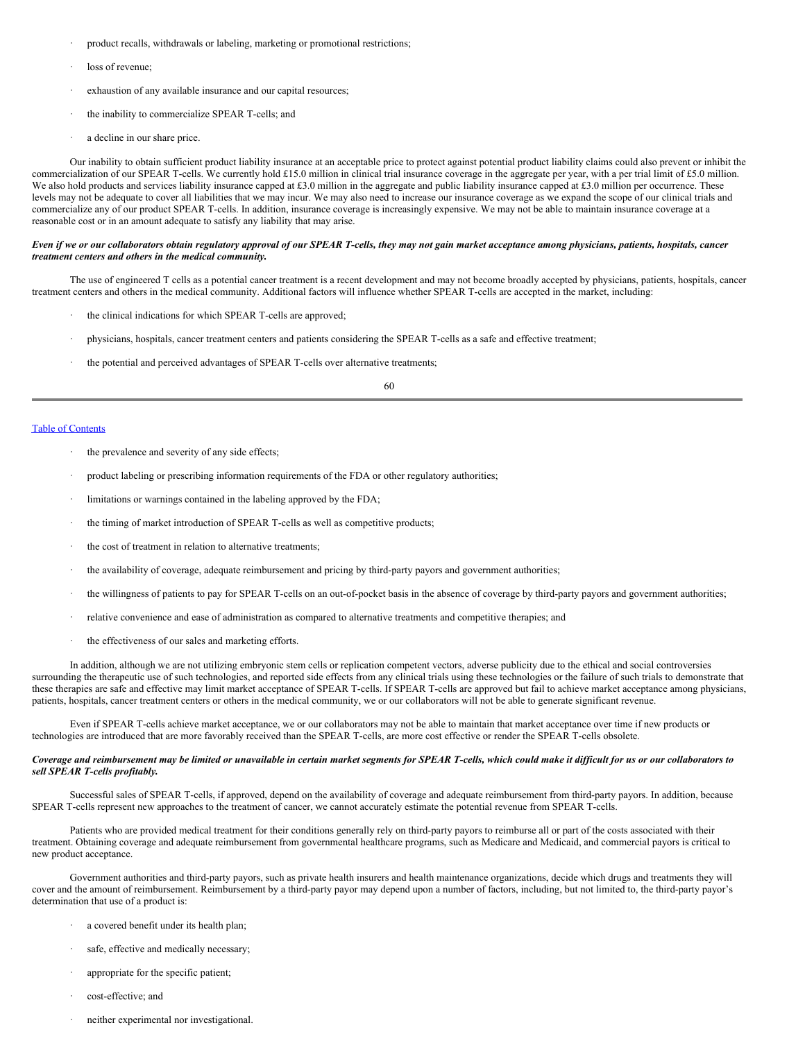- product recalls, withdrawals or labeling, marketing or promotional restrictions;
- loss of revenue;
- exhaustion of any available insurance and our capital resources;
- the inability to commercialize SPEAR T-cells; and
- a decline in our share price.

Our inability to obtain sufficient product liability insurance at an acceptable price to protect against potential product liability claims could also prevent or inhibit the commercialization of our SPEAR T-cells. We currently hold £15.0 million in clinical trial insurance coverage in the aggregate per year, with a per trial limit of £5.0 million. We also hold products and services liability insurance capped at £3.0 million in the aggregate and public liability insurance capped at £3.0 million per occurrence. These levels may not be adequate to cover all liabilities that we may incur. We may also need to increase our insurance coverage as we expand the scope of our clinical trials and commercialize any of our product SPEAR T-cells. In addition, insurance coverage is increasingly expensive. We may not be able to maintain insurance coverage at a reasonable cost or in an amount adequate to satisfy any liability that may arise.

#### Even if we or our collaborators obtain regulatory approval of our SPEAR T-cells, they may not gain market acceptance among physicians, patients, hospitals, cancer *treatment centers and others in the medical community.*

The use of engineered T cells as a potential cancer treatment is a recent development and may not become broadly accepted by physicians, patients, hospitals, cancer treatment centers and others in the medical community. Additional factors will influence whether SPEAR T-cells are accepted in the market, including:

- the clinical indications for which SPEAR T-cells are approved;
- · physicians, hospitals, cancer treatment centers and patients considering the SPEAR T-cells as a safe and effective treatment;
- the potential and perceived advantages of SPEAR T-cells over alternative treatments;

60

#### Table of [Contents](#page-0-0)

- the prevalence and severity of any side effects;
- product labeling or prescribing information requirements of the FDA or other regulatory authorities;
- limitations or warnings contained in the labeling approved by the FDA;
- the timing of market introduction of SPEAR T-cells as well as competitive products;
- the cost of treatment in relation to alternative treatments;
- the availability of coverage, adequate reimbursement and pricing by third-party payors and government authorities;
- the willingness of patients to pay for SPEAR T-cells on an out-of-pocket basis in the absence of coverage by third-party payors and government authorities;
- relative convenience and ease of administration as compared to alternative treatments and competitive therapies; and
- the effectiveness of our sales and marketing efforts.

In addition, although we are not utilizing embryonic stem cells or replication competent vectors, adverse publicity due to the ethical and social controversies surrounding the therapeutic use of such technologies, and reported side effects from any clinical trials using these technologies or the failure of such trials to demonstrate that these therapies are safe and effective may limit market acceptance of SPEAR T-cells. If SPEAR T-cells are approved but fail to achieve market acceptance among physicians, patients, hospitals, cancer treatment centers or others in the medical community, we or our collaborators will not be able to generate significant revenue.

Even if SPEAR T-cells achieve market acceptance, we or our collaborators may not be able to maintain that market acceptance over time if new products or technologies are introduced that are more favorably received than the SPEAR T-cells, are more cost effective or render the SPEAR T-cells obsolete.

#### Coverage and reimbursement may be limited or unavailable in certain market segments for SPEAR T-cells, which could make it difficult for us or our collaborators to *sell SPEAR T-cells profitably.*

Successful sales of SPEAR T-cells, if approved, depend on the availability of coverage and adequate reimbursement from third-party payors. In addition, because SPEAR T-cells represent new approaches to the treatment of cancer, we cannot accurately estimate the potential revenue from SPEAR T-cells.

Patients who are provided medical treatment for their conditions generally rely on third-party payors to reimburse all or part of the costs associated with their treatment. Obtaining coverage and adequate reimbursement from governmental healthcare programs, such as Medicare and Medicaid, and commercial payors is critical to new product acceptance.

Government authorities and third-party payors, such as private health insurers and health maintenance organizations, decide which drugs and treatments they will cover and the amount of reimbursement. Reimbursement by a third-party payor may depend upon a number of factors, including, but not limited to, the third-party payor's determination that use of a product is:

- · a covered benefit under its health plan;
- safe, effective and medically necessary;
- appropriate for the specific patient;
- cost-effective; and
- neither experimental nor investigational.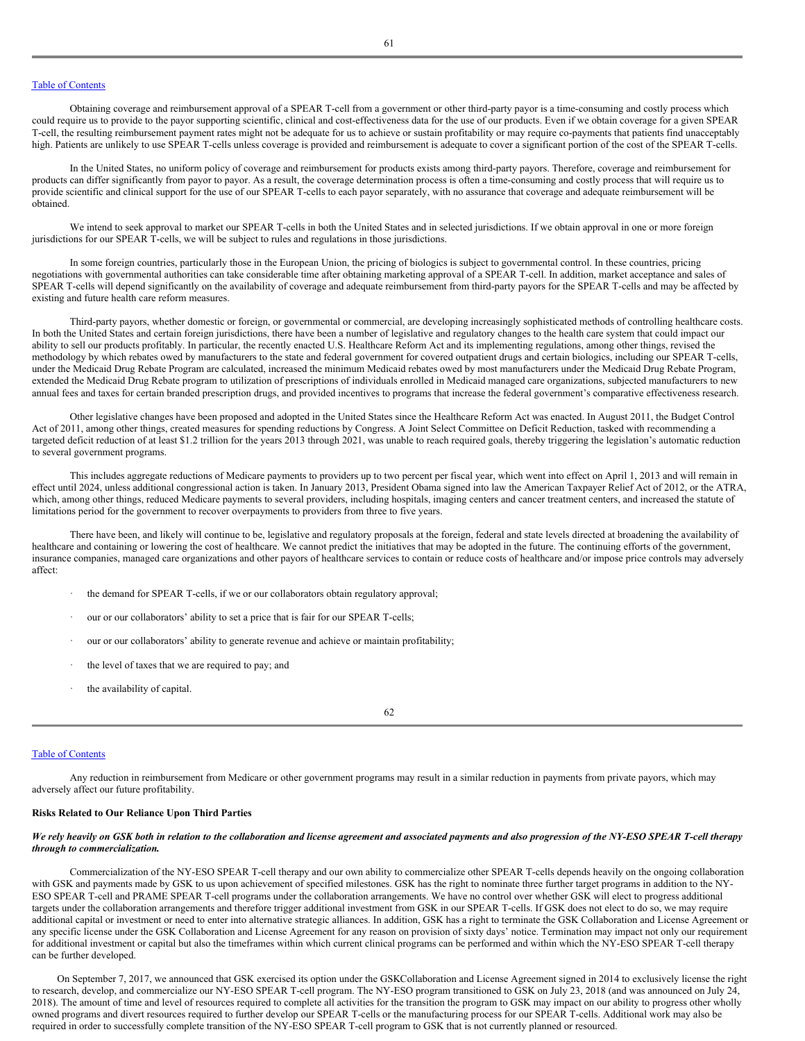### Table of [Contents](#page-0-0)

Obtaining coverage and reimbursement approval of a SPEAR T-cell from a government or other third-party payor is a time-consuming and costly process which could require us to provide to the payor supporting scientific, clinical and cost-effectiveness data for the use of our products. Even if we obtain coverage for a given SPEAR T-cell, the resulting reimbursement payment rates might not be adequate for us to achieve or sustain profitability or may require co-payments that patients find unacceptably high. Patients are unlikely to use SPEAR T-cells unless coverage is provided and reimbursement is adequate to cover a significant portion of the cost of the SPEAR T-cells.

In the United States, no uniform policy of coverage and reimbursement for products exists among third-party payors. Therefore, coverage and reimbursement for products can differ significantly from payor to payor. As a result, the coverage determination process is often a time-consuming and costly process that will require us to provide scientific and clinical support for the use of our SPEAR T-cells to each payor separately, with no assurance that coverage and adequate reimbursement will be obtained.

We intend to seek approval to market our SPEAR T-cells in both the United States and in selected jurisdictions. If we obtain approval in one or more foreign jurisdictions for our SPEAR T-cells, we will be subject to rules and regulations in those jurisdictions.

In some foreign countries, particularly those in the European Union, the pricing of biologics is subject to governmental control. In these countries, pricing negotiations with governmental authorities can take considerable time after obtaining marketing approval of a SPEAR T-cell. In addition, market acceptance and sales of SPEAR T-cells will depend significantly on the availability of coverage and adequate reimbursement from third-party payors for the SPEAR T-cells and may be affected by existing and future health care reform measures.

Third-party payors, whether domestic or foreign, or governmental or commercial, are developing increasingly sophisticated methods of controlling healthcare costs. In both the United States and certain foreign jurisdictions, there have been a number of legislative and regulatory changes to the health care system that could impact our ability to sell our products profitably. In particular, the recently enacted U.S. Healthcare Reform Act and its implementing regulations, among other things, revised the methodology by which rebates owed by manufacturers to the state and federal government for covered outpatient drugs and certain biologics, including our SPEAR T-cells, under the Medicaid Drug Rebate Program are calculated, increased the minimum Medicaid rebates owed by most manufacturers under the Medicaid Drug Rebate Program, extended the Medicaid Drug Rebate program to utilization of prescriptions of individuals enrolled in Medicaid managed care organizations, subjected manufacturers to new annual fees and taxes for certain branded prescription drugs, and provided incentives to programs that increase the federal government's comparative effectiveness research.

Other legislative changes have been proposed and adopted in the United States since the Healthcare Reform Act was enacted. In August 2011, the Budget Control Act of 2011, among other things, created measures for spending reductions by Congress. A Joint Select Committee on Deficit Reduction, tasked with recommending a targeted deficit reduction of at least \$1.2 trillion for the years 2013 through 2021, was unable to reach required goals, thereby triggering the legislation's automatic reduction to several government programs.

This includes aggregate reductions of Medicare payments to providers up to two percent per fiscal year, which went into effect on April 1, 2013 and will remain in effect until 2024, unless additional congressional action is taken. In January 2013, President Obama signed into law the American Taxpayer Relief Act of 2012, or the ATRA, which, among other things, reduced Medicare payments to several providers, including hospitals, imaging centers and cancer treatment centers, and increased the statute of limitations period for the government to recover overpayments to providers from three to five years.

There have been, and likely will continue to be, legislative and regulatory proposals at the foreign, federal and state levels directed at broadening the availability of healthcare and containing or lowering the cost of healthcare. We cannot predict the initiatives that may be adopted in the future. The continuing efforts of the government, insurance companies, managed care organizations and other payors of healthcare services to contain or reduce costs of healthcare and/or impose price controls may adversely affect:

- the demand for SPEAR T-cells, if we or our collaborators obtain regulatory approval;
- our or our collaborators' ability to set a price that is fair for our SPEAR T-cells;
- our or our collaborators' ability to generate revenue and achieve or maintain profitability;
- the level of taxes that we are required to pay; and
- the availability of capital.

## Table of [Contents](#page-0-0)

Any reduction in reimbursement from Medicare or other government programs may result in a similar reduction in payments from private payors, which may adversely affect our future profitability.

## **Risks Related to Our Reliance Upon Third Parties**

## We rely heavily on GSK both in relation to the collaboration and license agreement and associated payments and also progression of the NY-ESO SPEAR T-cell therapy *through to commercialization.*

Commercialization of the NY-ESO SPEAR T-cell therapy and our own ability to commercialize other SPEAR T-cells depends heavily on the ongoing collaboration with GSK and payments made by GSK to us upon achievement of specified milestones. GSK has the right to nominate three further target programs in addition to the NY-ESO SPEAR T-cell and PRAME SPEAR T-cell programs under the collaboration arrangements. We have no control over whether GSK will elect to progress additional targets under the collaboration arrangements and therefore trigger additional investment from GSK in our SPEAR T-cells. If GSK does not elect to do so, we may require additional capital or investment or need to enter into alternative strategic alliances. In addition, GSK has a right to terminate the GSK Collaboration and License Agreement or any specific license under the GSK Collaboration and License Agreement for any reason on provision of sixty days' notice. Termination may impact not only our requirement for additional investment or capital but also the timeframes within which current clinical programs can be performed and within which the NY-ESO SPEAR T-cell therapy can be further developed.

On September 7, 2017, we announced that GSK exercised its option under the GSKCollaboration and License Agreement signed in 2014 to exclusively license the right to research, develop, and commercialize our NY-ESO SPEAR T-cell program. The NY-ESO program transitioned to GSK on July 23, 2018 (and was announced on July 24, 2018). The amount of time and level of resources required to complete all activities for the transition the program to GSK may impact on our ability to progress other wholly owned programs and divert resources required to further develop our SPEAR T-cells or the manufacturing process for our SPEAR T-cells. Additional work may also be required in order to successfully complete transition of the NY-ESO SPEAR T-cell program to GSK that is not currently planned or resourced.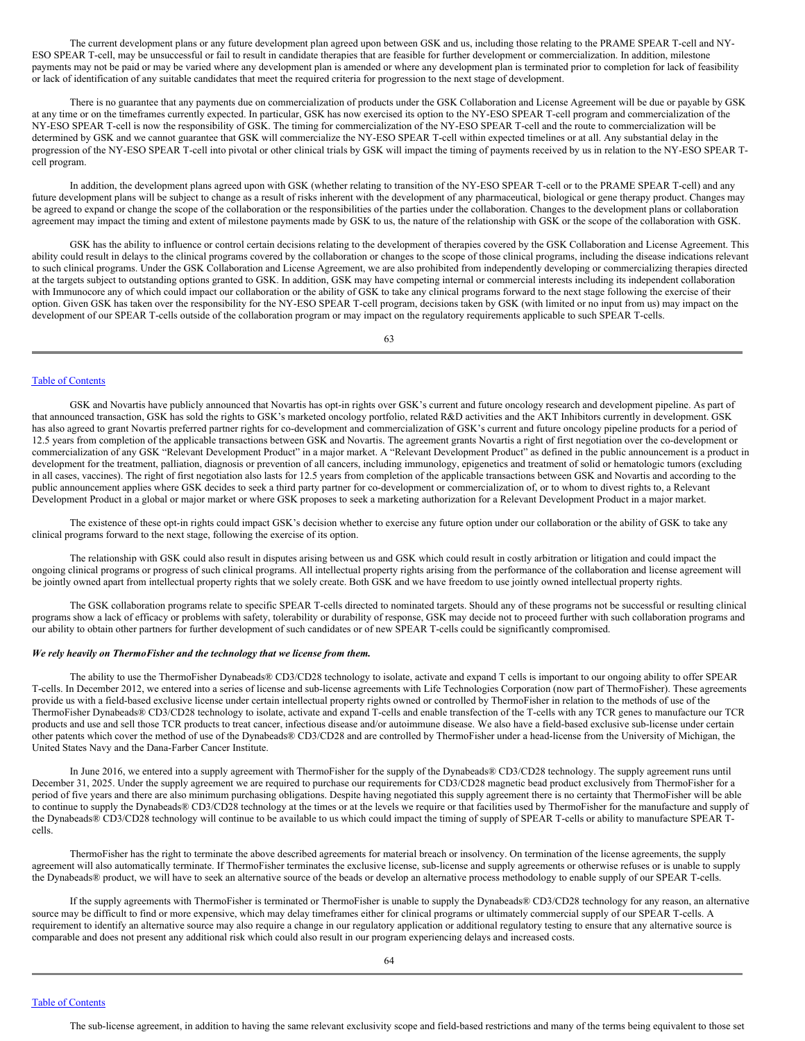The current development plans or any future development plan agreed upon between GSK and us, including those relating to the PRAME SPEAR T-cell and NY-ESO SPEAR T-cell, may be unsuccessful or fail to result in candidate therapies that are feasible for further development or commercialization. In addition, milestone payments may not be paid or may be varied where any development plan is amended or where any development plan is terminated prior to completion for lack of feasibility or lack of identification of any suitable candidates that meet the required criteria for progression to the next stage of development.

There is no guarantee that any payments due on commercialization of products under the GSK Collaboration and License Agreement will be due or payable by GSK at any time or on the timeframes currently expected. In particular, GSK has now exercised its option to the NY-ESO SPEAR T-cell program and commercialization of the NY-ESO SPEAR T-cell is now the responsibility of GSK. The timing for commercialization of the NY-ESO SPEAR T-cell and the route to commercialization will be determined by GSK and we cannot guarantee that GSK will commercialize the NY-ESO SPEAR T-cell within expected timelines or at all. Any substantial delay in the progression of the NY-ESO SPEAR T-cell into pivotal or other clinical trials by GSK will impact the timing of payments received by us in relation to the NY-ESO SPEAR Tcell program.

In addition, the development plans agreed upon with GSK (whether relating to transition of the NY-ESO SPEAR T-cell or to the PRAME SPEAR T-cell) and any future development plans will be subject to change as a result of risks inherent with the development of any pharmaceutical, biological or gene therapy product. Changes may be agreed to expand or change the scope of the collaboration or the responsibilities of the parties under the collaboration. Changes to the development plans or collaboration agreement may impact the timing and extent of milestone payments made by GSK to us, the nature of the relationship with GSK or the scope of the collaboration with GSK.

GSK has the ability to influence or control certain decisions relating to the development of therapies covered by the GSK Collaboration and License Agreement. This ability could result in delays to the clinical programs covered by the collaboration or changes to the scope of those clinical programs, including the disease indications relevant to such clinical programs. Under the GSK Collaboration and License Agreement, we are also prohibited from independently developing or commercializing therapies directed at the targets subject to outstanding options granted to GSK. In addition, GSK may have competing internal or commercial interests including its independent collaboration with Immunocore any of which could impact our collaboration or the ability of GSK to take any clinical programs forward to the next stage following the exercise of their option. Given GSK has taken over the responsibility for the NY-ESO SPEAR T-cell program, decisions taken by GSK (with limited or no input from us) may impact on the development of our SPEAR T-cells outside of the collaboration program or may impact on the regulatory requirements applicable to such SPEAR T-cells.

63

## Table of [Contents](#page-0-0)

GSK and Novartis have publicly announced that Novartis has opt-in rights over GSK's current and future oncology research and development pipeline. As part of that announced transaction, GSK has sold the rights to GSK's marketed oncology portfolio, related R&D activities and the AKT Inhibitors currently in development. GSK has also agreed to grant Novartis preferred partner rights for co-development and commercialization of GSK's current and future oncology pipeline products for a period of 12.5 years from completion of the applicable transactions between GSK and Novartis. The agreement grants Novartis a right of first negotiation over the co-development or commercialization of any GSK "Relevant Development Product" in a major market. A "Relevant Development Product" as defined in the public announcement is a product in development for the treatment, palliation, diagnosis or prevention of all cancers, including immunology, epigenetics and treatment of solid or hematologic tumors (excluding in all cases, vaccines). The right of first negotiation also lasts for 12.5 years from completion of the applicable transactions between GSK and Novartis and according to the public announcement applies where GSK decides to seek a third party partner for co-development or commercialization of, or to whom to divest rights to, a Relevant Development Product in a global or major market or where GSK proposes to seek a marketing authorization for a Relevant Development Product in a major market.

The existence of these opt-in rights could impact GSK's decision whether to exercise any future option under our collaboration or the ability of GSK to take any clinical programs forward to the next stage, following the exercise of its option.

The relationship with GSK could also result in disputes arising between us and GSK which could result in costly arbitration or litigation and could impact the ongoing clinical programs or progress of such clinical programs. All intellectual property rights arising from the performance of the collaboration and license agreement will be jointly owned apart from intellectual property rights that we solely create. Both GSK and we have freedom to use jointly owned intellectual property rights.

The GSK collaboration programs relate to specific SPEAR T-cells directed to nominated targets. Should any of these programs not be successful or resulting clinical programs show a lack of efficacy or problems with safety, tolerability or durability of response, GSK may decide not to proceed further with such collaboration programs and our ability to obtain other partners for further development of such candidates or of new SPEAR T-cells could be significantly compromised.

## *We rely heavily on ThermoFisher and the technology that we license from them.*

The ability to use the ThermoFisher Dynabeads® CD3/CD28 technology to isolate, activate and expand T cells is important to our ongoing ability to offer SPEAR T-cells. In December 2012, we entered into a series of license and sub-license agreements with Life Technologies Corporation (now part of ThermoFisher). These agreements provide us with a field-based exclusive license under certain intellectual property rights owned or controlled by ThermoFisher in relation to the methods of use of the ThermoFisher Dynabeads® CD3/CD28 technology to isolate, activate and expand T-cells and enable transfection of the T-cells with any TCR genes to manufacture our TCR products and use and sell those TCR products to treat cancer, infectious disease and/or autoimmune disease. We also have a field-based exclusive sub-license under certain other patents which cover the method of use of the Dynabeads® CD3/CD28 and are controlled by ThermoFisher under a head-license from the University of Michigan, the United States Navy and the Dana-Farber Cancer Institute.

In June 2016, we entered into a supply agreement with ThermoFisher for the supply of the Dynabeads® CD3/CD28 technology. The supply agreement runs until December 31, 2025. Under the supply agreement we are required to purchase our requirements for CD3/CD28 magnetic bead product exclusively from ThermoFisher for a period of five years and there are also minimum purchasing obligations. Despite having negotiated this supply agreement there is no certainty that ThermoFisher will be able to continue to supply the Dynabeads® CD3/CD28 technology at the times or at the levels we require or that facilities used by ThermoFisher for the manufacture and supply of the Dynabeads® CD3/CD28 technology will continue to be available to us which could impact the timing of supply of SPEAR T-cells or ability to manufacture SPEAR Tcells.

ThermoFisher has the right to terminate the above described agreements for material breach or insolvency. On termination of the license agreements, the supply agreement will also automatically terminate. If ThermoFisher terminates the exclusive license, sub-license and supply agreements or otherwise refuses or is unable to supply the Dynabeads® product, we will have to seek an alternative source of the beads or develop an alternative process methodology to enable supply of our SPEAR T-cells.

If the supply agreements with ThermoFisher is terminated or ThermoFisher is unable to supply the Dynabeads® CD3/CD28 technology for any reason, an alternative source may be difficult to find or more expensive, which may delay timeframes either for clinical programs or ultimately commercial supply of our SPEAR T-cells. A requirement to identify an alternative source may also require a change in our regulatory application or additional regulatory testing to ensure that any alternative source is comparable and does not present any additional risk which could also result in our program experiencing delays and increased costs.

Table of [Contents](#page-0-0)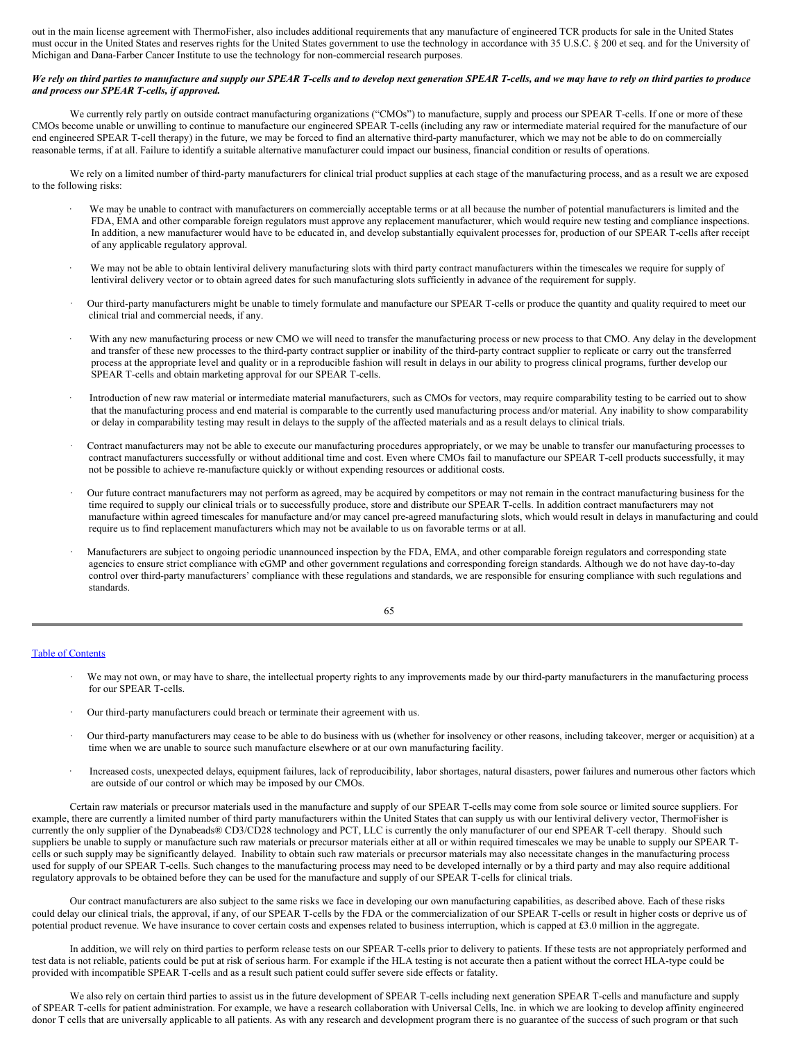out in the main license agreement with ThermoFisher, also includes additional requirements that any manufacture of engineered TCR products for sale in the United States must occur in the United States and reserves rights for the United States government to use the technology in accordance with 35 U.S.C. § 200 et seq. and for the University of Michigan and Dana-Farber Cancer Institute to use the technology for non-commercial research purposes.

## We rely on third parties to manufacture and supply our SPEAR T-cells and to develop next generation SPEAR T-cells, and we may have to rely on third parties to produce *and process our SPEAR T-cells, if approved.*

We currently rely partly on outside contract manufacturing organizations ("CMOs") to manufacture, supply and process our SPEAR T-cells. If one or more of these CMOs become unable or unwilling to continue to manufacture our engineered SPEAR T-cells (including any raw or intermediate material required for the manufacture of our end engineered SPEAR T-cell therapy) in the future, we may be forced to find an alternative third-party manufacturer, which we may not be able to do on commercially reasonable terms, if at all. Failure to identify a suitable alternative manufacturer could impact our business, financial condition or results of operations.

We rely on a limited number of third-party manufacturers for clinical trial product supplies at each stage of the manufacturing process, and as a result we are exposed to the following risks:

- We may be unable to contract with manufacturers on commercially acceptable terms or at all because the number of potential manufacturers is limited and the FDA, EMA and other comparable foreign regulators must approve any replacement manufacturer, which would require new testing and compliance inspections. In addition, a new manufacturer would have to be educated in, and develop substantially equivalent processes for, production of our SPEAR T-cells after receipt of any applicable regulatory approval.
- We may not be able to obtain lentiviral delivery manufacturing slots with third party contract manufacturers within the timescales we require for supply of lentiviral delivery vector or to obtain agreed dates for such manufacturing slots sufficiently in advance of the requirement for supply.
- · Our third-party manufacturers might be unable to timely formulate and manufacture our SPEAR T-cells or produce the quantity and quality required to meet our clinical trial and commercial needs, if any.
- With any new manufacturing process or new CMO we will need to transfer the manufacturing process or new process to that CMO. Any delay in the development and transfer of these new processes to the third-party contract supplier or inability of the third-party contract supplier to replicate or carry out the transferred process at the appropriate level and quality or in a reproducible fashion will result in delays in our ability to progress clinical programs, further develop our SPEAR T-cells and obtain marketing approval for our SPEAR T-cells.
- Introduction of new raw material or intermediate material manufacturers, such as CMOs for vectors, may require comparability testing to be carried out to show that the manufacturing process and end material is comparable to the currently used manufacturing process and/or material. Any inability to show comparability or delay in comparability testing may result in delays to the supply of the affected materials and as a result delays to clinical trials.
- · Contract manufacturers may not be able to execute our manufacturing procedures appropriately, or we may be unable to transfer our manufacturing processes to contract manufacturers successfully or without additional time and cost. Even where CMOs fail to manufacture our SPEAR T-cell products successfully, it may not be possible to achieve re-manufacture quickly or without expending resources or additional costs.
- · Our future contract manufacturers may not perform as agreed, may be acquired by competitors or may not remain in the contract manufacturing business for the time required to supply our clinical trials or to successfully produce, store and distribute our SPEAR T-cells. In addition contract manufacturers may not manufacture within agreed timescales for manufacture and/or may cancel pre-agreed manufacturing slots, which would result in delays in manufacturing and could require us to find replacement manufacturers which may not be available to us on favorable terms or at all.
- · Manufacturers are subject to ongoing periodic unannounced inspection by the FDA, EMA, and other comparable foreign regulators and corresponding state agencies to ensure strict compliance with cGMP and other government regulations and corresponding foreign standards. Although we do not have day-to-day control over third-party manufacturers' compliance with these regulations and standards, we are responsible for ensuring compliance with such regulations and standards.

65

## Table of [Contents](#page-0-0)

- We may not own, or may have to share, the intellectual property rights to any improvements made by our third-party manufacturers in the manufacturing process for our SPEAR T-cells.
- Our third-party manufacturers could breach or terminate their agreement with us.
- · Our third-party manufacturers may cease to be able to do business with us (whether for insolvency or other reasons, including takeover, merger or acquisition) at a time when we are unable to source such manufacture elsewhere or at our own manufacturing facility.
- · Increased costs, unexpected delays, equipment failures, lack of reproducibility, labor shortages, natural disasters, power failures and numerous other factors which are outside of our control or which may be imposed by our CMOs.

Certain raw materials or precursor materials used in the manufacture and supply of our SPEAR T-cells may come from sole source or limited source suppliers. For example, there are currently a limited number of third party manufacturers within the United States that can supply us with our lentiviral delivery vector, ThermoFisher is currently the only supplier of the Dynabeads® CD3/CD28 technology and PCT, LLC is currently the only manufacturer of our end SPEAR T-cell therapy. Should such suppliers be unable to supply or manufacture such raw materials or precursor materials either at all or within required timescales we may be unable to supply our SPEAR Tcells or such supply may be significantly delayed. Inability to obtain such raw materials or precursor materials may also necessitate changes in the manufacturing process used for supply of our SPEAR T-cells. Such changes to the manufacturing process may need to be developed internally or by a third party and may also require additional regulatory approvals to be obtained before they can be used for the manufacture and supply of our SPEAR T-cells for clinical trials.

Our contract manufacturers are also subject to the same risks we face in developing our own manufacturing capabilities, as described above. Each of these risks could delay our clinical trials, the approval, if any, of our SPEAR T-cells by the FDA or the commercialization of our SPEAR T-cells or result in higher costs or deprive us of potential product revenue. We have insurance to cover certain costs and expenses related to business interruption, which is capped at £3.0 million in the aggregate.

In addition, we will rely on third parties to perform release tests on our SPEAR T-cells prior to delivery to patients. If these tests are not appropriately performed and test data is not reliable, patients could be put at risk of serious harm. For example if the HLA testing is not accurate then a patient without the correct HLA-type could be provided with incompatible SPEAR T-cells and as a result such patient could suffer severe side effects or fatality.

We also rely on certain third parties to assist us in the future development of SPEAR T-cells including next generation SPEAR T-cells and manufacture and supply of SPEAR T-cells for patient administration. For example, we have a research collaboration with Universal Cells, Inc. in which we are looking to develop affinity engineered donor T cells that are universally applicable to all patients. As with any research and development program there is no guarantee of the success of such program or that such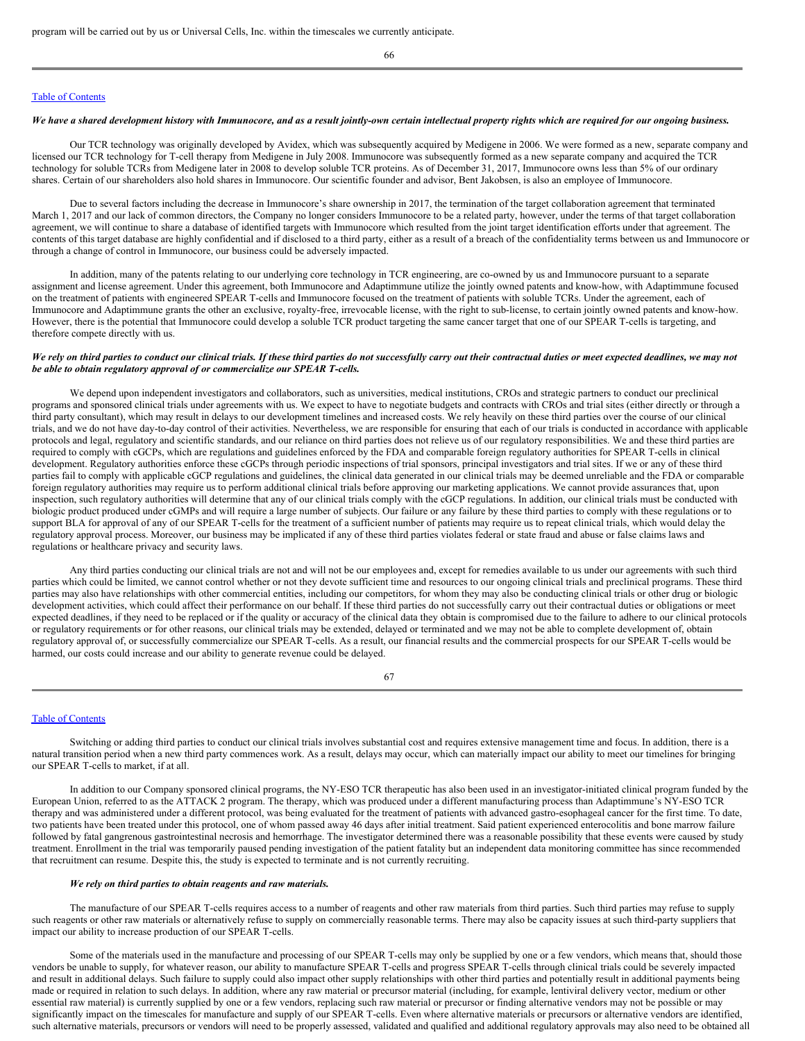66

#### Table of [Contents](#page-0-0)

## We have a shared development history with Immunocore, and as a result jointly-own certain intellectual property rights which are required for our ongoing business.

Our TCR technology was originally developed by Avidex, which was subsequently acquired by Medigene in 2006. We were formed as a new, separate company and licensed our TCR technology for T-cell therapy from Medigene in July 2008. Immunocore was subsequently formed as a new separate company and acquired the TCR technology for soluble TCRs from Medigene later in 2008 to develop soluble TCR proteins. As of December 31, 2017, Immunocore owns less than 5% of our ordinary shares. Certain of our shareholders also hold shares in Immunocore. Our scientific founder and advisor, Bent Jakobsen, is also an employee of Immunocore.

Due to several factors including the decrease in Immunocore's share ownership in 2017, the termination of the target collaboration agreement that terminated March 1, 2017 and our lack of common directors, the Company no longer considers Immunocore to be a related party, however, under the terms of that target collaboration agreement, we will continue to share a database of identified targets with Immunocore which resulted from the joint target identification efforts under that agreement. The contents of this target database are highly confidential and if disclosed to a third party, either as a result of a breach of the confidentiality terms between us and Immunocore or through a change of control in Immunocore, our business could be adversely impacted.

In addition, many of the patents relating to our underlying core technology in TCR engineering, are co-owned by us and Immunocore pursuant to a separate assignment and license agreement. Under this agreement, both Immunocore and Adaptimmune utilize the jointly owned patents and know-how, with Adaptimmune focused on the treatment of patients with engineered SPEAR T-cells and Immunocore focused on the treatment of patients with soluble TCRs. Under the agreement, each of Immunocore and Adaptimmune grants the other an exclusive, royalty-free, irrevocable license, with the right to sub-license, to certain jointly owned patents and know-how. However, there is the potential that Immunocore could develop a soluble TCR product targeting the same cancer target that one of our SPEAR T-cells is targeting, and therefore compete directly with us.

## We rely on third parties to conduct our clinical trials. If these third parties do not successfully carry out their contractual duties or meet expected deadlines, we may not *be able to obtain regulatory approval of or commercialize our SPEAR T-cells.*

We depend upon independent investigators and collaborators, such as universities, medical institutions, CROs and strategic partners to conduct our preclinical programs and sponsored clinical trials under agreements with us. We expect to have to negotiate budgets and contracts with CROs and trial sites (either directly or through a third party consultant), which may result in delays to our development timelines and increased costs. We rely heavily on these third parties over the course of our clinical trials, and we do not have day-to-day control of their activities. Nevertheless, we are responsible for ensuring that each of our trials is conducted in accordance with applicable protocols and legal, regulatory and scientific standards, and our reliance on third parties does not relieve us of our regulatory responsibilities. We and these third parties are required to comply with cGCPs, which are regulations and guidelines enforced by the FDA and comparable foreign regulatory authorities for SPEAR T-cells in clinical development. Regulatory authorities enforce these cGCPs through periodic inspections of trial sponsors, principal investigators and trial sites. If we or any of these third parties fail to comply with applicable cGCP regulations and guidelines, the clinical data generated in our clinical trials may be deemed unreliable and the FDA or comparable foreign regulatory authorities may require us to perform additional clinical trials before approving our marketing applications. We cannot provide assurances that, upon inspection, such regulatory authorities will determine that any of our clinical trials comply with the cGCP regulations. In addition, our clinical trials must be conducted with biologic product produced under cGMPs and will require a large number of subjects. Our failure or any failure by these third parties to comply with these regulations or to support BLA for approval of any of our SPEAR T-cells for the treatment of a sufficient number of patients may require us to repeat clinical trials, which would delay the regulatory approval process. Moreover, our business may be implicated if any of these third parties violates federal or state fraud and abuse or false claims laws and regulations or healthcare privacy and security laws.

Any third parties conducting our clinical trials are not and will not be our employees and, except for remedies available to us under our agreements with such third parties which could be limited, we cannot control whether or not they devote sufficient time and resources to our ongoing clinical trials and preclinical programs. These third parties may also have relationships with other commercial entities, including our competitors, for whom they may also be conducting clinical trials or other drug or biologic development activities, which could affect their performance on our behalf. If these third parties do not successfully carry out their contractual duties or obligations or meet expected deadlines, if they need to be replaced or if the quality or accuracy of the clinical data they obtain is compromised due to the failure to adhere to our clinical protocols or regulatory requirements or for other reasons, our clinical trials may be extended, delayed or terminated and we may not be able to complete development of, obtain regulatory approval of, or successfully commercialize our SPEAR T-cells. As a result, our financial results and the commercial prospects for our SPEAR T-cells would be harmed, our costs could increase and our ability to generate revenue could be delayed.

## 67

#### Table of [Contents](#page-0-0)

Switching or adding third parties to conduct our clinical trials involves substantial cost and requires extensive management time and focus. In addition, there is a natural transition period when a new third party commences work. As a result, delays may occur, which can materially impact our ability to meet our timelines for bringing our SPEAR T-cells to market, if at all.

In addition to our Company sponsored clinical programs, the NY-ESO TCR therapeutic has also been used in an investigator-initiated clinical program funded by the European Union, referred to as the ATTACK 2 program. The therapy, which was produced under a different manufacturing process than Adaptimmune's NY-ESO TCR therapy and was administered under a different protocol, was being evaluated for the treatment of patients with advanced gastro-esophageal cancer for the first time. To date, two patients have been treated under this protocol, one of whom passed away 46 days after initial treatment. Said patient experienced enterocolitis and bone marrow failure followed by fatal gangrenous gastrointestinal necrosis and hemorrhage. The investigator determined there was a reasonable possibility that these events were caused by study treatment. Enrollment in the trial was temporarily paused pending investigation of the patient fatality but an independent data monitoring committee has since recommended that recruitment can resume. Despite this, the study is expected to terminate and is not currently recruiting.

#### *We rely on third parties to obtain reagents and raw materials.*

The manufacture of our SPEAR T-cells requires access to a number of reagents and other raw materials from third parties. Such third parties may refuse to supply such reagents or other raw materials or alternatively refuse to supply on commercially reasonable terms. There may also be capacity issues at such third-party suppliers that impact our ability to increase production of our SPEAR T-cells.

Some of the materials used in the manufacture and processing of our SPEAR T-cells may only be supplied by one or a few vendors, which means that, should those vendors be unable to supply, for whatever reason, our ability to manufacture SPEAR T-cells and progress SPEAR T-cells through clinical trials could be severely impacted and result in additional delays. Such failure to supply could also impact other supply relationships with other third parties and potentially result in additional payments being made or required in relation to such delays. In addition, where any raw material or precursor material (including, for example, lentiviral delivery vector, medium or other essential raw material) is currently supplied by one or a few vendors, replacing such raw material or precursor or finding alternative vendors may not be possible or may significantly impact on the timescales for manufacture and supply of our SPEAR T-cells. Even where alternative materials or precursors or alternative vendors are identified, such alternative materials, precursors or vendors will need to be properly assessed, validated and qualified and additional regulatory approvals may also need to be obtained all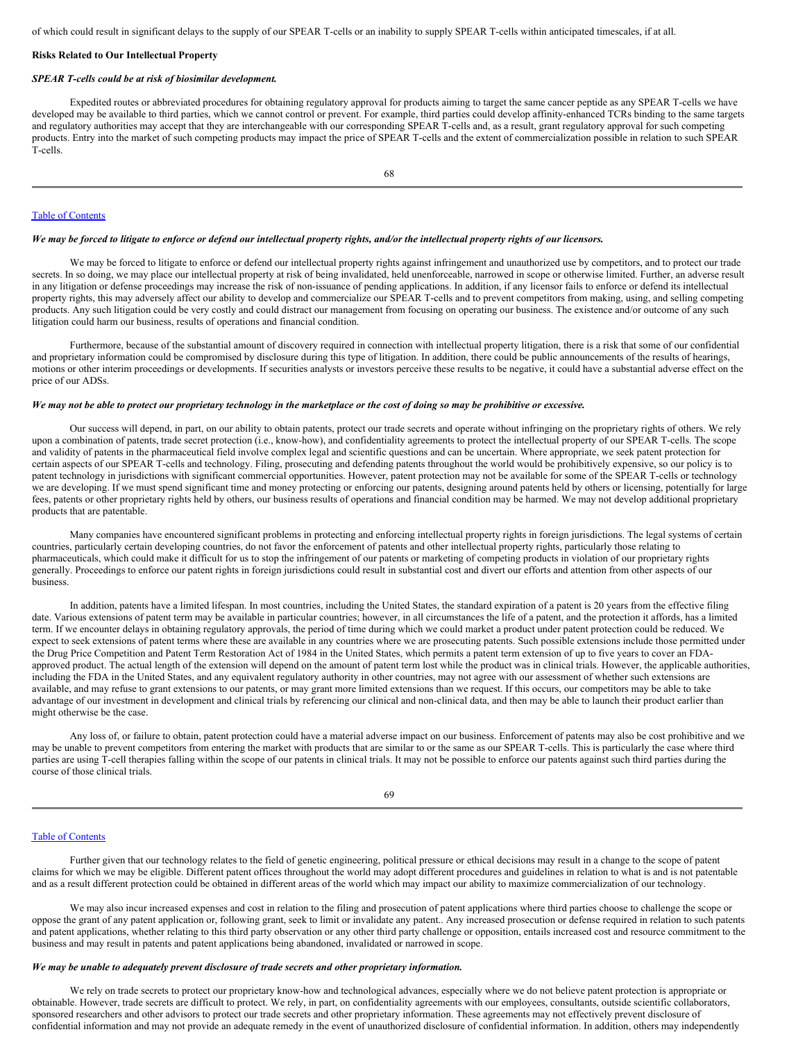of which could result in significant delays to the supply of our SPEAR T-cells or an inability to supply SPEAR T-cells within anticipated timescales, if at all.

### **Risks Related to Our Intellectual Property**

### *SPEAR T-cells could be at risk of biosimilar development.*

Expedited routes or abbreviated procedures for obtaining regulatory approval for products aiming to target the same cancer peptide as any SPEAR T-cells we have developed may be available to third parties, which we cannot control or prevent. For example, third parties could develop affinity-enhanced TCRs binding to the same targets and regulatory authorities may accept that they are interchangeable with our corresponding SPEAR T-cells and, as a result, grant regulatory approval for such competing products. Entry into the market of such competing products may impact the price of SPEAR T-cells and the extent of commercialization possible in relation to such SPEAR T-cells.

### Table of [Contents](#page-0-0)

### We may be forced to litigate to enforce or defend our intellectual property rights, and/or the intellectual property rights of our licensors.

We may be forced to litigate to enforce or defend our intellectual property rights against infringement and unauthorized use by competitors, and to protect our trade secrets. In so doing, we may place our intellectual property at risk of being invalidated, held unenforceable, narrowed in scope or otherwise limited. Further, an adverse result in any litigation or defense proceedings may increase the risk of non-issuance of pending applications. In addition, if any licensor fails to enforce or defend its intellectual property rights, this may adversely affect our ability to develop and commercialize our SPEAR T-cells and to prevent competitors from making, using, and selling competing products. Any such litigation could be very costly and could distract our management from focusing on operating our business. The existence and/or outcome of any such litigation could harm our business, results of operations and financial condition.

Furthermore, because of the substantial amount of discovery required in connection with intellectual property litigation, there is a risk that some of our confidential and proprietary information could be compromised by disclosure during this type of litigation. In addition, there could be public announcements of the results of hearings, motions or other interim proceedings or developments. If securities analysts or investors perceive these results to be negative, it could have a substantial adverse effect on the price of our ADSs.

#### We may not be able to protect our proprietary technology in the marketplace or the cost of doing so may be prohibitive or excessive.

Our success will depend, in part, on our ability to obtain patents, protect our trade secrets and operate without infringing on the proprietary rights of others. We rely upon a combination of patents, trade secret protection (i.e., know-how), and confidentiality agreements to protect the intellectual property of our SPEAR T-cells. The scope and validity of patents in the pharmaceutical field involve complex legal and scientific questions and can be uncertain. Where appropriate, we seek patent protection for certain aspects of our SPEAR T-cells and technology. Filing, prosecuting and defending patents throughout the world would be prohibitively expensive, so our policy is to patent technology in jurisdictions with significant commercial opportunities. However, patent protection may not be available for some of the SPEAR T-cells or technology we are developing. If we must spend significant time and money protecting or enforcing our patents, designing around patents held by others or licensing, potentially for large fees, patents or other proprietary rights held by others, our business results of operations and financial condition may be harmed. We may not develop additional proprietary products that are patentable.

Many companies have encountered significant problems in protecting and enforcing intellectual property rights in foreign jurisdictions. The legal systems of certain countries, particularly certain developing countries, do not favor the enforcement of patents and other intellectual property rights, particularly those relating to pharmaceuticals, which could make it difficult for us to stop the infringement of our patents or marketing of competing products in violation of our proprietary rights generally. Proceedings to enforce our patent rights in foreign jurisdictions could result in substantial cost and divert our efforts and attention from other aspects of our business.

In addition, patents have a limited lifespan. In most countries, including the United States, the standard expiration of a patent is 20 years from the effective filing date. Various extensions of patent term may be available in particular countries; however, in all circumstances the life of a patent, and the protection it affords, has a limited term. If we encounter delays in obtaining regulatory approvals, the period of time during which we could market a product under patent protection could be reduced. We expect to seek extensions of patent terms where these are available in any countries where we are prosecuting patents. Such possible extensions include those permitted under the Drug Price Competition and Patent Term Restoration Act of 1984 in the United States, which permits a patent term extension of up to five years to cover an FDAapproved product. The actual length of the extension will depend on the amount of patent term lost while the product was in clinical trials. However, the applicable authorities, including the FDA in the United States, and any equivalent regulatory authority in other countries, may not agree with our assessment of whether such extensions are available, and may refuse to grant extensions to our patents, or may grant more limited extensions than we request. If this occurs, our competitors may be able to take advantage of our investment in development and clinical trials by referencing our clinical and non-clinical data, and then may be able to launch their product earlier than might otherwise be the case.

Any loss of, or failure to obtain, patent protection could have a material adverse impact on our business. Enforcement of patents may also be cost prohibitive and we may be unable to prevent competitors from entering the market with products that are similar to or the same as our SPEAR T-cells. This is particularly the case where third parties are using T-cell therapies falling within the scope of our patents in clinical trials. It may not be possible to enforce our patents against such third parties during the course of those clinical trials.

69

#### Table of [Contents](#page-0-0)

Further given that our technology relates to the field of genetic engineering, political pressure or ethical decisions may result in a change to the scope of patent claims for which we may be eligible. Different patent offices throughout the world may adopt different procedures and guidelines in relation to what is and is not patentable and as a result different protection could be obtained in different areas of the world which may impact our ability to maximize commercialization of our technology.

We may also incur increased expenses and cost in relation to the filing and prosecution of patent applications where third parties choose to challenge the scope or oppose the grant of any patent application or, following grant, seek to limit or invalidate any patent.. Any increased prosecution or defense required in relation to such patents and patent applications, whether relating to this third party observation or any other third party challenge or opposition, entails increased cost and resource commitment to the business and may result in patents and patent applications being abandoned, invalidated or narrowed in scope.

### *We may be unable to adequately prevent disclosure of trade secrets and other proprietary information.*

We rely on trade secrets to protect our proprietary know-how and technological advances, especially where we do not believe patent protection is appropriate or obtainable. However, trade secrets are difficult to protect. We rely, in part, on confidentiality agreements with our employees, consultants, outside scientific collaborators, sponsored researchers and other advisors to protect our trade secrets and other proprietary information. These agreements may not effectively prevent disclosure of confidential information and may not provide an adequate remedy in the event of unauthorized disclosure of confidential information. In addition, others may independently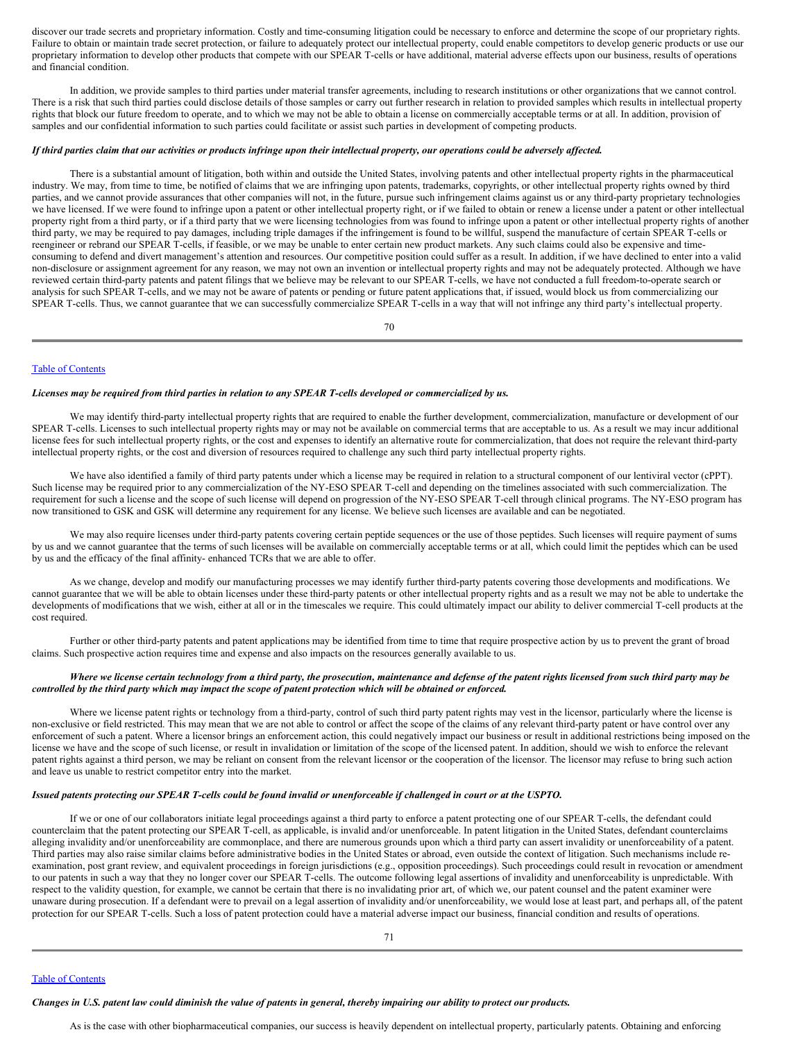discover our trade secrets and proprietary information. Costly and time-consuming litigation could be necessary to enforce and determine the scope of our proprietary rights. Failure to obtain or maintain trade secret protection, or failure to adequately protect our intellectual property, could enable competitors to develop generic products or use our proprietary information to develop other products that compete with our SPEAR T-cells or have additional, material adverse effects upon our business, results of operations and financial condition.

In addition, we provide samples to third parties under material transfer agreements, including to research institutions or other organizations that we cannot control. There is a risk that such third parties could disclose details of those samples or carry out further research in relation to provided samples which results in intellectual property rights that block our future freedom to operate, and to which we may not be able to obtain a license on commercially acceptable terms or at all. In addition, provision of samples and our confidential information to such parties could facilitate or assist such parties in development of competing products.

### If third parties claim that our activities or products infringe upon their intellectual property, our operations could be adversely affected.

There is a substantial amount of litigation, both within and outside the United States, involving patents and other intellectual property rights in the pharmaceutical industry. We may, from time to time, be notified of claims that we are infringing upon patents, trademarks, copyrights, or other intellectual property rights owned by third parties, and we cannot provide assurances that other companies will not, in the future, pursue such infringement claims against us or any third-party proprietary technologies we have licensed. If we were found to infringe upon a patent or other intellectual property right, or if we failed to obtain or renew a license under a patent or other intellectual property right from a third party, or if a third party that we were licensing technologies from was found to infringe upon a patent or other intellectual property rights of another third party, we may be required to pay damages, including triple damages if the infringement is found to be willful, suspend the manufacture of certain SPEAR T-cells or reengineer or rebrand our SPEAR T-cells, if feasible, or we may be unable to enter certain new product markets. Any such claims could also be expensive and timeconsuming to defend and divert management's attention and resources. Our competitive position could suffer as a result. In addition, if we have declined to enter into a valid non-disclosure or assignment agreement for any reason, we may not own an invention or intellectual property rights and may not be adequately protected. Although we have reviewed certain third-party patents and patent filings that we believe may be relevant to our SPEAR T-cells, we have not conducted a full freedom-to-operate search or analysis for such SPEAR T-cells, and we may not be aware of patents or pending or future patent applications that, if issued, would block us from commercializing our SPEAR T-cells. Thus, we cannot guarantee that we can successfully commercialize SPEAR T-cells in a way that will not infringe any third party's intellectual property.

70

#### Table of [Contents](#page-0-0)

## Licenses may be required from third parties in relation to any SPEAR T-cells developed or commercialized by us.

We may identify third-party intellectual property rights that are required to enable the further development, commercialization, manufacture or development of our SPEAR T-cells. Licenses to such intellectual property rights may or may not be available on commercial terms that are acceptable to us. As a result we may incur additional license fees for such intellectual property rights, or the cost and expenses to identify an alternative route for commercialization, that does not require the relevant third-party intellectual property rights, or the cost and diversion of resources required to challenge any such third party intellectual property rights.

We have also identified a family of third party patents under which a license may be required in relation to a structural component of our lentiviral vector (cPPT). Such license may be required prior to any commercialization of the NY-ESO SPEAR T-cell and depending on the timelines associated with such commercialization. The requirement for such a license and the scope of such license will depend on progression of the NY-ESO SPEAR T-cell through clinical programs. The NY-ESO program has now transitioned to GSK and GSK will determine any requirement for any license. We believe such licenses are available and can be negotiated.

We may also require licenses under third-party patents covering certain peptide sequences or the use of those peptides. Such licenses will require payment of sums by us and we cannot guarantee that the terms of such licenses will be available on commercially acceptable terms or at all, which could limit the peptides which can be used by us and the efficacy of the final affinity- enhanced TCRs that we are able to offer.

As we change, develop and modify our manufacturing processes we may identify further third-party patents covering those developments and modifications. We cannot guarantee that we will be able to obtain licenses under these third-party patents or other intellectual property rights and as a result we may not be able to undertake the developments of modifications that we wish, either at all or in the timescales we require. This could ultimately impact our ability to deliver commercial T-cell products at the cost required.

Further or other third-party patents and patent applications may be identified from time to time that require prospective action by us to prevent the grant of broad claims. Such prospective action requires time and expense and also impacts on the resources generally available to us.

### Where we license certain technology from a third party, the prosecution, maintenance and defense of the patent rights licensed from such third party may be controlled by the third party which may impact the scope of patent protection which will be obtained or enforced.

Where we license patent rights or technology from a third-party, control of such third party patent rights may vest in the licensor, particularly where the license is non-exclusive or field restricted. This may mean that we are not able to control or affect the scope of the claims of any relevant third-party patent or have control over any enforcement of such a patent. Where a licensor brings an enforcement action, this could negatively impact our business or result in additional restrictions being imposed on the license we have and the scope of such license, or result in invalidation or limitation of the scope of the licensed patent. In addition, should we wish to enforce the relevant patent rights against a third person, we may be reliant on consent from the relevant licensor or the cooperation of the licensor. The licensor may refuse to bring such action and leave us unable to restrict competitor entry into the market.

### Issued patents protecting our SPEAR T-cells could be found invalid or unenforceable if challenged in court or at the USPTO.

If we or one of our collaborators initiate legal proceedings against a third party to enforce a patent protecting one of our SPEAR T-cells, the defendant could counterclaim that the patent protecting our SPEAR T-cell, as applicable, is invalid and/or unenforceable. In patent litigation in the United States, defendant counterclaims alleging invalidity and/or unenforceability are commonplace, and there are numerous grounds upon which a third party can assert invalidity or unenforceability of a patent. Third parties may also raise similar claims before administrative bodies in the United States or abroad, even outside the context of litigation. Such mechanisms include reexamination, post grant review, and equivalent proceedings in foreign jurisdictions (e.g., opposition proceedings). Such proceedings could result in revocation or amendment to our patents in such a way that they no longer cover our SPEAR T-cells. The outcome following legal assertions of invalidity and unenforceability is unpredictable. With respect to the validity question, for example, we cannot be certain that there is no invalidating prior art, of which we, our patent counsel and the patent examiner were unaware during prosecution. If a defendant were to prevail on a legal assertion of invalidity and/or unenforceability, we would lose at least part, and perhaps all, of the patent protection for our SPEAR T-cells. Such a loss of patent protection could have a material adverse impact our business, financial condition and results of operations.

Table of [Contents](#page-0-0)

As is the case with other biopharmaceutical companies, our success is heavily dependent on intellectual property, particularly patents. Obtaining and enforcing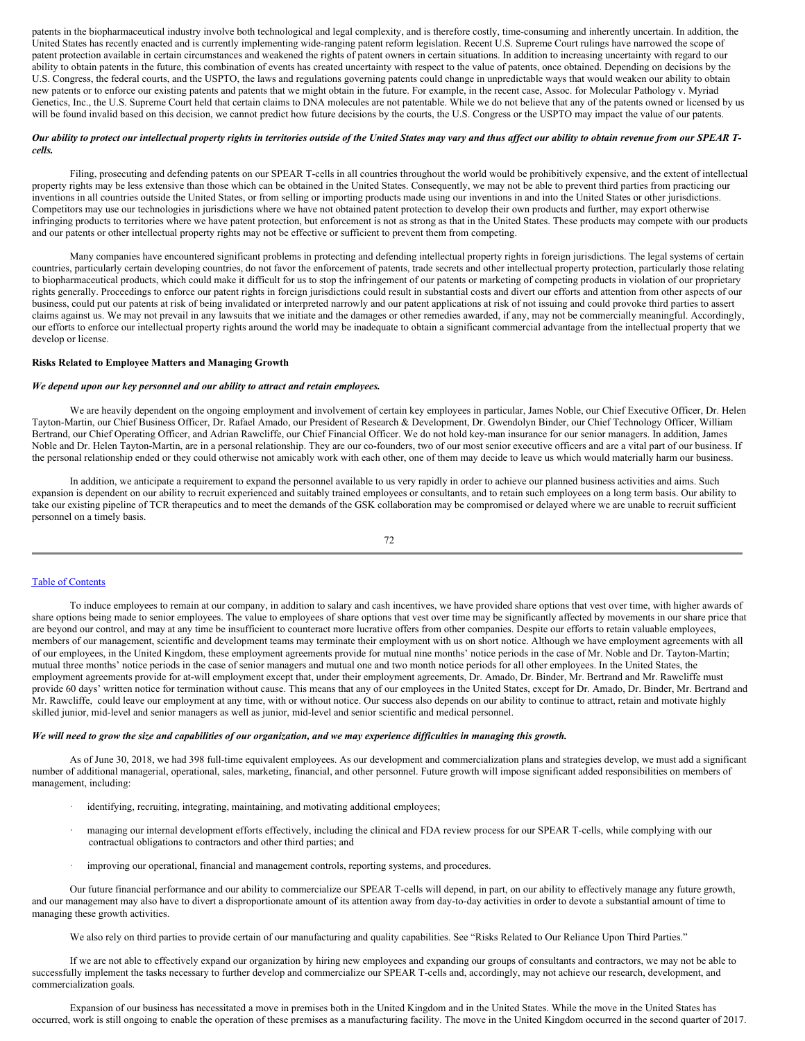patents in the biopharmaceutical industry involve both technological and legal complexity, and is therefore costly, time-consuming and inherently uncertain. In addition, the United States has recently enacted and is currently implementing wide-ranging patent reform legislation. Recent U.S. Supreme Court rulings have narrowed the scope of patent protection available in certain circumstances and weakened the rights of patent owners in certain situations. In addition to increasing uncertainty with regard to our ability to obtain patents in the future, this combination of events has created uncertainty with respect to the value of patents, once obtained. Depending on decisions by the U.S. Congress, the federal courts, and the USPTO, the laws and regulations governing patents could change in unpredictable ways that would weaken our ability to obtain new patents or to enforce our existing patents and patents that we might obtain in the future. For example, in the recent case, Assoc. for Molecular Pathology v. Myriad Genetics, Inc., the U.S. Supreme Court held that certain claims to DNA molecules are not patentable. While we do not believe that any of the patents owned or licensed by us will be found invalid based on this decision, we cannot predict how future decisions by the courts, the U.S. Congress or the USPTO may impact the value of our patents.

## Our ability to protect our intellectual property rights in territories outside of the United States may vary and thus affect our ability to obtain revenue from our SPEAR T*cells.*

Filing, prosecuting and defending patents on our SPEAR T-cells in all countries throughout the world would be prohibitively expensive, and the extent of intellectual property rights may be less extensive than those which can be obtained in the United States. Consequently, we may not be able to prevent third parties from practicing our inventions in all countries outside the United States, or from selling or importing products made using our inventions in and into the United States or other jurisdictions. Competitors may use our technologies in jurisdictions where we have not obtained patent protection to develop their own products and further, may export otherwise infringing products to territories where we have patent protection, but enforcement is not as strong as that in the United States. These products may compete with our products and our patents or other intellectual property rights may not be effective or sufficient to prevent them from competing.

Many companies have encountered significant problems in protecting and defending intellectual property rights in foreign jurisdictions. The legal systems of certain countries, particularly certain developing countries, do not favor the enforcement of patents, trade secrets and other intellectual property protection, particularly those relating to biopharmaceutical products, which could make it difficult for us to stop the infringement of our patents or marketing of competing products in violation of our proprietary rights generally. Proceedings to enforce our patent rights in foreign jurisdictions could result in substantial costs and divert our efforts and attention from other aspects of our business, could put our patents at risk of being invalidated or interpreted narrowly and our patent applications at risk of not issuing and could provoke third parties to assert claims against us. We may not prevail in any lawsuits that we initiate and the damages or other remedies awarded, if any, may not be commercially meaningful. Accordingly, our efforts to enforce our intellectual property rights around the world may be inadequate to obtain a significant commercial advantage from the intellectual property that we develop or license.

### **Risks Related to Employee Matters and Managing Growth**

#### *We depend upon our key personnel and our ability to attract and retain employees.*

We are heavily dependent on the ongoing employment and involvement of certain key employees in particular, James Noble, our Chief Executive Officer, Dr. Helen Tayton-Martin, our Chief Business Officer, Dr. Rafael Amado, our President of Research & Development, Dr. Gwendolyn Binder, our Chief Technology Officer, William Bertrand, our Chief Operating Officer, and Adrian Rawcliffe, our Chief Financial Officer. We do not hold key-man insurance for our senior managers. In addition, James Noble and Dr. Helen Tayton-Martin, are in a personal relationship. They are our co-founders, two of our most senior executive officers and are a vital part of our business. If the personal relationship ended or they could otherwise not amicably work with each other, one of them may decide to leave us which would materially harm our business.

In addition, we anticipate a requirement to expand the personnel available to us very rapidly in order to achieve our planned business activities and aims. Such expansion is dependent on our ability to recruit experienced and suitably trained employees or consultants, and to retain such employees on a long term basis. Our ability to take our existing pipeline of TCR therapeutics and to meet the demands of the GSK collaboration may be compromised or delayed where we are unable to recruit sufficient personnel on a timely basis.

$$
^{72}
$$

#### Table of [Contents](#page-0-0)

To induce employees to remain at our company, in addition to salary and cash incentives, we have provided share options that vest over time, with higher awards of share options being made to senior employees. The value to employees of share options that vest over time may be significantly affected by movements in our share price that are beyond our control, and may at any time be insufficient to counteract more lucrative offers from other companies. Despite our efforts to retain valuable employees, members of our management, scientific and development teams may terminate their employment with us on short notice. Although we have employment agreements with all of our employees, in the United Kingdom, these employment agreements provide for mutual nine months' notice periods in the case of Mr. Noble and Dr. Tayton-Martin; mutual three months' notice periods in the case of senior managers and mutual one and two month notice periods for all other employees. In the United States, the employment agreements provide for at-will employment except that, under their employment agreements, Dr. Amado, Dr. Binder, Mr. Bertrand and Mr. Rawcliffe must provide 60 days' written notice for termination without cause. This means that any of our employees in the United States, except for Dr. Amado, Dr. Binder, Mr. Bertrand and Mr. Rawcliffe, could leave our employment at any time, with or without notice. Our success also depends on our ability to continue to attract, retain and motivate highly skilled junior, mid-level and senior managers as well as junior, mid-level and senior scientific and medical personnel.

## We will need to grow the size and capabilities of our organization, and we may experience difficulties in managing this growth.

As of June 30, 2018, we had 398 full-time equivalent employees. As our development and commercialization plans and strategies develop, we must add a significant number of additional managerial, operational, sales, marketing, financial, and other personnel. Future growth will impose significant added responsibilities on members of management, including:

- identifying, recruiting, integrating, maintaining, and motivating additional employees;
- · managing our internal development efforts effectively, including the clinical and FDA review process for our SPEAR T-cells, while complying with our contractual obligations to contractors and other third parties; and
- improving our operational, financial and management controls, reporting systems, and procedures.

Our future financial performance and our ability to commercialize our SPEAR T-cells will depend, in part, on our ability to effectively manage any future growth, and our management may also have to divert a disproportionate amount of its attention away from day-to-day activities in order to devote a substantial amount of time to managing these growth activities.

We also rely on third parties to provide certain of our manufacturing and quality capabilities. See "Risks Related to Our Reliance Upon Third Parties."

If we are not able to effectively expand our organization by hiring new employees and expanding our groups of consultants and contractors, we may not be able to successfully implement the tasks necessary to further develop and commercialize our SPEAR T-cells and, accordingly, may not achieve our research, development, and commercialization goals.

Expansion of our business has necessitated a move in premises both in the United Kingdom and in the United States. While the move in the United States has occurred, work is still ongoing to enable the operation of these premises as a manufacturing facility. The move in the United Kingdom occurred in the second quarter of 2017.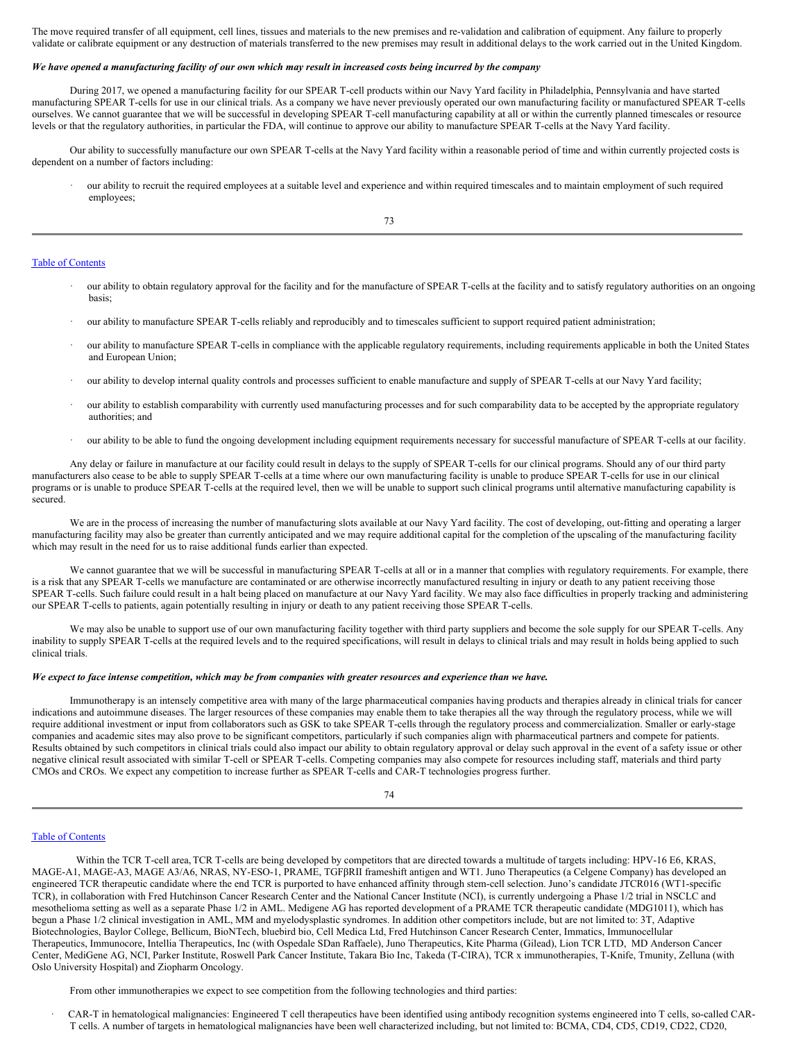The move required transfer of all equipment, cell lines, tissues and materials to the new premises and re-validation and calibration of equipment. Any failure to properly validate or calibrate equipment or any destruction of materials transferred to the new premises may result in additional delays to the work carried out in the United Kingdom.

#### We have opened a manufacturing facility of our own which may result in increased costs being incurred by the company

During 2017, we opened a manufacturing facility for our SPEAR T-cell products within our Navy Yard facility in Philadelphia, Pennsylvania and have started manufacturing SPEAR T-cells for use in our clinical trials. As a company we have never previously operated our own manufacturing facility or manufactured SPEAR T-cells ourselves. We cannot guarantee that we will be successful in developing SPEAR T-cell manufacturing capability at all or within the currently planned timescales or resource levels or that the regulatory authorities, in particular the FDA, will continue to approve our ability to manufacture SPEAR T-cells at the Navy Yard facility.

Our ability to successfully manufacture our own SPEAR T-cells at the Navy Yard facility within a reasonable period of time and within currently projected costs is dependent on a number of factors including:

· our ability to recruit the required employees at a suitable level and experience and within required timescales and to maintain employment of such required employees;

#### Table of [Contents](#page-0-0)

- · our ability to obtain regulatory approval for the facility and for the manufacture of SPEAR T-cells at the facility and to satisfy regulatory authorities on an ongoing basis;
- · our ability to manufacture SPEAR T-cells reliably and reproducibly and to timescales sufficient to support required patient administration;
- · our ability to manufacture SPEAR T-cells in compliance with the applicable regulatory requirements, including requirements applicable in both the United States and European Union;
- · our ability to develop internal quality controls and processes sufficient to enable manufacture and supply of SPEAR T-cells at our Navy Yard facility;
- · our ability to establish comparability with currently used manufacturing processes and for such comparability data to be accepted by the appropriate regulatory authorities; and
- · our ability to be able to fund the ongoing development including equipment requirements necessary for successful manufacture of SPEAR T-cells at our facility.

Any delay or failure in manufacture at our facility could result in delays to the supply of SPEAR T-cells for our clinical programs. Should any of our third party manufacturers also cease to be able to supply SPEAR T-cells at a time where our own manufacturing facility is unable to produce SPEAR T-cells for use in our clinical programs or is unable to produce SPEAR T-cells at the required level, then we will be unable to support such clinical programs until alternative manufacturing capability is secured.

We are in the process of increasing the number of manufacturing slots available at our Navy Yard facility. The cost of developing, out-fitting and operating a larger manufacturing facility may also be greater than currently anticipated and we may require additional capital for the completion of the upscaling of the manufacturing facility which may result in the need for us to raise additional funds earlier than expected.

We cannot guarantee that we will be successful in manufacturing SPEAR T-cells at all or in a manner that complies with regulatory requirements. For example, there is a risk that any SPEAR T-cells we manufacture are contaminated or are otherwise incorrectly manufactured resulting in injury or death to any patient receiving those SPEAR T-cells. Such failure could result in a halt being placed on manufacture at our Navy Yard facility. We may also face difficulties in properly tracking and administering our SPEAR T-cells to patients, again potentially resulting in injury or death to any patient receiving those SPEAR T-cells.

We may also be unable to support use of our own manufacturing facility together with third party suppliers and become the sole supply for our SPEAR T-cells. Any inability to supply SPEAR T-cells at the required levels and to the required specifications, will result in delays to clinical trials and may result in holds being applied to such clinical trials.

#### We expect to face intense competition, which may be from companies with greater resources and experience than we have.

Immunotherapy is an intensely competitive area with many of the large pharmaceutical companies having products and therapies already in clinical trials for cancer indications and autoimmune diseases. The larger resources of these companies may enable them to take therapies all the way through the regulatory process, while we will require additional investment or input from collaborators such as GSK to take SPEAR T-cells through the regulatory process and commercialization. Smaller or early-stage companies and academic sites may also prove to be significant competitors, particularly if such companies align with pharmaceutical partners and compete for patients. Results obtained by such competitors in clinical trials could also impact our ability to obtain regulatory approval or delay such approval in the event of a safety issue or other negative clinical result associated with similar T-cell or SPEAR T-cells. Competing companies may also compete for resources including staff, materials and third party CMOs and CROs. We expect any competition to increase further as SPEAR T-cells and CAR-T technologies progress further.

## Table of [Contents](#page-0-0)

Within the TCR T-cell area,TCR T-cells are being developed by competitors that are directed towards a multitude of targets including: HPV-16 E6, KRAS, MAGE-A1, MAGE-A3, MAGE A3/A6, NRAS, NY-ESO-1, PRAME, TGFβRII frameshift antigen and WT1. Juno Therapeutics (a Celgene Company) has developed an engineered TCR therapeutic candidate where the end TCR is purported to have enhanced affinity through stem-cell selection. Juno's candidate JTCR016 (WT1-specific TCR), in collaboration with Fred Hutchinson Cancer Research Center and the National Cancer Institute (NCI), is currently undergoing a Phase 1/2 trial in NSCLC and mesothelioma setting as well as a separate Phase 1/2 in AML. Medigene AG has reported development of a PRAME TCR therapeutic candidate (MDG1011), which has begun a Phase 1/2 clinical investigation in AML, MM and myelodysplastic syndromes. In addition other competitors include, but are not limited to: 3T, Adaptive Biotechnologies, Baylor College, Bellicum, BioNTech, bluebird bio, Cell Medica Ltd, Fred Hutchinson Cancer Research Center, Immatics, Immunocellular Therapeutics, Immunocore, Intellia Therapeutics, Inc (with Ospedale SDan Raffaele), Juno Therapeutics, Kite Pharma (Gilead), Lion TCR LTD, MD Anderson Cancer Center, MediGene AG, NCI, Parker Institute, Roswell Park Cancer Institute, Takara Bio Inc, Takeda (T-CIRA), TCR x immunotherapies, T-Knife, Tmunity, Zelluna (with Oslo University Hospital) and Ziopharm Oncology.

From other immunotherapies we expect to see competition from the following technologies and third parties:

· CAR-T in hematological malignancies: Engineered T cell therapeutics have been identified using antibody recognition systems engineered into T cells, so-called CAR-T cells. A number of targets in hematological malignancies have been well characterized including, but not limited to: BCMA, CD4, CD5, CD19, CD22, CD20,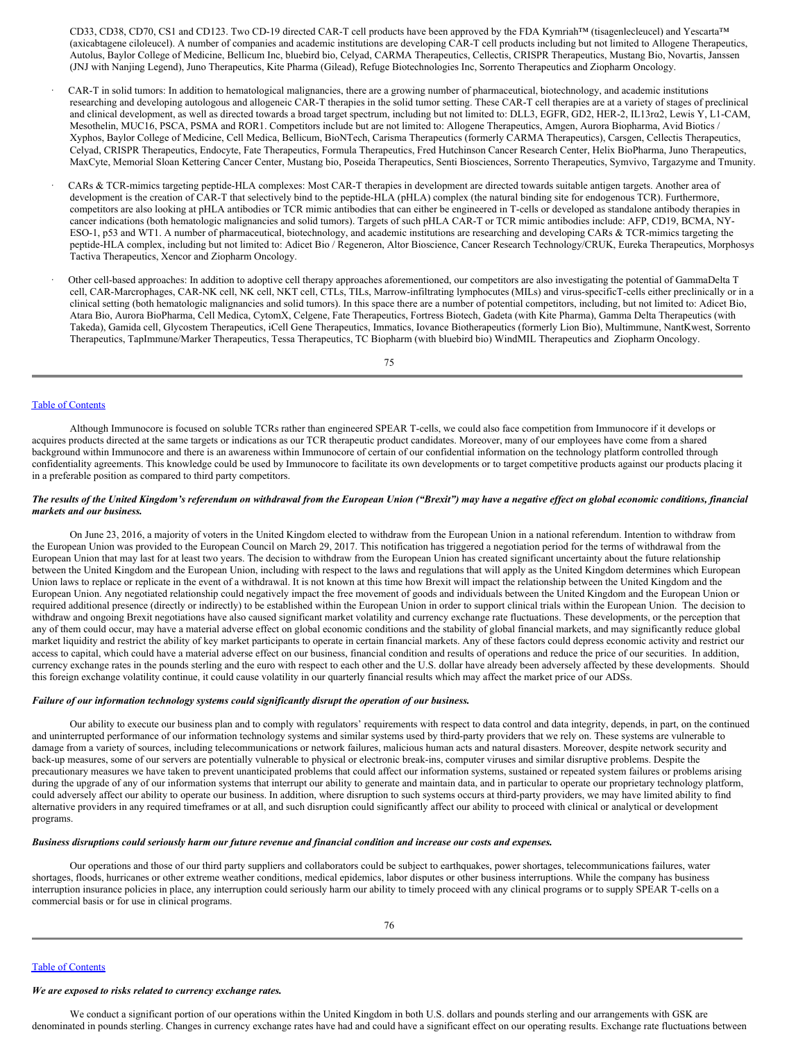CD33, CD38, CD70, CS1 and CD123. Two CD-19 directed CAR-T cell products have been approved by the FDA Kymriah™ (tisagenlecleucel) and Yescarta™ (axicabtagene ciloleucel). A number of companies and academic institutions are developing CAR-T cell products including but not limited to Allogene Therapeutics, Autolus, Baylor College of Medicine, Bellicum Inc, bluebird bio, Celyad, CARMA Therapeutics, Cellectis, CRISPR Therapeutics, Mustang Bio, Novartis, Janssen (JNJ with Nanjing Legend), Juno Therapeutics, Kite Pharma (Gilead), Refuge Biotechnologies Inc, Sorrento Therapeutics and Ziopharm Oncology.

- · CAR-T in solid tumors: In addition to hematological malignancies, there are a growing number of pharmaceutical, biotechnology, and academic institutions researching and developing autologous and allogeneic CAR-T therapies in the solid tumor setting. These CAR-T cell therapies are at a variety of stages of preclinical and clinical development, as well as directed towards a broad target spectrum, including but not limited to: DLL3, EGFR, GD2, HER-2, IL13ra2, Lewis Y, L1-CAM, Mesothelin, MUC16, PSCA, PSMA and ROR1. Competitors include but are not limited to: Allogene Therapeutics, Amgen, Aurora Biopharma, Avid Biotics / Xyphos, Baylor College of Medicine, Cell Medica, Bellicum, BioNTech, Carisma Therapeutics (formerly CARMA Therapeutics), Carsgen, Cellectis Therapeutics, Celyad, CRISPR Therapeutics, Endocyte, Fate Therapeutics, Formula Therapeutics, Fred Hutchinson Cancer Research Center, Helix BioPharma, Juno Therapeutics, MaxCyte, Memorial Sloan Kettering Cancer Center, Mustang bio, Poseida Therapeutics, Senti Biosciences, Sorrento Therapeutics, Symvivo, Targazyme and Tmunity.
- · CARs & TCR-mimics targeting peptide-HLA complexes: Most CAR-T therapies in development are directed towards suitable antigen targets. Another area of development is the creation of CAR-T that selectively bind to the peptide-HLA (pHLA) complex (the natural binding site for endogenous TCR). Furthermore, competitors are also looking at pHLA antibodies or TCR mimic antibodies that can either be engineered in T-cells or developed as standalone antibody therapies in cancer indications (both hematologic malignancies and solid tumors). Targets of such pHLA CAR-T or TCR mimic antibodies include: AFP, CD19, BCMA, NY-ESO-1, p53 and WT1. A number of pharmaceutical, biotechnology, and academic institutions are researching and developing CARs & TCR-mimics targeting the peptide-HLA complex, including but not limited to: Adicet Bio / Regeneron, Altor Bioscience, Cancer Research Technology/CRUK, Eureka Therapeutics, Morphosys Tactiva Therapeutics, Xencor and Ziopharm Oncology.
- · Other cell-based approaches: In addition to adoptive cell therapy approaches aforementioned, our competitors are also investigating the potential of GammaDelta T cell, CAR-Marcrophages, CAR-NK cell, NK cell, NKT cell, CTLs, TILs, Marrow-infiltrating lymphocutes (MILs) and virus-specificT-cells either preclinically or in a clinical setting (both hematologic malignancies and solid tumors). In this space there are a number of potential competitors, including, but not limited to: Adicet Bio, Atara Bio, Aurora BioPharma, Cell Medica, CytomX, Celgene, Fate Therapeutics, Fortress Biotech, Gadeta (with Kite Pharma), Gamma Delta Therapeutics (with Takeda), Gamida cell, Glycostem Therapeutics, iCell Gene Therapeutics, Immatics, Iovance Biotherapeutics (formerly Lion Bio), Multimmune, NantKwest, Sorrento Therapeutics, TapImmune/Marker Therapeutics, Tessa Therapeutics, TC Biopharm (with bluebird bio) WindMIL Therapeutics and Ziopharm Oncology.

75

#### Table of [Contents](#page-0-0)

Although Immunocore is focused on soluble TCRs rather than engineered SPEAR T-cells, we could also face competition from Immunocore if it develops or acquires products directed at the same targets or indications as our TCR therapeutic product candidates. Moreover, many of our employees have come from a shared background within Immunocore and there is an awareness within Immunocore of certain of our confidential information on the technology platform controlled through confidentiality agreements. This knowledge could be used by Immunocore to facilitate its own developments or to target competitive products against our products placing it in a preferable position as compared to third party competitors.

### The results of the United Kingdom's referendum on withdrawal from the European Union ("Brexit") may have a negative effect on global economic conditions, financial *markets and our business.*

On June 23, 2016, a majority of voters in the United Kingdom elected to withdraw from the European Union in a national referendum. Intention to withdraw from the European Union was provided to the European Council on March 29, 2017. This notification has triggered a negotiation period for the terms of withdrawal from the European Union that may last for at least two years. The decision to withdraw from the European Union has created significant uncertainty about the future relationship between the United Kingdom and the European Union, including with respect to the laws and regulations that will apply as the United Kingdom determines which European Union laws to replace or replicate in the event of a withdrawal. It is not known at this time how Brexit will impact the relationship between the United Kingdom and the European Union. Any negotiated relationship could negatively impact the free movement of goods and individuals between the United Kingdom and the European Union or required additional presence (directly or indirectly) to be established within the European Union in order to support clinical trials within the European Union. The decision to withdraw and ongoing Brexit negotiations have also caused significant market volatility and currency exchange rate fluctuations. These developments, or the perception that any of them could occur, may have a material adverse effect on global economic conditions and the stability of global financial markets, and may significantly reduce global market liquidity and restrict the ability of key market participants to operate in certain financial markets. Any of these factors could depress economic activity and restrict our access to capital, which could have a material adverse effect on our business, financial condition and results of operations and reduce the price of our securities. In addition, currency exchange rates in the pounds sterling and the euro with respect to each other and the U.S. dollar have already been adversely affected by these developments. Should this foreign exchange volatility continue, it could cause volatility in our quarterly financial results which may affect the market price of our ADSs.

### *Failure of our information technology systems could significantly disrupt the operation of our business.*

Our ability to execute our business plan and to comply with regulators' requirements with respect to data control and data integrity, depends, in part, on the continued and uninterrupted performance of our information technology systems and similar systems used by third-party providers that we rely on. These systems are vulnerable to damage from a variety of sources, including telecommunications or network failures, malicious human acts and natural disasters. Moreover, despite network security and back-up measures, some of our servers are potentially vulnerable to physical or electronic break-ins, computer viruses and similar disruptive problems. Despite the precautionary measures we have taken to prevent unanticipated problems that could affect our information systems, sustained or repeated system failures or problems arising during the upgrade of any of our information systems that interrupt our ability to generate and maintain data, and in particular to operate our proprietary technology platform, could adversely affect our ability to operate our business. In addition, where disruption to such systems occurs at third-party providers, we may have limited ability to find alternative providers in any required timeframes or at all, and such disruption could significantly affect our ability to proceed with clinical or analytical or development programs.

#### Business disruptions could seriously harm our future revenue and financial condition and increase our costs and expenses.

Our operations and those of our third party suppliers and collaborators could be subject to earthquakes, power shortages, telecommunications failures, water shortages, floods, hurricanes or other extreme weather conditions, medical epidemics, labor disputes or other business interruptions. While the company has business interruption insurance policies in place, any interruption could seriously harm our ability to timely proceed with any clinical programs or to supply SPEAR T-cells on a commercial basis or for use in clinical programs.

## Table of [Contents](#page-0-0)

#### *We are exposed to risks related to currency exchange rates.*

We conduct a significant portion of our operations within the United Kingdom in both U.S. dollars and pounds sterling and our arrangements with GSK are denominated in pounds sterling. Changes in currency exchange rates have had and could have a significant effect on our operating results. Exchange rate fluctuations between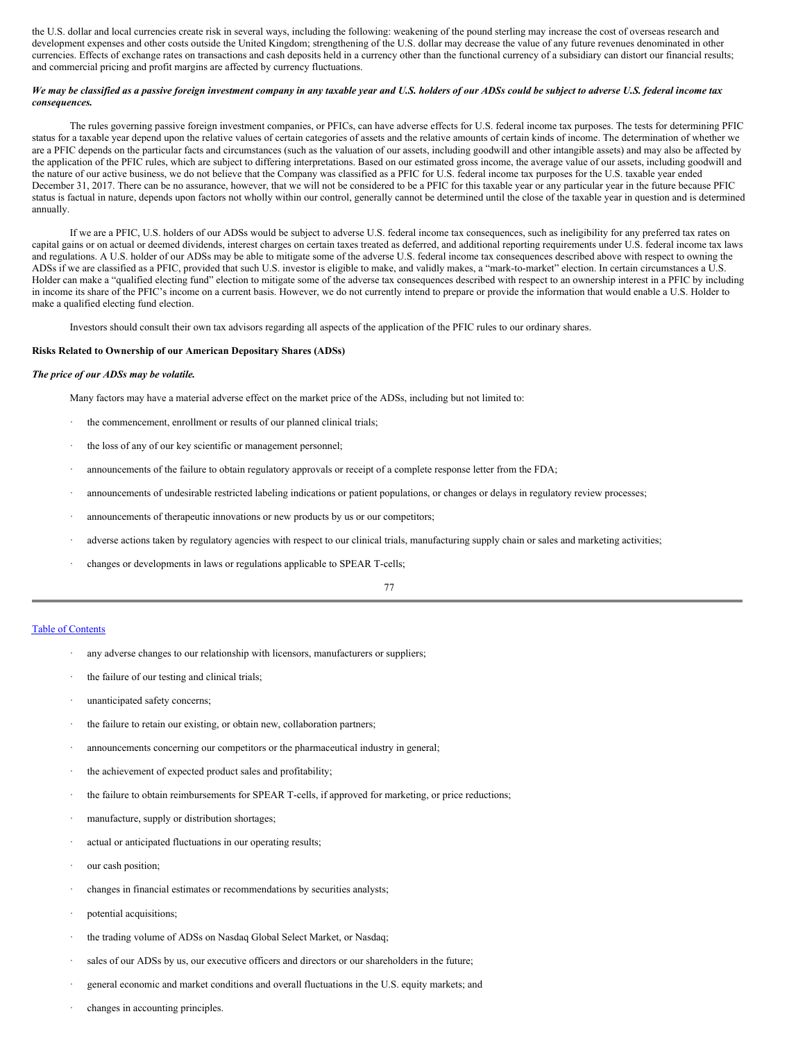the U.S. dollar and local currencies create risk in several ways, including the following: weakening of the pound sterling may increase the cost of overseas research and development expenses and other costs outside the United Kingdom; strengthening of the U.S. dollar may decrease the value of any future revenues denominated in other currencies. Effects of exchange rates on transactions and cash deposits held in a currency other than the functional currency of a subsidiary can distort our financial results; and commercial pricing and profit margins are affected by currency fluctuations.

### We may be classified as a passive foreign investment company in any taxable year and U.S. holders of our ADSs could be subject to adverse U.S. federal income tax *consequences.*

The rules governing passive foreign investment companies, or PFICs, can have adverse effects for U.S. federal income tax purposes. The tests for determining PFIC status for a taxable year depend upon the relative values of certain categories of assets and the relative amounts of certain kinds of income. The determination of whether we are a PFIC depends on the particular facts and circumstances (such as the valuation of our assets, including goodwill and other intangible assets) and may also be affected by the application of the PFIC rules, which are subject to differing interpretations. Based on our estimated gross income, the average value of our assets, including goodwill and the nature of our active business, we do not believe that the Company was classified as a PFIC for U.S. federal income tax purposes for the U.S. taxable year ended December 31, 2017. There can be no assurance, however, that we will not be considered to be a PFIC for this taxable year or any particular year in the future because PFIC status is factual in nature, depends upon factors not wholly within our control, generally cannot be determined until the close of the taxable year in question and is determined annually.

If we are a PFIC, U.S. holders of our ADSs would be subject to adverse U.S. federal income tax consequences, such as ineligibility for any preferred tax rates on capital gains or on actual or deemed dividends, interest charges on certain taxes treated as deferred, and additional reporting requirements under U.S. federal income tax laws and regulations. A U.S. holder of our ADSs may be able to mitigate some of the adverse U.S. federal income tax consequences described above with respect to owning the ADSs if we are classified as a PFIC, provided that such U.S. investor is eligible to make, and validly makes, a "mark-to-market" election. In certain circumstances a U.S. Holder can make a "qualified electing fund" election to mitigate some of the adverse tax consequences described with respect to an ownership interest in a PFIC by including in income its share of the PFIC's income on a current basis. However, we do not currently intend to prepare or provide the information that would enable a U.S. Holder to make a qualified electing fund election.

Investors should consult their own tax advisors regarding all aspects of the application of the PFIC rules to our ordinary shares.

#### **Risks Related to Ownership of our American Depositary Shares (ADSs)**

#### *The price of our ADSs may be volatile.*

Many factors may have a material adverse effect on the market price of the ADSs, including but not limited to:

- the commencement, enrollment or results of our planned clinical trials;
- the loss of any of our key scientific or management personnel;
- announcements of the failure to obtain regulatory approvals or receipt of a complete response letter from the FDA;
- · announcements of undesirable restricted labeling indications or patient populations, or changes or delays in regulatory review processes;
- announcements of therapeutic innovations or new products by us or our competitors;
- adverse actions taken by regulatory agencies with respect to our clinical trials, manufacturing supply chain or sales and marketing activities;
- · changes or developments in laws or regulations applicable to SPEAR T-cells;

77

#### Table of [Contents](#page-0-0)

- any adverse changes to our relationship with licensors, manufacturers or suppliers;
- the failure of our testing and clinical trials;
- unanticipated safety concerns;
- the failure to retain our existing, or obtain new, collaboration partners;
- announcements concerning our competitors or the pharmaceutical industry in general;
- the achievement of expected product sales and profitability;
- the failure to obtain reimbursements for SPEAR T-cells, if approved for marketing, or price reductions;
- manufacture, supply or distribution shortages;
- actual or anticipated fluctuations in our operating results;
- our cash position;
- changes in financial estimates or recommendations by securities analysts;
- potential acquisitions;
- the trading volume of ADSs on Nasdaq Global Select Market, or Nasdaq;
- sales of our ADSs by us, our executive officers and directors or our shareholders in the future;
- general economic and market conditions and overall fluctuations in the U.S. equity markets; and
- changes in accounting principles.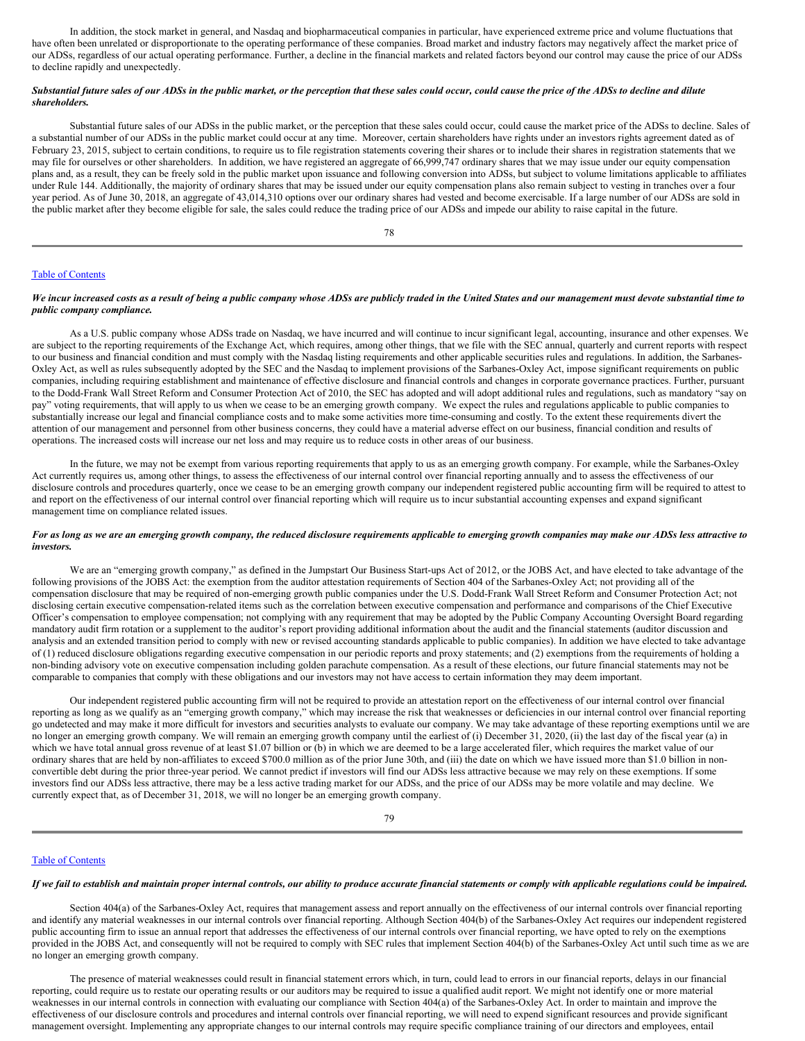In addition, the stock market in general, and Nasdaq and biopharmaceutical companies in particular, have experienced extreme price and volume fluctuations that have often been unrelated or disproportionate to the operating performance of these companies. Broad market and industry factors may negatively affect the market price of our ADSs, regardless of our actual operating performance. Further, a decline in the financial markets and related factors beyond our control may cause the price of our ADSs to decline rapidly and unexpectedly.

## Substantial future sales of our ADSs in the public market, or the perception that these sales could occur, could cause the price of the ADSs to decline and dilute *shareholders.*

Substantial future sales of our ADSs in the public market, or the perception that these sales could occur, could cause the market price of the ADSs to decline. Sales of a substantial number of our ADSs in the public market could occur at any time. Moreover, certain shareholders have rights under an investors rights agreement dated as of February 23, 2015, subject to certain conditions, to require us to file registration statements covering their shares or to include their shares in registration statements that we may file for ourselves or other shareholders. In addition, we have registered an aggregate of 66,999,747 ordinary shares that we may issue under our equity compensation plans and, as a result, they can be freely sold in the public market upon issuance and following conversion into ADSs, but subject to volume limitations applicable to affiliates under Rule 144. Additionally, the majority of ordinary shares that may be issued under our equity compensation plans also remain subject to vesting in tranches over a four year period. As of June 30, 2018, an aggregate of 43,014,310 options over our ordinary shares had vested and become exercisable. If a large number of our ADSs are sold in the public market after they become eligible for sale, the sales could reduce the trading price of our ADSs and impede our ability to raise capital in the future.

78

## Table of [Contents](#page-0-0)

## We incur increased costs as a result of being a public company whose ADSs are publicly traded in the United States and our management must devote substantial time to *public company compliance.*

As a U.S. public company whose ADSs trade on Nasdaq, we have incurred and will continue to incur significant legal, accounting, insurance and other expenses. We are subject to the reporting requirements of the Exchange Act, which requires, among other things, that we file with the SEC annual, quarterly and current reports with respect to our business and financial condition and must comply with the Nasdaq listing requirements and other applicable securities rules and regulations. In addition, the Sarbanes-Oxley Act, as well as rules subsequently adopted by the SEC and the Nasdaq to implement provisions of the Sarbanes-Oxley Act, impose significant requirements on public companies, including requiring establishment and maintenance of effective disclosure and financial controls and changes in corporate governance practices. Further, pursuant to the Dodd-Frank Wall Street Reform and Consumer Protection Act of 2010, the SEC has adopted and will adopt additional rules and regulations, such as mandatory "say on pay" voting requirements, that will apply to us when we cease to be an emerging growth company. We expect the rules and regulations applicable to public companies to substantially increase our legal and financial compliance costs and to make some activities more time-consuming and costly. To the extent these requirements divert the attention of our management and personnel from other business concerns, they could have a material adverse effect on our business, financial condition and results of operations. The increased costs will increase our net loss and may require us to reduce costs in other areas of our business.

In the future, we may not be exempt from various reporting requirements that apply to us as an emerging growth company. For example, while the Sarbanes-Oxley Act currently requires us, among other things, to assess the effectiveness of our internal control over financial reporting annually and to assess the effectiveness of our disclosure controls and procedures quarterly, once we cease to be an emerging growth company our independent registered public accounting firm will be required to attest to and report on the effectiveness of our internal control over financial reporting which will require us to incur substantial accounting expenses and expand significant management time on compliance related issues.

## For as long as we are an emerging growth company, the reduced disclosure requirements applicable to emerging growth companies may make our ADSs less attractive to *investors.*

We are an "emerging growth company," as defined in the Jumpstart Our Business Start-ups Act of 2012, or the JOBS Act, and have elected to take advantage of the following provisions of the JOBS Act: the exemption from the auditor attestation requirements of Section 404 of the Sarbanes-Oxley Act; not providing all of the compensation disclosure that may be required of non-emerging growth public companies under the U.S. Dodd-Frank Wall Street Reform and Consumer Protection Act; not disclosing certain executive compensation-related items such as the correlation between executive compensation and performance and comparisons of the Chief Executive Officer's compensation to employee compensation; not complying with any requirement that may be adopted by the Public Company Accounting Oversight Board regarding mandatory audit firm rotation or a supplement to the auditor's report providing additional information about the audit and the financial statements (auditor discussion and analysis and an extended transition period to comply with new or revised accounting standards applicable to public companies). In addition we have elected to take advantage of (1) reduced disclosure obligations regarding executive compensation in our periodic reports and proxy statements; and (2) exemptions from the requirements of holding a non-binding advisory vote on executive compensation including golden parachute compensation. As a result of these elections, our future financial statements may not be comparable to companies that comply with these obligations and our investors may not have access to certain information they may deem important.

Our independent registered public accounting firm will not be required to provide an attestation report on the effectiveness of our internal control over financial reporting as long as we qualify as an "emerging growth company," which may increase the risk that weaknesses or deficiencies in our internal control over financial reporting go undetected and may make it more difficult for investors and securities analysts to evaluate our company. We may take advantage of these reporting exemptions until we are no longer an emerging growth company. We will remain an emerging growth company until the earliest of (i) December 31, 2020, (ii) the last day of the fiscal year (a) in which we have total annual gross revenue of at least \$1.07 billion or (b) in which we are deemed to be a large accelerated filer, which requires the market value of our ordinary shares that are held by non-affiliates to exceed \$700.0 million as of the prior June 30th, and (iii) the date on which we have issued more than \$1.0 billion in nonconvertible debt during the prior three-year period. We cannot predict if investors will find our ADSs less attractive because we may rely on these exemptions. If some investors find our ADSs less attractive, there may be a less active trading market for our ADSs, and the price of our ADSs may be more volatile and may decline. We currently expect that, as of December 31, 2018, we will no longer be an emerging growth company.

79

## Table of [Contents](#page-0-0)

## If we fail to establish and maintain proper internal controls, our ability to produce accurate financial statements or comply with applicable regulations could be impaired.

Section 404(a) of the Sarbanes-Oxley Act, requires that management assess and report annually on the effectiveness of our internal controls over financial reporting and identify any material weaknesses in our internal controls over financial reporting. Although Section 404(b) of the Sarbanes-Oxley Act requires our independent registered public accounting firm to issue an annual report that addresses the effectiveness of our internal controls over financial reporting, we have opted to rely on the exemptions provided in the JOBS Act, and consequently will not be required to comply with SEC rules that implement Section 404(b) of the Sarbanes-Oxley Act until such time as we are no longer an emerging growth company.

The presence of material weaknesses could result in financial statement errors which, in turn, could lead to errors in our financial reports, delays in our financial reporting, could require us to restate our operating results or our auditors may be required to issue a qualified audit report. We might not identify one or more material weaknesses in our internal controls in connection with evaluating our compliance with Section 404(a) of the Sarbanes-Oxley Act. In order to maintain and improve the effectiveness of our disclosure controls and procedures and internal controls over financial reporting, we will need to expend significant resources and provide significant management oversight. Implementing any appropriate changes to our internal controls may require specific compliance training of our directors and employees, entail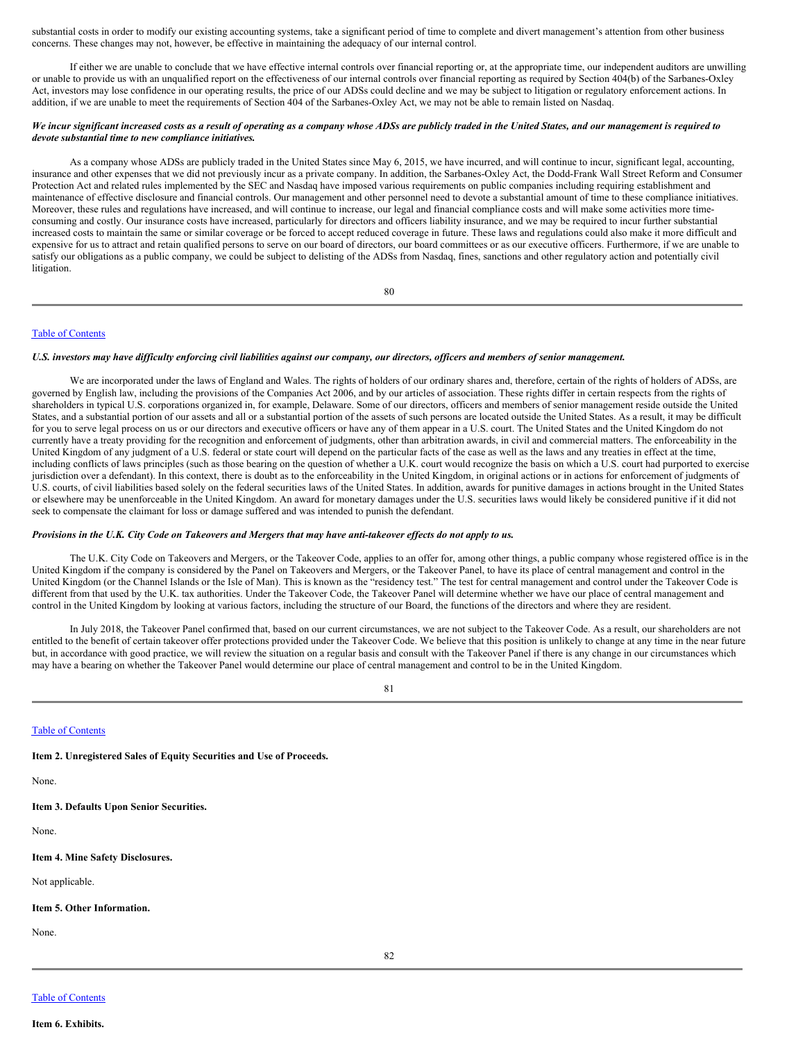substantial costs in order to modify our existing accounting systems, take a significant period of time to complete and divert management's attention from other business concerns. These changes may not, however, be effective in maintaining the adequacy of our internal control.

If either we are unable to conclude that we have effective internal controls over financial reporting or, at the appropriate time, our independent auditors are unwilling or unable to provide us with an unqualified report on the effectiveness of our internal controls over financial reporting as required by Section 404(b) of the Sarbanes-Oxley Act, investors may lose confidence in our operating results, the price of our ADSs could decline and we may be subject to litigation or regulatory enforcement actions. In addition, if we are unable to meet the requirements of Section 404 of the Sarbanes-Oxley Act, we may not be able to remain listed on Nasdaq.

### We incur significant increased costs as a result of operating as a company whose ADSs are publicly traded in the United States, and our management is required to *devote substantial time to new compliance initiatives.*

As a company whose ADSs are publicly traded in the United States since May 6, 2015, we have incurred, and will continue to incur, significant legal, accounting, insurance and other expenses that we did not previously incur as a private company. In addition, the Sarbanes-Oxley Act, the Dodd-Frank Wall Street Reform and Consumer Protection Act and related rules implemented by the SEC and Nasdaq have imposed various requirements on public companies including requiring establishment and maintenance of effective disclosure and financial controls. Our management and other personnel need to devote a substantial amount of time to these compliance initiatives. Moreover, these rules and regulations have increased, and will continue to increase, our legal and financial compliance costs and will make some activities more timeconsuming and costly. Our insurance costs have increased, particularly for directors and officers liability insurance, and we may be required to incur further substantial increased costs to maintain the same or similar coverage or be forced to accept reduced coverage in future. These laws and regulations could also make it more difficult and expensive for us to attract and retain qualified persons to serve on our board of directors, our board committees or as our executive officers. Furthermore, if we are unable to satisfy our obligations as a public company, we could be subject to delisting of the ADSs from Nasdaq, fines, sanctions and other regulatory action and potentially civil litigation.

80

## Table of [Contents](#page-0-0)

### U.S. investors may have difficulty enforcing civil liabilities against our company, our directors, officers and members of senior management.

We are incorporated under the laws of England and Wales. The rights of holders of our ordinary shares and, therefore, certain of the rights of holders of ADSs, are governed by English law, including the provisions of the Companies Act 2006, and by our articles of association. These rights differ in certain respects from the rights of shareholders in typical U.S. corporations organized in, for example, Delaware. Some of our directors, officers and members of senior management reside outside the United States, and a substantial portion of our assets and all or a substantial portion of the assets of such persons are located outside the United States. As a result, it may be difficult for you to serve legal process on us or our directors and executive officers or have any of them appear in a U.S. court. The United States and the United Kingdom do not currently have a treaty providing for the recognition and enforcement of judgments, other than arbitration awards, in civil and commercial matters. The enforceability in the United Kingdom of any judgment of a U.S. federal or state court will depend on the particular facts of the case as well as the laws and any treaties in effect at the time, including conflicts of laws principles (such as those bearing on the question of whether a U.K. court would recognize the basis on which a U.S. court had purported to exercise jurisdiction over a defendant). In this context, there is doubt as to the enforceability in the United Kingdom, in original actions or in actions for enforcement of judgments of U.S. courts, of civil liabilities based solely on the federal securities laws of the United States. In addition, awards for punitive damages in actions brought in the United States or elsewhere may be unenforceable in the United Kingdom. An award for monetary damages under the U.S. securities laws would likely be considered punitive if it did not seek to compensate the claimant for loss or damage suffered and was intended to punish the defendant.

## Provisions in the U.K. City Code on Takeovers and Mergers that may have anti-takeover effects do not apply to us.

The U.K. City Code on Takeovers and Mergers, or the Takeover Code, applies to an offer for, among other things, a public company whose registered office is in the United Kingdom if the company is considered by the Panel on Takeovers and Mergers, or the Takeover Panel, to have its place of central management and control in the United Kingdom (or the Channel Islands or the Isle of Man). This is known as the "residency test." The test for central management and control under the Takeover Code is different from that used by the U.K. tax authorities. Under the Takeover Code, the Takeover Panel will determine whether we have our place of central management and control in the United Kingdom by looking at various factors, including the structure of our Board, the functions of the directors and where they are resident.

In July 2018, the Takeover Panel confirmed that, based on our current circumstances, we are not subject to the Takeover Code. As a result, our shareholders are not entitled to the benefit of certain takeover offer protections provided under the Takeover Code. We believe that this position is unlikely to change at any time in the near future but, in accordance with good practice, we will review the situation on a regular basis and consult with the Takeover Panel if there is any change in our circumstances which may have a bearing on whether the Takeover Panel would determine our place of central management and control to be in the United Kingdom.

<span id="page-47-0"></span>81

Table of [Contents](#page-0-0)

**Item 2. Unregistered Sales of Equity Securities and Use of Proceeds.**

None.

<span id="page-47-1"></span>**Item 3. Defaults Upon Senior Securities.**

None.

<span id="page-47-2"></span>**Item 4. Mine Safety Disclosures.**

Not applicable.

## <span id="page-47-3"></span>**Item 5. Other Information.**

<span id="page-47-4"></span>None.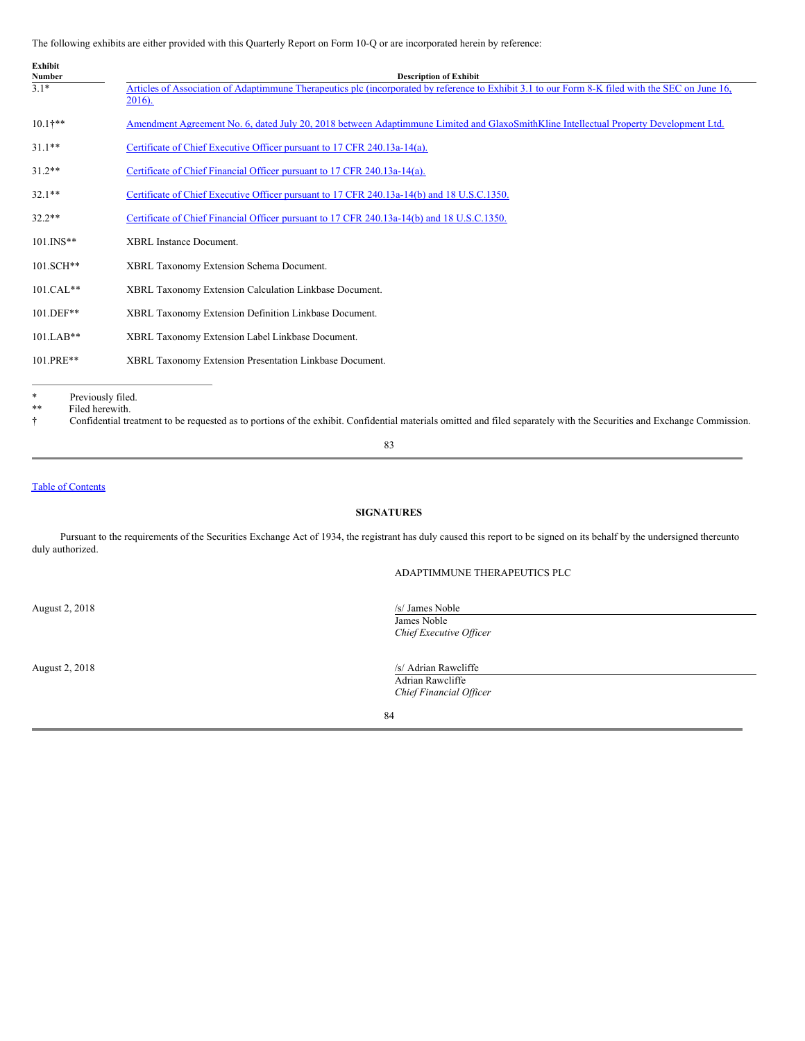The following exhibits are either provided with this Quarterly Report on Form 10-Q or are incorporated herein by reference:

| <b>Exhibit</b><br>Number | <b>Description of Exhibit</b>                                                                                                                              |
|--------------------------|------------------------------------------------------------------------------------------------------------------------------------------------------------|
| $3.1*$                   | Articles of Association of Adaptimmune Therapeutics plc (incorporated by reference to Exhibit 3.1 to our Form 8-K filed with the SEC on June 16,<br>2016). |
| $10.1$ †**               | Amendment Agreement No. 6, dated July 20, 2018 between Adaptimmune Limited and GlaxoSmithKline Intellectual Property Development Ltd.                      |
| $31.1**$                 | Certificate of Chief Executive Officer pursuant to 17 CFR 240.13a-14(a).                                                                                   |
| $31.2**$                 | Certificate of Chief Financial Officer pursuant to 17 CFR 240.13a-14(a).                                                                                   |
| $32.1**$                 | Certificate of Chief Executive Officer pursuant to 17 CFR 240.13a-14(b) and 18 U.S.C.1350.                                                                 |
| $32.2**$                 | Certificate of Chief Financial Officer pursuant to 17 CFR 240.13a-14(b) and 18 U.S.C.1350.                                                                 |
| 101.INS**                | <b>XBRL</b> Instance Document.                                                                                                                             |
| $101.SCH**$              | XBRL Taxonomy Extension Schema Document.                                                                                                                   |
| $101.CAL**$              | XBRL Taxonomy Extension Calculation Linkbase Document.                                                                                                     |
| 101.DEF**                | XBRL Taxonomy Extension Definition Linkbase Document.                                                                                                      |
| $101.LAB**$              | XBRL Taxonomy Extension Label Linkbase Document.                                                                                                           |
| 101.PRE**                | XBRL Taxonomy Extension Presentation Linkbase Document.                                                                                                    |
|                          |                                                                                                                                                            |

```
* Previously filed.<br>** Filed herewith
```
\*\* Filed herewith.<br>
† Confidential tre

† Confidential treatment to be requested as to portions of the exhibit. Confidential materials omitted and filed separately with the Securities and Exchange Commission.

83

## Table of [Contents](#page-0-0)

## <span id="page-48-0"></span>**SIGNATURES**

Pursuant to the requirements of the Securities Exchange Act of 1934, the registrant has duly caused this report to be signed on its behalf by the undersigned thereunto duly authorized.

## ADAPTIMMUNE THERAPEUTICS PLC

August 2, 2018 /s/ James Noble

James Noble *Chief Executive Of icer*

August 2, 2018 /s/ Adrian Rawcliffe Adrian Rawcliffe *Chief Financial Of icer*

84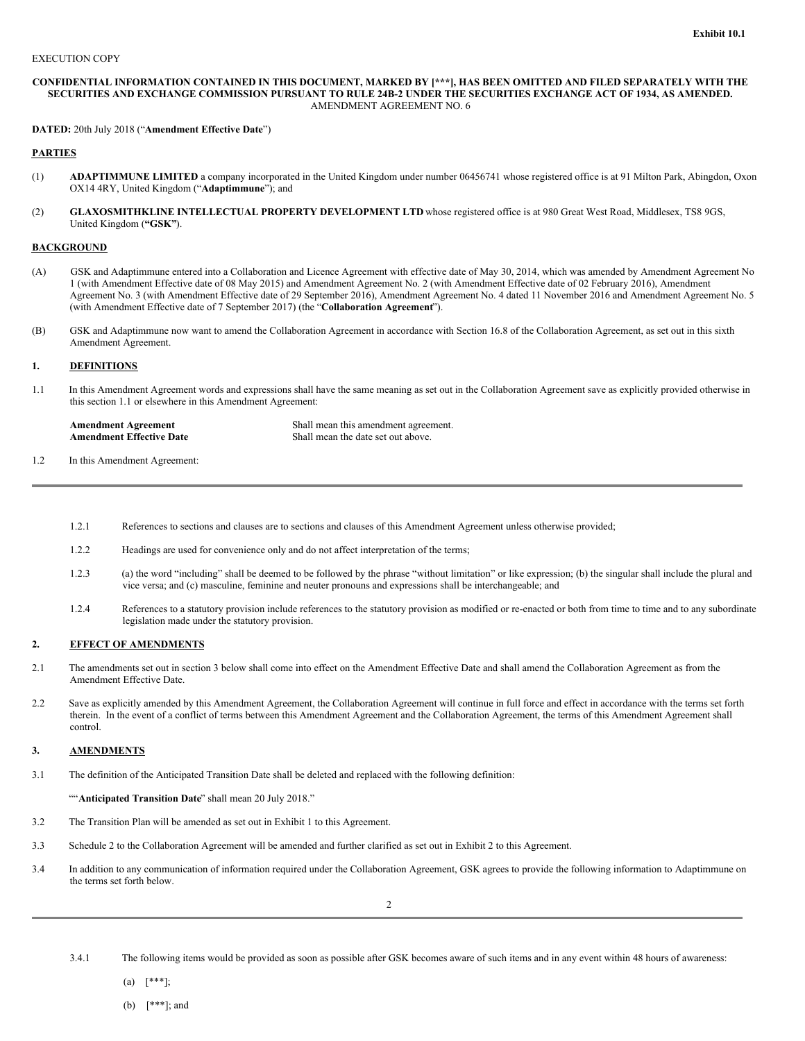### <span id="page-49-0"></span>CONFIDENTIAL INFORMATION CONTAINED IN THIS DOCUMENT, MARKED BY [\*\*\*], HAS BEEN OMITTED AND FILED SEPARATELY WITH THE SECURITIES AND EXCHANGE COMMISSION PURSUANT TO RULE 24B-2 UNDER THE SECURITIES EXCHANGE ACT OF 1934, AS AMENDED. AMENDMENT AGREEMENT NO. 6

**DATED:** 20th July 2018 ("**Amendment Effective Date**")

#### **PARTIES**

- (1) **ADAPTIMMUNE LIMITED** a company incorporated in the United Kingdom under number 06456741 whose registered office is at 91 Milton Park, Abingdon, Oxon OX14 4RY, United Kingdom ("**Adaptimmune**"); and
- (2) **GLAXOSMITHKLINE INTELLECTUAL PROPERTY DEVELOPMENT LTD** whose registered office is at 980 Great West Road, Middlesex, TS8 9GS, United Kingdom (**"GSK"**).

#### **BACKGROUND**

- (A) GSK and Adaptimmune entered into a Collaboration and Licence Agreement with effective date of May 30, 2014, which was amended by Amendment Agreement No 1 (with Amendment Effective date of 08 May 2015) and Amendment Agreement No. 2 (with Amendment Effective date of 02 February 2016), Amendment Agreement No. 3 (with Amendment Effective date of 29 September 2016), Amendment Agreement No. 4 dated 11 November 2016 and Amendment Agreement No. 5 (with Amendment Effective date of 7 September 2017) (the "**Collaboration Agreement**").
- (B) GSK and Adaptimmune now want to amend the Collaboration Agreement in accordance with Section 16.8 of the Collaboration Agreement, as set out in this sixth Amendment Agreement.

## **1. DEFINITIONS**

1.1 In this Amendment Agreement words and expressions shall have the same meaning as set out in the Collaboration Agreement save as explicitly provided otherwise in this section 1.1 or elsewhere in this Amendment Agreement:

| <b>Amendment Agreement</b>      | Shall mean this amendment agreement. |
|---------------------------------|--------------------------------------|
| <b>Amendment Effective Date</b> | Shall mean the date set out above.   |

- 1.2 In this Amendment Agreement:
	- 1.2.1 References to sections and clauses are to sections and clauses of this Amendment Agreement unless otherwise provided;
	- 1.2.2 Headings are used for convenience only and do not affect interpretation of the terms;
	- 1.2.3 (a) the word "including" shall be deemed to be followed by the phrase "without limitation" or like expression; (b) the singular shall include the plural and vice versa; and (c) masculine, feminine and neuter pronouns and expressions shall be interchangeable; and
	- 1.2.4 References to a statutory provision include references to the statutory provision as modified or re-enacted or both from time to time and to any subordinate legislation made under the statutory provision.

## **2. EFFECT OF AMENDMENTS**

- 2.1 The amendments set out in section 3 below shall come into effect on the Amendment Effective Date and shall amend the Collaboration Agreement as from the Amendment Effective Date.
- 2.2 Save as explicitly amended by this Amendment Agreement, the Collaboration Agreement will continue in full force and effect in accordance with the terms set forth therein. In the event of a conflict of terms between this Amendment Agreement and the Collaboration Agreement, the terms of this Amendment Agreement shall control.

### **3. AMENDMENTS**

3.1 The definition of the Anticipated Transition Date shall be deleted and replaced with the following definition:

""**Anticipated Transition Date**" shall mean 20 July 2018."

- 3.2 The Transition Plan will be amended as set out in Exhibit 1 to this Agreement.
- 3.3 Schedule 2 to the Collaboration Agreement will be amended and further clarified as set out in Exhibit 2 to this Agreement.
- 3.4 In addition to any communication of information required under the Collaboration Agreement, GSK agrees to provide the following information to Adaptimmune on the terms set forth below.

- 3.4.1 The following items would be provided as soon as possible after GSK becomes aware of such items and in any event within 48 hours of awareness:
	- (a) [\*\*\*];
	- (b) [\*\*\*]; and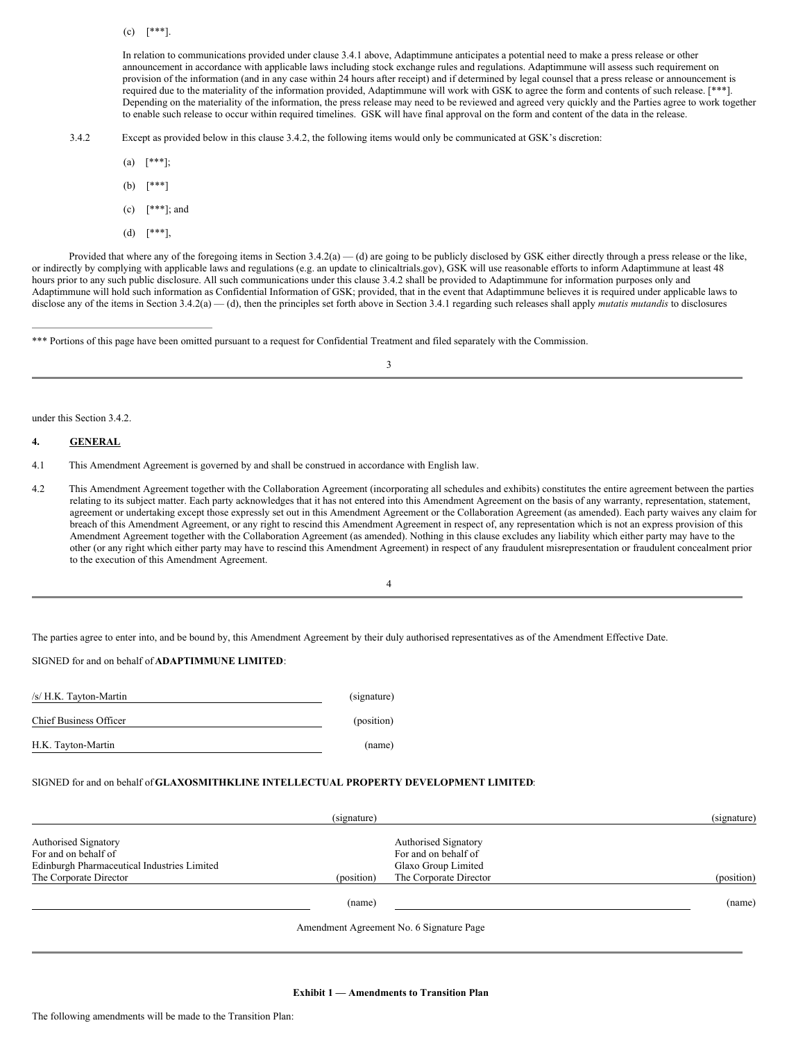(c) [\*\*\*].

In relation to communications provided under clause 3.4.1 above, Adaptimmune anticipates a potential need to make a press release or other announcement in accordance with applicable laws including stock exchange rules and regulations. Adaptimmune will assess such requirement on provision of the information (and in any case within 24 hours after receipt) and if determined by legal counsel that a press release or announcement is required due to the materiality of the information provided, Adaptimmune will work with GSK to agree the form and contents of such release. [\*\*\*]. Depending on the materiality of the information, the press release may need to be reviewed and agreed very quickly and the Parties agree to work together to enable such release to occur within required timelines. GSK will have final approval on the form and content of the data in the release.

3.4.2 Except as provided below in this clause 3.4.2, the following items would only be communicated at GSK's discretion:

- (a) [\*\*\*];
- (b) [\*\*\*]
- (c) [\*\*\*]; and
- (d) [\*\*\*],

Provided that where any of the foregoing items in Section  $3.4.2(a)$  — (d) are going to be publicly disclosed by GSK either directly through a press release or the like, or indirectly by complying with applicable laws and regulations (e.g. an update to clinicaltrials.gov), GSK will use reasonable efforts to inform Adaptimmune at least 48 hours prior to any such public disclosure. All such communications under this clause 3.4.2 shall be provided to Adaptimmune for information purposes only and Adaptimmune will hold such information as Confidential Information of GSK; provided, that in the event that Adaptimmune believes it is required under applicable laws to disclose any of the items in Section 3.4.2(a) — (d), then the principles set forth above in Section 3.4.1 regarding such releases shall apply *mutatis mutandis* to disclosures

\*\*\* Portions of this page have been omitted pursuant to a request for Confidential Treatment and filed separately with the Commission.

3

under this Section 3.4.2.

## **4. GENERAL**

4.1 This Amendment Agreement is governed by and shall be construed in accordance with English law.

4.2 This Amendment Agreement together with the Collaboration Agreement (incorporating all schedules and exhibits) constitutes the entire agreement between the parties relating to its subject matter. Each party acknowledges that it has not entered into this Amendment Agreement on the basis of any warranty, representation, statement, agreement or undertaking except those expressly set out in this Amendment Agreement or the Collaboration Agreement (as amended). Each party waives any claim for breach of this Amendment Agreement, or any right to rescind this Amendment Agreement in respect of, any representation which is not an express provision of this Amendment Agreement together with the Collaboration Agreement (as amended). Nothing in this clause excludes any liability which either party may have to the other (or any right which either party may have to rescind this Amendment Agreement) in respect of any fraudulent misrepresentation or fraudulent concealment prior to the execution of this Amendment Agreement.

The parties agree to enter into, and be bound by, this Amendment Agreement by their duly authorised representatives as of the Amendment Effective Date.

SIGNED for and on behalf of **ADAPTIMMUNE LIMITED**:

/s/ H.K. Tayton-Martin (signature)

Chief Business Officer (position)

H.K. Tayton-Martin (name)

## SIGNED for and on behalf of**GLAXOSMITHKLINE INTELLECTUAL PROPERTY DEVELOPMENT LIMITED**:

|                                              | (signature) |                                                     | (signature) |
|----------------------------------------------|-------------|-----------------------------------------------------|-------------|
| Authorised Signatory<br>For and on behalf of |             | <b>Authorised Signatory</b><br>For and on behalf of |             |
| Edinburgh Pharmaceutical Industries Limited  |             | Glaxo Group Limited                                 |             |
| The Corporate Director                       | (position)  | The Corporate Director                              | (position)  |
|                                              | (name)      |                                                     | (name)      |
|                                              |             | Amendment Agreement No. 6 Signature Page            |             |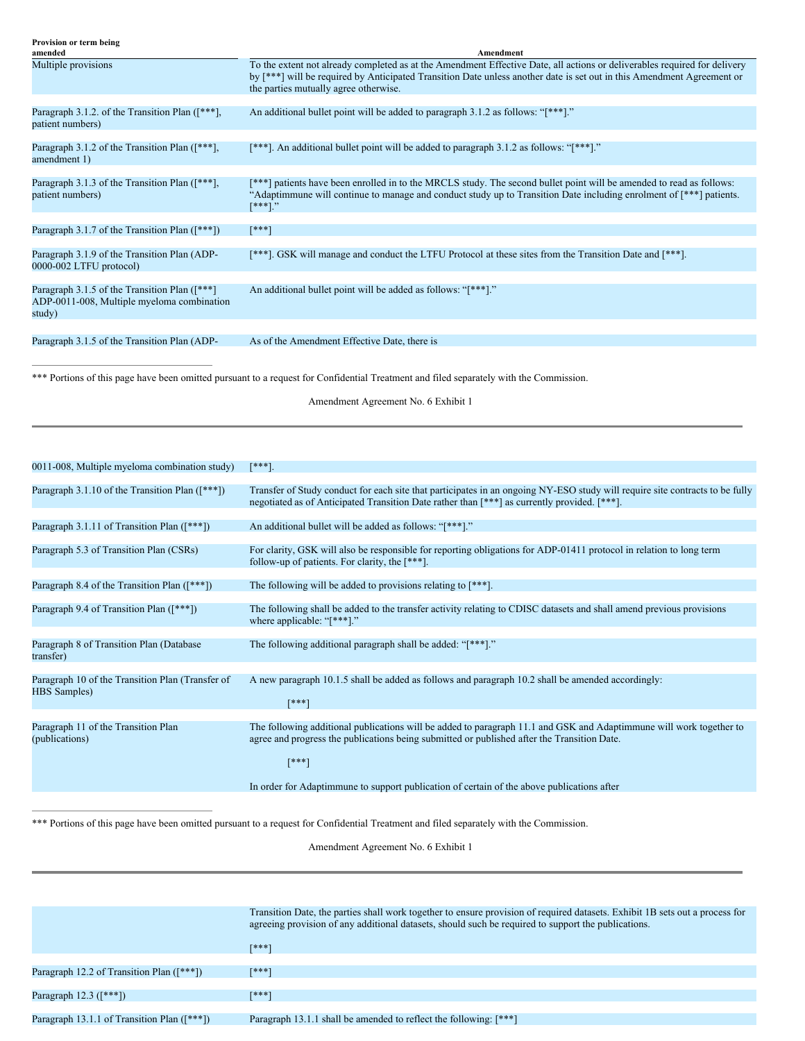| <b>THOMSION OF TELM DEME</b><br>amended                                                                | Amendment                                                                                                                                                                                                                                                                                    |
|--------------------------------------------------------------------------------------------------------|----------------------------------------------------------------------------------------------------------------------------------------------------------------------------------------------------------------------------------------------------------------------------------------------|
| Multiple provisions                                                                                    | To the extent not already completed as at the Amendment Effective Date, all actions or deliverables required for delivery<br>by [***] will be required by Anticipated Transition Date unless another date is set out in this Amendment Agreement or<br>the parties mutually agree otherwise. |
| Paragraph 3.1.2. of the Transition Plan $( [***]$ ,<br>patient numbers)                                | An additional bullet point will be added to paragraph 3.1.2 as follows: "[***]."                                                                                                                                                                                                             |
| Paragraph 3.1.2 of the Transition Plan ([***],<br>amendment 1)                                         | $[***]$ . An additional bullet point will be added to paragraph 3.1.2 as follows: " $[***]$ ."                                                                                                                                                                                               |
| Paragraph 3.1.3 of the Transition Plan ([***],<br>patient numbers)                                     | [***] patients have been enrolled in to the MRCLS study. The second bullet point will be amended to read as follows:<br>"Adaptimmune will continue to manage and conduct study up to Transition Date including enrolment of [***] patients.<br>$[***]$ ."                                    |
| Paragraph 3.1.7 of the Transition Plan $($ [***])                                                      | $[***]$                                                                                                                                                                                                                                                                                      |
| Paragraph 3.1.9 of the Transition Plan (ADP-<br>0000-002 LTFU protocol)                                | [***]. GSK will manage and conduct the LTFU Protocol at these sites from the Transition Date and [***].                                                                                                                                                                                      |
| Paragraph 3.1.5 of the Transition Plan ([***]]<br>ADP-0011-008, Multiple myeloma combination<br>study) | An additional bullet point will be added as follows: "[***]."                                                                                                                                                                                                                                |
| Paragraph 3.1.5 of the Transition Plan (ADP-                                                           | As of the Amendment Effective Date, there is                                                                                                                                                                                                                                                 |

\*\*\* Portions of this page have been omitted pursuant to a request for Confidential Treatment and filed separately with the Commission.

Amendment Agreement No. 6 Exhibit 1

| 0011-008, Multiple myeloma combination study)                           | $[***]$ .                                                                                                                                                                                                                    |
|-------------------------------------------------------------------------|------------------------------------------------------------------------------------------------------------------------------------------------------------------------------------------------------------------------------|
|                                                                         |                                                                                                                                                                                                                              |
| Paragraph 3.1.10 of the Transition Plan $( [***])$                      | Transfer of Study conduct for each site that participates in an ongoing NY-ESO study will require site contracts to be fully<br>negotiated as of Anticipated Transition Date rather than [***] as currently provided. [***]. |
|                                                                         |                                                                                                                                                                                                                              |
| Paragraph 3.1.11 of Transition Plan ([***])                             | An additional bullet will be added as follows: "[***]."                                                                                                                                                                      |
| Paragraph 5.3 of Transition Plan (CSRs)                                 | For clarity, GSK will also be responsible for reporting obligations for ADP-01411 protocol in relation to long term<br>follow-up of patients. For clarity, the [***].                                                        |
|                                                                         |                                                                                                                                                                                                                              |
| Paragraph 8.4 of the Transition Plan ([***])                            | The following will be added to provisions relating to $[***]$ .                                                                                                                                                              |
|                                                                         |                                                                                                                                                                                                                              |
| Paragraph 9.4 of Transition Plan ([***])                                | The following shall be added to the transfer activity relating to CDISC datasets and shall amend previous provisions<br>where applicable: "[***]."                                                                           |
|                                                                         |                                                                                                                                                                                                                              |
| Paragraph 8 of Transition Plan (Database)<br>transfer)                  | The following additional paragraph shall be added: "[***]."                                                                                                                                                                  |
|                                                                         |                                                                                                                                                                                                                              |
| Paragraph 10 of the Transition Plan (Transfer of<br><b>HBS</b> Samples) | A new paragraph 10.1.5 shall be added as follows and paragraph 10.2 shall be amended accordingly:<br>$[***]$                                                                                                                 |
|                                                                         |                                                                                                                                                                                                                              |
| Paragraph 11 of the Transition Plan<br>(publications)                   | The following additional publications will be added to paragraph 11.1 and GSK and Adaptimmune will work together to<br>agree and progress the publications being submitted or published after the Transition Date.           |
|                                                                         | $[***]$                                                                                                                                                                                                                      |
|                                                                         | In order for Adaptimmune to support publication of certain of the above publications after                                                                                                                                   |
|                                                                         |                                                                                                                                                                                                                              |

\*\*\* Portions of this page have been omitted pursuant to a request for Confidential Treatment and filed separately with the Commission.

Amendment Agreement No. 6 Exhibit 1

|                                                | Transition Date, the parties shall work together to ensure provision of required datasets. Exhibit 1B sets out a process for<br>agreeing provision of any additional datasets, should such be required to support the publications. |
|------------------------------------------------|-------------------------------------------------------------------------------------------------------------------------------------------------------------------------------------------------------------------------------------|
|                                                | [***]                                                                                                                                                                                                                               |
|                                                |                                                                                                                                                                                                                                     |
| Paragraph 12.2 of Transition Plan ([***])      | [***]                                                                                                                                                                                                                               |
|                                                |                                                                                                                                                                                                                                     |
| Paragraph 12.3 $(\lceil$ ***])                 | [***]                                                                                                                                                                                                                               |
|                                                |                                                                                                                                                                                                                                     |
| Paragraph 13.1.1 of Transition Plan $($ [***]) | Paragraph 13.1.1 shall be amended to reflect the following: [***]                                                                                                                                                                   |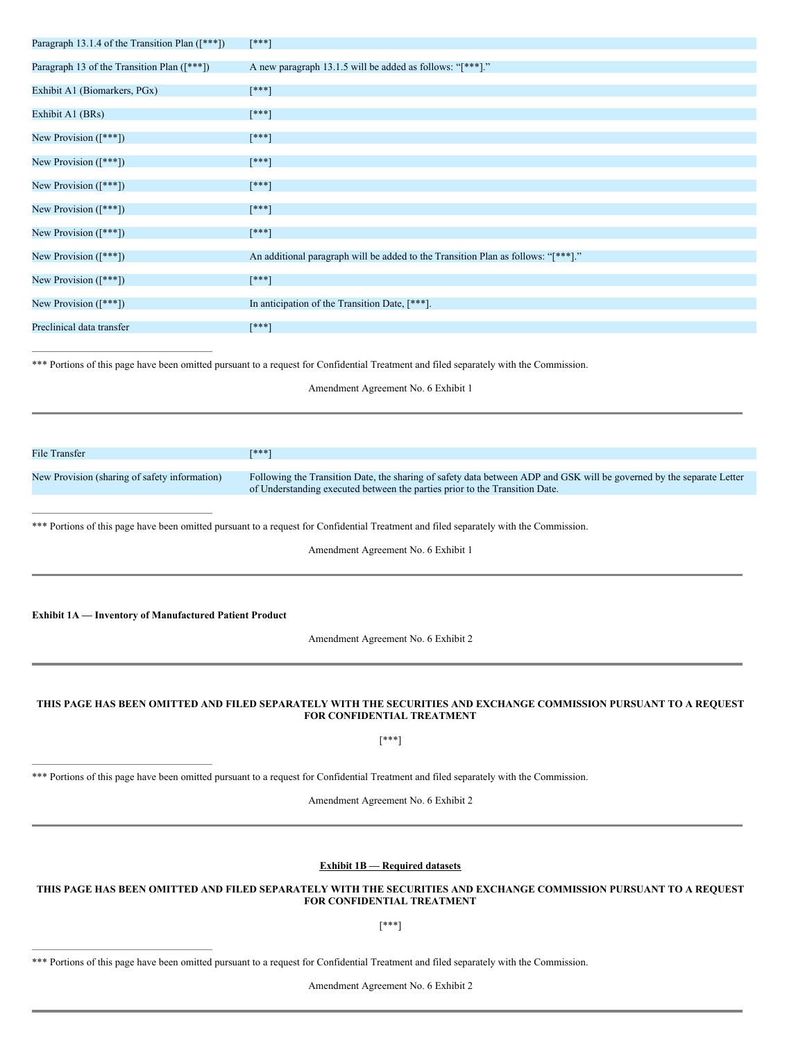| Paragraph 13.1.4 of the Transition Plan ([***]) | $[***]$                                                                           |
|-------------------------------------------------|-----------------------------------------------------------------------------------|
|                                                 |                                                                                   |
| Paragraph 13 of the Transition Plan ([***])     | A new paragraph 13.1.5 will be added as follows: "[***]."                         |
|                                                 |                                                                                   |
| Exhibit A1 (Biomarkers, PGx)                    | $[***]$                                                                           |
|                                                 |                                                                                   |
| Exhibit A1 (BRs)                                | $[***]$                                                                           |
|                                                 |                                                                                   |
| New Provision $( [***])$                        | $[***]$                                                                           |
|                                                 |                                                                                   |
| New Provision $( [***])$                        | $[***]$                                                                           |
|                                                 |                                                                                   |
| New Provision $( [***])$                        | $[***]$                                                                           |
|                                                 |                                                                                   |
| New Provision $(\lceil \ast \ast \ast \rceil)$  | $[***]$                                                                           |
|                                                 |                                                                                   |
| New Provision $(\lceil \ast \ast \ast \rceil)$  | $[***]$                                                                           |
|                                                 |                                                                                   |
| New Provision $(\lceil \ast \ast \ast \rceil)$  | An additional paragraph will be added to the Transition Plan as follows: "[***]." |
| New Provision $( [***])$                        | $[***]$                                                                           |
|                                                 |                                                                                   |
| New Provision $( [***])$                        | In anticipation of the Transition Date, [***].                                    |
|                                                 |                                                                                   |
| Preclinical data transfer                       | $[***]$                                                                           |
|                                                 |                                                                                   |

\*\*\* Portions of this page have been omitted pursuant to a request for Confidential Treatment and filed separately with the Commission.

Amendment Agreement No. 6 Exhibit 1

File Transfer [\*\*\*] New Provision (sharing of safety information) Following the Transition Date, the sharing of safety data between ADP and GSK will be governed by the separate Letter of Understanding executed between the parties prior to the Transition Date.

\*\*\* Portions of this page have been omitted pursuant to a request for Confidential Treatment and filed separately with the Commission.

Amendment Agreement No. 6 Exhibit 1

**Exhibit 1A — Inventory of Manufactured Patient Product**

Amendment Agreement No. 6 Exhibit 2

## THIS PAGE HAS BEEN OMITTED AND FILED SEPARATELY WITH THE SECURITIES AND EXCHANGE COMMISSION PURSUANT TO A REQUEST **FOR CONFIDENTIAL TREATMENT**

[\*\*\*]

\*\*\* Portions of this page have been omitted pursuant to a request for Confidential Treatment and filed separately with the Commission.

Amendment Agreement No. 6 Exhibit 2

## **Exhibit 1B — Required datasets**

THIS PAGE HAS BEEN OMITTED AND FILED SEPARATELY WITH THE SECURITIES AND EXCHANGE COMMISSION PURSUANT TO A REQUEST **FOR CONFIDENTIAL TREATMENT**

[\*\*\*]

\*\*\* Portions of this page have been omitted pursuant to a request for Confidential Treatment and filed separately with the Commission.

Amendment Agreement No. 6 Exhibit 2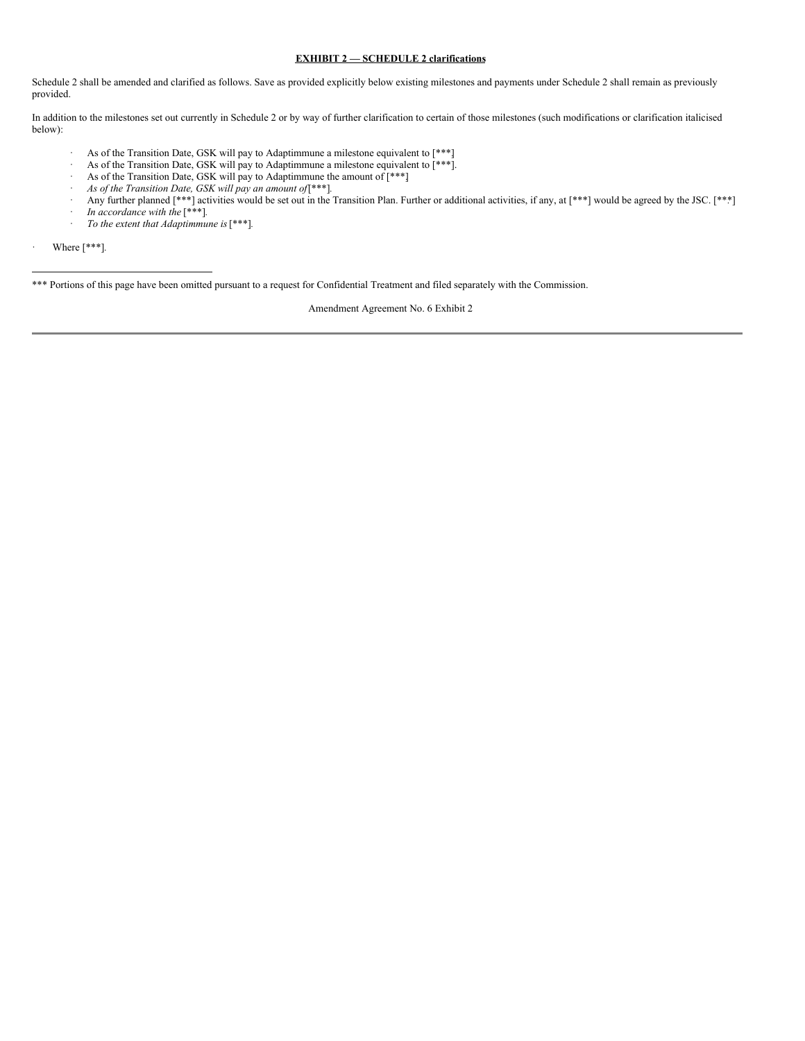## **EXHIBIT 2 — SCHEDULE 2 clarifications**

Schedule 2 shall be amended and clarified as follows. Save as provided explicitly below existing milestones and payments under Schedule 2 shall remain as previously provided.

In addition to the milestones set out currently in Schedule 2 or by way of further clarification to certain of those milestones (such modifications or clarification italicised below):

- · As of the Transition Date, GSK will pay to Adaptimmune a milestone equivalent to [\*\*\*]*.*
- · As of the Transition Date, GSK will pay to Adaptimmune a milestone equivalent to [\*\*\*].
- · As of the Transition Date, GSK will pay to Adaptimmune the amount of [\*\*\*]*.*
- · *As of the Transition Date, GSK will pay an amount of*[\*\*\*]*.*
- Any further planned [\*\*\*] activities would be set out in the Transition Plan. Further or additional activities, if any, at [\*\*\*] would be agreed by the JSC. [\*\*\*]
- · *In accordance with the* [\*\*\*]*.*
- · *To the extent that Adaptimmune is*[\*\*\*]*.*

· Where [\*\*\*]*.*

\*\*\* Portions of this page have been omitted pursuant to a request for Confidential Treatment and filed separately with the Commission.

Amendment Agreement No. 6 Exhibit 2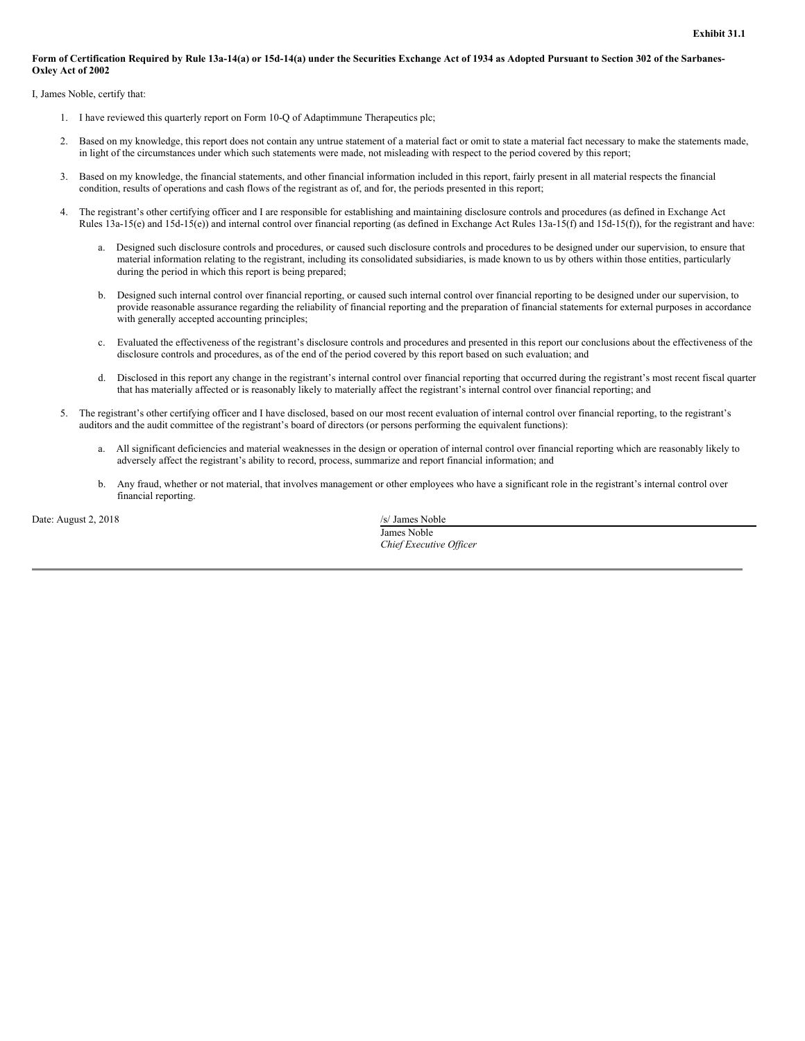## Form of Certification Required by Rule 13a-14(a) or 15d-14(a) under the Securities Exchange Act of 1934 as Adopted Pursuant to Section 302 of the Sarbanes-**Oxley Act of 2002**

I, James Noble, certify that:

- 1. I have reviewed this quarterly report on Form 10-Q of Adaptimmune Therapeutics plc;
- 2. Based on my knowledge, this report does not contain any untrue statement of a material fact or omit to state a material fact necessary to make the statements made, in light of the circumstances under which such statements were made, not misleading with respect to the period covered by this report;
- 3. Based on my knowledge, the financial statements, and other financial information included in this report, fairly present in all material respects the financial condition, results of operations and cash flows of the registrant as of, and for, the periods presented in this report;
- 4. The registrant's other certifying officer and I are responsible for establishing and maintaining disclosure controls and procedures (as defined in Exchange Act Rules 13a-15(e) and 15d-15(e)) and internal control over financial reporting (as defined in Exchange Act Rules 13a-15(f) and 15d-15(f)), for the registrant and have:
	- a. Designed such disclosure controls and procedures, or caused such disclosure controls and procedures to be designed under our supervision, to ensure that material information relating to the registrant, including its consolidated subsidiaries, is made known to us by others within those entities, particularly during the period in which this report is being prepared;
	- b. Designed such internal control over financial reporting, or caused such internal control over financial reporting to be designed under our supervision, to provide reasonable assurance regarding the reliability of financial reporting and the preparation of financial statements for external purposes in accordance with generally accepted accounting principles;
	- c. Evaluated the effectiveness of the registrant's disclosure controls and procedures and presented in this report our conclusions about the effectiveness of the disclosure controls and procedures, as of the end of the period covered by this report based on such evaluation; and
	- d. Disclosed in this report any change in the registrant's internal control over financial reporting that occurred during the registrant's most recent fiscal quarter that has materially affected or is reasonably likely to materially affect the registrant's internal control over financial reporting; and
- 5. The registrant's other certifying officer and I have disclosed, based on our most recent evaluation of internal control over financial reporting, to the registrant's auditors and the audit committee of the registrant's board of directors (or persons performing the equivalent functions):
	- a. All significant deficiencies and material weaknesses in the design or operation of internal control over financial reporting which are reasonably likely to adversely affect the registrant's ability to record, process, summarize and report financial information; and
	- b. Any fraud, whether or not material, that involves management or other employees who have a significant role in the registrant's internal control over financial reporting.

Date: August 2, 2018 /s/ James Noble

<span id="page-54-0"></span>James Noble *Chief Executive Of icer*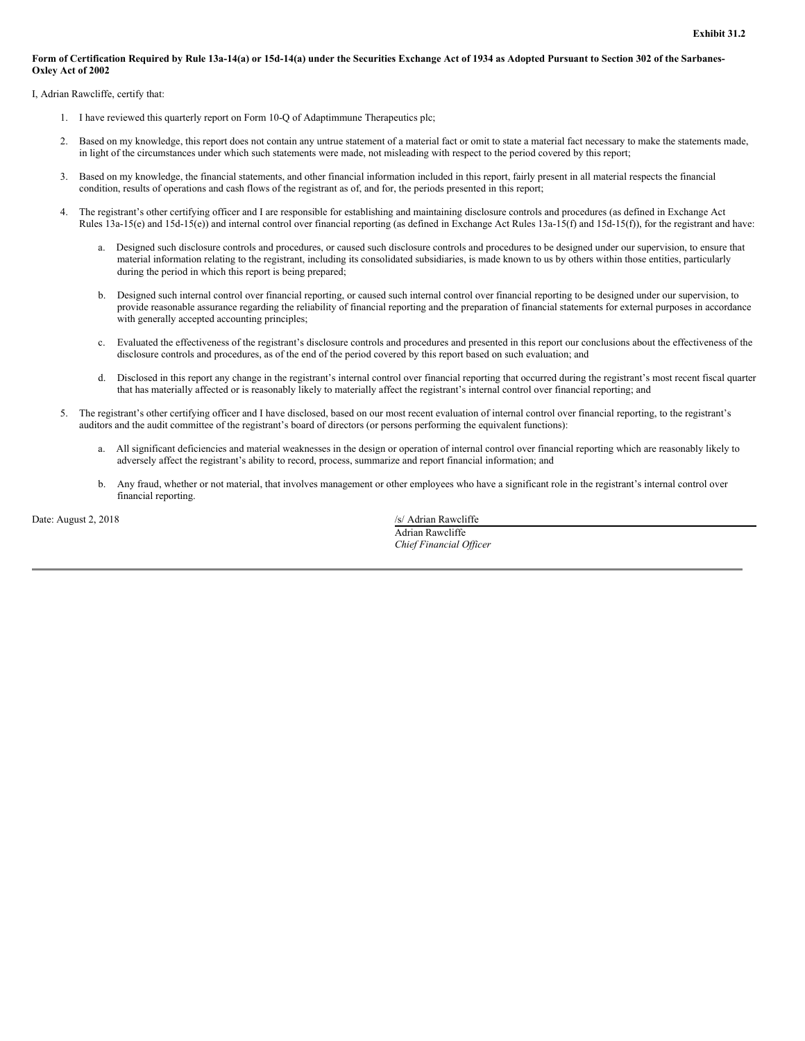## Form of Certification Required by Rule 13a-14(a) or 15d-14(a) under the Securities Exchange Act of 1934 as Adopted Pursuant to Section 302 of the Sarbanes-**Oxley Act of 2002**

I, Adrian Rawcliffe, certify that:

- <span id="page-55-0"></span>1. I have reviewed this quarterly report on Form 10-Q of Adaptimmune Therapeutics plc;
- 2. Based on my knowledge, this report does not contain any untrue statement of a material fact or omit to state a material fact necessary to make the statements made, in light of the circumstances under which such statements were made, not misleading with respect to the period covered by this report;
- 3. Based on my knowledge, the financial statements, and other financial information included in this report, fairly present in all material respects the financial condition, results of operations and cash flows of the registrant as of, and for, the periods presented in this report;
- 4. The registrant's other certifying officer and I are responsible for establishing and maintaining disclosure controls and procedures (as defined in Exchange Act Rules 13a-15(e) and 15d-15(e)) and internal control over financial reporting (as defined in Exchange Act Rules 13a-15(f) and 15d-15(f)), for the registrant and have:
	- a. Designed such disclosure controls and procedures, or caused such disclosure controls and procedures to be designed under our supervision, to ensure that material information relating to the registrant, including its consolidated subsidiaries, is made known to us by others within those entities, particularly during the period in which this report is being prepared;
	- b. Designed such internal control over financial reporting, or caused such internal control over financial reporting to be designed under our supervision, to provide reasonable assurance regarding the reliability of financial reporting and the preparation of financial statements for external purposes in accordance with generally accepted accounting principles;
	- c. Evaluated the effectiveness of the registrant's disclosure controls and procedures and presented in this report our conclusions about the effectiveness of the disclosure controls and procedures, as of the end of the period covered by this report based on such evaluation; and
	- d. Disclosed in this report any change in the registrant's internal control over financial reporting that occurred during the registrant's most recent fiscal quarter that has materially affected or is reasonably likely to materially affect the registrant's internal control over financial reporting; and
- 5. The registrant's other certifying officer and I have disclosed, based on our most recent evaluation of internal control over financial reporting, to the registrant's auditors and the audit committee of the registrant's board of directors (or persons performing the equivalent functions):
	- a. All significant deficiencies and material weaknesses in the design or operation of internal control over financial reporting which are reasonably likely to adversely affect the registrant's ability to record, process, summarize and report financial information; and
	- b. Any fraud, whether or not material, that involves management or other employees who have a significant role in the registrant's internal control over financial reporting.

Date: August 2, 2018 /s/ Adrian Rawcliffe Adrian Rawcliffe *Chief Financial Of icer*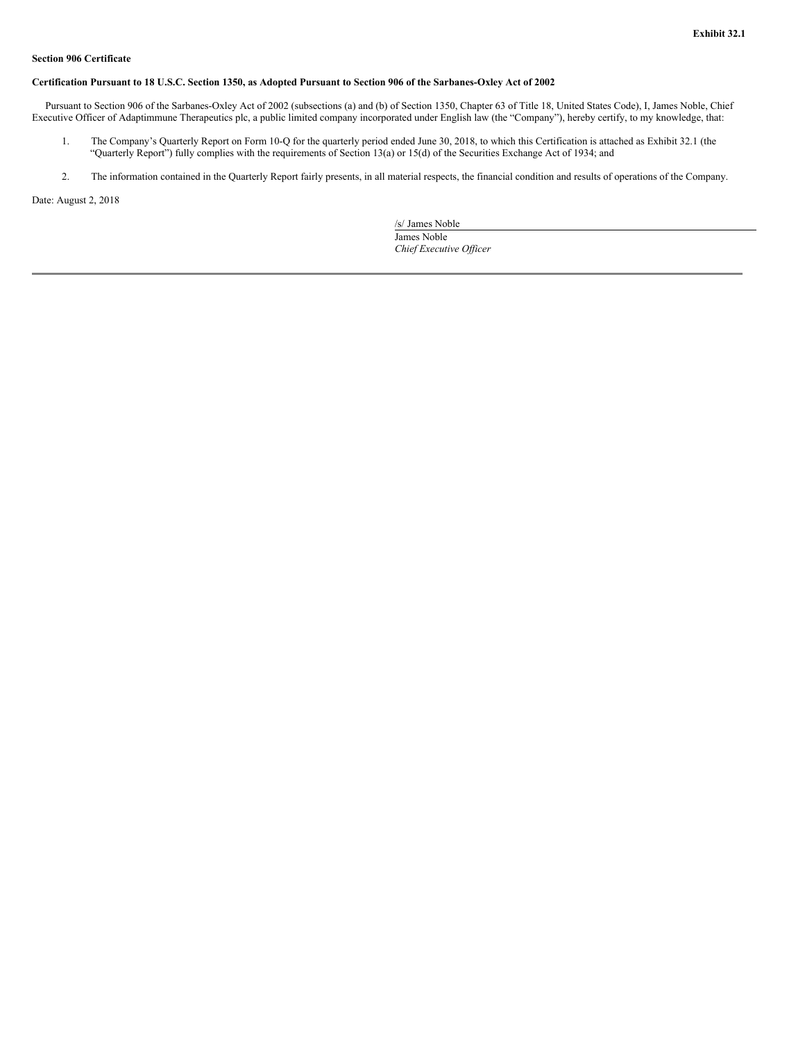### **Section 906 Certificate**

### Certification Pursuant to 18 U.S.C. Section 1350, as Adopted Pursuant to Section 906 of the Sarbanes-Oxley Act of 2002

Pursuant to Section 906 of the Sarbanes-Oxley Act of 2002 (subsections (a) and (b) of Section 1350, Chapter 63 of Title 18, United States Code), I, James Noble, Chief Executive Officer of Adaptimmune Therapeutics plc, a public limited company incorporated under English law (the "Company"), hereby certify, to my knowledge, that:

- 1. The Company's Quarterly Report on Form 10-Q for the quarterly period ended June 30, 2018, to which this Certification is attached as Exhibit 32.1 (the "Quarterly Report") fully complies with the requirements of Section 13(a) or 15(d) of the Securities Exchange Act of 1934; and
- 2. The information contained in the Quarterly Report fairly presents, in all material respects, the financial condition and results of operations of the Company.

Date: August 2, 2018

<span id="page-56-0"></span>/s/ James Noble James Noble *Chief Executive Of icer*